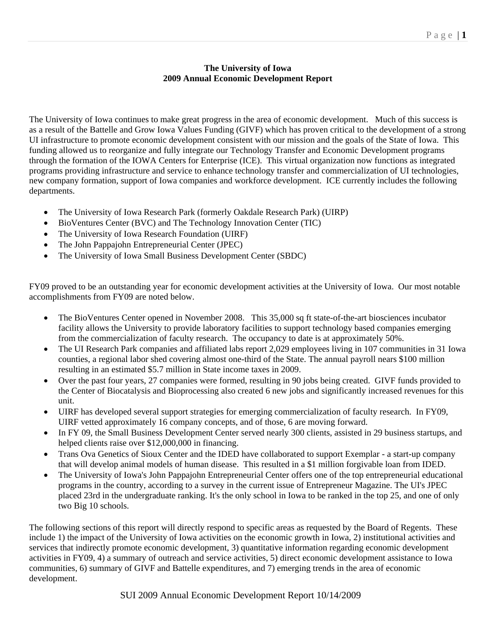## **The University of Iowa 2009 Annual Economic Development Report**

The University of Iowa continues to make great progress in the area of economic development. Much of this success is as a result of the Battelle and Grow Iowa Values Funding (GIVF) which has proven critical to the development of a strong UI infrastructure to promote economic development consistent with our mission and the goals of the State of Iowa. This funding allowed us to reorganize and fully integrate our Technology Transfer and Economic Development programs through the formation of the IOWA Centers for Enterprise (ICE). This virtual organization now functions as integrated programs providing infrastructure and service to enhance technology transfer and commercialization of UI technologies, new company formation, support of Iowa companies and workforce development. ICE currently includes the following departments.

- The University of Iowa Research Park (formerly Oakdale Research Park) (UIRP)
- BioVentures Center (BVC) and The Technology Innovation Center (TIC)
- The University of Iowa Research Foundation (UIRF)
- The John Pappajohn Entrepreneurial Center (JPEC)
- The University of Iowa Small Business Development Center (SBDC)

FY09 proved to be an outstanding year for economic development activities at the University of Iowa. Our most notable accomplishments from FY09 are noted below.

- The BioVentures Center opened in November 2008. This 35,000 sq ft state-of-the-art biosciences incubator facility allows the University to provide laboratory facilities to support technology based companies emerging from the commercialization of faculty research. The occupancy to date is at approximately 50%.
- The UI Research Park companies and affiliated labs report 2,029 employees living in 107 communities in 31 Iowa counties, a regional labor shed covering almost one-third of the State. The annual payroll nears \$100 million resulting in an estimated \$5.7 million in State income taxes in 2009.
- Over the past four years, 27 companies were formed, resulting in 90 jobs being created. GIVF funds provided to the Center of Biocatalysis and Bioprocessing also created 6 new jobs and significantly increased revenues for this unit.
- UIRF has developed several support strategies for emerging commercialization of faculty research. In FY09, UIRF vetted approximately 16 company concepts, and of those, 6 are moving forward.
- In FY 09, the Small Business Development Center served nearly 300 clients, assisted in 29 business startups, and helped clients raise over \$12,000,000 in financing.
- Trans Ova Genetics of Sioux Center and the IDED have collaborated to support Exemplar a start-up company that will develop animal models of human disease. This resulted in a \$1 million forgivable loan from IDED.
- The University of Iowa's John Pappajohn Entrepreneurial Center offers one of the top entrepreneurial educational programs in the country, according to a survey in the current issue of Entrepreneur Magazine. The UI's JPEC placed 23rd in the undergraduate ranking. It's the only school in Iowa to be ranked in the top 25, and one of only two Big 10 schools.

The following sections of this report will directly respond to specific areas as requested by the Board of Regents. These include 1) the impact of the University of Iowa activities on the economic growth in Iowa, 2) institutional activities and services that indirectly promote economic development, 3) quantitative information regarding economic development activities in FY09, 4) a summary of outreach and service activities, 5) direct economic development assistance to Iowa communities, 6) summary of GIVF and Battelle expenditures, and 7) emerging trends in the area of economic development.

## SUI 2009 Annual Economic Development Report 10/14/2009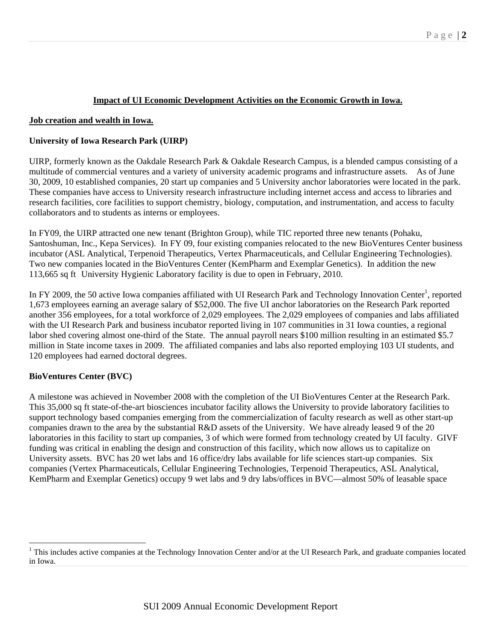## **Impact of UI Economic Development Activities on the Economic Growth in Iowa.**

### **Job creation and wealth in Iowa.**

### **University of Iowa Research Park (UIRP)**

UIRP, formerly known as the Oakdale Research Park & Oakdale Research Campus, is a blended campus consisting of a multitude of commercial ventures and a variety of university academic programs and infrastructure assets. As of June 30, 2009, 10 established companies, 20 start up companies and 5 University anchor laboratories were located in the park. These companies have access to University research infrastructure including internet access and access to libraries and research facilities, core facilities to support chemistry, biology, computation, and instrumentation, and access to faculty collaborators and to students as interns or employees.

In FY09, the UIRP attracted one new tenant (Brighton Group), while TIC reported three new tenants (Pohaku, Santoshuman, Inc., Kepa Services). In FY 09, four existing companies relocated to the new BioVentures Center business incubator (ASL Analytical, Terpenoid Therapeutics, Vertex Pharmaceuticals, and Cellular Engineering Technologies). Two new companies located in the BioVentures Center (KemPharm and Exemplar Genetics). In addition the new 113,665 sq ft University Hygienic Laboratory facility is due to open in February, 2010.

In FY 2009, the 50 active Iowa companies affiliated with UI Research Park and Technology Innovation Center<sup>1</sup>, reported 1,673 employees earning an average salary of \$52,000. The five UI anchor laboratories on the Research Park reported another 356 employees, for a total workforce of 2,029 employees. The 2,029 employees of companies and labs affiliated with the UI Research Park and business incubator reported living in 107 communities in 31 Iowa counties, a regional labor shed covering almost one-third of the State. The annual payroll nears \$100 million resulting in an estimated \$5.7 million in State income taxes in 2009. The affiliated companies and labs also reported employing 103 UI students, and 120 employees had earned doctoral degrees.

### **BioVentures Center (BVC)**

 $\overline{a}$ 

A milestone was achieved in November 2008 with the completion of the UI BioVentures Center at the Research Park. This 35,000 sq ft state-of-the-art biosciences incubator facility allows the University to provide laboratory facilities to support technology based companies emerging from the commercialization of faculty research as well as other start-up companies drawn to the area by the substantial R&D assets of the University. We have already leased 9 of the 20 laboratories in this facility to start up companies, 3 of which were formed from technology created by UI faculty. GIVF funding was critical in enabling the design and construction of this facility, which now allows us to capitalize on University assets. BVC has 20 wet labs and 16 office/dry labs available for life sciences start-up companies. Six companies (Vertex Pharmaceuticals, Cellular Engineering Technologies, Terpenoid Therapeutics, ASL Analytical, KemPharm and Exemplar Genetics) occupy 9 wet labs and 9 dry labs/offices in BVC—almost 50% of leasable space

<sup>&</sup>lt;sup>1</sup> This includes active companies at the Technology Innovation Center and/or at the UI Research Park, and graduate companies located in Iowa.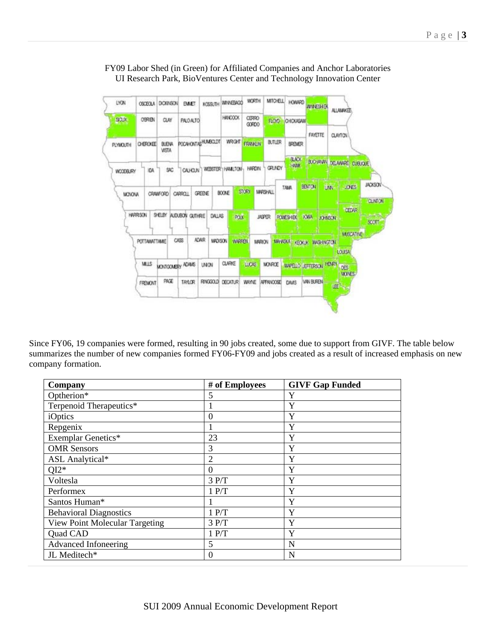## FY09 Labor Shed (in Green) for Affiliated Companies and Anchor Laboratories UI Research Park, BioVentures Center and Technology Innovation Center



Since FY06, 19 companies were formed, resulting in 90 jobs created, some due to support from GIVF. The table below summarizes the number of new companies formed FY06-FY09 and jobs created as a result of increased emphasis on new company formation.

| Optherion*<br>Y<br>5<br>Terpenoid Therapeutics*<br>Y<br>Y<br>iOptics<br>$\theta$<br>Y<br>Repgenix | Company | # of Employees | <b>GIVF Gap Funded</b> |
|---------------------------------------------------------------------------------------------------|---------|----------------|------------------------|
|                                                                                                   |         |                |                        |
|                                                                                                   |         |                |                        |
|                                                                                                   |         |                |                        |
|                                                                                                   |         |                |                        |
| <b>Exemplar Genetics*</b><br>Y<br>23                                                              |         |                |                        |
| <b>OMR</b> Sensors<br>3<br>Y                                                                      |         |                |                        |
| Y<br>$\overline{c}$<br>ASL Analytical*                                                            |         |                |                        |
| $QI2*$<br>Y<br>$\theta$                                                                           |         |                |                        |
| Y<br>3 P/T<br>Voltesla                                                                            |         |                |                        |
| Y<br>1 P/T<br>Performex                                                                           |         |                |                        |
| Y<br>Santos Human*                                                                                |         |                |                        |
| Y<br>1 P/T<br><b>Behavioral Diagnostics</b>                                                       |         |                |                        |
| Y<br>View Point Molecular Targeting<br>3 P/T                                                      |         |                |                        |
| Y<br>1 P/T<br>Quad CAD                                                                            |         |                |                        |
| Advanced Infoneering<br>5<br>N                                                                    |         |                |                        |
| JL Meditech*<br>N<br>$\theta$                                                                     |         |                |                        |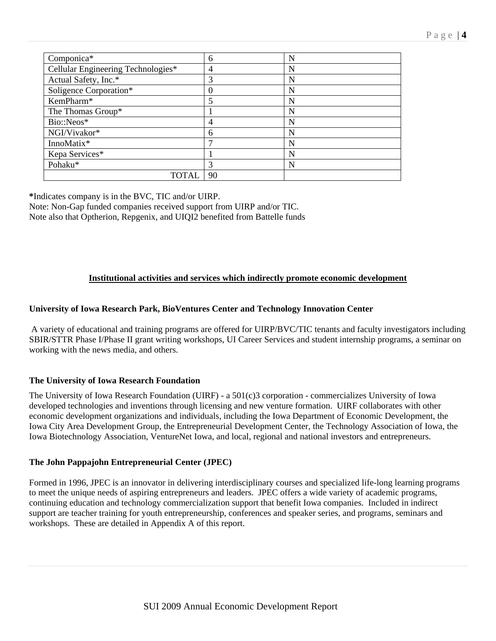| Componica*                         | 6        | N |
|------------------------------------|----------|---|
| Cellular Engineering Technologies* | 4        | N |
| Actual Safety, Inc.*               | 3        | N |
| Soligence Corporation*             | $\left($ | N |
| KemPharm*                          |          | N |
| The Thomas Group*                  |          | N |
| Bio::Neos*                         | 4        | N |
| NGI/Vivakor*                       | 6        | N |
| InnoMatix*                         | ⇁        | N |
| Kepa Services*                     |          | N |
| Pohaku*                            | 3        | N |
| TOTAI                              | 90       |   |

**\***Indicates company is in the BVC, TIC and/or UIRP. Note: Non-Gap funded companies received support from UIRP and/or TIC. Note also that Optherion, Repgenix, and UIQI2 benefited from Battelle funds

## **Institutional activities and services which indirectly promote economic development**

### **University of Iowa Research Park, BioVentures Center and Technology Innovation Center**

 A variety of educational and training programs are offered for UIRP/BVC/TIC tenants and faculty investigators including SBIR/STTR Phase I/Phase II grant writing workshops, UI Career Services and student internship programs, a seminar on working with the news media, and others.

### **The University of Iowa Research Foundation**

The University of Iowa Research Foundation (UIRF) - a 501(c)3 corporation - commercializes University of Iowa developed technologies and inventions through licensing and new venture formation. UIRF collaborates with other economic development organizations and individuals, including the Iowa Department of Economic Development, the Iowa City Area Development Group, the Entrepreneurial Development Center, the Technology Association of Iowa, the Iowa Biotechnology Association, VentureNet Iowa, and local, regional and national investors and entrepreneurs.

### **The John Pappajohn Entrepreneurial Center (JPEC)**

Formed in 1996, JPEC is an innovator in delivering interdisciplinary courses and specialized life-long learning programs to meet the unique needs of aspiring entrepreneurs and leaders. JPEC offers a wide variety of academic programs, continuing education and technology commercialization support that benefit Iowa companies. Included in indirect support are teacher training for youth entrepreneurship, conferences and speaker series, and programs, seminars and workshops. These are detailed in Appendix A of this report.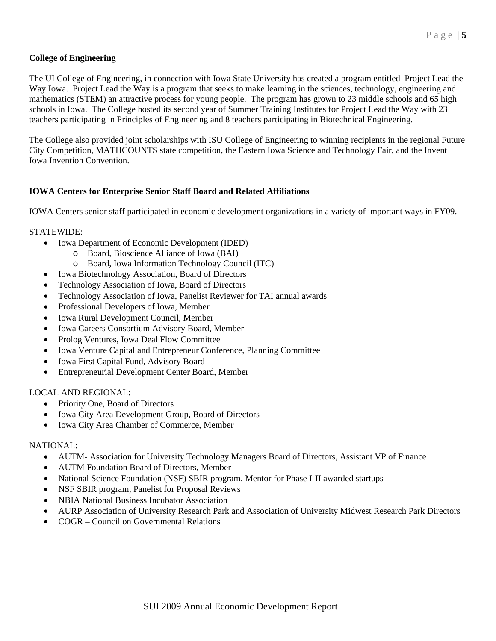## **College of Engineering**

The UI College of Engineering, in connection with Iowa State University has created a program entitled Project Lead the Way Iowa. Project Lead the Way is a program that seeks to make learning in the sciences, technology, engineering and mathematics (STEM) an attractive process for young people. The program has grown to 23 middle schools and 65 high schools in Iowa. The College hosted its second year of Summer Training Institutes for Project Lead the Way with 23 teachers participating in Principles of Engineering and 8 teachers participating in Biotechnical Engineering.

The College also provided joint scholarships with ISU College of Engineering to winning recipients in the regional Future City Competition, MATHCOUNTS state competition, the Eastern Iowa Science and Technology Fair, and the Invent Iowa Invention Convention.

## **IOWA Centers for Enterprise Senior Staff Board and Related Affiliations**

IOWA Centers senior staff participated in economic development organizations in a variety of important ways in FY09.

### STATEWIDE:

- Iowa Department of Economic Development (IDED)
	- o Board, Bioscience Alliance of Iowa (BAI)
	- o Board, Iowa Information Technology Council (ITC)
- Iowa Biotechnology Association, Board of Directors
- Technology Association of Iowa, Board of Directors
- Technology Association of Iowa, Panelist Reviewer for TAI annual awards
- Professional Developers of Iowa, Member
- Iowa Rural Development Council, Member
- Iowa Careers Consortium Advisory Board, Member
- Prolog Ventures, Iowa Deal Flow Committee
- Iowa Venture Capital and Entrepreneur Conference, Planning Committee
- Iowa First Capital Fund, Advisory Board
- Entrepreneurial Development Center Board, Member

### LOCAL AND REGIONAL:

- Priority One, Board of Directors
- Iowa City Area Development Group, Board of Directors
- Iowa City Area Chamber of Commerce, Member

### NATIONAL:

- AUTM- Association for University Technology Managers Board of Directors, Assistant VP of Finance
- AUTM Foundation Board of Directors, Member
- National Science Foundation (NSF) SBIR program, Mentor for Phase I-II awarded startups
- NSF SBIR program, Panelist for Proposal Reviews
- NBIA National Business Incubator Association
- AURP Association of University Research Park and Association of University Midwest Research Park Directors
- COGR Council on Governmental Relations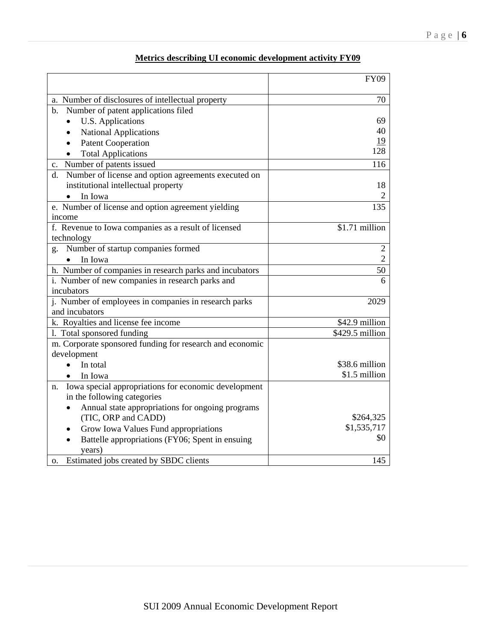|                                                                 | <b>FY09</b>     |
|-----------------------------------------------------------------|-----------------|
| a. Number of disclosures of intellectual property               | 70              |
| Number of patent applications filed<br>$\mathbf{b}$ .           |                 |
| U.S. Applications                                               | 69              |
| <b>National Applications</b>                                    | 40              |
| <b>Patent Cooperation</b>                                       | 19              |
| <b>Total Applications</b>                                       | 128             |
| Number of patents issued<br>c.                                  | 116             |
| Number of license and option agreements executed on<br>d.       |                 |
| institutional intellectual property                             | 18              |
| In Iowa                                                         | 2               |
| e. Number of license and option agreement yielding              | 135             |
| income                                                          |                 |
| f. Revenue to Iowa companies as a result of licensed            | \$1.71 million  |
| technology                                                      |                 |
| g. Number of startup companies formed                           | $\overline{2}$  |
| In Iowa                                                         | $\overline{2}$  |
| h. Number of companies in research parks and incubators         | 50              |
| i. Number of new companies in research parks and                | 6               |
| incubators                                                      |                 |
| j. Number of employees in companies in research parks           | 2029            |
| and incubators                                                  |                 |
| k. Royalties and license fee income                             | \$42.9 million  |
| 1. Total sponsored funding                                      | \$429.5 million |
| m. Corporate sponsored funding for research and economic        |                 |
| development                                                     | \$38.6 million  |
| In total                                                        | \$1.5 million   |
| In Iowa<br>Iowa special appropriations for economic development |                 |
| n.<br>in the following categories                               |                 |
| Annual state appropriations for ongoing programs                |                 |
| (TIC, ORP and CADD)                                             | \$264,325       |
| Grow Iowa Values Fund appropriations                            | \$1,535,717     |
| Battelle appropriations (FY06; Spent in ensuing                 | \$0             |
| years)                                                          |                 |
| Estimated jobs created by SBDC clients<br>0.                    | 145             |

# **Metrics describing UI economic development activity FY09**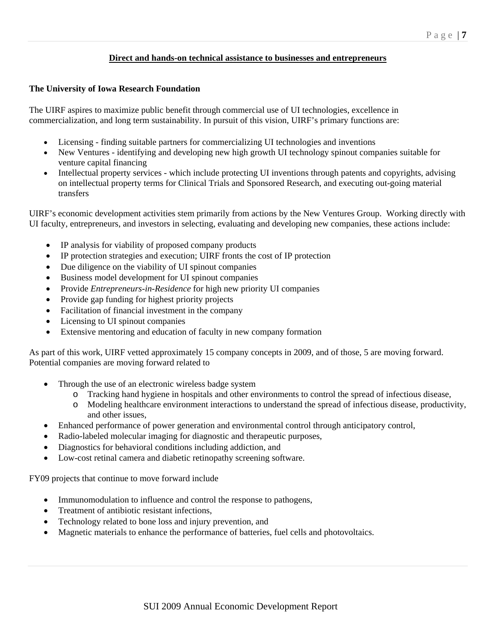### **Direct and hands-on technical assistance to businesses and entrepreneurs**

### **The University of Iowa Research Foundation**

The UIRF aspires to maximize public benefit through commercial use of UI technologies, excellence in commercialization, and long term sustainability. In pursuit of this vision, UIRF's primary functions are:

- Licensing finding suitable partners for commercializing UI technologies and inventions
- New Ventures identifying and developing new high growth UI technology spinout companies suitable for venture capital financing
- Intellectual property services which include protecting UI inventions through patents and copyrights, advising on intellectual property terms for Clinical Trials and Sponsored Research, and executing out-going material transfers

UIRF's economic development activities stem primarily from actions by the New Ventures Group. Working directly with UI faculty, entrepreneurs, and investors in selecting, evaluating and developing new companies, these actions include:

- IP analysis for viability of proposed company products
- IP protection strategies and execution; UIRF fronts the cost of IP protection
- Due diligence on the viability of UI spinout companies
- Business model development for UI spinout companies
- Provide *Entrepreneurs-in-Residence* for high new priority UI companies
- Provide gap funding for highest priority projects
- Facilitation of financial investment in the company
- Licensing to UI spinout companies
- Extensive mentoring and education of faculty in new company formation

As part of this work, UIRF vetted approximately 15 company concepts in 2009, and of those, 5 are moving forward. Potential companies are moving forward related to

- Through the use of an electronic wireless badge system
	- o Tracking hand hygiene in hospitals and other environments to control the spread of infectious disease,
	- o Modeling healthcare environment interactions to understand the spread of infectious disease, productivity, and other issues,
	- Enhanced performance of power generation and environmental control through anticipatory control,
- Radio-labeled molecular imaging for diagnostic and therapeutic purposes,
- Diagnostics for behavioral conditions including addiction, and
- Low-cost retinal camera and diabetic retinopathy screening software.

FY09 projects that continue to move forward include

- Immunomodulation to influence and control the response to pathogens,
- Treatment of antibiotic resistant infections,
- Technology related to bone loss and injury prevention, and
- Magnetic materials to enhance the performance of batteries, fuel cells and photovoltaics.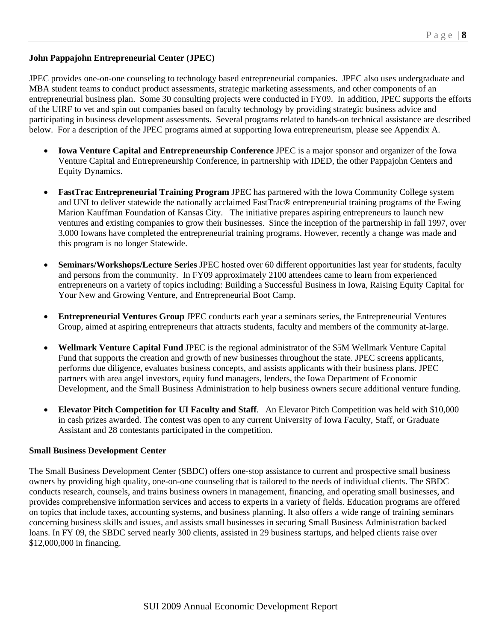## **John Pappajohn Entrepreneurial Center (JPEC)**

JPEC provides one-on-one counseling to technology based entrepreneurial companies. JPEC also uses undergraduate and MBA student teams to conduct product assessments, strategic marketing assessments, and other components of an entrepreneurial business plan. Some 30 consulting projects were conducted in FY09. In addition, JPEC supports the efforts of the UIRF to vet and spin out companies based on faculty technology by providing strategic business advice and participating in business development assessments. Several programs related to hands-on technical assistance are described below. For a description of the JPEC programs aimed at supporting Iowa entrepreneurism, please see Appendix A.

- **Iowa Venture Capital and Entrepreneurship Conference** JPEC is a major sponsor and organizer of the Iowa Venture Capital and Entrepreneurship Conference, in partnership with IDED, the other Pappajohn Centers and Equity Dynamics.
- **FastTrac Entrepreneurial Training Program** JPEC has partnered with the Iowa Community College system and UNI to deliver statewide the nationally acclaimed FastTrac® entrepreneurial training programs of the Ewing Marion Kauffman Foundation of Kansas City. The initiative prepares aspiring entrepreneurs to launch new ventures and existing companies to grow their businesses. Since the inception of the partnership in fall 1997, over 3,000 Iowans have completed the entrepreneurial training programs. However, recently a change was made and this program is no longer Statewide.
- **Seminars/Workshops/Lecture Series** JPEC hosted over 60 different opportunities last year for students, faculty and persons from the community. In FY09 approximately 2100 attendees came to learn from experienced entrepreneurs on a variety of topics including: Building a Successful Business in Iowa, Raising Equity Capital for Your New and Growing Venture, and Entrepreneurial Boot Camp.
- **Entrepreneurial Ventures Group** JPEC conducts each year a seminars series, the Entrepreneurial Ventures Group, aimed at aspiring entrepreneurs that attracts students, faculty and members of the community at-large.
- **Wellmark Venture Capital Fund** JPEC is the regional administrator of the \$5M Wellmark Venture Capital Fund that supports the creation and growth of new businesses throughout the state. JPEC screens applicants, performs due diligence, evaluates business concepts, and assists applicants with their business plans. JPEC partners with area angel investors, equity fund managers, lenders, the Iowa Department of Economic Development, and the Small Business Administration to help business owners secure additional venture funding.
- **Elevator Pitch Competition for UI Faculty and Staff**. An Elevator Pitch Competition was held with \$10,000 in cash prizes awarded. The contest was open to any current University of Iowa Faculty, Staff, or Graduate Assistant and 28 contestants participated in the competition.

#### **Small Business Development Center**

The Small Business Development Center (SBDC) offers one-stop assistance to current and prospective small business owners by providing high quality, one-on-one counseling that is tailored to the needs of individual clients. The SBDC conducts research, counsels, and trains business owners in management, financing, and operating small businesses, and provides comprehensive information services and access to experts in a variety of fields. Education programs are offered on topics that include taxes, accounting systems, and business planning. It also offers a wide range of training seminars concerning business skills and issues, and assists small businesses in securing Small Business Administration backed loans. In FY 09, the SBDC served nearly 300 clients, assisted in 29 business startups, and helped clients raise over \$12,000,000 in financing.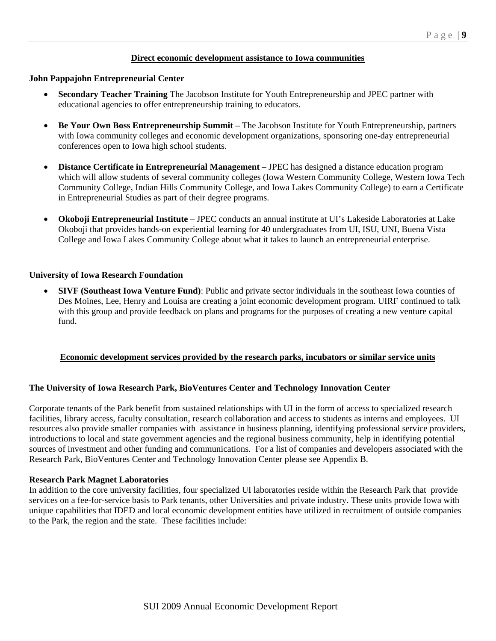### **Direct economic development assistance to Iowa communities**

#### **John Pappajohn Entrepreneurial Center**

- **Secondary Teacher Training** The Jacobson Institute for Youth Entrepreneurship and JPEC partner with educational agencies to offer entrepreneurship training to educators.
- **Be Your Own Boss Entrepreneurship Summit** The Jacobson Institute for Youth Entrepreneurship, partners with Iowa community colleges and economic development organizations, sponsoring one-day entrepreneurial conferences open to Iowa high school students.
- **Distance Certificate in Entrepreneurial Management** JPEC has designed a distance education program which will allow students of several community colleges (Iowa Western Community College, Western Iowa Tech Community College, Indian Hills Community College, and Iowa Lakes Community College) to earn a Certificate in Entrepreneurial Studies as part of their degree programs.
- **Okoboji Entrepreneurial Institute** JPEC conducts an annual institute at UI's Lakeside Laboratories at Lake Okoboji that provides hands-on experiential learning for 40 undergraduates from UI, ISU, UNI, Buena Vista College and Iowa Lakes Community College about what it takes to launch an entrepreneurial enterprise.

#### **University of Iowa Research Foundation**

 **SIVF (Southeast Iowa Venture Fund)**: Public and private sector individuals in the southeast Iowa counties of Des Moines, Lee, Henry and Louisa are creating a joint economic development program. UIRF continued to talk with this group and provide feedback on plans and programs for the purposes of creating a new venture capital fund.

### **Economic development services provided by the research parks, incubators or similar service units**

#### **The University of Iowa Research Park, BioVentures Center and Technology Innovation Center**

Corporate tenants of the Park benefit from sustained relationships with UI in the form of access to specialized research facilities, library access, faculty consultation, research collaboration and access to students as interns and employees. UI resources also provide smaller companies with assistance in business planning, identifying professional service providers, introductions to local and state government agencies and the regional business community, help in identifying potential sources of investment and other funding and communications. For a list of companies and developers associated with the Research Park, BioVentures Center and Technology Innovation Center please see Appendix B.

#### **Research Park Magnet Laboratories**

In addition to the core university facilities, four specialized UI laboratories reside within the Research Park that provide services on a fee-for-service basis to Park tenants, other Universities and private industry. These units provide Iowa with unique capabilities that IDED and local economic development entities have utilized in recruitment of outside companies to the Park, the region and the state. These facilities include: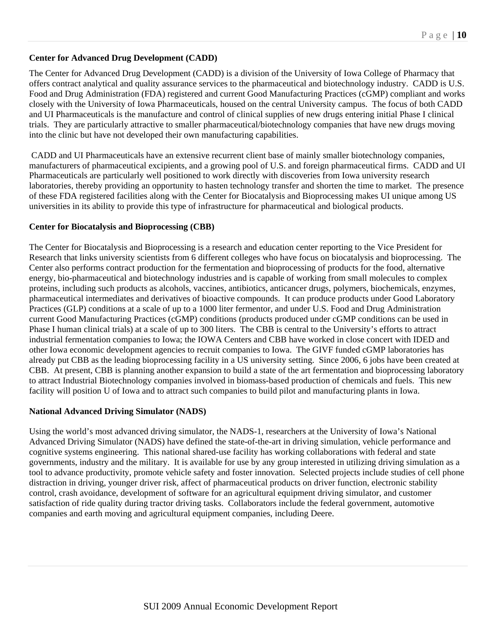## **Center for Advanced Drug Development (CADD)**

The Center for Advanced Drug Development (CADD) is a division of the University of Iowa College of Pharmacy that offers contract analytical and quality assurance services to the pharmaceutical and biotechnology industry. CADD is U.S. Food and Drug Administration (FDA) registered and current Good Manufacturing Practices (cGMP) compliant and works closely with the University of Iowa Pharmaceuticals, housed on the central University campus. The focus of both CADD and UI Pharmaceuticals is the manufacture and control of clinical supplies of new drugs entering initial Phase I clinical trials. They are particularly attractive to smaller pharmaceutical/biotechnology companies that have new drugs moving into the clinic but have not developed their own manufacturing capabilities.

 CADD and UI Pharmaceuticals have an extensive recurrent client base of mainly smaller biotechnology companies, manufacturers of pharmaceutical excipients, and a growing pool of U.S. and foreign pharmaceutical firms. CADD and UI Pharmaceuticals are particularly well positioned to work directly with discoveries from Iowa university research laboratories, thereby providing an opportunity to hasten technology transfer and shorten the time to market. The presence of these FDA registered facilities along with the Center for Biocatalysis and Bioprocessing makes UI unique among US universities in its ability to provide this type of infrastructure for pharmaceutical and biological products.

### **Center for Biocatalysis and Bioprocessing (CBB)**

The Center for Biocatalysis and Bioprocessing is a research and education center reporting to the Vice President for Research that links university scientists from 6 different colleges who have focus on biocatalysis and bioprocessing. The Center also performs contract production for the fermentation and bioprocessing of products for the food, alternative energy, bio-pharmaceutical and biotechnology industries and is capable of working from small molecules to complex proteins, including such products as alcohols, vaccines, antibiotics, anticancer drugs, polymers, biochemicals, enzymes, pharmaceutical intermediates and derivatives of bioactive compounds. It can produce products under Good Laboratory Practices (GLP) conditions at a scale of up to a 1000 liter fermentor, and under U.S. Food and Drug Administration current Good Manufacturing Practices (cGMP) conditions (products produced under cGMP conditions can be used in Phase I human clinical trials) at a scale of up to 300 liters. The CBB is central to the University's efforts to attract industrial fermentation companies to Iowa; the IOWA Centers and CBB have worked in close concert with IDED and other Iowa economic development agencies to recruit companies to Iowa. The GIVF funded cGMP laboratories has already put CBB as the leading bioprocessing facility in a US university setting. Since 2006, 6 jobs have been created at CBB. At present, CBB is planning another expansion to build a state of the art fermentation and bioprocessing laboratory to attract Industrial Biotechnology companies involved in biomass-based production of chemicals and fuels. This new facility will position U of Iowa and to attract such companies to build pilot and manufacturing plants in Iowa.

### **National Advanced Driving Simulator (NADS)**

Using the world's most advanced driving simulator, the NADS-1, researchers at the University of Iowa's National Advanced Driving Simulator (NADS) have defined the state-of-the-art in driving simulation, vehicle performance and cognitive systems engineering. This national shared-use facility has working collaborations with federal and state governments, industry and the military. It is available for use by any group interested in utilizing driving simulation as a tool to advance productivity, promote vehicle safety and foster innovation. Selected projects include studies of cell phone distraction in driving, younger driver risk, affect of pharmaceutical products on driver function, electronic stability control, crash avoidance, development of software for an agricultural equipment driving simulator, and customer satisfaction of ride quality during tractor driving tasks. Collaborators include the federal government, automotive companies and earth moving and agricultural equipment companies, including Deere.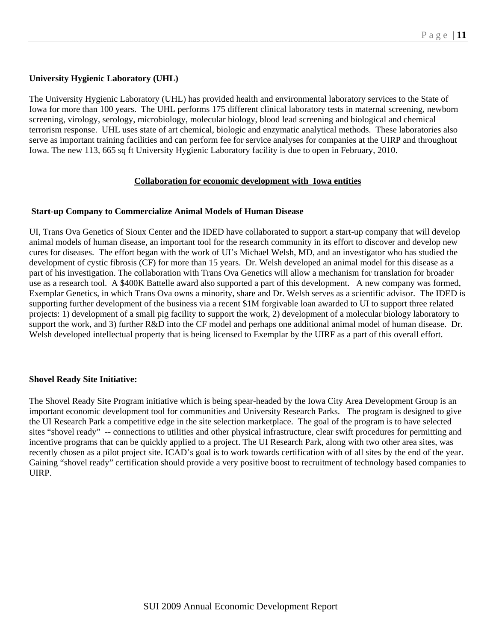## **University Hygienic Laboratory (UHL)**

The University Hygienic Laboratory (UHL) has provided health and environmental laboratory services to the State of Iowa for more than 100 years. The UHL performs 175 different clinical laboratory tests in maternal screening, newborn screening, virology, serology, microbiology, molecular biology, blood lead screening and biological and chemical terrorism response. UHL uses state of art chemical, biologic and enzymatic analytical methods. These laboratories also serve as important training facilities and can perform fee for service analyses for companies at the UIRP and throughout Iowa. The new 113, 665 sq ft University Hygienic Laboratory facility is due to open in February, 2010.

### **Collaboration for economic development with Iowa entities**

### **Start-up Company to Commercialize Animal Models of Human Disease**

UI, Trans Ova Genetics of Sioux Center and the IDED have collaborated to support a start-up company that will develop animal models of human disease, an important tool for the research community in its effort to discover and develop new cures for diseases. The effort began with the work of UI's Michael Welsh, MD, and an investigator who has studied the development of cystic fibrosis (CF) for more than 15 years. Dr. Welsh developed an animal model for this disease as a part of his investigation. The collaboration with Trans Ova Genetics will allow a mechanism for translation for broader use as a research tool. A \$400K Battelle award also supported a part of this development. A new company was formed, Exemplar Genetics, in which Trans Ova owns a minority, share and Dr. Welsh serves as a scientific advisor. The IDED is supporting further development of the business via a recent \$1M forgivable loan awarded to UI to support three related projects: 1) development of a small pig facility to support the work, 2) development of a molecular biology laboratory to support the work, and 3) further R&D into the CF model and perhaps one additional animal model of human disease. Dr. Welsh developed intellectual property that is being licensed to Exemplar by the UIRF as a part of this overall effort.

### **Shovel Ready Site Initiative:**

The Shovel Ready Site Program initiative which is being spear-headed by the Iowa City Area Development Group is an important economic development tool for communities and University Research Parks. The program is designed to give the UI Research Park a competitive edge in the site selection marketplace. The goal of the program is to have selected sites "shovel ready" -- connections to utilities and other physical infrastructure, clear swift procedures for permitting and incentive programs that can be quickly applied to a project. The UI Research Park, along with two other area sites, was recently chosen as a pilot project site. ICAD's goal is to work towards certification with of all sites by the end of the year. Gaining "shovel ready" certification should provide a very positive boost to recruitment of technology based companies to UIRP.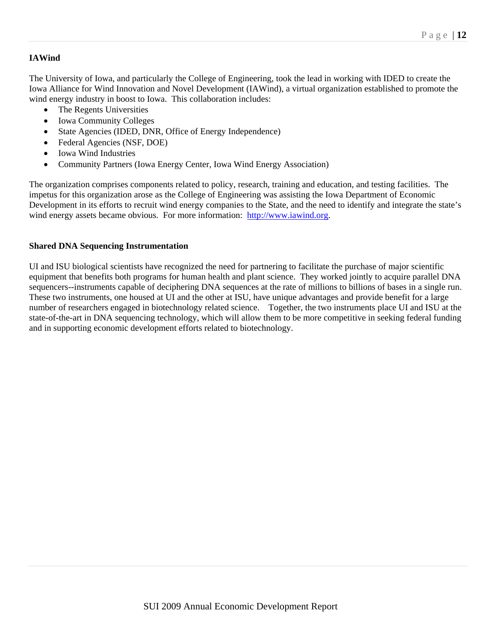## **IAWind**

The University of Iowa, and particularly the College of Engineering, took the lead in working with IDED to create the Iowa Alliance for Wind Innovation and Novel Development (IAWind), a virtual organization established to promote the wind energy industry in boost to Iowa. This collaboration includes:

- The Regents Universities
- Iowa Community Colleges
- State Agencies (IDED, DNR, Office of Energy Independence)
- Federal Agencies (NSF, DOE)
- Iowa Wind Industries
- Community Partners (Iowa Energy Center, Iowa Wind Energy Association)

The organization comprises components related to policy, research, training and education, and testing facilities. The impetus for this organization arose as the College of Engineering was assisting the Iowa Department of Economic Development in its efforts to recruit wind energy companies to the State, and the need to identify and integrate the state's wind energy assets became obvious. For more information: http://www.iawind.org.

## **Shared DNA Sequencing Instrumentation**

UI and ISU biological scientists have recognized the need for partnering to facilitate the purchase of major scientific equipment that benefits both programs for human health and plant science. They worked jointly to acquire parallel DNA sequencers--instruments capable of deciphering DNA sequences at the rate of millions to billions of bases in a single run. These two instruments, one housed at UI and the other at ISU, have unique advantages and provide benefit for a large number of researchers engaged in biotechnology related science. Together, the two instruments place UI and ISU at the state-of-the-art in DNA sequencing technology, which will allow them to be more competitive in seeking federal funding and in supporting economic development efforts related to biotechnology.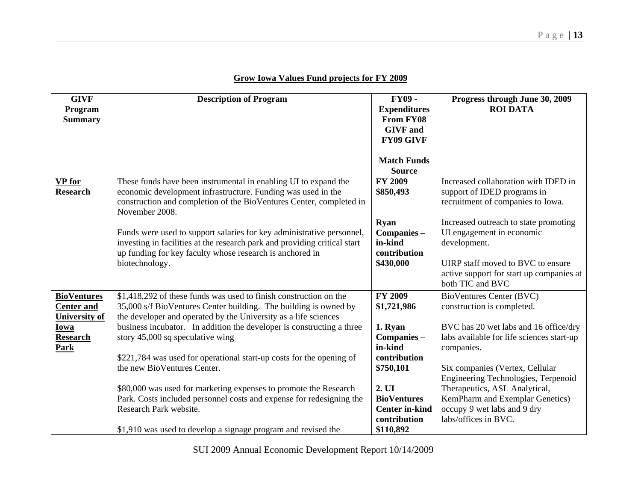| Grow Iowa Values Fund projects for FY 2009 |  |
|--------------------------------------------|--|
|--------------------------------------------|--|

| <b>GIVF</b>          | <b>Description of Program</b>                                                                       | <b>FY09-</b>          | Progress through June 30, 2009                                         |
|----------------------|-----------------------------------------------------------------------------------------------------|-----------------------|------------------------------------------------------------------------|
| Program              |                                                                                                     | <b>Expenditures</b>   | <b>ROI DATA</b>                                                        |
| <b>Summary</b>       |                                                                                                     | <b>From FY08</b>      |                                                                        |
|                      |                                                                                                     | <b>GIVF</b> and       |                                                                        |
|                      |                                                                                                     | <b>FY09 GIVF</b>      |                                                                        |
|                      |                                                                                                     |                       |                                                                        |
|                      |                                                                                                     | <b>Match Funds</b>    |                                                                        |
|                      |                                                                                                     | <b>Source</b>         |                                                                        |
| <b>VP</b> for        | These funds have been instrumental in enabling UI to expand the                                     | <b>FY 2009</b>        | Increased collaboration with IDED in                                   |
| <b>Research</b>      | economic development infrastructure. Funding was used in the                                        | \$850,493             | support of IDED programs in                                            |
|                      | construction and completion of the BioVentures Center, completed in                                 |                       | recruitment of companies to Iowa.                                      |
|                      | November 2008.                                                                                      |                       |                                                                        |
|                      |                                                                                                     | <b>Ryan</b>           | Increased outreach to state promoting                                  |
|                      | Funds were used to support salaries for key administrative personnel,                               | Companies -           | UI engagement in economic                                              |
|                      | investing in facilities at the research park and providing critical start                           | in-kind               | development.                                                           |
|                      | up funding for key faculty whose research is anchored in                                            | contribution          |                                                                        |
|                      | biotechnology.                                                                                      | \$430,000             | UIRP staff moved to BVC to ensure                                      |
|                      |                                                                                                     |                       | active support for start up companies at<br>both TIC and BVC           |
|                      |                                                                                                     |                       |                                                                        |
| <b>BioVentures</b>   | \$1,418,292 of these funds was used to finish construction on the                                   | <b>FY 2009</b>        | BioVentures Center (BVC)                                               |
| <b>Center and</b>    | 35,000 s/f BioVentures Center building. The building is owned by                                    | \$1,721,986           | construction is completed.                                             |
| <b>University of</b> | the developer and operated by the University as a life sciences                                     |                       |                                                                        |
| Iowa                 | business incubator. In addition the developer is constructing a three                               | 1. Ryan               | BVC has 20 wet labs and 16 office/dry                                  |
| <b>Research</b>      | story 45,000 sq speculative wing                                                                    | Companies -           | labs available for life sciences start-up                              |
| Park                 |                                                                                                     | in-kind               | companies.                                                             |
|                      | \$221,784 was used for operational start-up costs for the opening of<br>the new BioVentures Center. | contribution          |                                                                        |
|                      |                                                                                                     | \$750,101             | Six companies (Vertex, Cellular<br>Engineering Technologies, Terpenoid |
|                      | \$80,000 was used for marketing expenses to promote the Research                                    | 2. UI                 | Therapeutics, ASL Analytical,                                          |
|                      | Park. Costs included personnel costs and expense for redesigning the                                | <b>BioVentures</b>    | KemPharm and Exemplar Genetics)                                        |
|                      | Research Park website.                                                                              | <b>Center in-kind</b> | occupy 9 wet labs and 9 dry                                            |
|                      |                                                                                                     | contribution          | labs/offices in BVC.                                                   |
|                      | \$1,910 was used to develop a signage program and revised the                                       | \$110,892             |                                                                        |

SUI 2009 Annual Economic Development Report 10/14/2009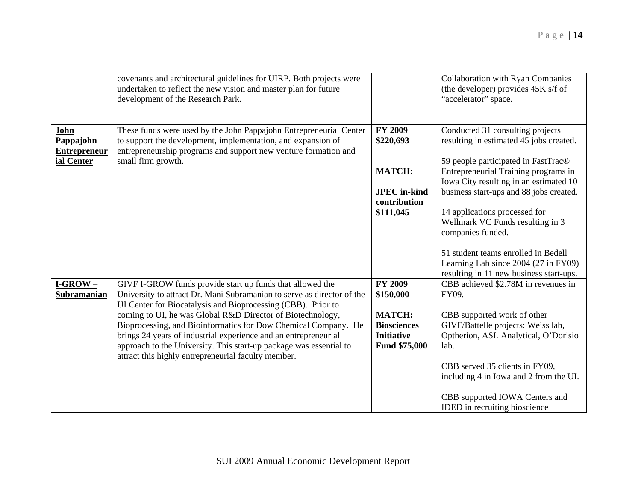|                                                        | covenants and architectural guidelines for UIRP. Both projects were<br>undertaken to reflect the new vision and master plan for future<br>development of the Research Park.                                                 |                                     | <b>Collaboration with Ryan Companies</b><br>(the developer) provides 45K s/f of<br>"accelerator" space.                |
|--------------------------------------------------------|-----------------------------------------------------------------------------------------------------------------------------------------------------------------------------------------------------------------------------|-------------------------------------|------------------------------------------------------------------------------------------------------------------------|
| John<br>Pappajohn<br><b>Entrepreneur</b><br>ial Center | These funds were used by the John Pappajohn Entrepreneurial Center<br>to support the development, implementation, and expansion of<br>entrepreneurship programs and support new venture formation and<br>small firm growth. | <b>FY 2009</b><br>\$220,693         | Conducted 31 consulting projects<br>resulting in estimated 45 jobs created.<br>59 people participated in FastTrac®     |
|                                                        |                                                                                                                                                                                                                             | <b>MATCH:</b>                       | Entrepreneurial Training programs in<br>Iowa City resulting in an estimated 10                                         |
|                                                        |                                                                                                                                                                                                                             | <b>JPEC</b> in-kind<br>contribution | business start-ups and 88 jobs created.                                                                                |
|                                                        |                                                                                                                                                                                                                             | \$111,045                           | 14 applications processed for<br>Wellmark VC Funds resulting in 3<br>companies funded.                                 |
|                                                        |                                                                                                                                                                                                                             |                                     | 51 student teams enrolled in Bedell<br>Learning Lab since 2004 (27 in FY09)<br>resulting in 11 new business start-ups. |
| $I-GROW -$<br><b>Subramanian</b>                       | GIVF I-GROW funds provide start up funds that allowed the<br>University to attract Dr. Mani Subramanian to serve as director of the<br>UI Center for Biocatalysis and Bioprocessing (CBB). Prior to                         | <b>FY 2009</b><br>\$150,000         | CBB achieved \$2.78M in revenues in<br>FY09.                                                                           |
|                                                        | coming to UI, he was Global R&D Director of Biotechnology,<br>Bioprocessing, and Bioinformatics for Dow Chemical Company. He                                                                                                | <b>MATCH:</b><br><b>Biosciences</b> | CBB supported work of other<br>GIVF/Battelle projects: Weiss lab,                                                      |
|                                                        | brings 24 years of industrial experience and an entrepreneurial<br>approach to the University. This start-up package was essential to<br>attract this highly entrepreneurial faculty member.                                | <b>Initiative</b><br>Fund \$75,000  | Optherion, ASL Analytical, O'Dorisio<br>lab.                                                                           |
|                                                        |                                                                                                                                                                                                                             |                                     | CBB served 35 clients in FY09,<br>including 4 in Iowa and 2 from the UI.                                               |
|                                                        |                                                                                                                                                                                                                             |                                     | CBB supported IOWA Centers and<br><b>IDED</b> in recruiting bioscience                                                 |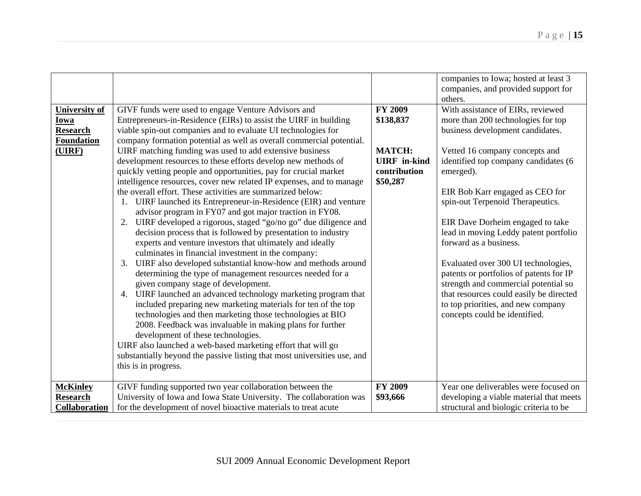|                      |                                                                          |                     | companies to Iowa; hosted at least 3<br>companies, and provided support for<br>others. |
|----------------------|--------------------------------------------------------------------------|---------------------|----------------------------------------------------------------------------------------|
| <b>University of</b> | GIVF funds were used to engage Venture Advisors and                      | <b>FY 2009</b>      | With assistance of EIRs, reviewed                                                      |
| Iowa                 | Entrepreneurs-in-Residence (EIRs) to assist the UIRF in building         | \$138,837           | more than 200 technologies for top                                                     |
| <b>Research</b>      | viable spin-out companies and to evaluate UI technologies for            |                     | business development candidates.                                                       |
| <b>Foundation</b>    | company formation potential as well as overall commercial potential.     |                     |                                                                                        |
| (UIRF)               | UIRF matching funding was used to add extensive business                 | <b>MATCH:</b>       | Vetted 16 company concepts and                                                         |
|                      | development resources to these efforts develop new methods of            | <b>UIRF</b> in-kind | identified top company candidates (6                                                   |
|                      | quickly vetting people and opportunities, pay for crucial market         | contribution        | emerged).                                                                              |
|                      | intelligence resources, cover new related IP expenses, and to manage     | \$50,287            |                                                                                        |
|                      | the overall effort. These activities are summarized below:               |                     | EIR Bob Karr engaged as CEO for                                                        |
|                      | 1. UIRF launched its Entrepreneur-in-Residence (EIR) and venture         |                     | spin-out Terpenoid Therapeutics.                                                       |
|                      | advisor program in FY07 and got major traction in FY08.                  |                     |                                                                                        |
|                      | 2. UIRF developed a rigorous, staged "go/no go" due diligence and        |                     | EIR Dave Dorheim engaged to take                                                       |
|                      | decision process that is followed by presentation to industry            |                     | lead in moving Leddy patent portfolio                                                  |
|                      | experts and venture investors that ultimately and ideally                |                     | forward as a business.                                                                 |
|                      | culminates in financial investment in the company:                       |                     |                                                                                        |
|                      | 3. UIRF also developed substantial know-how and methods around           |                     | Evaluated over 300 UI technologies,                                                    |
|                      | determining the type of management resources needed for a                |                     | patents or portfolios of patents for IP                                                |
|                      | given company stage of development.                                      |                     | strength and commercial potential so                                                   |
|                      | 4. UIRF launched an advanced technology marketing program that           |                     | that resources could easily be directed                                                |
|                      | included preparing new marketing materials for ten of the top            |                     | to top priorities, and new company                                                     |
|                      | technologies and then marketing those technologies at BIO                |                     | concepts could be identified.                                                          |
|                      | 2008. Feedback was invaluable in making plans for further                |                     |                                                                                        |
|                      | development of these technologies.                                       |                     |                                                                                        |
|                      | UIRF also launched a web-based marketing effort that will go             |                     |                                                                                        |
|                      | substantially beyond the passive listing that most universities use, and |                     |                                                                                        |
|                      | this is in progress.                                                     |                     |                                                                                        |
|                      |                                                                          |                     |                                                                                        |
| <b>McKinley</b>      | GIVF funding supported two year collaboration between the                | <b>FY 2009</b>      | Year one deliverables were focused on                                                  |
| <b>Research</b>      | University of Iowa and Iowa State University. The collaboration was      | \$93,666            | developing a viable material that meets                                                |
| Collaboration        | for the development of novel bioactive materials to treat acute          |                     | structural and biologic criteria to be                                                 |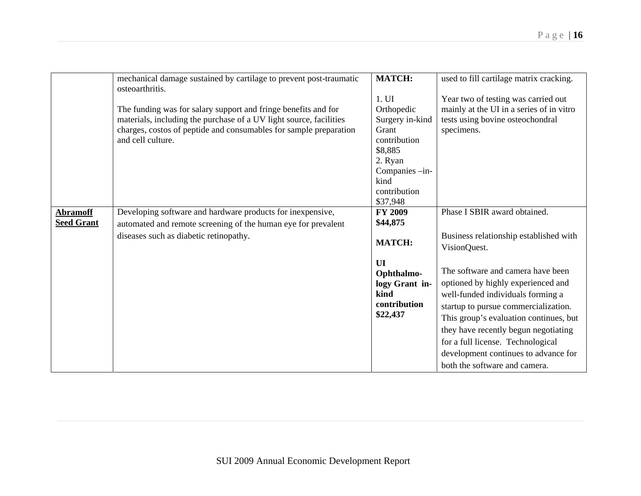|                   | mechanical damage sustained by cartilage to prevent post-traumatic | <b>MATCH:</b>   | used to fill cartilage matrix cracking.  |
|-------------------|--------------------------------------------------------------------|-----------------|------------------------------------------|
|                   | osteoarthritis.                                                    |                 |                                          |
|                   |                                                                    | 1. UI           | Year two of testing was carried out      |
|                   | The funding was for salary support and fringe benefits and for     | Orthopedic      | mainly at the UI in a series of in vitro |
|                   | materials, including the purchase of a UV light source, facilities | Surgery in-kind | tests using bovine osteochondral         |
|                   | charges, costos of peptide and consumables for sample preparation  | Grant           | specimens.                               |
|                   | and cell culture.                                                  | contribution    |                                          |
|                   |                                                                    | \$8,885         |                                          |
|                   |                                                                    | 2. Ryan         |                                          |
|                   |                                                                    | Companies -in-  |                                          |
|                   |                                                                    | kind            |                                          |
|                   |                                                                    | contribution    |                                          |
|                   |                                                                    | \$37,948        |                                          |
| <b>Abramoff</b>   | Developing software and hardware products for inexpensive,         | <b>FY 2009</b>  | Phase I SBIR award obtained.             |
| <b>Seed Grant</b> |                                                                    | \$44,875        |                                          |
|                   | automated and remote screening of the human eye for prevalent      |                 |                                          |
|                   | diseases such as diabetic retinopathy.                             | <b>MATCH:</b>   | Business relationship established with   |
|                   |                                                                    |                 | VisionQuest.                             |
|                   |                                                                    | UI              |                                          |
|                   |                                                                    | Ophthalmo-      | The software and camera have been        |
|                   |                                                                    | logy Grant in-  | optioned by highly experienced and       |
|                   |                                                                    | kind            |                                          |
|                   |                                                                    |                 | well-funded individuals forming a        |
|                   |                                                                    | contribution    | startup to pursue commercialization.     |
|                   |                                                                    | \$22,437        | This group's evaluation continues, but   |
|                   |                                                                    |                 | they have recently begun negotiating     |
|                   |                                                                    |                 | for a full license. Technological        |
|                   |                                                                    |                 | development continues to advance for     |
|                   |                                                                    |                 |                                          |
|                   |                                                                    |                 | both the software and camera.            |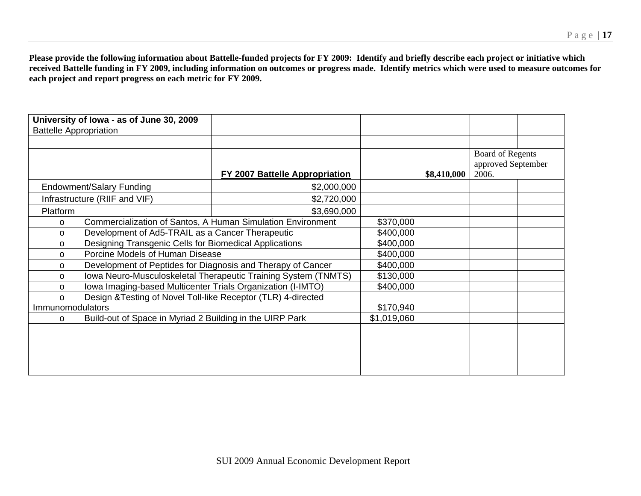**Please provide the following information about Battelle-funded projects for FY 2009: Identify and briefly describe each project or initiative which received Battelle funding in FY 2009, including information on outcomes or progress made. Identify metrics which were used to measure outcomes for each project and report progress on each metric for FY 2009.** 

| University of Iowa - as of June 30, 2009                                   |                                |             |             |                    |  |
|----------------------------------------------------------------------------|--------------------------------|-------------|-------------|--------------------|--|
| <b>Battelle Appropriation</b>                                              |                                |             |             |                    |  |
|                                                                            |                                |             |             |                    |  |
|                                                                            |                                |             |             | Board of Regents   |  |
|                                                                            |                                |             |             | approved September |  |
|                                                                            | FY 2007 Battelle Appropriation |             | \$8,410,000 | 2006.              |  |
| <b>Endowment/Salary Funding</b>                                            | \$2,000,000                    |             |             |                    |  |
| Infrastructure (RIIF and VIF)                                              | \$2,720,000                    |             |             |                    |  |
| Platform                                                                   | \$3,690,000                    |             |             |                    |  |
| Commercialization of Santos, A Human Simulation Environment<br>$\Omega$    | \$370,000                      |             |             |                    |  |
| Development of Ad5-TRAIL as a Cancer Therapeutic<br>$\Omega$               |                                | \$400,000   |             |                    |  |
| Designing Transgenic Cells for Biomedical Applications<br>O                |                                | \$400,000   |             |                    |  |
| Porcine Models of Human Disease<br>$\Omega$                                |                                | \$400,000   |             |                    |  |
| Development of Peptides for Diagnosis and Therapy of Cancer<br>$\Omega$    |                                | \$400,000   |             |                    |  |
| Iowa Neuro-Musculoskeletal Therapeutic Training System (TNMTS)<br>$\Omega$ |                                | \$130,000   |             |                    |  |
| Iowa Imaging-based Multicenter Trials Organization (I-IMTO)<br>$\Omega$    |                                | \$400,000   |             |                    |  |
| Design & Testing of Novel Toll-like Receptor (TLR) 4-directed<br>$\Omega$  |                                |             |             |                    |  |
| Immunomodulators                                                           |                                | \$170,940   |             |                    |  |
| Build-out of Space in Myriad 2 Building in the UIRP Park<br>$\Omega$       |                                | \$1,019,060 |             |                    |  |
|                                                                            |                                |             |             |                    |  |
|                                                                            |                                |             |             |                    |  |
|                                                                            |                                |             |             |                    |  |
|                                                                            |                                |             |             |                    |  |
|                                                                            |                                |             |             |                    |  |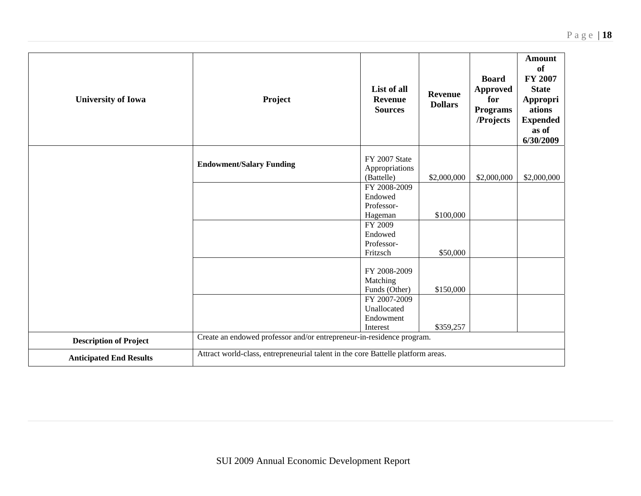| <b>University of Iowa</b>      | Project                                                                          | List of all<br><b>Revenue</b><br><b>Sources</b> | <b>Revenue</b><br><b>Dollars</b> | <b>Board</b><br><b>Approved</b><br>for<br><b>Programs</b><br>/Projects | <b>Amount</b><br><b>of</b><br>FY 2007<br><b>State</b><br><b>Appropri</b><br>ations<br><b>Expended</b><br>as of<br>6/30/2009 |
|--------------------------------|----------------------------------------------------------------------------------|-------------------------------------------------|----------------------------------|------------------------------------------------------------------------|-----------------------------------------------------------------------------------------------------------------------------|
|                                | <b>Endowment/Salary Funding</b>                                                  | FY 2007 State<br>Appropriations                 |                                  |                                                                        |                                                                                                                             |
|                                |                                                                                  | (Battelle)                                      | \$2,000,000                      | \$2,000,000                                                            | \$2,000,000                                                                                                                 |
|                                |                                                                                  | FY 2008-2009                                    |                                  |                                                                        |                                                                                                                             |
|                                |                                                                                  | Endowed                                         |                                  |                                                                        |                                                                                                                             |
|                                |                                                                                  | Professor-                                      |                                  |                                                                        |                                                                                                                             |
|                                |                                                                                  | Hageman                                         | \$100,000                        |                                                                        |                                                                                                                             |
|                                |                                                                                  | FY 2009<br>Endowed                              |                                  |                                                                        |                                                                                                                             |
|                                |                                                                                  | Professor-                                      |                                  |                                                                        |                                                                                                                             |
|                                |                                                                                  | Fritzsch                                        | \$50,000                         |                                                                        |                                                                                                                             |
|                                |                                                                                  |                                                 |                                  |                                                                        |                                                                                                                             |
|                                |                                                                                  | FY 2008-2009                                    |                                  |                                                                        |                                                                                                                             |
|                                |                                                                                  | Matching                                        |                                  |                                                                        |                                                                                                                             |
|                                |                                                                                  | Funds (Other)                                   | \$150,000                        |                                                                        |                                                                                                                             |
|                                |                                                                                  | FY 2007-2009                                    |                                  |                                                                        |                                                                                                                             |
|                                |                                                                                  | Unallocated                                     |                                  |                                                                        |                                                                                                                             |
|                                |                                                                                  | Endowment                                       |                                  |                                                                        |                                                                                                                             |
|                                |                                                                                  | Interest                                        | \$359,257                        |                                                                        |                                                                                                                             |
| <b>Description of Project</b>  | Create an endowed professor and/or entrepreneur-in-residence program.            |                                                 |                                  |                                                                        |                                                                                                                             |
| <b>Anticipated End Results</b> | Attract world-class, entrepreneurial talent in the core Battelle platform areas. |                                                 |                                  |                                                                        |                                                                                                                             |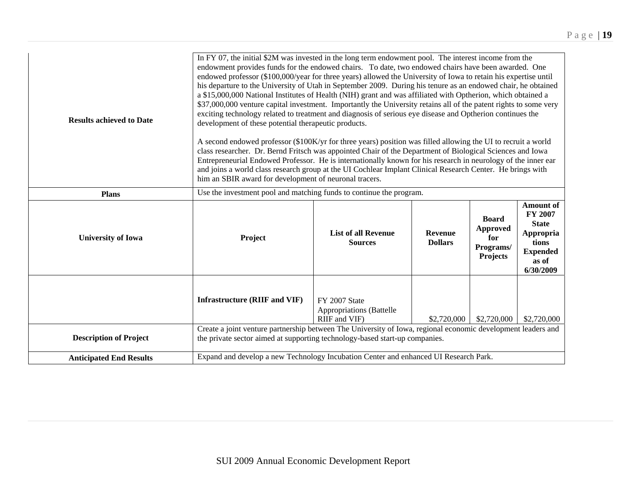| <b>Results achieved to Date</b> | In FY 07, the initial \$2M was invested in the long term endowment pool. The interest income from the<br>endowment provides funds for the endowed chairs. To date, two endowed chairs have been awarded. One<br>endowed professor (\$100,000/year for three years) allowed the University of Iowa to retain his expertise until<br>his departure to the University of Utah in September 2009. During his tenure as an endowed chair, he obtained<br>a \$15,000,000 National Institutes of Health (NIH) grant and was affiliated with Optherion, which obtained a<br>\$37,000,000 venture capital investment. Importantly the University retains all of the patent rights to some very<br>exciting technology related to treatment and diagnosis of serious eye disease and Optherion continues the<br>development of these potential therapeutic products.<br>A second endowed professor (\$100K/yr for three years) position was filled allowing the UI to recruit a world<br>class researcher. Dr. Bernd Fritsch was appointed Chair of the Department of Biological Sciences and Iowa<br>Entrepreneurial Endowed Professor. He is internationally known for his research in neurology of the inner ear<br>and joins a world class research group at the UI Cochlear Implant Clinical Research Center. He brings with<br>him an SBIR award for development of neuronal tracers. |                                                                   |                                  |                                                                 |                                                                                                                   |  |
|---------------------------------|-----------------------------------------------------------------------------------------------------------------------------------------------------------------------------------------------------------------------------------------------------------------------------------------------------------------------------------------------------------------------------------------------------------------------------------------------------------------------------------------------------------------------------------------------------------------------------------------------------------------------------------------------------------------------------------------------------------------------------------------------------------------------------------------------------------------------------------------------------------------------------------------------------------------------------------------------------------------------------------------------------------------------------------------------------------------------------------------------------------------------------------------------------------------------------------------------------------------------------------------------------------------------------------------------------------------------------------------------------------------------------------|-------------------------------------------------------------------|----------------------------------|-----------------------------------------------------------------|-------------------------------------------------------------------------------------------------------------------|--|
| <b>Plans</b>                    | Use the investment pool and matching funds to continue the program.                                                                                                                                                                                                                                                                                                                                                                                                                                                                                                                                                                                                                                                                                                                                                                                                                                                                                                                                                                                                                                                                                                                                                                                                                                                                                                               |                                                                   |                                  |                                                                 |                                                                                                                   |  |
| <b>University of Iowa</b>       | Project                                                                                                                                                                                                                                                                                                                                                                                                                                                                                                                                                                                                                                                                                                                                                                                                                                                                                                                                                                                                                                                                                                                                                                                                                                                                                                                                                                           | <b>List of all Revenue</b><br><b>Sources</b>                      | <b>Revenue</b><br><b>Dollars</b> | <b>Board</b><br><b>Approved</b><br>for<br>Programs/<br>Projects | <b>Amount of</b><br><b>FY 2007</b><br><b>State</b><br>Appropria<br>tions<br><b>Expended</b><br>as of<br>6/30/2009 |  |
|                                 | <b>Infrastructure (RIIF and VIF)</b>                                                                                                                                                                                                                                                                                                                                                                                                                                                                                                                                                                                                                                                                                                                                                                                                                                                                                                                                                                                                                                                                                                                                                                                                                                                                                                                                              | FY 2007 State<br><b>Appropriations</b> (Battelle<br>RIIF and VIF) | \$2,720,000                      | \$2,720,000                                                     | \$2,720,000                                                                                                       |  |
| <b>Description of Project</b>   | Create a joint venture partnership between The University of Iowa, regional economic development leaders and<br>the private sector aimed at supporting technology-based start-up companies.                                                                                                                                                                                                                                                                                                                                                                                                                                                                                                                                                                                                                                                                                                                                                                                                                                                                                                                                                                                                                                                                                                                                                                                       |                                                                   |                                  |                                                                 |                                                                                                                   |  |
| <b>Anticipated End Results</b>  | Expand and develop a new Technology Incubation Center and enhanced UI Research Park.                                                                                                                                                                                                                                                                                                                                                                                                                                                                                                                                                                                                                                                                                                                                                                                                                                                                                                                                                                                                                                                                                                                                                                                                                                                                                              |                                                                   |                                  |                                                                 |                                                                                                                   |  |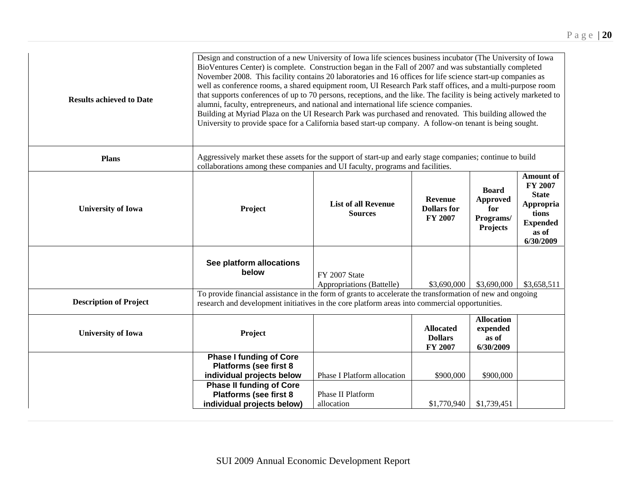| <b>Results achieved to Date</b> | Design and construction of a new University of Iowa life sciences business incubator (The University of Iowa<br>BioVentures Center) is complete. Construction began in the Fall of 2007 and was substantially completed<br>November 2008. This facility contains 20 laboratories and 16 offices for life science start-up companies as<br>well as conference rooms, a shared equipment room, UI Research Park staff offices, and a multi-purpose room<br>that supports conferences of up to 70 persons, receptions, and the like. The facility is being actively marketed to<br>alumni, faculty, entrepreneurs, and national and international life science companies.<br>Building at Myriad Plaza on the UI Research Park was purchased and renovated. This building allowed the<br>University to provide space for a California based start-up company. A follow-on tenant is being sought. |                                                        |                                                                 |                                                                                                            |             |  |
|---------------------------------|-----------------------------------------------------------------------------------------------------------------------------------------------------------------------------------------------------------------------------------------------------------------------------------------------------------------------------------------------------------------------------------------------------------------------------------------------------------------------------------------------------------------------------------------------------------------------------------------------------------------------------------------------------------------------------------------------------------------------------------------------------------------------------------------------------------------------------------------------------------------------------------------------|--------------------------------------------------------|-----------------------------------------------------------------|------------------------------------------------------------------------------------------------------------|-------------|--|
| <b>Plans</b>                    | Aggressively market these assets for the support of start-up and early stage companies; continue to build<br>collaborations among these companies and UI faculty, programs and facilities.                                                                                                                                                                                                                                                                                                                                                                                                                                                                                                                                                                                                                                                                                                    |                                                        |                                                                 |                                                                                                            |             |  |
| <b>University of Iowa</b>       | Project                                                                                                                                                                                                                                                                                                                                                                                                                                                                                                                                                                                                                                                                                                                                                                                                                                                                                       | <b>Revenue</b><br><b>Dollars</b> for<br><b>FY 2007</b> | <b>Board</b><br><b>Approved</b><br>for<br>Programs/<br>Projects | <b>Amount of</b><br>FY 2007<br><b>State</b><br>Appropria<br>tions<br><b>Expended</b><br>as of<br>6/30/2009 |             |  |
|                                 | See platform allocations<br>below                                                                                                                                                                                                                                                                                                                                                                                                                                                                                                                                                                                                                                                                                                                                                                                                                                                             | FY 2007 State<br>Appropriations (Battelle)             | \$3,690,000                                                     | \$3,690,000                                                                                                | \$3,658,511 |  |
| <b>Description of Project</b>   | To provide financial assistance in the form of grants to accelerate the transformation of new and ongoing<br>research and development initiatives in the core platform areas into commercial opportunities.                                                                                                                                                                                                                                                                                                                                                                                                                                                                                                                                                                                                                                                                                   |                                                        |                                                                 |                                                                                                            |             |  |
| <b>University of Iowa</b>       | Project                                                                                                                                                                                                                                                                                                                                                                                                                                                                                                                                                                                                                                                                                                                                                                                                                                                                                       |                                                        | <b>Allocated</b><br><b>Dollars</b><br>FY 2007                   | <b>Allocation</b><br>expended<br>as of<br>6/30/2009                                                        |             |  |
|                                 | <b>Phase I funding of Core</b><br><b>Platforms (see first 8</b><br>individual projects below<br><b>Phase II funding of Core</b>                                                                                                                                                                                                                                                                                                                                                                                                                                                                                                                                                                                                                                                                                                                                                               | Phase I Platform allocation                            | \$900,000                                                       | \$900,000                                                                                                  |             |  |
|                                 | <b>Platforms (see first 8</b><br>individual projects below)                                                                                                                                                                                                                                                                                                                                                                                                                                                                                                                                                                                                                                                                                                                                                                                                                                   | <b>Phase II Platform</b><br>allocation                 | \$1,770,940                                                     | \$1,739,451                                                                                                |             |  |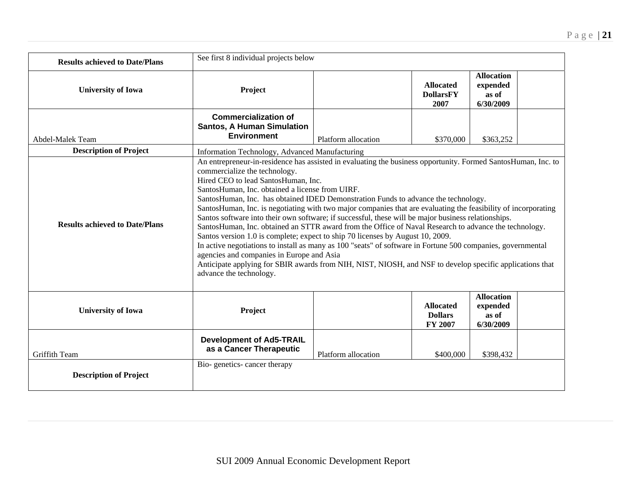| <b>Results achieved to Date/Plans</b> | See first 8 individual projects below                                                                                                                                                                                                                                                                                                                                                                                                                                                                                                                                                                                                                                                                                                                                                                                                                                                                                                                                                                                                                 |                     |                                               |                                                     |  |
|---------------------------------------|-------------------------------------------------------------------------------------------------------------------------------------------------------------------------------------------------------------------------------------------------------------------------------------------------------------------------------------------------------------------------------------------------------------------------------------------------------------------------------------------------------------------------------------------------------------------------------------------------------------------------------------------------------------------------------------------------------------------------------------------------------------------------------------------------------------------------------------------------------------------------------------------------------------------------------------------------------------------------------------------------------------------------------------------------------|---------------------|-----------------------------------------------|-----------------------------------------------------|--|
| <b>University of Iowa</b>             | Project                                                                                                                                                                                                                                                                                                                                                                                                                                                                                                                                                                                                                                                                                                                                                                                                                                                                                                                                                                                                                                               |                     | <b>Allocated</b><br><b>DollarsFY</b><br>2007  | <b>Allocation</b><br>expended<br>as of<br>6/30/2009 |  |
| Abdel-Malek Team                      | <b>Commercialization of</b><br><b>Santos, A Human Simulation</b><br><b>Environment</b>                                                                                                                                                                                                                                                                                                                                                                                                                                                                                                                                                                                                                                                                                                                                                                                                                                                                                                                                                                | Platform allocation | \$370,000                                     | \$363,252                                           |  |
| <b>Description of Project</b>         | Information Technology, Advanced Manufacturing                                                                                                                                                                                                                                                                                                                                                                                                                                                                                                                                                                                                                                                                                                                                                                                                                                                                                                                                                                                                        |                     |                                               |                                                     |  |
| <b>Results achieved to Date/Plans</b> | An entrepreneur-in-residence has assisted in evaluating the business opportunity. Formed SantosHuman, Inc. to<br>commercialize the technology.<br>Hired CEO to lead SantosHuman, Inc.<br>SantosHuman, Inc. obtained a license from UIRF.<br>SantosHuman, Inc. has obtained IDED Demonstration Funds to advance the technology.<br>SantosHuman, Inc. is negotiating with two major companies that are evaluating the feasibility of incorporating<br>Santos software into their own software; if successful, these will be major business relationships.<br>SantosHuman, Inc. obtained an STTR award from the Office of Naval Research to advance the technology.<br>Santos version 1.0 is complete; expect to ship 70 licenses by August 10, 2009.<br>In active negotiations to install as many as 100 "seats" of software in Fortune 500 companies, governmental<br>agencies and companies in Europe and Asia<br>Anticipate applying for SBIR awards from NIH, NIST, NIOSH, and NSF to develop specific applications that<br>advance the technology. |                     |                                               |                                                     |  |
| <b>University of Iowa</b>             | Project                                                                                                                                                                                                                                                                                                                                                                                                                                                                                                                                                                                                                                                                                                                                                                                                                                                                                                                                                                                                                                               |                     | <b>Allocated</b><br><b>Dollars</b><br>FY 2007 | <b>Allocation</b><br>expended<br>as of<br>6/30/2009 |  |
| Griffith Team                         | <b>Development of Ad5-TRAIL</b><br>as a Cancer Therapeutic<br>Bio-genetics-cancer therapy                                                                                                                                                                                                                                                                                                                                                                                                                                                                                                                                                                                                                                                                                                                                                                                                                                                                                                                                                             | Platform allocation | \$400,000                                     | \$398,432                                           |  |
| <b>Description of Project</b>         |                                                                                                                                                                                                                                                                                                                                                                                                                                                                                                                                                                                                                                                                                                                                                                                                                                                                                                                                                                                                                                                       |                     |                                               |                                                     |  |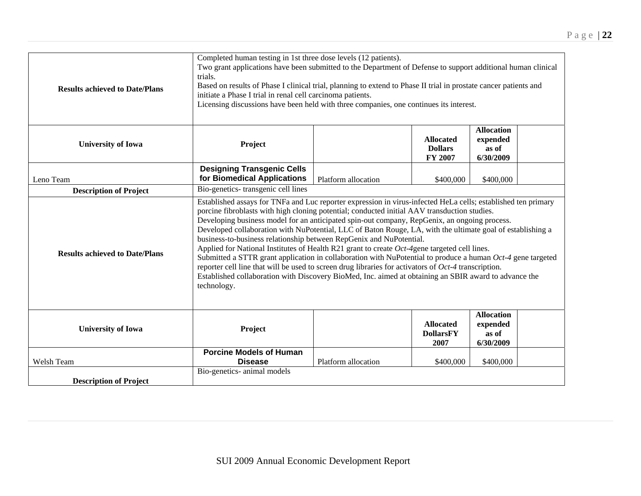| <b>Results achieved to Date/Plans</b> | Completed human testing in 1st three dose levels (12 patients).<br>Two grant applications have been submitted to the Department of Defense to support additional human clinical<br>trials.<br>Based on results of Phase I clinical trial, planning to extend to Phase II trial in prostate cancer patients and<br>initiate a Phase I trial in renal cell carcinoma patients.<br>Licensing discussions have been held with three companies, one continues its interest.                                                                                                                                                                                                                                                                                                                                                                                                                                                                              |                     |                                               |                                                     |  |  |
|---------------------------------------|-----------------------------------------------------------------------------------------------------------------------------------------------------------------------------------------------------------------------------------------------------------------------------------------------------------------------------------------------------------------------------------------------------------------------------------------------------------------------------------------------------------------------------------------------------------------------------------------------------------------------------------------------------------------------------------------------------------------------------------------------------------------------------------------------------------------------------------------------------------------------------------------------------------------------------------------------------|---------------------|-----------------------------------------------|-----------------------------------------------------|--|--|
| <b>University of Iowa</b>             | Project                                                                                                                                                                                                                                                                                                                                                                                                                                                                                                                                                                                                                                                                                                                                                                                                                                                                                                                                             |                     | <b>Allocated</b><br><b>Dollars</b><br>FY 2007 | <b>Allocation</b><br>expended<br>as of<br>6/30/2009 |  |  |
| Leno Team                             | <b>Designing Transgenic Cells</b><br>for Biomedical Applications                                                                                                                                                                                                                                                                                                                                                                                                                                                                                                                                                                                                                                                                                                                                                                                                                                                                                    | Platform allocation | \$400,000                                     | \$400,000                                           |  |  |
| <b>Description of Project</b>         | Bio-genetics- transgenic cell lines                                                                                                                                                                                                                                                                                                                                                                                                                                                                                                                                                                                                                                                                                                                                                                                                                                                                                                                 |                     |                                               |                                                     |  |  |
| <b>Results achieved to Date/Plans</b> | Established assays for TNFa and Luc reporter expression in virus-infected HeLa cells; established ten primary<br>porcine fibroblasts with high cloning potential; conducted initial AAV transduction studies.<br>Developing business model for an anticipated spin-out company, RepGenix, an ongoing process.<br>Developed collaboration with NuPotential, LLC of Baton Rouge, LA, with the ultimate goal of establishing a<br>business-to-business relationship between RepGenix and NuPotential.<br>Applied for National Institutes of Health R21 grant to create Oct-4gene targeted cell lines.<br>Submitted a STTR grant application in collaboration with NuPotential to produce a human $Oct-4$ gene targeted<br>reporter cell line that will be used to screen drug libraries for activators of Oct-4 transcription.<br>Established collaboration with Discovery BioMed, Inc. aimed at obtaining an SBIR award to advance the<br>technology. |                     |                                               |                                                     |  |  |
| <b>University of Iowa</b>             | Project                                                                                                                                                                                                                                                                                                                                                                                                                                                                                                                                                                                                                                                                                                                                                                                                                                                                                                                                             |                     | <b>Allocated</b><br><b>DollarsFY</b><br>2007  | <b>Allocation</b><br>expended<br>as of<br>6/30/2009 |  |  |
| Welsh Team                            | <b>Porcine Models of Human</b><br><b>Disease</b>                                                                                                                                                                                                                                                                                                                                                                                                                                                                                                                                                                                                                                                                                                                                                                                                                                                                                                    | Platform allocation | \$400,000                                     | \$400,000                                           |  |  |
| <b>Description of Project</b>         | Bio-genetics- animal models                                                                                                                                                                                                                                                                                                                                                                                                                                                                                                                                                                                                                                                                                                                                                                                                                                                                                                                         |                     |                                               |                                                     |  |  |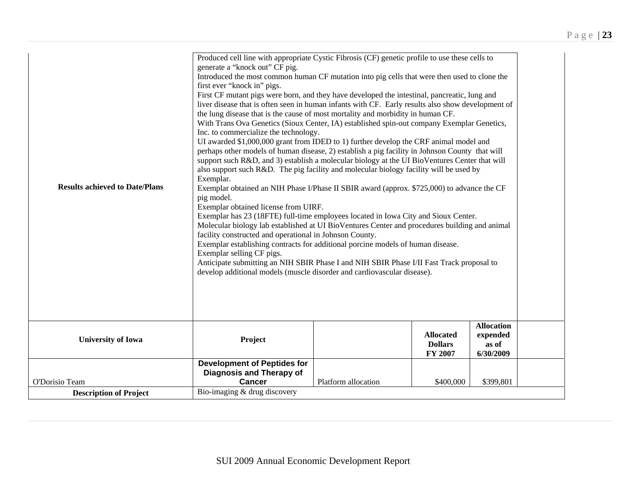| <b>Results achieved to Date/Plans</b> | Produced cell line with appropriate Cystic Fibrosis (CF) genetic profile to use these cells to<br>generate a "knock out" CF pig.<br>Introduced the most common human CF mutation into pig cells that were then used to clone the<br>first ever "knock in" pigs.<br>First CF mutant pigs were born, and they have developed the intestinal, pancreatic, lung and<br>liver disease that is often seen in human infants with CF. Early results also show development of<br>the lung disease that is the cause of most mortality and morbidity in human CF.<br>With Trans Ova Genetics (Sioux Center, IA) established spin-out company Exemplar Genetics,<br>Inc. to commercialize the technology.<br>UI awarded \$1,000,000 grant from IDED to 1) further develop the CRF animal model and<br>perhaps other models of human disease, 2) establish a pig facility in Johnson County that will<br>support such R&D, and 3) establish a molecular biology at the UI BioVentures Center that will<br>also support such R&D. The pig facility and molecular biology facility will be used by<br>Exemplar.<br>Exemplar obtained an NIH Phase I/Phase II SBIR award (approx. \$725,000) to advance the CF<br>pig model.<br>Exemplar obtained license from UIRF.<br>Exemplar has 23 (18FTE) full-time employees located in Iowa City and Sioux Center.<br>Molecular biology lab established at UI BioVentures Center and procedures building and animal<br>facility constructed and operational in Johnson County.<br>Exemplar establishing contracts for additional porcine models of human disease.<br>Exemplar selling CF pigs.<br>Anticipate submitting an NIH SBIR Phase I and NIH SBIR Phase I/II Fast Track proposal to<br>develop additional models (muscle disorder and cardiovascular disease). |                     |                                               |                                                     |  |
|---------------------------------------|------------------------------------------------------------------------------------------------------------------------------------------------------------------------------------------------------------------------------------------------------------------------------------------------------------------------------------------------------------------------------------------------------------------------------------------------------------------------------------------------------------------------------------------------------------------------------------------------------------------------------------------------------------------------------------------------------------------------------------------------------------------------------------------------------------------------------------------------------------------------------------------------------------------------------------------------------------------------------------------------------------------------------------------------------------------------------------------------------------------------------------------------------------------------------------------------------------------------------------------------------------------------------------------------------------------------------------------------------------------------------------------------------------------------------------------------------------------------------------------------------------------------------------------------------------------------------------------------------------------------------------------------------------------------------------------------------------------------------------------------------------------------------------------------|---------------------|-----------------------------------------------|-----------------------------------------------------|--|
| <b>University of Iowa</b>             | Project                                                                                                                                                                                                                                                                                                                                                                                                                                                                                                                                                                                                                                                                                                                                                                                                                                                                                                                                                                                                                                                                                                                                                                                                                                                                                                                                                                                                                                                                                                                                                                                                                                                                                                                                                                                        |                     | <b>Allocated</b><br><b>Dollars</b><br>FY 2007 | <b>Allocation</b><br>expended<br>as of<br>6/30/2009 |  |
|                                       | <b>Development of Peptides for</b><br>Diagnosis and Therapy of                                                                                                                                                                                                                                                                                                                                                                                                                                                                                                                                                                                                                                                                                                                                                                                                                                                                                                                                                                                                                                                                                                                                                                                                                                                                                                                                                                                                                                                                                                                                                                                                                                                                                                                                 |                     |                                               |                                                     |  |
|                                       |                                                                                                                                                                                                                                                                                                                                                                                                                                                                                                                                                                                                                                                                                                                                                                                                                                                                                                                                                                                                                                                                                                                                                                                                                                                                                                                                                                                                                                                                                                                                                                                                                                                                                                                                                                                                |                     |                                               |                                                     |  |
| O'Dorisio Team                        | <b>Cancer</b>                                                                                                                                                                                                                                                                                                                                                                                                                                                                                                                                                                                                                                                                                                                                                                                                                                                                                                                                                                                                                                                                                                                                                                                                                                                                                                                                                                                                                                                                                                                                                                                                                                                                                                                                                                                  | Platform allocation | \$400,000                                     | \$399,801                                           |  |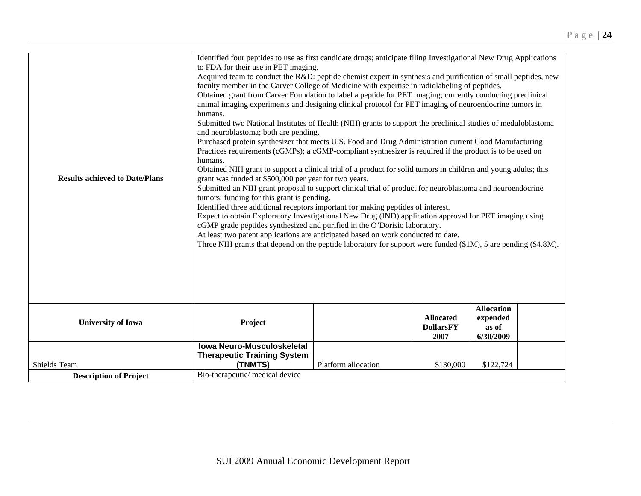| <b>Results achieved to Date/Plans</b> | Identified four peptides to use as first candidate drugs; anticipate filing Investigational New Drug Applications<br>to FDA for their use in PET imaging.<br>Acquired team to conduct the R&D: peptide chemist expert in synthesis and purification of small peptides, new<br>faculty member in the Carver College of Medicine with expertise in radiolabeling of peptides.<br>Obtained grant from Carver Foundation to label a peptide for PET imaging; currently conducting preclinical<br>animal imaging experiments and designing clinical protocol for PET imaging of neuroendocrine tumors in<br>humans.<br>Submitted two National Institutes of Health (NIH) grants to support the preclinical studies of meduloblastoma<br>and neuroblastoma; both are pending.<br>Purchased protein synthesizer that meets U.S. Food and Drug Administration current Good Manufacturing<br>Practices requirements (cGMPs); a cGMP-compliant synthesizer is required if the product is to be used on<br>humans.<br>Obtained NIH grant to support a clinical trial of a product for solid tumors in children and young adults; this<br>grant was funded at \$500,000 per year for two years.<br>Submitted an NIH grant proposal to support clinical trial of product for neuroblastoma and neuroendocrine<br>tumors; funding for this grant is pending.<br>Identified three additional receptors important for making peptides of interest.<br>Expect to obtain Exploratory Investigational New Drug (IND) application approval for PET imaging using<br>cGMP grade peptides synthesized and purified in the O'Dorisio laboratory.<br>At least two patent applications are anticipated based on work conducted to date.<br>Three NIH grants that depend on the peptide laboratory for support were funded $(\$1M)$ , 5 are pending $(\$4.8M)$ . |                     |                                              |                                                     |  |
|---------------------------------------|----------------------------------------------------------------------------------------------------------------------------------------------------------------------------------------------------------------------------------------------------------------------------------------------------------------------------------------------------------------------------------------------------------------------------------------------------------------------------------------------------------------------------------------------------------------------------------------------------------------------------------------------------------------------------------------------------------------------------------------------------------------------------------------------------------------------------------------------------------------------------------------------------------------------------------------------------------------------------------------------------------------------------------------------------------------------------------------------------------------------------------------------------------------------------------------------------------------------------------------------------------------------------------------------------------------------------------------------------------------------------------------------------------------------------------------------------------------------------------------------------------------------------------------------------------------------------------------------------------------------------------------------------------------------------------------------------------------------------------------------------------------------------------------------------------------------------------------|---------------------|----------------------------------------------|-----------------------------------------------------|--|
| <b>University of Iowa</b>             | Project                                                                                                                                                                                                                                                                                                                                                                                                                                                                                                                                                                                                                                                                                                                                                                                                                                                                                                                                                                                                                                                                                                                                                                                                                                                                                                                                                                                                                                                                                                                                                                                                                                                                                                                                                                                                                                |                     | <b>Allocated</b><br><b>DollarsFY</b><br>2007 | <b>Allocation</b><br>expended<br>as of<br>6/30/2009 |  |
| Shields Team                          | <b>Iowa Neuro-Musculoskeletal</b><br><b>Therapeutic Training System</b><br>(TNMTS)                                                                                                                                                                                                                                                                                                                                                                                                                                                                                                                                                                                                                                                                                                                                                                                                                                                                                                                                                                                                                                                                                                                                                                                                                                                                                                                                                                                                                                                                                                                                                                                                                                                                                                                                                     | Platform allocation | \$130,000                                    | \$122,724                                           |  |
| <b>Description of Project</b>         | Bio-therapeutic/medical device                                                                                                                                                                                                                                                                                                                                                                                                                                                                                                                                                                                                                                                                                                                                                                                                                                                                                                                                                                                                                                                                                                                                                                                                                                                                                                                                                                                                                                                                                                                                                                                                                                                                                                                                                                                                         |                     |                                              |                                                     |  |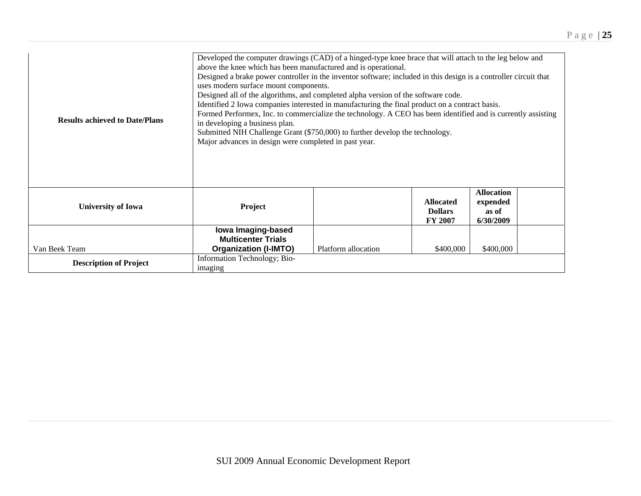| <b>Results achieved to Date/Plans</b> | Developed the computer drawings (CAD) of a hinged-type knee brace that will attach to the leg below and<br>above the knee which has been manufactured and is operational.<br>Designed a brake power controller in the inventor software; included in this design is a controller circuit that<br>uses modern surface mount components.<br>Designed all of the algorithms, and completed alpha version of the software code.<br>Identified 2 Iowa companies interested in manufacturing the final product on a contract basis.<br>Formed Performex, Inc. to commercialize the technology. A CEO has been identified and is currently assisting<br>in developing a business plan.<br>Submitted NIH Challenge Grant (\$750,000) to further develop the technology.<br>Major advances in design were completed in past year. |                     |                                                      |                                                     |  |
|---------------------------------------|--------------------------------------------------------------------------------------------------------------------------------------------------------------------------------------------------------------------------------------------------------------------------------------------------------------------------------------------------------------------------------------------------------------------------------------------------------------------------------------------------------------------------------------------------------------------------------------------------------------------------------------------------------------------------------------------------------------------------------------------------------------------------------------------------------------------------|---------------------|------------------------------------------------------|-----------------------------------------------------|--|
| <b>University of Iowa</b>             | Project                                                                                                                                                                                                                                                                                                                                                                                                                                                                                                                                                                                                                                                                                                                                                                                                                  |                     | <b>Allocated</b><br><b>Dollars</b><br><b>FY 2007</b> | <b>Allocation</b><br>expended<br>as of<br>6/30/2009 |  |
| Van Beek Team                         | lowa Imaging-based<br><b>Multicenter Trials</b><br><b>Organization (I-IMTO)</b>                                                                                                                                                                                                                                                                                                                                                                                                                                                                                                                                                                                                                                                                                                                                          | Platform allocation | \$400,000                                            | \$400,000                                           |  |
| <b>Description of Project</b>         | Information Technology; Bio-<br>imaging                                                                                                                                                                                                                                                                                                                                                                                                                                                                                                                                                                                                                                                                                                                                                                                  |                     |                                                      |                                                     |  |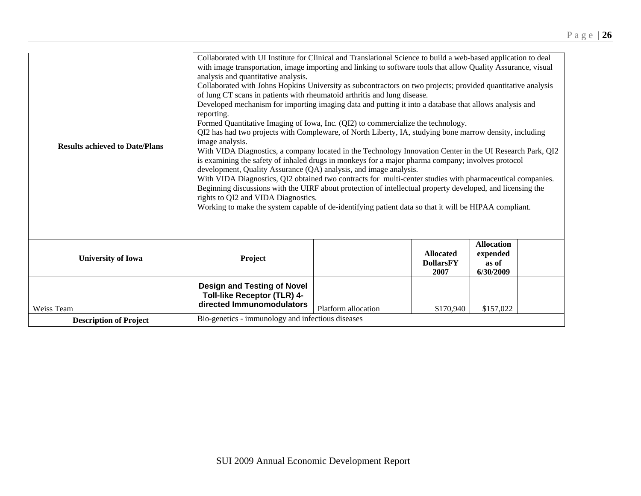| <b>Results achieved to Date/Plans</b> | Collaborated with UI Institute for Clinical and Translational Science to build a web-based application to deal<br>with image transportation, image importing and linking to software tools that allow Quality Assurance, visual<br>analysis and quantitative analysis.<br>Collaborated with Johns Hopkins University as subcontractors on two projects; provided quantitative analysis<br>of lung CT scans in patients with rheumatoid arthritis and lung disease.<br>Developed mechanism for importing imaging data and putting it into a database that allows analysis and<br>reporting.<br>Formed Quantitative Imaging of Iowa, Inc. (QI2) to commercialize the technology.<br>QI2 has had two projects with Compleware, of North Liberty, IA, studying bone marrow density, including<br>image analysis.<br>With VIDA Diagnostics, a company located in the Technology Innovation Center in the UI Research Park, QI2<br>is examining the safety of inhaled drugs in monkeys for a major pharma company; involves protocol<br>development, Quality Assurance (QA) analysis, and image analysis.<br>With VIDA Diagnostics, QI2 obtained two contracts for multi-center studies with pharmaceutical companies.<br>Beginning discussions with the UIRF about protection of intellectual property developed, and licensing the<br>rights to QI2 and VIDA Diagnostics.<br>Working to make the system capable of de-identifying patient data so that it will be HIPAA compliant. |                     |                                              |                                                     |  |
|---------------------------------------|--------------------------------------------------------------------------------------------------------------------------------------------------------------------------------------------------------------------------------------------------------------------------------------------------------------------------------------------------------------------------------------------------------------------------------------------------------------------------------------------------------------------------------------------------------------------------------------------------------------------------------------------------------------------------------------------------------------------------------------------------------------------------------------------------------------------------------------------------------------------------------------------------------------------------------------------------------------------------------------------------------------------------------------------------------------------------------------------------------------------------------------------------------------------------------------------------------------------------------------------------------------------------------------------------------------------------------------------------------------------------------------------------------------------------------------------------------------------------------|---------------------|----------------------------------------------|-----------------------------------------------------|--|
| <b>University of Iowa</b>             | Project                                                                                                                                                                                                                                                                                                                                                                                                                                                                                                                                                                                                                                                                                                                                                                                                                                                                                                                                                                                                                                                                                                                                                                                                                                                                                                                                                                                                                                                                        |                     | <b>Allocated</b><br><b>DollarsFY</b><br>2007 | <b>Allocation</b><br>expended<br>as of<br>6/30/2009 |  |
| Weiss Team                            | <b>Design and Testing of Novel</b><br><b>Toll-like Receptor (TLR) 4-</b><br>directed Immunomodulators                                                                                                                                                                                                                                                                                                                                                                                                                                                                                                                                                                                                                                                                                                                                                                                                                                                                                                                                                                                                                                                                                                                                                                                                                                                                                                                                                                          | Platform allocation | \$170,940                                    | \$157,022                                           |  |
| <b>Description of Project</b>         | Bio-genetics - immunology and infectious diseases                                                                                                                                                                                                                                                                                                                                                                                                                                                                                                                                                                                                                                                                                                                                                                                                                                                                                                                                                                                                                                                                                                                                                                                                                                                                                                                                                                                                                              |                     |                                              |                                                     |  |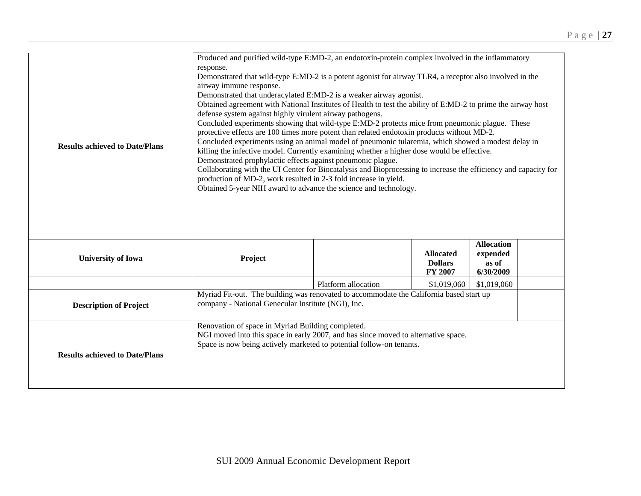| <b>Results achieved to Date/Plans</b> | Produced and purified wild-type E:MD-2, an endotoxin-protein complex involved in the inflammatory<br>response.<br>Demonstrated that wild-type E:MD-2 is a potent agonist for airway TLR4, a receptor also involved in the<br>airway immune response.<br>Demonstrated that underacylated E:MD-2 is a weaker airway agonist.<br>Obtained agreement with National Institutes of Health to test the ability of E:MD-2 to prime the airway host<br>defense system against highly virulent airway pathogens.<br>Concluded experiments showing that wild-type E:MD-2 protects mice from pneumonic plague. These<br>protective effects are 100 times more potent than related endotoxin products without MD-2.<br>Concluded experiments using an animal model of pneumonic tularemia, which showed a modest delay in<br>killing the infective model. Currently examining whether a higher dose would be effective.<br>Demonstrated prophylactic effects against pneumonic plague.<br>Collaborating with the UI Center for Biocatalysis and Bioprocessing to increase the efficiency and capacity for<br>production of MD-2, work resulted in 2-3 fold increase in yield.<br>Obtained 5-year NIH award to advance the science and technology. |                     |                                               |                                                     |  |  |
|---------------------------------------|--------------------------------------------------------------------------------------------------------------------------------------------------------------------------------------------------------------------------------------------------------------------------------------------------------------------------------------------------------------------------------------------------------------------------------------------------------------------------------------------------------------------------------------------------------------------------------------------------------------------------------------------------------------------------------------------------------------------------------------------------------------------------------------------------------------------------------------------------------------------------------------------------------------------------------------------------------------------------------------------------------------------------------------------------------------------------------------------------------------------------------------------------------------------------------------------------------------------------------------|---------------------|-----------------------------------------------|-----------------------------------------------------|--|--|
| <b>University of Iowa</b>             | Project                                                                                                                                                                                                                                                                                                                                                                                                                                                                                                                                                                                                                                                                                                                                                                                                                                                                                                                                                                                                                                                                                                                                                                                                                              |                     | <b>Allocated</b><br><b>Dollars</b><br>FY 2007 | <b>Allocation</b><br>expended<br>as of<br>6/30/2009 |  |  |
|                                       |                                                                                                                                                                                                                                                                                                                                                                                                                                                                                                                                                                                                                                                                                                                                                                                                                                                                                                                                                                                                                                                                                                                                                                                                                                      | Platform allocation | \$1,019,060                                   | \$1,019,060                                         |  |  |
| <b>Description of Project</b>         | Myriad Fit-out. The building was renovated to accommodate the California based start up<br>company - National Genecular Institute (NGI), Inc.                                                                                                                                                                                                                                                                                                                                                                                                                                                                                                                                                                                                                                                                                                                                                                                                                                                                                                                                                                                                                                                                                        |                     |                                               |                                                     |  |  |
| <b>Results achieved to Date/Plans</b> | Renovation of space in Myriad Building completed.<br>NGI moved into this space in early 2007, and has since moved to alternative space.<br>Space is now being actively marketed to potential follow-on tenants.                                                                                                                                                                                                                                                                                                                                                                                                                                                                                                                                                                                                                                                                                                                                                                                                                                                                                                                                                                                                                      |                     |                                               |                                                     |  |  |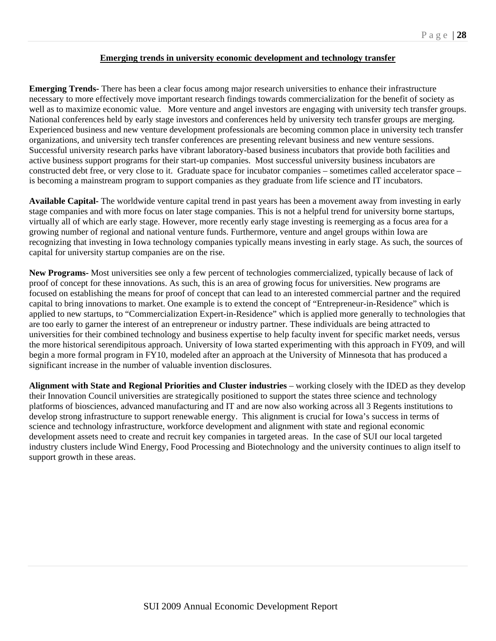## **Emerging trends in university economic development and technology transfer**

**Emerging Trends-** There has been a clear focus among major research universities to enhance their infrastructure necessary to more effectively move important research findings towards commercialization for the benefit of society as well as to maximize economic value. More venture and angel investors are engaging with university tech transfer groups. National conferences held by early stage investors and conferences held by university tech transfer groups are merging. Experienced business and new venture development professionals are becoming common place in university tech transfer organizations, and university tech transfer conferences are presenting relevant business and new venture sessions. Successful university research parks have vibrant laboratory-based business incubators that provide both facilities and active business support programs for their start-up companies. Most successful university business incubators are constructed debt free, or very close to it. Graduate space for incubator companies – sometimes called accelerator space – is becoming a mainstream program to support companies as they graduate from life science and IT incubators.

**Available Capital-** The worldwide venture capital trend in past years has been a movement away from investing in early stage companies and with more focus on later stage companies. This is not a helpful trend for university borne startups, virtually all of which are early stage. However, more recently early stage investing is reemerging as a focus area for a growing number of regional and national venture funds. Furthermore, venture and angel groups within Iowa are recognizing that investing in Iowa technology companies typically means investing in early stage. As such, the sources of capital for university startup companies are on the rise.

**New Programs-** Most universities see only a few percent of technologies commercialized, typically because of lack of proof of concept for these innovations. As such, this is an area of growing focus for universities. New programs are focused on establishing the means for proof of concept that can lead to an interested commercial partner and the required capital to bring innovations to market. One example is to extend the concept of "Entrepreneur-in-Residence" which is applied to new startups, to "Commercialization Expert-in-Residence" which is applied more generally to technologies that are too early to garner the interest of an entrepreneur or industry partner. These individuals are being attracted to universities for their combined technology and business expertise to help faculty invent for specific market needs, versus the more historical serendipitous approach. University of Iowa started experimenting with this approach in FY09, and will begin a more formal program in FY10, modeled after an approach at the University of Minnesota that has produced a significant increase in the number of valuable invention disclosures.

**Alignment with State and Regional Priorities and Cluster industries** – working closely with the IDED as they develop their Innovation Council universities are strategically positioned to support the states three science and technology platforms of biosciences, advanced manufacturing and IT and are now also working across all 3 Regents institutions to develop strong infrastructure to support renewable energy. This alignment is crucial for Iowa's success in terms of science and technology infrastructure, workforce development and alignment with state and regional economic development assets need to create and recruit key companies in targeted areas. In the case of SUI our local targeted industry clusters include Wind Energy, Food Processing and Biotechnology and the university continues to align itself to support growth in these areas.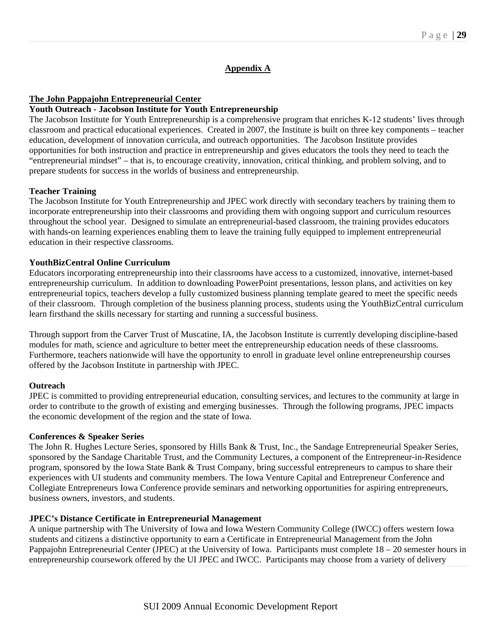## **Appendix A**

### **The John Pappajohn Entrepreneurial Center**

## **Youth Outreach - Jacobson Institute for Youth Entrepreneurship**

The Jacobson Institute for Youth Entrepreneurship is a comprehensive program that enriches K-12 students' lives through classroom and practical educational experiences. Created in 2007, the Institute is built on three key components – teacher education, development of innovation curricula, and outreach opportunities. The Jacobson Institute provides opportunities for both instruction and practice in entrepreneurship and gives educators the tools they need to teach the "entrepreneurial mindset" – that is, to encourage creativity, innovation, critical thinking, and problem solving, and to prepare students for success in the worlds of business and entrepreneurship.

### **Teacher Training**

The Jacobson Institute for Youth Entrepreneurship and JPEC work directly with secondary teachers by training them to incorporate entrepreneurship into their classrooms and providing them with ongoing support and curriculum resources throughout the school year. Designed to simulate an entrepreneurial-based classroom, the training provides educators with hands-on learning experiences enabling them to leave the training fully equipped to implement entrepreneurial education in their respective classrooms.

### **YouthBizCentral Online Curriculum**

Educators incorporating entrepreneurship into their classrooms have access to a customized, innovative, internet-based entrepreneurship curriculum. In addition to downloading PowerPoint presentations, lesson plans, and activities on key entrepreneurial topics, teachers develop a fully customized business planning template geared to meet the specific needs of their classroom. Through completion of the business planning process, students using the YouthBizCentral curriculum learn firsthand the skills necessary for starting and running a successful business.

Through support from the Carver Trust of Muscatine, IA, the Jacobson Institute is currently developing discipline-based modules for math, science and agriculture to better meet the entrepreneurship education needs of these classrooms. Furthermore, teachers nationwide will have the opportunity to enroll in graduate level online entrepreneurship courses offered by the Jacobson Institute in partnership with JPEC.

#### **Outreach**

JPEC is committed to providing entrepreneurial education, consulting services, and lectures to the community at large in order to contribute to the growth of existing and emerging businesses. Through the following programs, JPEC impacts the economic development of the region and the state of Iowa.

#### **Conferences & Speaker Series**

The John R. Hughes Lecture Series, sponsored by Hills Bank & Trust, Inc., the Sandage Entrepreneurial Speaker Series, sponsored by the Sandage Charitable Trust, and the Community Lectures, a component of the Entrepreneur-in-Residence program, sponsored by the Iowa State Bank & Trust Company, bring successful entrepreneurs to campus to share their experiences with UI students and community members. The Iowa Venture Capital and Entrepreneur Conference and Collegiate Entrepreneurs Iowa Conference provide seminars and networking opportunities for aspiring entrepreneurs, business owners, investors, and students.

#### **JPEC's Distance Certificate in Entrepreneurial Management**

A unique partnership with The University of Iowa and Iowa Western Community College (IWCC) offers western Iowa students and citizens a distinctive opportunity to earn a Certificate in Entrepreneurial Management from the John Pappajohn Entrepreneurial Center (JPEC) at the University of Iowa. Participants must complete 18 – 20 semester hours in entrepreneurship coursework offered by the UI JPEC and IWCC. Participants may choose from a variety of delivery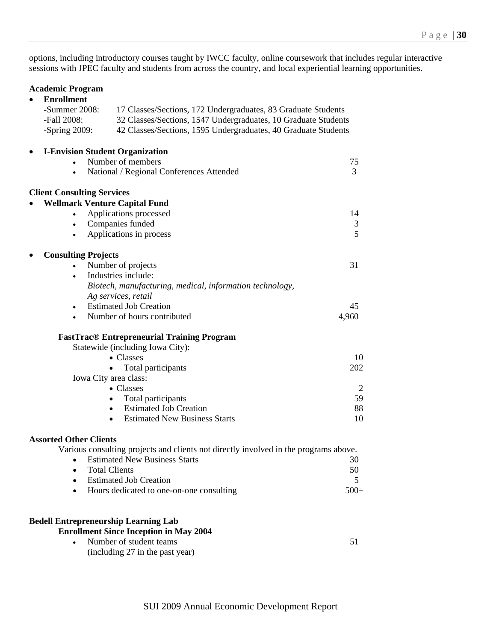options, including introductory courses taught by IWCC faculty, online coursework that includes regular interactive sessions with JPEC faculty and students from across the country, and local experiential learning opportunities.

### **Academic Program**

| <b>Enrollment</b><br>-Summer $2008$ :   | 17 Classes/Sections, 172 Undergraduates, 83 Graduate Students                        |        |
|-----------------------------------------|--------------------------------------------------------------------------------------|--------|
| -Fall 2008:                             | 32 Classes/Sections, 1547 Undergraduates, 10 Graduate Students                       |        |
| -Spring $2009$ :                        | 42 Classes/Sections, 1595 Undergraduates, 40 Graduate Students                       |        |
| <b>I-Envision Student Organization</b>  |                                                                                      |        |
|                                         | Number of members                                                                    | 75     |
| ٠                                       | National / Regional Conferences Attended                                             | 3      |
| <b>Client Consulting Services</b>       |                                                                                      |        |
| <b>Wellmark Venture Capital Fund</b>    | Applications processed                                                               | 14     |
|                                         | Companies funded                                                                     | 3      |
|                                         | Applications in process                                                              | 5      |
|                                         |                                                                                      |        |
| <b>Consulting Projects</b><br>$\bullet$ | Number of projects                                                                   | 31     |
|                                         | Industries include:                                                                  |        |
|                                         | Biotech, manufacturing, medical, information technology,                             |        |
|                                         | Ag services, retail                                                                  |        |
| $\bullet$                               | <b>Estimated Job Creation</b>                                                        | 45     |
|                                         | Number of hours contributed                                                          | 4,960  |
|                                         | <b>FastTrac® Entrepreneurial Training Program</b>                                    |        |
|                                         | Statewide (including Iowa City):                                                     |        |
|                                         | $\bullet$ Classes                                                                    | 10     |
|                                         | Total participants                                                                   | 202    |
|                                         | Iowa City area class:                                                                |        |
|                                         | • Classes                                                                            | 2      |
|                                         | Total participants                                                                   | 59     |
|                                         | <b>Estimated Job Creation</b><br>$\bullet$                                           | 88     |
|                                         | <b>Estimated New Business Starts</b><br>$\bullet$                                    | 10     |
| <b>Assorted Other Clients</b>           |                                                                                      |        |
|                                         | Various consulting projects and clients not directly involved in the programs above. |        |
|                                         | <b>Estimated New Business Starts</b>                                                 | 30     |
|                                         | <b>Total Clients</b>                                                                 | 50     |
|                                         | <b>Estimated Job Creation</b>                                                        | 5      |
| $\bullet$                               | Hours dedicated to one-on-one consulting                                             | $500+$ |
|                                         | <b>Bedell Entrepreneurship Learning Lab</b>                                          |        |
|                                         | <b>Enrollment Since Inception in May 2004</b>                                        |        |
|                                         | Number of student teams                                                              | 51     |
|                                         | (including 27 in the past year)                                                      |        |
|                                         |                                                                                      |        |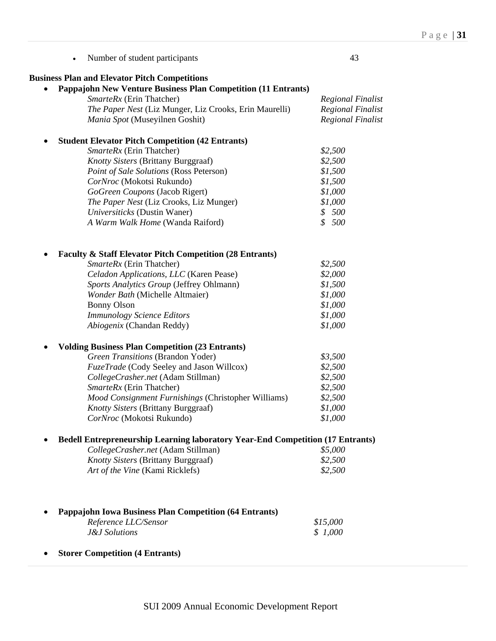| Number of student participants                                                                                    | 43                       |
|-------------------------------------------------------------------------------------------------------------------|--------------------------|
| <b>Business Plan and Elevator Pitch Competitions</b>                                                              |                          |
| <b>Pappajohn New Venture Business Plan Competition (11 Entrants)</b>                                              |                          |
| SmarteRx (Erin Thatcher)                                                                                          | <b>Regional Finalist</b> |
| The Paper Nest (Liz Munger, Liz Crooks, Erin Maurelli)                                                            | <b>Regional Finalist</b> |
| Mania Spot (Museyilnen Goshit)                                                                                    | <b>Regional Finalist</b> |
| <b>Student Elevator Pitch Competition (42 Entrants)</b>                                                           |                          |
| SmarteRx (Erin Thatcher)                                                                                          | \$2,500                  |
| Knotty Sisters (Brittany Burggraaf)                                                                               | \$2,500                  |
| Point of Sale Solutions (Ross Peterson)                                                                           | \$1,500                  |
| CorNroc (Mokotsi Rukundo)                                                                                         | \$1,500                  |
| GoGreen Coupons (Jacob Rigert)                                                                                    | \$1,000                  |
| The Paper Nest (Liz Crooks, Liz Munger)                                                                           | \$1,000                  |
| Universiticks (Dustin Waner)                                                                                      | \$500                    |
| A Warm Walk Home (Wanda Raiford)                                                                                  | \$500                    |
| <b>Faculty &amp; Staff Elevator Pitch Competition (28 Entrants)</b>                                               |                          |
| SmarteRx (Erin Thatcher)                                                                                          | \$2,500                  |
| Celadon Applications, LLC (Karen Pease)                                                                           | \$2,000                  |
|                                                                                                                   | \$1,500                  |
| Sports Analytics Group (Jeffrey Ohlmann)                                                                          |                          |
| Wonder Bath (Michelle Altmaier)                                                                                   | \$1,000                  |
| <b>Bonny Olson</b>                                                                                                | \$1,000                  |
| <b>Immunology Science Editors</b>                                                                                 | \$1,000                  |
| Abiogenix (Chandan Reddy)                                                                                         | \$1,000                  |
| <b>Volding Business Plan Competition (23 Entrants)</b>                                                            |                          |
| Green Transitions (Brandon Yoder)                                                                                 | \$3,500                  |
| FuzeTrade (Cody Seeley and Jason Willcox)                                                                         | \$2,500                  |
| CollegeCrasher.net (Adam Stillman)                                                                                | \$2,500                  |
| SmarteRx (Erin Thatcher)                                                                                          | \$2,500                  |
| Mood Consignment Furnishings (Christopher Williams)                                                               | \$2,500                  |
| <b>Knotty Sisters (Brittany Burggraaf)</b>                                                                        | \$1,000                  |
| CorNroc (Mokotsi Rukundo)                                                                                         | \$1,000                  |
| <b>Bedell Entrepreneurship Learning laboratory Year-End Competition (17 Entrants)</b>                             |                          |
| CollegeCrasher.net (Adam Stillman)                                                                                | \$5,000                  |
| <b>Knotty Sisters (Brittany Burggraaf)</b>                                                                        | \$2,500                  |
| Art of the Vine (Kami Ricklefs)                                                                                   | \$2,500                  |
| <b>Pappajohn Iowa Business Plan Competition (64 Entrants)</b><br>Reference LLC/Sensor<br><b>J&amp;J</b> Solutions | \$15,000<br>\$1,000      |
| <b>Storer Competition (4 Entrants)</b>                                                                            |                          |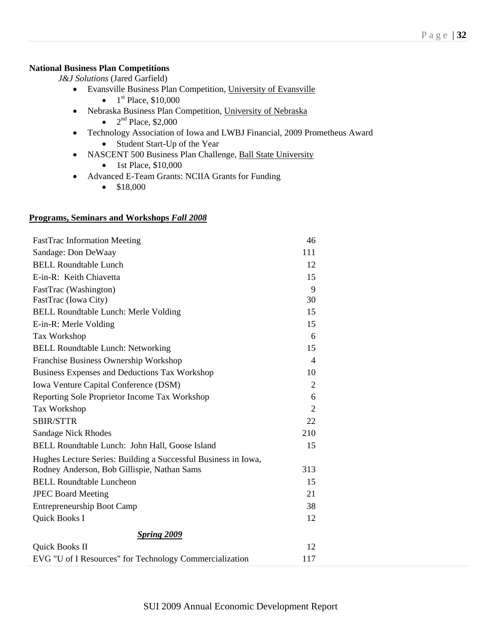# **National Business Plan Competitions**

*J&J Solutions* (Jared Garfield)

- Evansville Business Plan Competition, University of Evansville
	- $1^{\text{st}}$  Place, \$10,000
- Nebraska Business Plan Competition, University of Nebraska
	- $2<sup>nd</sup>$  Place, \$2,000
- Technology Association of Iowa and LWBJ Financial, 2009 Prometheus Award • Student Start-Up of the Year
- NASCENT 500 Business Plan Challenge, Ball State University
	- $\bullet$  1st Place, \$10,000
- Advanced E-Team Grants: NCIIA Grants for Funding
	- $\bullet$  \$18,000

### **Programs, Seminars and Workshops** *Fall 2008*

| <b>FastTrac Information Meeting</b>                            | 46             |
|----------------------------------------------------------------|----------------|
| Sandage: Don DeWaay                                            | 111            |
| <b>BELL Roundtable Lunch</b>                                   | 12             |
| E-in-R: Keith Chiavetta                                        | 15             |
| FastTrac (Washington)                                          | 9              |
| FastTrac (Iowa City)                                           | 30             |
| <b>BELL Roundtable Lunch: Merle Volding</b>                    | 15             |
| E-in-R: Merle Volding                                          | 15             |
| Tax Workshop                                                   | 6              |
| <b>BELL Roundtable Lunch: Networking</b>                       | 15             |
| Franchise Business Ownership Workshop                          | $\overline{4}$ |
| Business Expenses and Deductions Tax Workshop                  | 10             |
| Iowa Venture Capital Conference (DSM)                          | 2              |
| Reporting Sole Proprietor Income Tax Workshop                  | 6              |
| Tax Workshop                                                   | 2              |
| <b>SBIR/STTR</b>                                               | 22             |
| Sandage Nick Rhodes                                            | 210            |
| BELL Roundtable Lunch: John Hall, Goose Island                 | 15             |
| Hughes Lecture Series: Building a Successful Business in Iowa, |                |
| Rodney Anderson, Bob Gillispie, Nathan Sams                    | 313            |
| <b>BELL Roundtable Luncheon</b>                                | 15             |
| <b>JPEC Board Meeting</b>                                      | 21             |
| <b>Entrepreneurship Boot Camp</b>                              | 38             |
| Quick Books I                                                  | 12             |
| <b>Spring 2009</b>                                             |                |
| Quick Books II                                                 | 12             |
| EVG "U of I Resources" for Technology Commercialization        | 117            |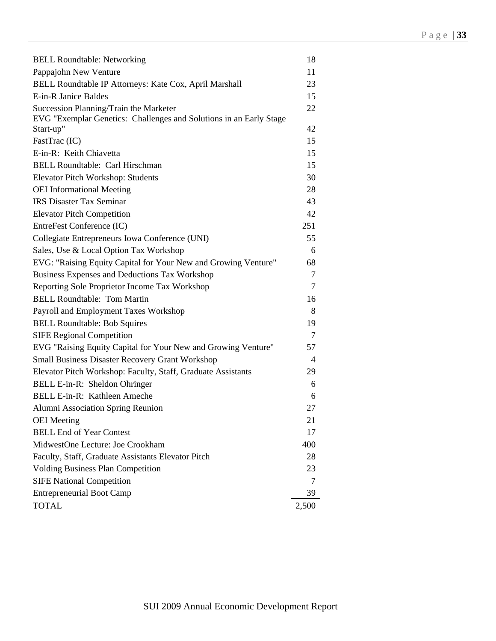| <b>BELL Roundtable: Networking</b>                                 | 18     |
|--------------------------------------------------------------------|--------|
| Pappajohn New Venture                                              | 11     |
| BELL Roundtable IP Attorneys: Kate Cox, April Marshall             | 23     |
| E-in-R Janice Baldes                                               | 15     |
| Succession Planning/Train the Marketer                             | 22     |
| EVG "Exemplar Genetics: Challenges and Solutions in an Early Stage |        |
| Start-up"                                                          | 42     |
| FastTrac (IC)                                                      | 15     |
| E-in-R: Keith Chiavetta                                            | 15     |
| BELL Roundtable: Carl Hirschman                                    | 15     |
| Elevator Pitch Workshop: Students                                  | 30     |
| <b>OEI</b> Informational Meeting                                   | 28     |
| <b>IRS Disaster Tax Seminar</b>                                    | 43     |
| <b>Elevator Pitch Competition</b>                                  | 42     |
| EntreFest Conference (IC)                                          | 251    |
| Collegiate Entrepreneurs Iowa Conference (UNI)                     | 55     |
| Sales, Use & Local Option Tax Workshop                             | 6      |
| EVG: "Raising Equity Capital for Your New and Growing Venture"     | 68     |
| Business Expenses and Deductions Tax Workshop                      | $\tau$ |
| Reporting Sole Proprietor Income Tax Workshop                      | 7      |
| <b>BELL Roundtable: Tom Martin</b>                                 | 16     |
| Payroll and Employment Taxes Workshop                              | 8      |
| <b>BELL Roundtable: Bob Squires</b>                                | 19     |
| <b>SIFE Regional Competition</b>                                   | 7      |
| EVG "Raising Equity Capital for Your New and Growing Venture"      | 57     |
| <b>Small Business Disaster Recovery Grant Workshop</b>             | 4      |
| Elevator Pitch Workshop: Faculty, Staff, Graduate Assistants       | 29     |
| BELL E-in-R: Sheldon Ohringer                                      | 6      |
| BELL E-in-R: Kathleen Ameche                                       | 6      |
| Alumni Association Spring Reunion                                  | 27     |
| <b>OEI</b> Meeting                                                 | 21     |
| <b>BELL End of Year Contest</b>                                    | 17     |
| MidwestOne Lecture: Joe Crookham                                   | 400    |
| Faculty, Staff, Graduate Assistants Elevator Pitch                 | 28     |
| <b>Volding Business Plan Competition</b>                           | 23     |
| <b>SIFE National Competition</b>                                   | 7      |
| <b>Entrepreneurial Boot Camp</b>                                   | 39     |
| <b>TOTAL</b>                                                       | 2,500  |
|                                                                    |        |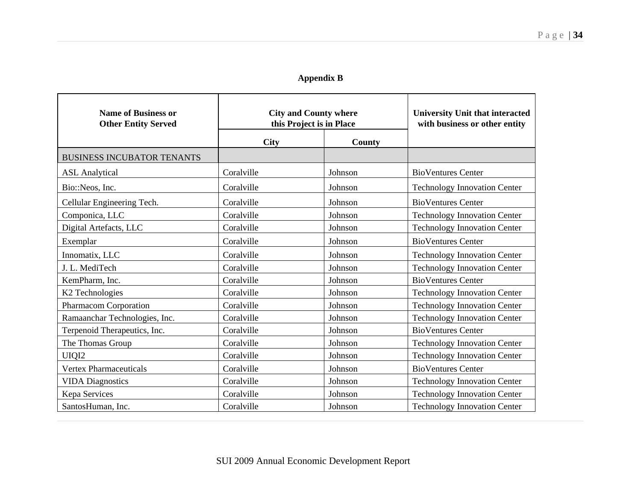# **Appendix B**

| <b>Name of Business or</b><br><b>Other Entity Served</b> | <b>City and County where</b><br>this Project is in Place |         |                                     |  | <b>University Unit that interacted</b><br>with business or other entity |
|----------------------------------------------------------|----------------------------------------------------------|---------|-------------------------------------|--|-------------------------------------------------------------------------|
|                                                          | City                                                     | County  |                                     |  |                                                                         |
| <b>BUSINESS INCUBATOR TENANTS</b>                        |                                                          |         |                                     |  |                                                                         |
| <b>ASL</b> Analytical                                    | Coralville                                               | Johnson | <b>BioVentures Center</b>           |  |                                                                         |
| Bio::Neos, Inc.                                          | Coralville                                               | Johnson | <b>Technology Innovation Center</b> |  |                                                                         |
| Cellular Engineering Tech.                               | Coralville                                               | Johnson | <b>BioVentures Center</b>           |  |                                                                         |
| Componica, LLC                                           | Coralville                                               | Johnson | <b>Technology Innovation Center</b> |  |                                                                         |
| Digital Artefacts, LLC                                   | Coralville                                               | Johnson | <b>Technology Innovation Center</b> |  |                                                                         |
| Exemplar                                                 | Coralville                                               | Johnson | <b>BioVentures Center</b>           |  |                                                                         |
| Innomatix, LLC                                           | Coralville                                               | Johnson | <b>Technology Innovation Center</b> |  |                                                                         |
| J. L. MediTech                                           | Coralville                                               | Johnson | <b>Technology Innovation Center</b> |  |                                                                         |
| KemPharm, Inc.                                           | Coralville                                               | Johnson | <b>BioVentures Center</b>           |  |                                                                         |
| K <sub>2</sub> Technologies                              | Coralville                                               | Johnson | <b>Technology Innovation Center</b> |  |                                                                         |
| Pharmacom Corporation                                    | Coralville                                               | Johnson | <b>Technology Innovation Center</b> |  |                                                                         |
| Ramaanchar Technologies, Inc.                            | Coralville                                               | Johnson | <b>Technology Innovation Center</b> |  |                                                                         |
| Terpenoid Therapeutics, Inc.                             | Coralville                                               | Johnson | <b>BioVentures Center</b>           |  |                                                                         |
| The Thomas Group                                         | Coralville                                               | Johnson | <b>Technology Innovation Center</b> |  |                                                                         |
| UIQI2                                                    | Coralville                                               | Johnson | <b>Technology Innovation Center</b> |  |                                                                         |
| <b>Vertex Pharmaceuticals</b>                            | Coralville                                               | Johnson | <b>BioVentures Center</b>           |  |                                                                         |
| <b>VIDA Diagnostics</b>                                  | Coralville                                               | Johnson | <b>Technology Innovation Center</b> |  |                                                                         |
| Kepa Services                                            | Coralville                                               | Johnson | <b>Technology Innovation Center</b> |  |                                                                         |
| SantosHuman, Inc.                                        | Coralville                                               | Johnson | <b>Technology Innovation Center</b> |  |                                                                         |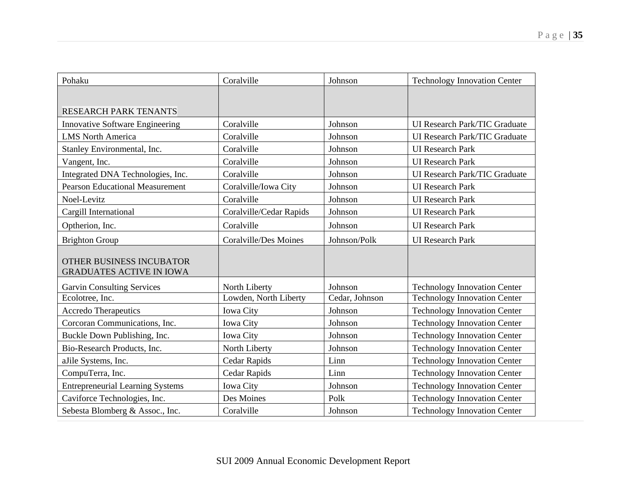| Pohaku                                                             | Coralville                   | Johnson        | <b>Technology Innovation Center</b>  |
|--------------------------------------------------------------------|------------------------------|----------------|--------------------------------------|
|                                                                    |                              |                |                                      |
| <b>RESEARCH PARK TENANTS</b>                                       |                              |                |                                      |
| <b>Innovative Software Engineering</b>                             | Coralville                   | Johnson        | <b>UI Research Park/TIC Graduate</b> |
| <b>LMS North America</b>                                           | Coralville                   | Johnson        | <b>UI Research Park/TIC Graduate</b> |
| Stanley Environmental, Inc.                                        | Coralville                   | Johnson        | <b>UI</b> Research Park              |
| Vangent, Inc.                                                      | Coralville                   | Johnson        | <b>UI</b> Research Park              |
| Integrated DNA Technologies, Inc.                                  | Coralville                   | Johnson        | <b>UI Research Park/TIC Graduate</b> |
| <b>Pearson Educational Measurement</b>                             | Coralville/Iowa City         | Johnson        | <b>UI</b> Research Park              |
| Noel-Levitz                                                        | Coralville                   | Johnson        | <b>UI</b> Research Park              |
| Cargill International                                              | Coralville/Cedar Rapids      | Johnson        | <b>UI</b> Research Park              |
| Optherion, Inc.                                                    | Coralville                   | Johnson        | <b>UI</b> Research Park              |
| <b>Brighton Group</b>                                              | <b>Coralville/Des Moines</b> | Johnson/Polk   | <b>UI</b> Research Park              |
| <b>OTHER BUSINESS INCUBATOR</b><br><b>GRADUATES ACTIVE IN IOWA</b> |                              |                |                                      |
| <b>Garvin Consulting Services</b>                                  | North Liberty                | Johnson        | <b>Technology Innovation Center</b>  |
| Ecolotree, Inc.                                                    | Lowden, North Liberty        | Cedar, Johnson | <b>Technology Innovation Center</b>  |
| <b>Accredo Therapeutics</b>                                        | <b>Iowa City</b>             | Johnson        | <b>Technology Innovation Center</b>  |
| Corcoran Communications, Inc.                                      | <b>Iowa City</b>             | Johnson        | <b>Technology Innovation Center</b>  |
| Buckle Down Publishing, Inc.                                       | <b>Iowa City</b>             | Johnson        | <b>Technology Innovation Center</b>  |
| Bio-Research Products, Inc.                                        | North Liberty                | Johnson        | <b>Technology Innovation Center</b>  |
| aJile Systems, Inc.                                                | Cedar Rapids                 | Linn           | <b>Technology Innovation Center</b>  |
| CompuTerra, Inc.                                                   | Cedar Rapids                 | Linn           | <b>Technology Innovation Center</b>  |
| <b>Entrepreneurial Learning Systems</b>                            | <b>Iowa City</b>             | Johnson        | <b>Technology Innovation Center</b>  |
| Caviforce Technologies, Inc.                                       | Des Moines                   | Polk           | <b>Technology Innovation Center</b>  |
| Sebesta Blomberg & Assoc., Inc.                                    | Coralville                   | Johnson        | <b>Technology Innovation Center</b>  |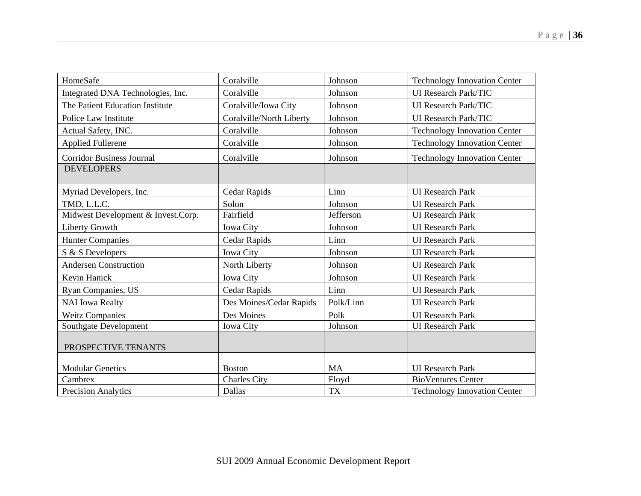| HomeSafe                           | Coralville               | Johnson   | <b>Technology Innovation Center</b> |
|------------------------------------|--------------------------|-----------|-------------------------------------|
| Integrated DNA Technologies, Inc.  | Coralville               | Johnson   | UI Research Park/TIC                |
| The Patient Education Institute    | Coralville/Iowa City     | Johnson   | UI Research Park/TIC                |
| Police Law Institute               | Coralville/North Liberty | Johnson   | <b>UI Research Park/TIC</b>         |
| Actual Safety, INC.                | Coralville               | Johnson   | <b>Technology Innovation Center</b> |
| <b>Applied Fullerene</b>           | Coralville               | Johnson   | <b>Technology Innovation Center</b> |
| <b>Corridor Business Journal</b>   | Coralville               | Johnson   | <b>Technology Innovation Center</b> |
| <b>DEVELOPERS</b>                  |                          |           |                                     |
| Myriad Developers, Inc.            | Cedar Rapids             | Linn      | <b>UI</b> Research Park             |
| TMD, L.L.C.                        | Solon                    | Johnson   | <b>UI</b> Research Park             |
| Midwest Development & Invest.Corp. | Fairfield                | Jefferson | <b>UI</b> Research Park             |
| <b>Liberty Growth</b>              | <b>Iowa City</b>         | Johnson   | <b>UI</b> Research Park             |
| <b>Hunter Companies</b>            | Cedar Rapids             | Linn      | <b>UI</b> Research Park             |
| S & S Developers                   | Iowa City                | Johnson   | <b>UI</b> Research Park             |
| <b>Andersen Construction</b>       | North Liberty            | Johnson   | <b>UI</b> Research Park             |
| Kevin Hanick                       | <b>Iowa City</b>         | Johnson   | <b>UI</b> Research Park             |
| Ryan Companies, US                 | Cedar Rapids             | Linn      | <b>UI</b> Research Park             |
| <b>NAI</b> Iowa Realty             | Des Moines/Cedar Rapids  | Polk/Linn | <b>UI</b> Research Park             |
| <b>Weitz Companies</b>             | Des Moines               | Polk      | <b>UI</b> Research Park             |
| Southgate Development              | <b>Iowa City</b>         | Johnson   | <b>UI</b> Research Park             |
| PROSPECTIVE TENANTS                |                          |           |                                     |
|                                    |                          |           |                                     |
| <b>Modular Genetics</b>            | <b>Boston</b>            | <b>MA</b> | <b>UI</b> Research Park             |
| Cambrex                            | <b>Charles City</b>      | Floyd     | <b>BioVentures Center</b>           |
| <b>Precision Analytics</b>         | Dallas                   | TX        | <b>Technology Innovation Center</b> |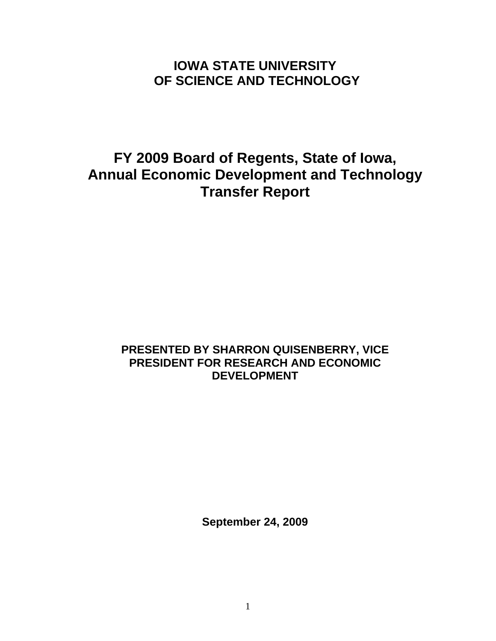# **IOWA STATE UNIVERSITY OF SCIENCE AND TECHNOLOGY**

# **FY 2009 Board of Regents, State of Iowa, Annual Economic Development and Technology Transfer Report**

# **PRESENTED BY SHARRON QUISENBERRY, VICE PRESIDENT FOR RESEARCH AND ECONOMIC DEVELOPMENT**

**September 24, 2009**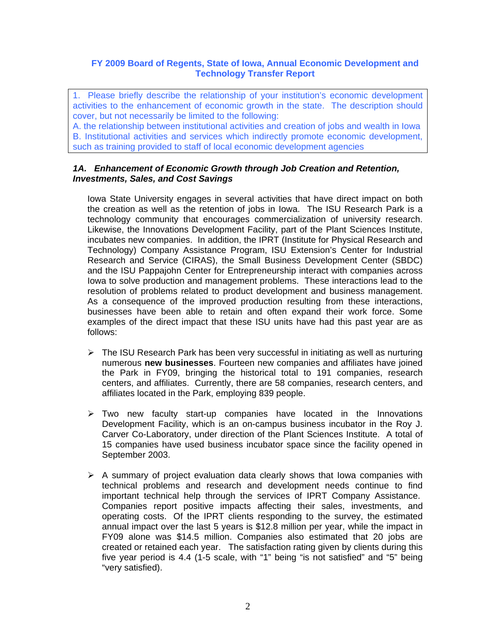### **FY 2009 Board of Regents, State of Iowa, Annual Economic Development and Technology Transfer Report**

1. Please briefly describe the relationship of your institution's economic development activities to the enhancement of economic growth in the state. The description should cover, but not necessarily be limited to the following:

A. the relationship between institutional activities and creation of jobs and wealth in Iowa B. Institutional activities and services which indirectly promote economic development, such as training provided to staff of local economic development agencies

### *1A. Enhancement of Economic Growth through Job Creation and Retention, Investments, Sales, and Cost Savings*

Iowa State University engages in several activities that have direct impact on both the creation as well as the retention of jobs in Iowa. The ISU Research Park is a technology community that encourages commercialization of university research. Likewise, the Innovations Development Facility, part of the Plant Sciences Institute, incubates new companies. In addition, the IPRT (Institute for Physical Research and Technology) Company Assistance Program, ISU Extension's Center for Industrial Research and Service (CIRAS), the Small Business Development Center (SBDC) and the ISU Pappajohn Center for Entrepreneurship interact with companies across Iowa to solve production and management problems. These interactions lead to the resolution of problems related to product development and business management. As a consequence of the improved production resulting from these interactions, businesses have been able to retain and often expand their work force. Some examples of the direct impact that these ISU units have had this past year are as follows:

- $\triangleright$  The ISU Research Park has been very successful in initiating as well as nurturing numerous **new businesses**. Fourteen new companies and affiliates have joined the Park in FY09, bringing the historical total to 191 companies, research centers, and affiliates. Currently, there are 58 companies, research centers, and affiliates located in the Park, employing 839 people.
- $\triangleright$  Two new faculty start-up companies have located in the Innovations Development Facility, which is an on-campus business incubator in the Roy J. Carver Co-Laboratory, under direction of the Plant Sciences Institute. A total of 15 companies have used business incubator space since the facility opened in September 2003.
- $\triangleright$  A summary of project evaluation data clearly shows that lowa companies with technical problems and research and development needs continue to find important technical help through the services of IPRT Company Assistance. Companies report positive impacts affecting their sales, investments, and operating costs. Of the IPRT clients responding to the survey, the estimated annual impact over the last 5 years is \$12.8 million per year, while the impact in FY09 alone was \$14.5 million. Companies also estimated that 20 jobs are created or retained each year. The satisfaction rating given by clients during this five year period is 4.4 (1-5 scale, with "1" being "is not satisfied" and "5" being "very satisfied).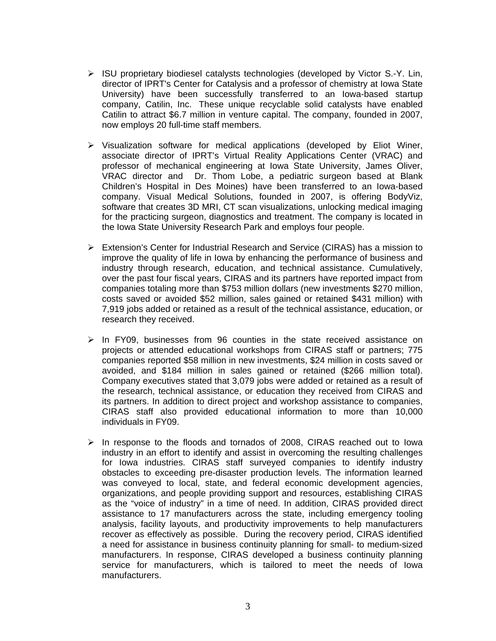- $\triangleright$  ISU proprietary biodiesel catalysts technologies (developed by Victor S.-Y. Lin, director of IPRT's Center for Catalysis and a professor of chemistry at Iowa State University) have been successfully transferred to an Iowa-based startup company, Catilin, Inc. These unique recyclable solid catalysts have enabled Catilin to attract \$6.7 million in venture capital. The company, founded in 2007, now employs 20 full-time staff members.
- $\triangleright$  Visualization software for medical applications (developed by Eliot Winer, associate director of IPRT's Virtual Reality Applications Center (VRAC) and professor of mechanical engineering at Iowa State University, James Oliver, VRAC director and Dr. Thom Lobe, a pediatric surgeon based at Blank Children's Hospital in Des Moines) have been transferred to an Iowa-based company. Visual Medical Solutions, founded in 2007, is offering BodyViz, software that creates 3D MRI, CT scan visualizations, unlocking medical imaging for the practicing surgeon, diagnostics and treatment. The company is located in the Iowa State University Research Park and employs four people.
- Extension's Center for Industrial Research and Service (CIRAS) has a mission to improve the quality of life in Iowa by enhancing the performance of business and industry through research, education, and technical assistance. Cumulatively, over the past four fiscal years, CIRAS and its partners have reported impact from companies totaling more than \$753 million dollars (new investments \$270 million, costs saved or avoided \$52 million, sales gained or retained \$431 million) with 7,919 jobs added or retained as a result of the technical assistance, education, or research they received.
- $\geq$  In FY09, businesses from 96 counties in the state received assistance on projects or attended educational workshops from CIRAS staff or partners; 775 companies reported \$58 million in new investments, \$24 million in costs saved or avoided, and \$184 million in sales gained or retained (\$266 million total). Company executives stated that 3,079 jobs were added or retained as a result of the research, technical assistance, or education they received from CIRAS and its partners. In addition to direct project and workshop assistance to companies, CIRAS staff also provided educational information to more than 10,000 individuals in FY09.
- $\triangleright$  In response to the floods and tornados of 2008, CIRAS reached out to Iowa industry in an effort to identify and assist in overcoming the resulting challenges for Iowa industries. CIRAS staff surveyed companies to identify industry obstacles to exceeding pre-disaster production levels. The information learned was conveyed to local, state, and federal economic development agencies, organizations, and people providing support and resources, establishing CIRAS as the "voice of industry" in a time of need. In addition, CIRAS provided direct assistance to 17 manufacturers across the state, including emergency tooling analysis, facility layouts, and productivity improvements to help manufacturers recover as effectively as possible. During the recovery period, CIRAS identified a need for assistance in business continuity planning for small- to medium-sized manufacturers. In response, CIRAS developed a business continuity planning service for manufacturers, which is tailored to meet the needs of Iowa manufacturers.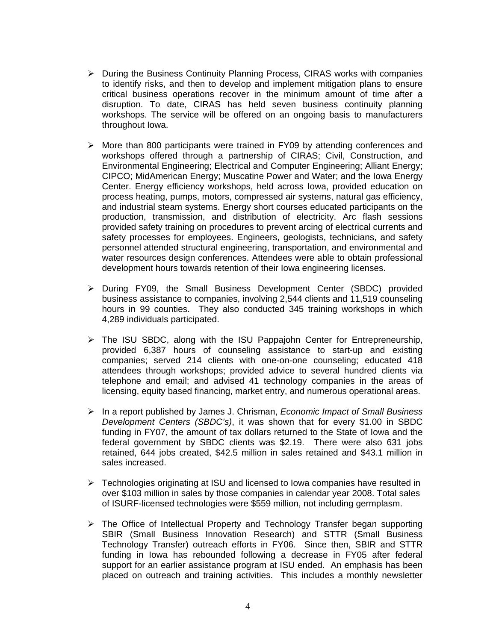- $\triangleright$  During the Business Continuity Planning Process, CIRAS works with companies to identify risks, and then to develop and implement mitigation plans to ensure critical business operations recover in the minimum amount of time after a disruption. To date, CIRAS has held seven business continuity planning workshops. The service will be offered on an ongoing basis to manufacturers throughout Iowa.
- $\triangleright$  More than 800 participants were trained in FY09 by attending conferences and workshops offered through a partnership of CIRAS; Civil, Construction, and Environmental Engineering; Electrical and Computer Engineering; Alliant Energy; CIPCO; MidAmerican Energy; Muscatine Power and Water; and the Iowa Energy Center. Energy efficiency workshops, held across Iowa, provided education on process heating, pumps, motors, compressed air systems, natural gas efficiency, and industrial steam systems. Energy short courses educated participants on the production, transmission, and distribution of electricity. Arc flash sessions provided safety training on procedures to prevent arcing of electrical currents and safety processes for employees. Engineers, geologists, technicians, and safety personnel attended structural engineering, transportation, and environmental and water resources design conferences. Attendees were able to obtain professional development hours towards retention of their Iowa engineering licenses.
- During FY09, the Small Business Development Center (SBDC) provided business assistance to companies, involving 2,544 clients and 11,519 counseling hours in 99 counties. They also conducted 345 training workshops in which 4,289 individuals participated.
- $\triangleright$  The ISU SBDC, along with the ISU Pappajohn Center for Entrepreneurship, provided 6,387 hours of counseling assistance to start-up and existing companies; served 214 clients with one-on-one counseling; educated 418 attendees through workshops; provided advice to several hundred clients via telephone and email; and advised 41 technology companies in the areas of licensing, equity based financing, market entry, and numerous operational areas.
- In a report published by James J. Chrisman, *Economic Impact of Small Business Development Centers (SBDC's)*, it was shown that for every \$1.00 in SBDC funding in FY07, the amount of tax dollars returned to the State of Iowa and the federal government by SBDC clients was \$2.19. There were also 631 jobs retained, 644 jobs created, \$42.5 million in sales retained and \$43.1 million in sales increased.
- $\triangleright$  Technologies originating at ISU and licensed to Iowa companies have resulted in over \$103 million in sales by those companies in calendar year 2008. Total sales of ISURF-licensed technologies were \$559 million, not including germplasm.
- $\triangleright$  The Office of Intellectual Property and Technology Transfer began supporting SBIR (Small Business Innovation Research) and STTR (Small Business Technology Transfer) outreach efforts in FY06. Since then, SBIR and STTR funding in Iowa has rebounded following a decrease in FY05 after federal support for an earlier assistance program at ISU ended. An emphasis has been placed on outreach and training activities. This includes a monthly newsletter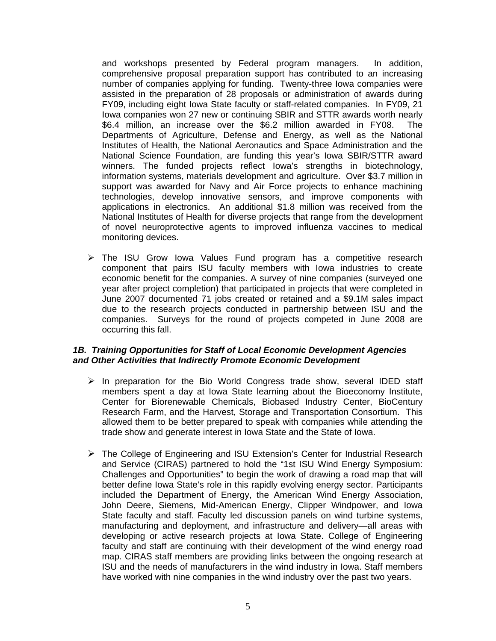and workshops presented by Federal program managers. In addition, comprehensive proposal preparation support has contributed to an increasing number of companies applying for funding. Twenty-three Iowa companies were assisted in the preparation of 28 proposals or administration of awards during FY09, including eight Iowa State faculty or staff-related companies. In FY09, 21 Iowa companies won 27 new or continuing SBIR and STTR awards worth nearly \$6.4 million, an increase over the \$6.2 million awarded in FY08. The Departments of Agriculture, Defense and Energy, as well as the National Institutes of Health, the National Aeronautics and Space Administration and the National Science Foundation, are funding this year's Iowa SBIR/STTR award winners. The funded projects reflect Iowa's strengths in biotechnology, information systems, materials development and agriculture. Over \$3.7 million in support was awarded for Navy and Air Force projects to enhance machining technologies, develop innovative sensors, and improve components with applications in electronics. An additional \$1.8 million was received from the National Institutes of Health for diverse projects that range from the development of novel neuroprotective agents to improved influenza vaccines to medical monitoring devices.

 $\triangleright$  The ISU Grow Iowa Values Fund program has a competitive research component that pairs ISU faculty members with Iowa industries to create economic benefit for the companies. A survey of nine companies (surveyed one year after project completion) that participated in projects that were completed in June 2007 documented 71 jobs created or retained and a \$9.1M sales impact due to the research projects conducted in partnership between ISU and the companies. Surveys for the round of projects competed in June 2008 are occurring this fall.

### *1B. Training Opportunities for Staff of Local Economic Development Agencies and Other Activities that Indirectly Promote Economic Development*

- $\triangleright$  In preparation for the Bio World Congress trade show, several IDED staff members spent a day at Iowa State learning about the Bioeconomy Institute, Center for Biorenewable Chemicals, Biobased Industry Center, BioCentury Research Farm, and the Harvest, Storage and Transportation Consortium. This allowed them to be better prepared to speak with companies while attending the trade show and generate interest in Iowa State and the State of Iowa.
- The College of Engineering and ISU Extension's Center for Industrial Research and Service (CIRAS) partnered to hold the "1st ISU Wind Energy Symposium: Challenges and Opportunities" to begin the work of drawing a road map that will better define Iowa State's role in this rapidly evolving energy sector. Participants included the Department of Energy, the American Wind Energy Association, John Deere, Siemens, Mid-American Energy, Clipper Windpower, and Iowa State faculty and staff. Faculty led discussion panels on wind turbine systems, manufacturing and deployment, and infrastructure and delivery—all areas with developing or active research projects at Iowa State. College of Engineering faculty and staff are continuing with their development of the wind energy road map. CIRAS staff members are providing links between the ongoing research at ISU and the needs of manufacturers in the wind industry in Iowa. Staff members have worked with nine companies in the wind industry over the past two years.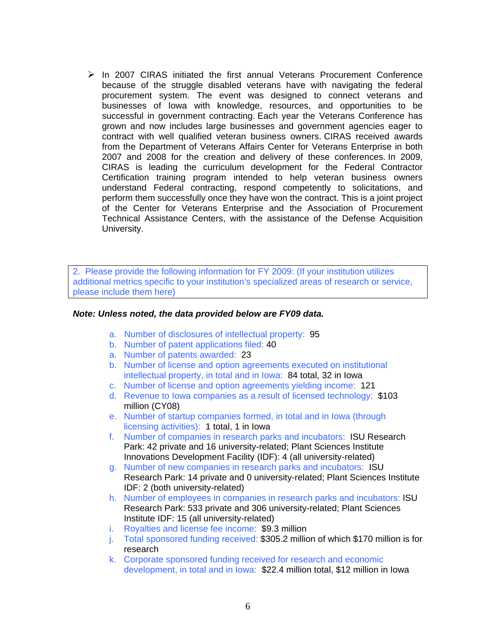$\triangleright$  In 2007 CIRAS initiated the first annual Veterans Procurement Conference because of the struggle disabled veterans have with navigating the federal procurement system. The event was designed to connect veterans and businesses of Iowa with knowledge, resources, and opportunities to be successful in government contracting. Each year the Veterans Conference has grown and now includes large businesses and government agencies eager to contract with well qualified veteran business owners. CIRAS received awards from the Department of Veterans Affairs Center for Veterans Enterprise in both 2007 and 2008 for the creation and delivery of these conferences. In 2009, CIRAS is leading the curriculum development for the Federal Contractor Certification training program intended to help veteran business owners understand Federal contracting, respond competently to solicitations, and perform them successfully once they have won the contract. This is a joint project of the Center for Veterans Enterprise and the Association of Procurement Technical Assistance Centers, with the assistance of the Defense Acquisition University.

2. Please provide the following information for FY 2009: (If your institution utilizes additional metrics specific to your institution's specialized areas of research or service, please include them here)

### *Note: Unless noted, the data provided below are FY09 data.*

- a. Number of disclosures of intellectual property: 95
- b. Number of patent applications filed: 40
- a. Number of patents awarded: 23
- b. Number of license and option agreements executed on institutional intellectual property, in total and in Iowa: 84 total, 32 in Iowa
- c. Number of license and option agreements yielding income: 121
- d. Revenue to Iowa companies as a result of licensed technology: \$103 million (CY08)
- e. Number of startup companies formed, in total and in Iowa (through licensing activities): 1 total, 1 in Iowa
- f. Number of companies in research parks and incubators: ISU Research Park: 42 private and 16 university-related; Plant Sciences Institute Innovations Development Facility (IDF): 4 (all university-related)
- g. Number of new companies in research parks and incubators: ISU Research Park: 14 private and 0 university-related; Plant Sciences Institute IDF: 2 (both university-related)
- h. Number of employees in companies in research parks and incubators: ISU Research Park: 533 private and 306 university-related; Plant Sciences Institute IDF: 15 (all university-related)
- i. Royalties and license fee income: \$9.3 million
- j. Total sponsored funding received: \$305.2 million of which \$170 million is for research
- k. Corporate sponsored funding received for research and economic development, in total and in Iowa: \$22.4 million total, \$12 million in Iowa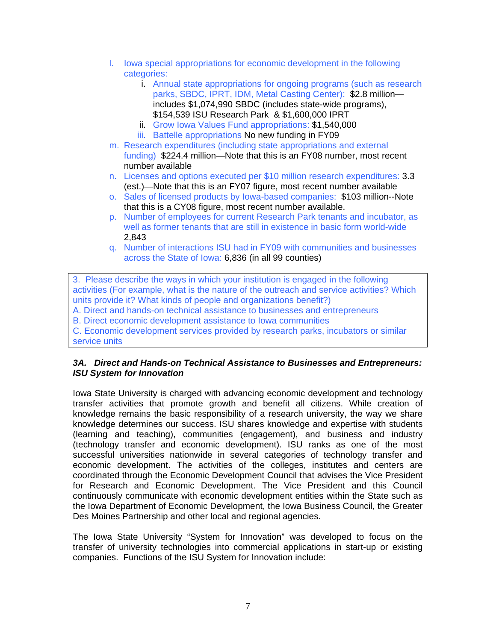- l. Iowa special appropriations for economic development in the following categories:
	- i. Annual state appropriations for ongoing programs (such as research parks, SBDC, IPRT, IDM, Metal Casting Center): \$2.8 million includes \$1,074,990 SBDC (includes state-wide programs), \$154,539 ISU Research Park & \$1,600,000 IPRT
	- ii. Grow Iowa Values Fund appropriations: \$1,540,000 iii. Battelle appropriations No new funding in FY09
- m. Research expenditures (including state appropriations and external funding) \$224.4 million—Note that this is an FY08 number, most recent number available
- n. Licenses and options executed per \$10 million research expenditures: 3.3 (est.)—Note that this is an FY07 figure, most recent number available
- o. Sales of licensed products by Iowa-based companies: \$103 million--Note that this is a CY08 figure, most recent number available.
- p. Number of employees for current Research Park tenants and incubator, as well as former tenants that are still in existence in basic form world-wide 2,843
- q. Number of interactions ISU had in FY09 with communities and businesses across the State of Iowa: 6,836 (in all 99 counties)

3. Please describe the ways in which your institution is engaged in the following activities (For example, what is the nature of the outreach and service activities? Which units provide it? What kinds of people and organizations benefit?)

A. Direct and hands-on technical assistance to businesses and entrepreneurs

B. Direct economic development assistance to Iowa communities

C. Economic development services provided by research parks, incubators or similar service units

### *3A. Direct and Hands-on Technical Assistance to Businesses and Entrepreneurs: ISU System for Innovation*

Iowa State University is charged with advancing economic development and technology transfer activities that promote growth and benefit all citizens. While creation of knowledge remains the basic responsibility of a research university, the way we share knowledge determines our success. ISU shares knowledge and expertise with students (learning and teaching), communities (engagement), and business and industry (technology transfer and economic development). ISU ranks as one of the most successful universities nationwide in several categories of technology transfer and economic development. The activities of the colleges, institutes and centers are coordinated through the Economic Development Council that advises the Vice President for Research and Economic Development. The Vice President and this Council continuously communicate with economic development entities within the State such as the Iowa Department of Economic Development, the Iowa Business Council, the Greater Des Moines Partnership and other local and regional agencies.

The Iowa State University "System for Innovation" was developed to focus on the transfer of university technologies into commercial applications in start-up or existing companies. Functions of the ISU System for Innovation include: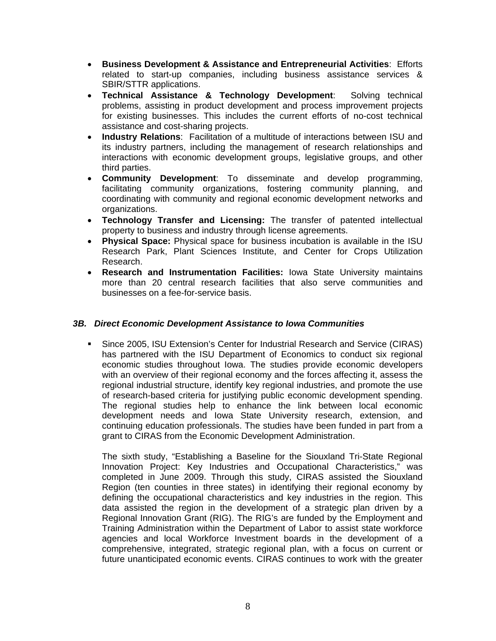- **Business Development & Assistance and Entrepreneurial Activities**: Efforts related to start-up companies, including business assistance services & SBIR/STTR applications.
- **Technical Assistance & Technology Development**: Solving technical problems, assisting in product development and process improvement projects for existing businesses. This includes the current efforts of no-cost technical assistance and cost-sharing projects.
- **Industry Relations**: Facilitation of a multitude of interactions between ISU and its industry partners, including the management of research relationships and interactions with economic development groups, legislative groups, and other third parties.
- **Community Development**: To disseminate and develop programming, facilitating community organizations, fostering community planning, and coordinating with community and regional economic development networks and organizations.
- **Technology Transfer and Licensing:** The transfer of patented intellectual property to business and industry through license agreements.
- **Physical Space:** Physical space for business incubation is available in the ISU Research Park, Plant Sciences Institute, and Center for Crops Utilization Research.
- **Research and Instrumentation Facilities:** Iowa State University maintains more than 20 central research facilities that also serve communities and businesses on a fee-for-service basis.

## *3B. Direct Economic Development Assistance to Iowa Communities*

 Since 2005, ISU Extension's Center for Industrial Research and Service (CIRAS) has partnered with the ISU Department of Economics to conduct six regional economic studies throughout Iowa. The studies provide economic developers with an overview of their regional economy and the forces affecting it, assess the regional industrial structure, identify key regional industries, and promote the use of research-based criteria for justifying public economic development spending. The regional studies help to enhance the link between local economic development needs and Iowa State University research, extension, and continuing education professionals. The studies have been funded in part from a grant to CIRAS from the Economic Development Administration.

The sixth study, "Establishing a Baseline for the Siouxland Tri-State Regional Innovation Project: Key Industries and Occupational Characteristics," was completed in June 2009. Through this study, CIRAS assisted the Siouxland Region (ten counties in three states) in identifying their regional economy by defining the occupational characteristics and key industries in the region. This data assisted the region in the development of a strategic plan driven by a Regional Innovation Grant (RIG). The RIG's are funded by the Employment and Training Administration within the Department of Labor to assist state workforce agencies and local Workforce Investment boards in the development of a comprehensive, integrated, strategic regional plan, with a focus on current or future unanticipated economic events. CIRAS continues to work with the greater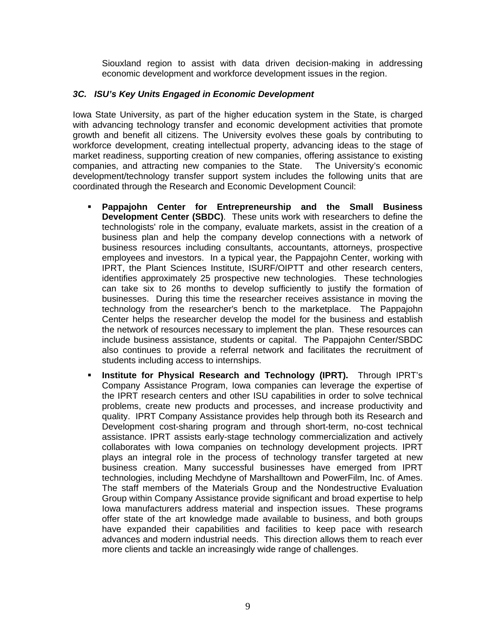Siouxland region to assist with data driven decision-making in addressing economic development and workforce development issues in the region.

### *3C. ISU's Key Units Engaged in Economic Development*

Iowa State University, as part of the higher education system in the State, is charged with advancing technology transfer and economic development activities that promote growth and benefit all citizens. The University evolves these goals by contributing to workforce development, creating intellectual property, advancing ideas to the stage of market readiness, supporting creation of new companies, offering assistance to existing companies, and attracting new companies to the State. The University's economic development/technology transfer support system includes the following units that are coordinated through the Research and Economic Development Council:

- **Pappajohn Center for Entrepreneurship and the Small Business Development Center (SBDC)**. These units work with researchers to define the technologists' role in the company, evaluate markets, assist in the creation of a business plan and help the company develop connections with a network of business resources including consultants, accountants, attorneys, prospective employees and investors. In a typical year, the Pappajohn Center, working with IPRT, the Plant Sciences Institute, ISURF/OIPTT and other research centers, identifies approximately 25 prospective new technologies. These technologies can take six to 26 months to develop sufficiently to justify the formation of businesses. During this time the researcher receives assistance in moving the technology from the researcher's bench to the marketplace. The Pappajohn Center helps the researcher develop the model for the business and establish the network of resources necessary to implement the plan. These resources can include business assistance, students or capital. The Pappajohn Center/SBDC also continues to provide a referral network and facilitates the recruitment of students including access to internships.
- **Institute for Physical Research and Technology (IPRT).** Through IPRT's Company Assistance Program, Iowa companies can leverage the expertise of the IPRT research centers and other ISU capabilities in order to solve technical problems, create new products and processes, and increase productivity and quality. IPRT Company Assistance provides help through both its Research and Development cost-sharing program and through short-term, no-cost technical assistance. IPRT assists early-stage technology commercialization and actively collaborates with Iowa companies on technology development projects. IPRT plays an integral role in the process of technology transfer targeted at new business creation. Many successful businesses have emerged from IPRT technologies, including Mechdyne of Marshalltown and PowerFilm, Inc. of Ames. The staff members of the Materials Group and the Nondestructive Evaluation Group within Company Assistance provide significant and broad expertise to help Iowa manufacturers address material and inspection issues. These programs offer state of the art knowledge made available to business, and both groups have expanded their capabilities and facilities to keep pace with research advances and modern industrial needs. This direction allows them to reach ever more clients and tackle an increasingly wide range of challenges.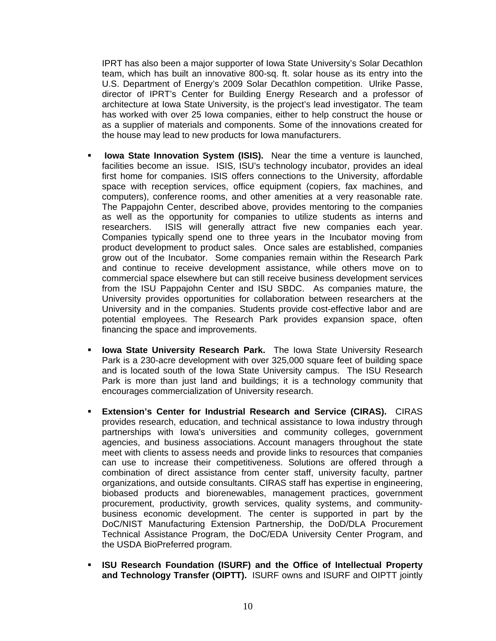IPRT has also been a major supporter of Iowa State University's Solar Decathlon team, which has built an innovative 800-sq. ft. solar house as its entry into the U.S. Department of Energy's 2009 Solar Decathlon competition. Ulrike Passe, director of IPRT's Center for Building Energy Research and a professor of architecture at Iowa State University, is the project's lead investigator. The team has worked with over 25 Iowa companies, either to help construct the house or as a supplier of materials and components. Some of the innovations created for the house may lead to new products for Iowa manufacturers.

- **Iowa State Innovation System (ISIS).** Near the time a venture is launched, facilities become an issue. ISIS, ISU's technology incubator, provides an ideal first home for companies. ISIS offers connections to the University, affordable space with reception services, office equipment (copiers, fax machines, and computers), conference rooms, and other amenities at a very reasonable rate. The Pappajohn Center, described above, provides mentoring to the companies as well as the opportunity for companies to utilize students as interns and researchers. ISIS will generally attract five new companies each year. Companies typically spend one to three years in the Incubator moving from product development to product sales. Once sales are established, companies grow out of the Incubator. Some companies remain within the Research Park and continue to receive development assistance, while others move on to commercial space elsewhere but can still receive business development services from the ISU Pappajohn Center and ISU SBDC. As companies mature, the University provides opportunities for collaboration between researchers at the University and in the companies. Students provide cost-effective labor and are potential employees. The Research Park provides expansion space, often financing the space and improvements.
- **Iowa State University Research Park.** The Iowa State University Research Park is a 230-acre development with over 325,000 square feet of building space and is located south of the Iowa State University campus. The ISU Research Park is more than just land and buildings; it is a technology community that encourages commercialization of University research.
- **Extension's Center for Industrial Research and Service (CIRAS).** CIRAS provides research, education, and technical assistance to Iowa industry through partnerships with Iowa's universities and community colleges, government agencies, and business associations. Account managers throughout the state meet with clients to assess needs and provide links to resources that companies can use to increase their competitiveness. Solutions are offered through a combination of direct assistance from center staff, university faculty, partner organizations, and outside consultants. CIRAS staff has expertise in engineering, biobased products and biorenewables, management practices, government procurement, productivity, growth services, quality systems, and communitybusiness economic development. The center is supported in part by the DoC/NIST Manufacturing Extension Partnership, the DoD/DLA Procurement Technical Assistance Program, the DoC/EDA University Center Program, and the USDA BioPreferred program.
- **ISU Research Foundation (ISURF) and the Office of Intellectual Property and Technology Transfer (OIPTT).** ISURF owns and ISURF and OIPTT jointly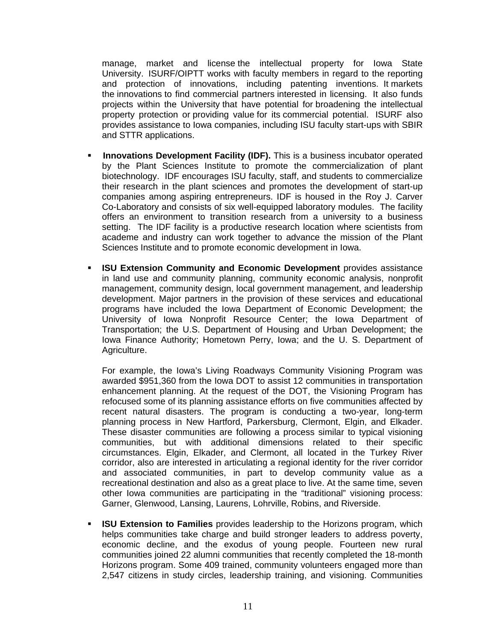manage, market and license the intellectual property for Iowa State University. ISURF/OIPTT works with faculty members in regard to the reporting and protection of innovations, including patenting inventions. It markets the innovations to find commercial partners interested in licensing. It also funds projects within the University that have potential for broadening the intellectual property protection or providing value for its commercial potential. ISURF also provides assistance to Iowa companies, including ISU faculty start-ups with SBIR and STTR applications.

- **Innovations Development Facility (IDF).** This is a business incubator operated by the Plant Sciences Institute to promote the commercialization of plant biotechnology. IDF encourages ISU faculty, staff, and students to commercialize their research in the plant sciences and promotes the development of start-up companies among aspiring entrepreneurs. IDF is housed in the Roy J. Carver Co-Laboratory and consists of six well-equipped laboratory modules. The facility offers an environment to transition research from a university to a business setting. The IDF facility is a productive research location where scientists from academe and industry can work together to advance the mission of the Plant Sciences Institute and to promote economic development in Iowa.
- **ISU Extension Community and Economic Development** provides assistance in land use and community planning, community economic analysis, nonprofit management, community design, local government management, and leadership development. Major partners in the provision of these services and educational programs have included the Iowa Department of Economic Development; the University of Iowa Nonprofit Resource Center; the Iowa Department of Transportation; the U.S. Department of Housing and Urban Development; the Iowa Finance Authority; Hometown Perry, Iowa; and the U. S. Department of Agriculture.

For example, the Iowa's Living Roadways Community Visioning Program was awarded \$951,360 from the Iowa DOT to assist 12 communities in transportation enhancement planning. At the request of the DOT, the Visioning Program has refocused some of its planning assistance efforts on five communities affected by recent natural disasters. The program is conducting a two-year, long-term planning process in New Hartford, Parkersburg, Clermont, Elgin, and Elkader. These disaster communities are following a process similar to typical visioning communities, but with additional dimensions related to their specific circumstances. Elgin, Elkader, and Clermont, all located in the Turkey River corridor, also are interested in articulating a regional identity for the river corridor and associated communities, in part to develop community value as a recreational destination and also as a great place to live. At the same time, seven other Iowa communities are participating in the "traditional" visioning process: Garner, Glenwood, Lansing, Laurens, Lohrville, Robins, and Riverside.

**ISU Extension to Families** provides leadership to the Horizons program, which helps communities take charge and build stronger leaders to address poverty, economic decline, and the exodus of young people. Fourteen new rural communities joined 22 alumni communities that recently completed the 18-month Horizons program. Some 409 trained, community volunteers engaged more than 2,547 citizens in study circles, leadership training, and visioning. Communities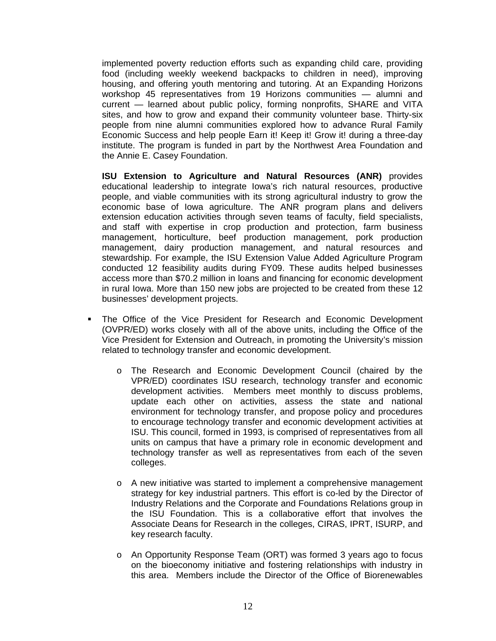implemented poverty reduction efforts such as expanding child care, providing food (including weekly weekend backpacks to children in need), improving housing, and offering youth mentoring and tutoring. At an Expanding Horizons workshop 45 representatives from 19 Horizons communities — alumni and current — learned about public policy, forming nonprofits, SHARE and VITA sites, and how to grow and expand their community volunteer base. Thirty-six people from nine alumni communities explored how to advance Rural Family Economic Success and help people Earn it! Keep it! Grow it! during a three-day institute. The program is funded in part by the Northwest Area Foundation and the Annie E. Casey Foundation.

**ISU Extension to Agriculture and Natural Resources (ANR)** provides educational leadership to integrate Iowa's rich natural resources, productive people, and viable communities with its strong agricultural industry to grow the economic base of Iowa agriculture. The ANR program plans and delivers extension education activities through seven teams of faculty, field specialists, and staff with expertise in crop production and protection, farm business management, horticulture, beef production management, pork production management, dairy production management, and natural resources and stewardship. For example, the ISU Extension Value Added Agriculture Program conducted 12 feasibility audits during FY09. These audits helped businesses access more than \$70.2 million in loans and financing for economic development in rural Iowa. More than 150 new jobs are projected to be created from these 12 businesses' development projects.

- The Office of the Vice President for Research and Economic Development (OVPR/ED) works closely with all of the above units, including the Office of the Vice President for Extension and Outreach, in promoting the University's mission related to technology transfer and economic development.
	- o The Research and Economic Development Council (chaired by the VPR/ED) coordinates ISU research, technology transfer and economic development activities. Members meet monthly to discuss problems, update each other on activities, assess the state and national environment for technology transfer, and propose policy and procedures to encourage technology transfer and economic development activities at ISU. This council, formed in 1993, is comprised of representatives from all units on campus that have a primary role in economic development and technology transfer as well as representatives from each of the seven colleges.
	- $\circ$  A new initiative was started to implement a comprehensive management strategy for key industrial partners. This effort is co-led by the Director of Industry Relations and the Corporate and Foundations Relations group in the ISU Foundation. This is a collaborative effort that involves the Associate Deans for Research in the colleges, CIRAS, IPRT, ISURP, and key research faculty.
	- o An Opportunity Response Team (ORT) was formed 3 years ago to focus on the bioeconomy initiative and fostering relationships with industry in this area. Members include the Director of the Office of Biorenewables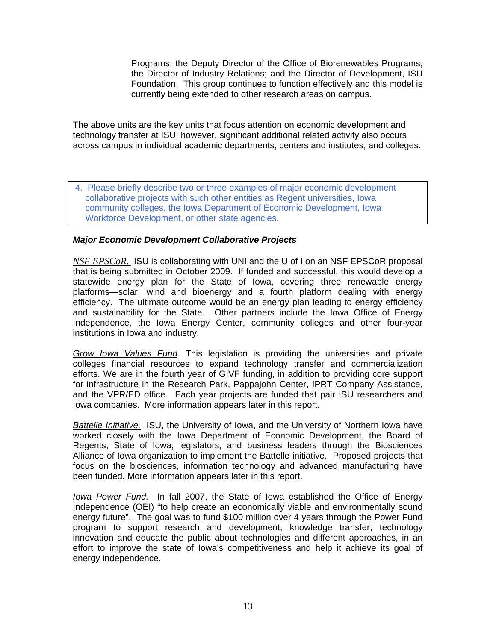Programs; the Deputy Director of the Office of Biorenewables Programs; the Director of Industry Relations; and the Director of Development, ISU Foundation. This group continues to function effectively and this model is currently being extended to other research areas on campus.

The above units are the key units that focus attention on economic development and technology transfer at ISU; however, significant additional related activity also occurs across campus in individual academic departments, centers and institutes, and colleges.

4. Please briefly describe two or three examples of major economic development collaborative projects with such other entities as Regent universities, Iowa community colleges, the Iowa Department of Economic Development, Iowa Workforce Development, or other state agencies.

### *Major Economic Development Collaborative Projects*

*NSF EPSCoR.* ISU is collaborating with UNI and the U of I on an NSF EPSCoR proposal that is being submitted in October 2009. If funded and successful, this would develop a statewide energy plan for the State of Iowa, covering three renewable energy platforms—solar, wind and bioenergy and a fourth platform dealing with energy efficiency. The ultimate outcome would be an energy plan leading to energy efficiency and sustainability for the State. Other partners include the Iowa Office of Energy Independence, the Iowa Energy Center, community colleges and other four-year institutions in Iowa and industry.

*Grow Iowa Values Fund.* This legislation is providing the universities and private colleges financial resources to expand technology transfer and commercialization efforts. We are in the fourth year of GIVF funding, in addition to providing core support for infrastructure in the Research Park, Pappajohn Center, IPRT Company Assistance, and the VPR/ED office. Each year projects are funded that pair ISU researchers and Iowa companies. More information appears later in this report.

*Battelle Initiative.* ISU, the University of Iowa, and the University of Northern Iowa have worked closely with the Iowa Department of Economic Development, the Board of Regents, State of Iowa; legislators, and business leaders through the Biosciences Alliance of Iowa organization to implement the Battelle initiative. Proposed projects that focus on the biosciences, information technology and advanced manufacturing have been funded. More information appears later in this report.

*Iowa Power Fund.* In fall 2007, the State of Iowa established the Office of Energy Independence (OEI) "to help create an economically viable and environmentally sound energy future". The goal was to fund \$100 million over 4 years through the Power Fund program to support research and development, knowledge transfer, technology innovation and educate the public about technologies and different approaches, in an effort to improve the state of Iowa's competitiveness and help it achieve its goal of energy independence.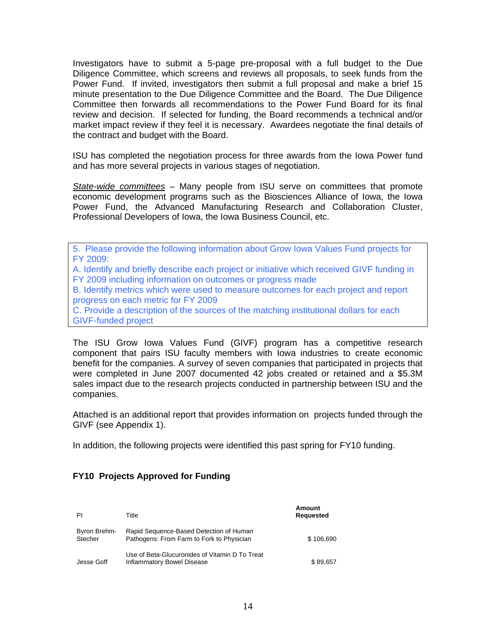Investigators have to submit a 5-page pre-proposal with a full budget to the Due Diligence Committee, which screens and reviews all proposals, to seek funds from the Power Fund. If invited, investigators then submit a full proposal and make a brief 15 minute presentation to the Due Diligence Committee and the Board. The Due Diligence Committee then forwards all recommendations to the Power Fund Board for its final review and decision. If selected for funding, the Board recommends a technical and/or market impact review if they feel it is necessary. Awardees negotiate the final details of the contract and budget with the Board.

ISU has completed the negotiation process for three awards from the Iowa Power fund and has more several projects in various stages of negotiation.

*State-wide committees* – Many people from ISU serve on committees that promote economic development programs such as the Biosciences Alliance of Iowa, the Iowa Power Fund, the Advanced Manufacturing Research and Collaboration Cluster, Professional Developers of Iowa, the Iowa Business Council, etc.

5. Please provide the following information about Grow Iowa Values Fund projects for FY 2009:

A. Identify and briefly describe each project or initiative which received GIVF funding in FY 2009 including information on outcomes or progress made

B. Identify metrics which were used to measure outcomes for each project and report progress on each metric for FY 2009

C. Provide a description of the sources of the matching institutional dollars for each GIVF-funded project

The ISU Grow Iowa Values Fund (GIVF) program has a competitive research component that pairs ISU faculty members with Iowa industries to create economic benefit for the companies. A survey of seven companies that participated in projects that were completed in June 2007 documented 42 jobs created or retained and a \$5.3M sales impact due to the research projects conducted in partnership between ISU and the companies.

Attached is an additional report that provides information on projects funded through the GIVF (see Appendix 1).

In addition, the following projects were identified this past spring for FY10 funding.

| ΡI                      | Title                                                                                | Amount<br><b>Requested</b> |
|-------------------------|--------------------------------------------------------------------------------------|----------------------------|
| Byron Brehm-<br>Stecher | Rapid Sequence-Based Detection of Human<br>Pathogens: From Farm to Fork to Physician | \$106.690                  |
| Jesse Goff              | Use of Beta-Glucuronides of Vitamin D To Treat<br>Inflammatory Bowel Disease         | \$89,657                   |

### **FY10 Projects Approved for Funding**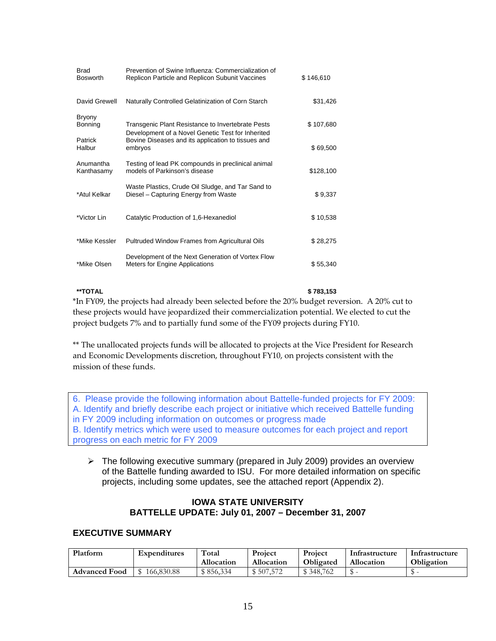| Brad<br><b>Bosworth</b>  | Prevention of Swine Influenza: Commercialization of<br>Replicon Particle and Replicon Subunit Vaccines | \$146,610 |
|--------------------------|--------------------------------------------------------------------------------------------------------|-----------|
| David Grewell            | Naturally Controlled Gelatinization of Corn Starch                                                     | \$31,426  |
| <b>Bryony</b><br>Bonning | Transgenic Plant Resistance to Invertebrate Pests<br>Development of a Novel Genetic Test for Inherited | \$107,680 |
| Patrick<br>Halbur        | Bovine Diseases and its application to tissues and<br>embryos                                          | \$69,500  |
| Anumantha<br>Kanthasamy  | Testing of lead PK compounds in preclinical animal<br>models of Parkinson's disease                    | \$128,100 |
| *Atul Kelkar             | Waste Plastics, Crude Oil Sludge, and Tar Sand to<br>Diesel – Capturing Energy from Waste              | \$9,337   |
| *Victor Lin              | Catalytic Production of 1,6-Hexanediol                                                                 | \$10,538  |
| *Mike Kessler            | Pultruded Window Frames from Agricultural Oils                                                         | \$28,275  |
| *Mike Olsen              | Development of the Next Generation of Vortex Flow<br>Meters for Engine Applications                    | \$55,340  |

**\*\*TOTAL \$ 783,153** 

\*In FY09, the projects had already been selected before the 20% budget reversion. A 20% cut to these projects would have jeopardized their commercialization potential. We elected to cut the project budgets 7% and to partially fund some of the FY09 projects during FY10.

\*\* The unallocated projects funds will be allocated to projects at the Vice President for Research and Economic Developments discretion, throughout FY10, on projects consistent with the mission of these funds.

6. Please provide the following information about Battelle-funded projects for FY 2009: A. Identify and briefly describe each project or initiative which received Battelle funding in FY 2009 including information on outcomes or progress made B. Identify metrics which were used to measure outcomes for each project and report progress on each metric for FY 2009

 $\triangleright$  The following executive summary (prepared in July 2009) provides an overview of the Battelle funding awarded to ISU. For more detailed information on specific projects, including some updates, see the attached report (Appendix 2).

### **IOWA STATE UNIVERSITY BATTELLE UPDATE: July 01, 2007 – December 31, 2007**

### **EXECUTIVE SUMMARY**

| Platform             | <b>Expenditures</b> | Total<br>Allocation | Project<br>Allocation | Project<br><b>Obligated</b> | Infrastructure<br><b>Allocation</b> | Infrastructure<br>Obligation |
|----------------------|---------------------|---------------------|-----------------------|-----------------------------|-------------------------------------|------------------------------|
| <b>Advanced Food</b> | 166,830.88          | \$856.334           | 507.572               | \$348,762                   |                                     |                              |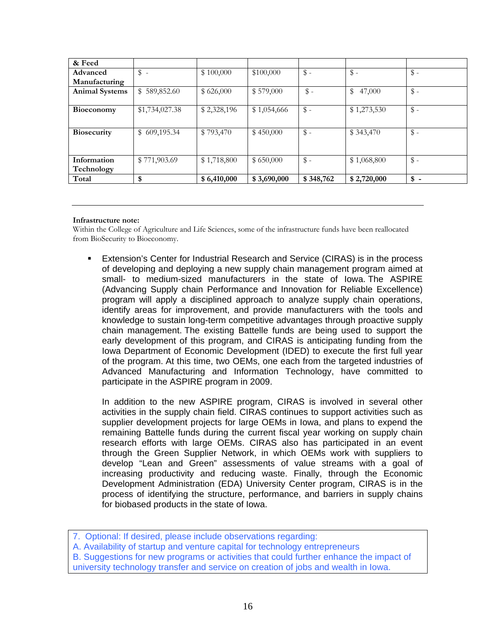| & Feed                |                 |             |             |                 |              |                 |
|-----------------------|-----------------|-------------|-------------|-----------------|--------------|-----------------|
| Advanced              | $\frac{2}{3}$ - | \$100,000   | \$100,000   | $\frac{1}{2}$ - | $\$\,$ -     | $\mathcal{S}$ - |
| Manufacturing         |                 |             |             |                 |              |                 |
| <b>Animal Systems</b> | \$589,852.60    | \$626,000   | \$579,000   | $\$\,$          | 47,000<br>\$ | $\frac{1}{2}$ - |
|                       |                 |             |             |                 |              |                 |
| Bioeconomy            | \$1,734,027.38  | \$2,328,196 | \$1,054,666 | $\$ -           | \$1,273,530  | $\mathcal{S}$ - |
|                       |                 |             |             |                 |              |                 |
| <b>Biosecurity</b>    | \$609,195.34    | \$793,470   | \$450,000   | $\$ -           | \$343,470    | $\frac{3}{2}$ - |
|                       |                 |             |             |                 |              |                 |
|                       |                 |             |             |                 |              |                 |
| Information           | \$771,903.69    | \$1,718,800 | \$650,000   | $\$\,$ -        | \$1,068,800  | $\frac{3}{2}$ - |
| Technology            |                 |             |             |                 |              |                 |
| Total                 | \$              | \$6,410,000 | \$3,690,000 | \$348,762       | \$2,720,000  | $\frac{1}{2}$ - |

#### **Infrastructure note:**

Within the College of Agriculture and Life Sciences, some of the infrastructure funds have been reallocated from BioSecurity to Bioeconomy.

 Extension's Center for Industrial Research and Service (CIRAS) is in the process of developing and deploying a new supply chain management program aimed at small- to medium-sized manufacturers in the state of Iowa. The ASPIRE (Advancing Supply chain Performance and Innovation for Reliable Excellence) program will apply a disciplined approach to analyze supply chain operations, identify areas for improvement, and provide manufacturers with the tools and knowledge to sustain long-term competitive advantages through proactive supply chain management. The existing Battelle funds are being used to support the early development of this program, and CIRAS is anticipating funding from the Iowa Department of Economic Development (IDED) to execute the first full year of the program. At this time, two OEMs, one each from the targeted industries of Advanced Manufacturing and Information Technology, have committed to participate in the ASPIRE program in 2009.

In addition to the new ASPIRE program, CIRAS is involved in several other activities in the supply chain field. CIRAS continues to support activities such as supplier development projects for large OEMs in Iowa, and plans to expend the remaining Battelle funds during the current fiscal year working on supply chain research efforts with large OEMs. CIRAS also has participated in an event through the Green Supplier Network, in which OEMs work with suppliers to develop "Lean and Green" assessments of value streams with a goal of increasing productivity and reducing waste. Finally, through the Economic Development Administration (EDA) University Center program, CIRAS is in the process of identifying the structure, performance, and barriers in supply chains for biobased products in the state of Iowa.

- A. Availability of startup and venture capital for technology entrepreneurs
- B. Suggestions for new programs or activities that could further enhance the impact of university technology transfer and service on creation of jobs and wealth in Iowa.

<sup>7.</sup> Optional: If desired, please include observations regarding: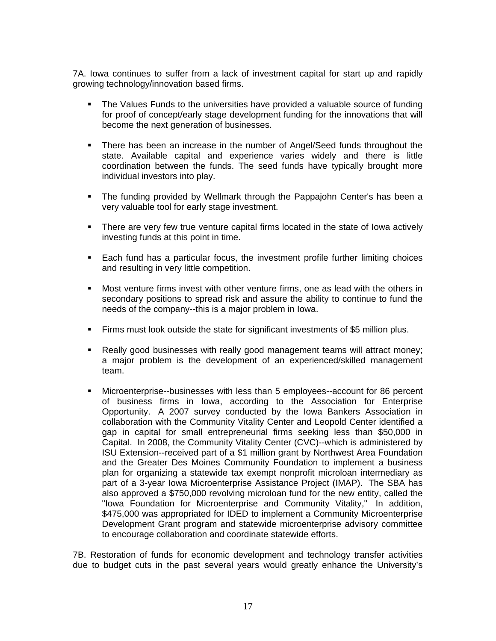7A. Iowa continues to suffer from a lack of investment capital for start up and rapidly growing technology/innovation based firms.

- The Values Funds to the universities have provided a valuable source of funding for proof of concept/early stage development funding for the innovations that will become the next generation of businesses.
- There has been an increase in the number of Angel/Seed funds throughout the state. Available capital and experience varies widely and there is little coordination between the funds. The seed funds have typically brought more individual investors into play.
- The funding provided by Wellmark through the Pappajohn Center's has been a very valuable tool for early stage investment.
- There are very few true venture capital firms located in the state of lowa actively investing funds at this point in time.
- Each fund has a particular focus, the investment profile further limiting choices and resulting in very little competition.
- Most venture firms invest with other venture firms, one as lead with the others in secondary positions to spread risk and assure the ability to continue to fund the needs of the company--this is a major problem in Iowa.
- Firms must look outside the state for significant investments of \$5 million plus.
- Really good businesses with really good management teams will attract money; a major problem is the development of an experienced/skilled management team.
- Microenterprise--businesses with less than 5 employees--account for 86 percent of business firms in Iowa, according to the Association for Enterprise Opportunity. A 2007 survey conducted by the Iowa Bankers Association in collaboration with the Community Vitality Center and Leopold Center identified a gap in capital for small entrepreneurial firms seeking less than \$50,000 in Capital. In 2008, the Community Vitality Center (CVC)--which is administered by ISU Extension--received part of a \$1 million grant by Northwest Area Foundation and the Greater Des Moines Community Foundation to implement a business plan for organizing a statewide tax exempt nonprofit microloan intermediary as part of a 3-year Iowa Microenterprise Assistance Project (IMAP). The SBA has also approved a \$750,000 revolving microloan fund for the new entity, called the "Iowa Foundation for Microenterprise and Community Vitality," In addition, \$475,000 was appropriated for IDED to implement a Community Microenterprise Development Grant program and statewide microenterprise advisory committee to encourage collaboration and coordinate statewide efforts.

7B. Restoration of funds for economic development and technology transfer activities due to budget cuts in the past several years would greatly enhance the University's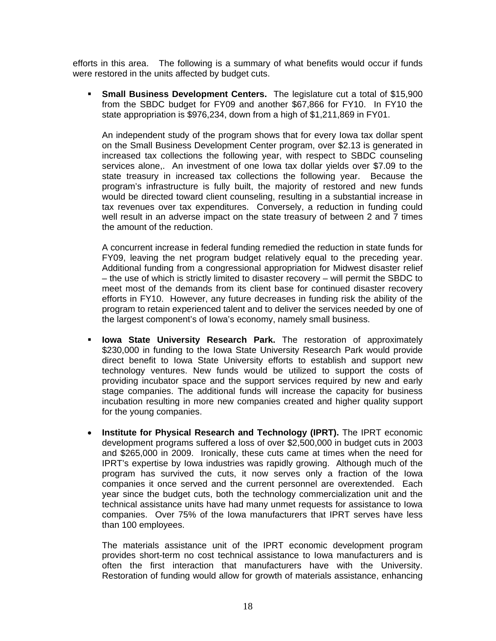efforts in this area. The following is a summary of what benefits would occur if funds were restored in the units affected by budget cuts.

**Small Business Development Centers.** The legislature cut a total of \$15,900 from the SBDC budget for FY09 and another \$67,866 for FY10. In FY10 the state appropriation is \$976,234, down from a high of \$1,211,869 in FY01.

An independent study of the program shows that for every Iowa tax dollar spent on the Small Business Development Center program, over \$2.13 is generated in increased tax collections the following year, with respect to SBDC counseling services alone,. An investment of one Iowa tax dollar yields over \$7.09 to the state treasury in increased tax collections the following year. Because the program's infrastructure is fully built, the majority of restored and new funds would be directed toward client counseling, resulting in a substantial increase in tax revenues over tax expenditures. Conversely, a reduction in funding could well result in an adverse impact on the state treasury of between 2 and 7 times the amount of the reduction.

A concurrent increase in federal funding remedied the reduction in state funds for FY09, leaving the net program budget relatively equal to the preceding year. Additional funding from a congressional appropriation for Midwest disaster relief – the use of which is strictly limited to disaster recovery – will permit the SBDC to meet most of the demands from its client base for continued disaster recovery efforts in FY10. However, any future decreases in funding risk the ability of the program to retain experienced talent and to deliver the services needed by one of the largest component's of Iowa's economy, namely small business.

- **Iowa State University Research Park.** The restoration of approximately \$230,000 in funding to the Iowa State University Research Park would provide direct benefit to Iowa State University efforts to establish and support new technology ventures. New funds would be utilized to support the costs of providing incubator space and the support services required by new and early stage companies. The additional funds will increase the capacity for business incubation resulting in more new companies created and higher quality support for the young companies.
- **Institute for Physical Research and Technology (IPRT).** The IPRT economic development programs suffered a loss of over \$2,500,000 in budget cuts in 2003 and \$265,000 in 2009. Ironically, these cuts came at times when the need for IPRT's expertise by Iowa industries was rapidly growing. Although much of the program has survived the cuts, it now serves only a fraction of the Iowa companies it once served and the current personnel are overextended. Each year since the budget cuts, both the technology commercialization unit and the technical assistance units have had many unmet requests for assistance to Iowa companies. Over 75% of the Iowa manufacturers that IPRT serves have less than 100 employees.

The materials assistance unit of the IPRT economic development program provides short-term no cost technical assistance to Iowa manufacturers and is often the first interaction that manufacturers have with the University. Restoration of funding would allow for growth of materials assistance, enhancing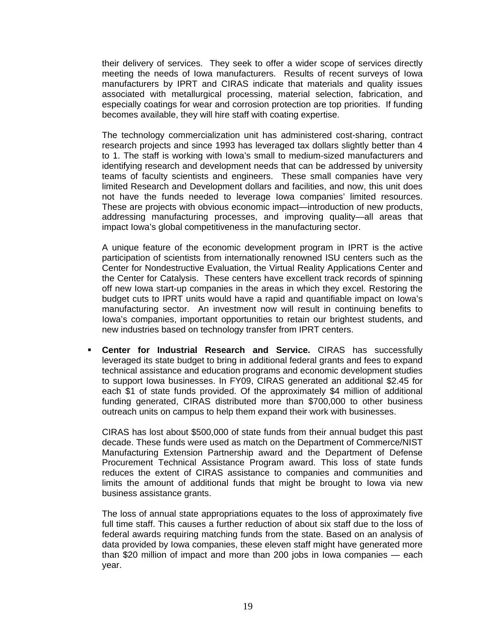their delivery of services. They seek to offer a wider scope of services directly meeting the needs of Iowa manufacturers. Results of recent surveys of Iowa manufacturers by IPRT and CIRAS indicate that materials and quality issues associated with metallurgical processing, material selection, fabrication, and especially coatings for wear and corrosion protection are top priorities. If funding becomes available, they will hire staff with coating expertise.

The technology commercialization unit has administered cost-sharing, contract research projects and since 1993 has leveraged tax dollars slightly better than 4 to 1. The staff is working with Iowa's small to medium-sized manufacturers and identifying research and development needs that can be addressed by university teams of faculty scientists and engineers. These small companies have very limited Research and Development dollars and facilities, and now, this unit does not have the funds needed to leverage Iowa companies' limited resources. These are projects with obvious economic impact—introduction of new products, addressing manufacturing processes, and improving quality—all areas that impact Iowa's global competitiveness in the manufacturing sector.

A unique feature of the economic development program in IPRT is the active participation of scientists from internationally renowned ISU centers such as the Center for Nondestructive Evaluation, the Virtual Reality Applications Center and the Center for Catalysis. These centers have excellent track records of spinning off new Iowa start-up companies in the areas in which they excel. Restoring the budget cuts to IPRT units would have a rapid and quantifiable impact on Iowa's manufacturing sector. An investment now will result in continuing benefits to Iowa's companies, important opportunities to retain our brightest students, and new industries based on technology transfer from IPRT centers.

 **Center for Industrial Research and Service.** CIRAS has successfully leveraged its state budget to bring in additional federal grants and fees to expand technical assistance and education programs and economic development studies to support Iowa businesses. In FY09, CIRAS generated an additional \$2.45 for each \$1 of state funds provided. Of the approximately \$4 million of additional funding generated, CIRAS distributed more than \$700,000 to other business outreach units on campus to help them expand their work with businesses.

CIRAS has lost about \$500,000 of state funds from their annual budget this past decade. These funds were used as match on the Department of Commerce/NIST Manufacturing Extension Partnership award and the Department of Defense Procurement Technical Assistance Program award. This loss of state funds reduces the extent of CIRAS assistance to companies and communities and limits the amount of additional funds that might be brought to Iowa via new business assistance grants.

The loss of annual state appropriations equates to the loss of approximately five full time staff. This causes a further reduction of about six staff due to the loss of federal awards requiring matching funds from the state. Based on an analysis of data provided by Iowa companies, these eleven staff might have generated more than \$20 million of impact and more than 200 jobs in Iowa companies — each year.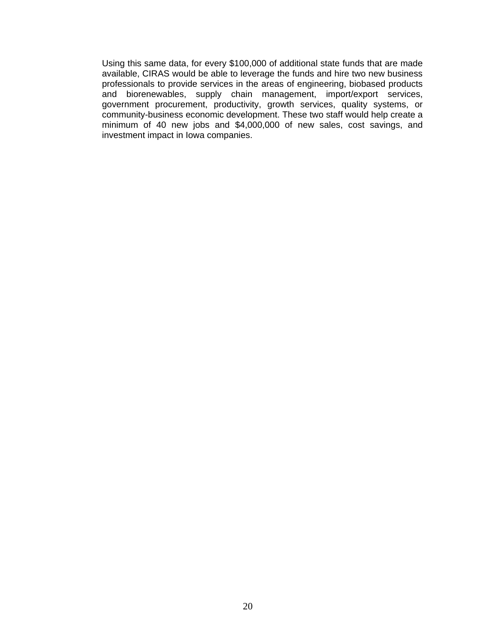Using this same data, for every \$100,000 of additional state funds that are made available, CIRAS would be able to leverage the funds and hire two new business professionals to provide services in the areas of engineering, biobased products and biorenewables, supply chain management, import/export services, government procurement, productivity, growth services, quality systems, or community-business economic development. These two staff would help create a minimum of 40 new jobs and \$4,000,000 of new sales, cost savings, and investment impact in Iowa companies.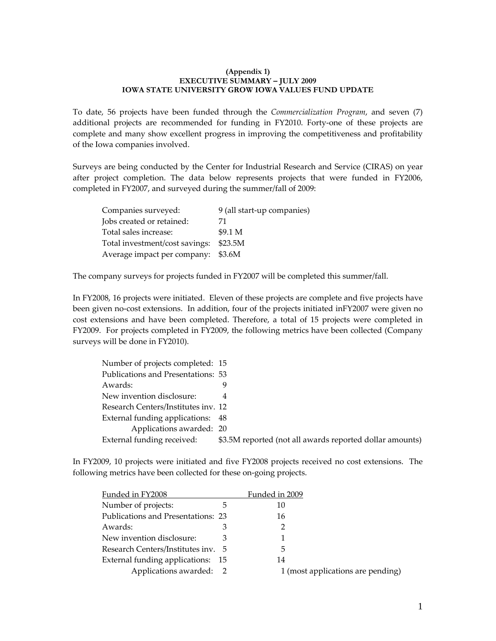#### **(Appendix 1) EXECUTIVE SUMMARY – JULY 2009 IOWA STATE UNIVERSITY GROW IOWA VALUES FUND UPDATE**

To date, 56 projects have been funded through the *Commercialization Program*, and seven (7) additional projects are recommended for funding in FY2010. Forty‐one of these projects are complete and many show excellent progress in improving the competitiveness and profitability of the Iowa companies involved.

Surveys are being conducted by the Center for Industrial Research and Service (CIRAS) on year after project completion. The data below represents projects that were funded in FY2006, completed in FY2007, and surveyed during the summer/fall of 2009:

| Companies surveyed:                | 9 (all start-up companies) |
|------------------------------------|----------------------------|
| Jobs created or retained:          | 71                         |
| Total sales increase:              | \$9.1 <sub>M</sub>         |
| Total investment/cost savings:     | \$23.5M                    |
| Average impact per company: \$3.6M |                            |

The company surveys for projects funded in FY2007 will be completed this summer/fall.

In FY2008, 16 projects were initiated. Eleven of these projects are complete and five projects have been given no-cost extensions. In addition, four of the projects initiated inFY2007 were given no cost extensions and have been completed. Therefore, a total of 15 projects were completed in FY2009. For projects completed in FY2009, the following metrics have been collected (Company surveys will be done in FY2010).

| Number of projects completed: 15    |                                                          |
|-------------------------------------|----------------------------------------------------------|
| Publications and Presentations: 53  |                                                          |
| Awards:                             |                                                          |
| New invention disclosure:           | 4                                                        |
| Research Centers/Institutes inv. 12 |                                                          |
| External funding applications: 48   |                                                          |
| Applications awarded: 20            |                                                          |
| External funding received:          | \$3.5M reported (not all awards reported dollar amounts) |

In FY2009, 10 projects were initiated and five FY2008 projects received no cost extensions. The following metrics have been collected for these on‐going projects.

| Funded in FY2008                   |   | Funded in 2009                    |
|------------------------------------|---|-----------------------------------|
| Number of projects:                |   |                                   |
| Publications and Presentations: 23 |   | 16                                |
| Awards:                            |   |                                   |
| New invention disclosure:          | З |                                   |
| Research Centers/Institutes inv. 5 |   | 5                                 |
| External funding applications: 15  |   | 14                                |
| Applications awarded: 2            |   | 1 (most applications are pending) |
|                                    |   |                                   |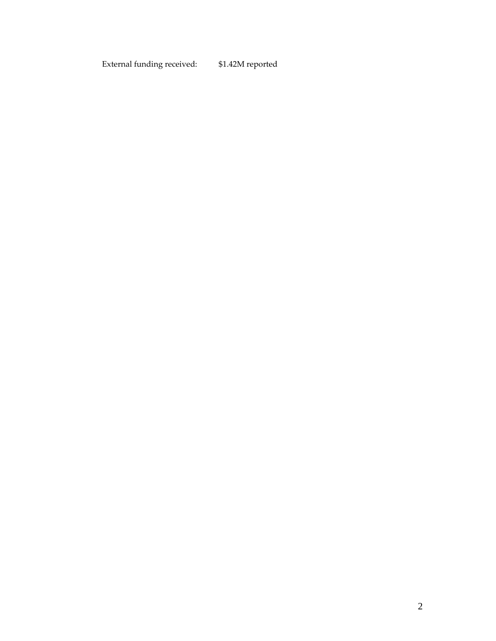External funding received: \$1.42M reported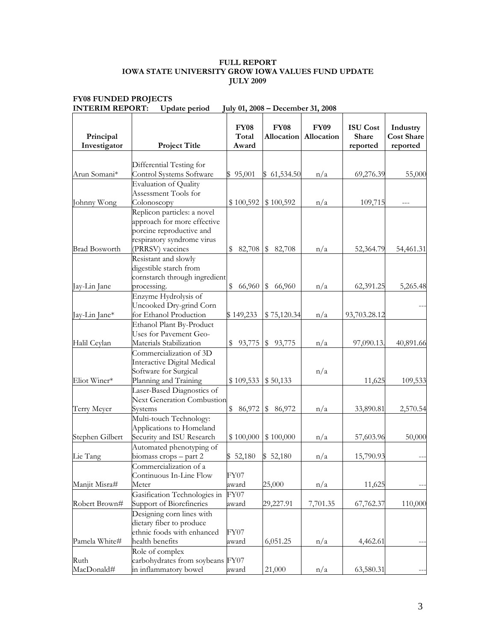#### **FULL REPORT IOWA STATE UNIVERSITY GROW IOWA VALUES FUND UPDATE JULY 2009**

| Principal<br>Investigator | <b>Project Title</b>                                                                                                                     | <b>FY08</b><br>Total<br>Award | <b>FY08</b><br>Allocation | <b>FY09</b><br>Allocation | <b>ISU</b> Cost<br>Share<br>reported | Industry<br><b>Cost Share</b><br>reported |
|---------------------------|------------------------------------------------------------------------------------------------------------------------------------------|-------------------------------|---------------------------|---------------------------|--------------------------------------|-------------------------------------------|
|                           | Differential Testing for                                                                                                                 |                               |                           |                           |                                      |                                           |
| Arun Somani*              | Control Systems Software                                                                                                                 | \$95,001                      | \$61,534.50               | n/a                       | 69,276.39                            | 55,000                                    |
|                           | <b>Evaluation of Quality</b>                                                                                                             |                               |                           |                           |                                      |                                           |
|                           | Assessment Tools for                                                                                                                     |                               |                           |                           |                                      |                                           |
| Johnny Wong               | Colonoscopy                                                                                                                              | \$100,592                     | \$100,592                 | n/a                       | 109,715                              |                                           |
| <b>Brad Bosworth</b>      | Replicon particles: a novel<br>approach for more effective<br>porcine reproductive and<br>respiratory syndrome virus<br>(PRRSV) vaccines | 82,708<br>\$                  | 82,708<br>\$              | n/a                       | 52,364.79                            | 54,461.31                                 |
|                           |                                                                                                                                          |                               |                           |                           |                                      |                                           |
| Jay-Lin Jane              | Resistant and slowly<br>digestible starch from<br>cornstarch through ingredient<br>processing.                                           | \$<br>66,960                  | \$<br>66,960              | n/a                       | 62,391.25                            | 5,265.48                                  |
| Jay-Lin Jane*             | Enzyme Hydrolysis of<br>Uncooked Dry-grind Corn<br>for Ethanol Production                                                                | \$149,233                     | \$75,120.34               | n/a                       | 93,703.28.12                         |                                           |
| Halil Ceylan              | Ethanol Plant By-Product<br>Uses for Pavement Geo-<br>Materials Stabilization                                                            | \$<br>93,775                  | \$93,775                  | n/a                       | 97,090.13.                           | 40,891.66                                 |
| Eliot Winer*              | Commercialization of 3D<br>Interactive Digital Medical<br>Software for Surgical<br>Planning and Training                                 | \$109,533                     | \$50,133                  | n/a                       | 11,625                               | 109,533                                   |
|                           | Laser-Based Diagnostics of                                                                                                               |                               |                           |                           |                                      |                                           |
| Terry Meyer               | <b>Next Generation Combustion</b><br>Systems                                                                                             | \$<br>86,972                  | \$<br>86,972              | n/a                       | 33,890.81                            | 2,570.54                                  |
| Stephen Gilbert           | Multi-touch Technology:<br>Applications to Homeland<br>Security and ISU Research                                                         | \$100,000                     | \$100,000                 | n/a                       | 57,603.96                            | 50,000                                    |
| Lie Tang                  | Automated phenotyping of<br>biomass crops - part 2                                                                                       | 52,180                        | \$52,180                  | n/a                       | 15,790.93                            |                                           |
|                           | Commercialization of a                                                                                                                   |                               |                           |                           |                                      |                                           |
|                           | Continuous In-Line Flow                                                                                                                  | FY07                          |                           |                           |                                      |                                           |
| Manjit Misra#             | Meter                                                                                                                                    | award                         | 25,000                    | n/a                       | 11,625                               |                                           |
| Robert Brown#             | Gasification Technologies in<br>Support of Biorefineries                                                                                 | FY07<br>award                 | 29,227.91                 | 7,701.35                  | 67,762.37                            | 110,000                                   |
| Pamela White#             | Designing corn lines with<br>dietary fiber to produce<br>ethnic foods with enhanced<br>health benefits                                   | FY07<br>award                 | 6,051.25                  | n/a                       | 4,462.61                             |                                           |
| Ruth<br>MacDonald#        | Role of complex<br>carbohydrates from soybeans FY07<br>in inflammatory bowel                                                             | award                         | 21,000                    | n/a                       | 63,580.31                            |                                           |

#### **FY08 FUNDED PROJECTS INTERIM REPORT: Update period July 01, 2008 – December 31, 2008**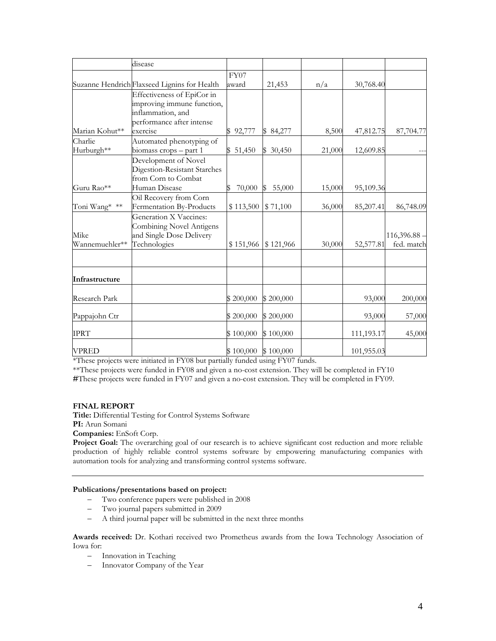|                | disease                                      |           |           |        |            |            |
|----------------|----------------------------------------------|-----------|-----------|--------|------------|------------|
|                |                                              | FY07      |           |        |            |            |
|                | Suzanne Hendrich Flaxseed Lignins for Health | award     | 21,453    | n/a    | 30,768.40  |            |
|                | Effectiveness of EpiCor in                   |           |           |        |            |            |
|                | improving immune function,                   |           |           |        |            |            |
|                | inflammation, and                            |           |           |        |            |            |
|                | performance after intense                    |           |           |        |            |            |
| Marian Kohut** | exercise                                     | \$92,777  | \$84,277  | 8,500  | 47,812.75  | 87,704.77  |
| Charlie        | Automated phenotyping of                     |           |           |        |            |            |
| Hurburgh**     | biomass crops - part 1                       | \$51,450  | \$30,450  | 21,000 | 12,609.85  |            |
|                | Development of Novel                         |           |           |        |            |            |
|                | Digestion-Resistant Starches                 |           |           |        |            |            |
|                | from Corn to Combat                          |           |           |        |            |            |
| Guru Rao**     | Human Disease                                | 70,000    | 55,000    | 15,000 | 95,109.36  |            |
|                | Oil Recovery from Corn                       |           |           |        |            |            |
| Toni Wang* **  | Fermentation By-Products                     | \$113,500 | \$71,100  | 36,000 | 85,207.41  | 86,748.09  |
|                | Generation X Vaccines:                       |           |           |        |            |            |
|                | Combining Novel Antigens                     |           |           |        |            |            |
| Mike           | and Single Dose Delivery                     |           |           |        |            | 116,396.88 |
| Wannemuehler** | Technologies                                 | \$151,966 | \$121,966 | 30,000 | 52,577.81  | fed. match |
|                |                                              |           |           |        |            |            |
| Infrastructure |                                              |           |           |        |            |            |
| Research Park  |                                              | \$200,000 | \$200,000 |        | 93,000     | 200,000    |
| Pappajohn Ctr  |                                              | \$200,000 | \$200,000 |        | 93,000     | 57,000     |
| <b>IPRT</b>    |                                              | \$100,000 | \$100,000 |        | 111,193.17 | 45,000     |
| <b>VPRED</b>   |                                              | \$100,000 | \$100,000 |        | 101,955.03 |            |

\*These projects were initiated in FY08 but partially funded using FY07 funds.

\*\*These projects were funded in FY08 and given a no-cost extension. They will be completed in FY10

**#**These projects were funded in FY07 and given a no-cost extension. They will be completed in FY09.

#### **FINAL REPORT**

**Title:** Differential Testing for Control Systems Software

**PI:** Arun Somani

**Companies:** EnSoft Corp.

**Project Goal:** The overarching goal of our research is to achieve significant cost reduction and more reliable production of highly reliable control systems software by empowering manufacturing companies with automation tools for analyzing and transforming control systems software.

#### **Publications/presentations based on project:**

- Two conference papers were published in 2008
- Two journal papers submitted in 2009
- A third journal paper will be submitted in the next three months

**Awards received:** Dr. Kothari received two Prometheus awards from the Iowa Technology Association of Iowa for:

- Innovation in Teaching
- Innovator Company of the Year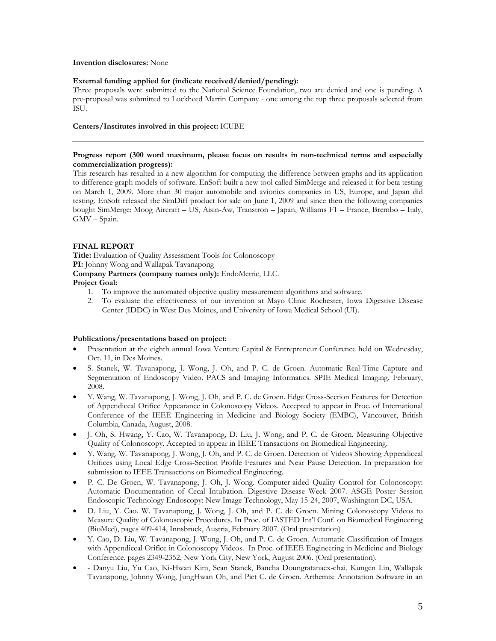#### **Invention disclosures:** None

#### **External funding applied for (indicate received/denied/pending):**

Three proposals were submitted to the National Science Foundation, two are denied and one is pending. A pre-proposal was submitted to Lockheed Martin Company - one among the top three proposals selected from ISU.

#### **Centers/Institutes involved in this project:** ICUBE

#### **Progress report (300 word maximum, please focus on results in non-technical terms and especially commercialization progress):**

This research has resulted in a new algorithm for computing the difference between graphs and its application to difference graph models of software. EnSoft built a new tool called SimMerge and released it for beta testing on March 1, 2009. More than 30 major automobile and avionics companies in US, Europe, and Japan did testing. EnSoft released the SimDiff product for sale on June 1, 2009 and since then the following companies bought SimMerge: Moog Aircraft – US, Aisin-Aw, Transtron – Japan, Williams F1 – France, Brembo – Italy, GMV – Spain.

#### **FINAL REPORT**

**Title:** Evaluation of Quality Assessment Tools for Colonoscopy **PI:** Johnny Wong and Wallapak Tavanapong **Company Partners (company names only):** EndoMetric, LLC.

#### **Project Goal:**

- 1. To improve the automated objective quality measurement algorithms and software.
- 2. To evaluate the effectiveness of our invention at Mayo Clinic Rochester, Iowa Digestive Disease Center (IDDC) in West Des Moines, and University of Iowa Medical School (UI).

#### **Publications/presentations based on project:**

- Presentation at the eighth annual Iowa Venture Capital & Entrepreneur Conference held on Wednesday, Oct. 11, in Des Moines.
- S. Stanek, W. Tavanapong, J. Wong, J. Oh, and P. C. de Groen. Automatic Real-Time Capture and Segmentation of Endoscopy Video. PACS and Imaging Informatics. SPIE Medical Imaging. February, 2008.
- Y. Wang, W. Tavanapong, J. Wong, J. Oh, and P. C. de Groen. Edge Cross-Section Features for Detection of Appendiceal Orifice Appearance in Colonoscopy Videos. Accepted to appear in Proc. of International Conference of the IEEE Engineering in Medicine and Biology Society (EMBC), Vancouver, British Columbia, Canada, August, 2008.
- J. Oh, S. Hwang, Y. Cao, W. Tavanapong, D. Liu, J. Wong, and P. C. de Groen. Measuring Objective Quality of Colonoscopy. Accepted to appear in IEEE Transactions on Biomedical Engineering.
- Y. Wang, W. Tavanapong, J. Wong, J. Oh, and P. C. de Groen. Detection of Videos Showing Appendiceal Orifices using Local Edge Cross-Section Profile Features and Near Pause Detection. In preparation for submission to IEEE Transactions on Biomedical Engineering.
- P. C. De Groen, W. Tavanapong, J. Oh, J. Wong. Computer-aided Quality Control for Colonoscopy: Automatic Documentation of Cecal Intubation. Digestive Disease Week 2007. ASGE Poster Session Endoscopic Technology Endoscopy: New Image Technology, May 15-24, 2007, Washington DC, USA.
- D. Liu, Y. Cao. W. Tavanapong, J. Wong, J. Oh, and P. C. de Groen. Mining Colonoscopy Videos to Measure Quality of Colonoscopic Procedures. In Proc. of IASTED Int'l Conf. on Biomedical Engineering (BioMed), pages 409-414, Innsbruck, Austria, February 2007. (Oral presentation)
- Y. Cao, D. Liu, W. Tavanapong, J. Wong, J. Oh, and P. C. de Groen. Automatic Classification of Images with Appendiceal Orifice in Colonoscopy Videos. In Proc. of IEEE Engineering in Medicine and Biology Conference, pages 2349-2352, New York City, New York, August 2006. (Oral presentation).
- Danyu Liu, Yu Cao, Ki-Hwan Kim, Sean Stanek, Bancha Doungratanaex-chai, Kungen Lin, Wallapak Tavanapong, Johnny Wong, JungHwan Oh, and Piet C. de Groen. Arthemis: Annotation Software in an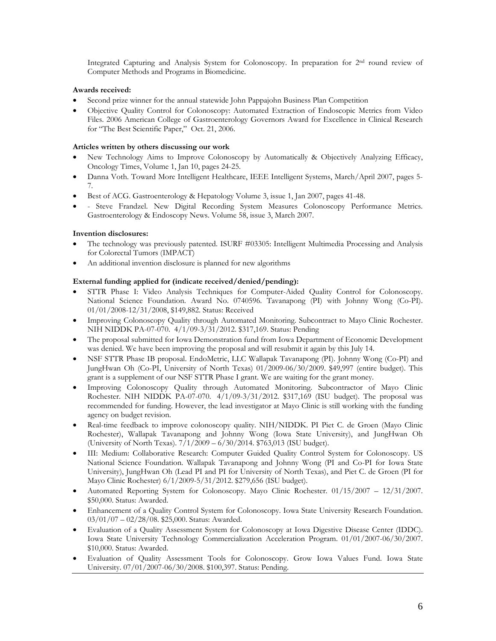Integrated Capturing and Analysis System for Colonoscopy. In preparation for 2nd round review of Computer Methods and Programs in Biomedicine.

#### **Awards received:**

- Second prize winner for the annual statewide John Pappajohn Business Plan Competition
- Objective Quality Control for Colonoscopy: Automated Extraction of Endoscopic Metrics from Video Files. 2006 American College of Gastroenterology Governors Award for Excellence in Clinical Research for "The Best Scientific Paper," Oct. 21, 2006.

#### **Articles written by others discussing our work**

- New Technology Aims to Improve Colonoscopy by Automatically & Objectively Analyzing Efficacy, Oncology Times, Volume 1, Jan 10, pages 24-25.
- Danna Voth. Toward More Intelligent Healthcare, IEEE Intelligent Systems, March/April 2007, pages 5- 7.
- Best of ACG. Gastroenterology & Hepatology Volume 3, issue 1, Jan 2007, pages 41-48.
- Steve Frandzel. New Digital Recording System Measures Colonoscopy Performance Metrics. Gastroenterology & Endoscopy News. Volume 58, issue 3, March 2007.

### **Invention disclosures:**

- The technology was previously patented. ISURF #03305: Intelligent Multimedia Processing and Analysis for Colorectal Tumors (IMPACT)
- An additional invention disclosure is planned for new algorithms

### **External funding applied for (indicate received/denied/pending):**

- STTR Phase I: Video Analysis Techniques for Computer-Aided Quality Control for Colonoscopy. National Science Foundation. Award No. 0740596. Tavanapong (PI) with Johnny Wong (Co-PI). 01/01/2008-12/31/2008, \$149,882. Status: Received
- Improving Colonoscopy Quality through Automated Monitoring. Subcontract to Mayo Clinic Rochester. NIH NIDDK PA-07-070. 4/1/09-3/31/2012. \$317,169. Status: Pending
- The proposal submitted for Iowa Demonstration fund from Iowa Department of Economic Development was denied. We have been improving the proposal and will resubmit it again by this July 14.
- NSF STTR Phase IB proposal. EndoMetric, LLC Wallapak Tavanapong (PI). Johnny Wong (Co-PI) and JungHwan Oh (Co-PI, University of North Texas) 01/2009-06/30/2009. \$49,997 (entire budget). This grant is a supplement of our NSF STTR Phase I grant. We are waiting for the grant money.
- Improving Colonoscopy Quality through Automated Monitoring. Subcontractor of Mayo Clinic Rochester. NIH NIDDK PA-07-070. 4/1/09-3/31/2012. \$317,169 (ISU budget). The proposal was recommended for funding. However, the lead investigator at Mayo Clinic is still working with the funding agency on budget revision.
- Real-time feedback to improve colonoscopy quality. NIH/NIDDK. PI Piet C. de Groen (Mayo Clinic Rochester), Wallapak Tavanapong and Johnny Wong (Iowa State University), and JungHwan Oh (University of North Texas). 7/1/2009 – 6/30/2014. \$763,013 (ISU budget).
- III: Medium: Collaborative Research: Computer Guided Quality Control System for Colonoscopy. US National Science Foundation. Wallapak Tavanapong and Johnny Wong (PI and Co-PI for Iowa State University), JungHwan Oh (Lead PI and PI for University of North Texas), and Piet C. de Groen (PI for Mayo Clinic Rochester) 6/1/2009-5/31/2012. \$279,656 (ISU budget).
- Automated Reporting System for Colonoscopy. Mayo Clinic Rochester. 01/15/2007 12/31/2007. \$50,000. Status: Awarded.
- Enhancement of a Quality Control System for Colonoscopy. Iowa State University Research Foundation. 03/01/07 – 02/28/08. \$25,000. Status: Awarded.
- Evaluation of a Quality Assessment System for Colonoscopy at Iowa Digestive Disease Center (IDDC). Iowa State University Technology Commercialization Acceleration Program. 01/01/2007-06/30/2007. \$10,000. Status: Awarded.
- Evaluation of Quality Assessment Tools for Colonoscopy. Grow Iowa Values Fund. Iowa State University. 07/01/2007-06/30/2008. \$100,397. Status: Pending.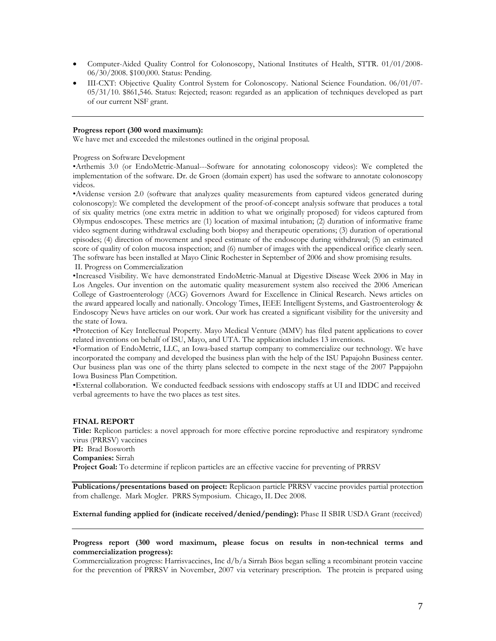- Computer-Aided Quality Control for Colonoscopy, National Institutes of Health, STTR. 01/01/2008- 06/30/2008. \$100,000. Status: Pending.
- III-CXT: Objective Quality Control System for Colonoscopy. National Science Foundation. 06/01/07- 05/31/10. \$861,546. Status: Rejected; reason: regarded as an application of techniques developed as part of our current NSF grant.

#### **Progress report (300 word maximum):**

We have met and exceeded the milestones outlined in the original proposal.

Progress on Software Development

•Arthemis 3.0 (or EndoMetric-Manual---Software for annotating colonoscopy videos): We completed the implementation of the software. Dr. de Groen (domain expert) has used the software to annotate colonoscopy videos.

•Avidense version 2.0 (software that analyzes quality measurements from captured videos generated during colonoscopy): We completed the development of the proof-of-concept analysis software that produces a total of six quality metrics (one extra metric in addition to what we originally proposed) for videos captured from Olympus endoscopes. These metrics are (1) location of maximal intubation; (2) duration of informative frame video segment during withdrawal excluding both biopsy and therapeutic operations; (3) duration of operational episodes; (4) direction of movement and speed estimate of the endoscope during withdrawal; (5) an estimated score of quality of colon mucosa inspection; and (6) number of images with the appendiceal orifice clearly seen. The software has been installed at Mayo Clinic Rochester in September of 2006 and show promising results. II. Progress on Commercialization

•Increased Visibility. We have demonstrated EndoMetric-Manual at Digestive Disease Week 2006 in May in Los Angeles. Our invention on the automatic quality measurement system also received the 2006 American College of Gastroenterology (ACG) Governors Award for Excellence in Clinical Research. News articles on the award appeared locally and nationally. Oncology Times, IEEE Intelligent Systems, and Gastroenterology & Endoscopy News have articles on our work. Our work has created a significant visibility for the university and the state of Iowa.

•Protection of Key Intellectual Property. Mayo Medical Venture (MMV) has filed patent applications to cover related inventions on behalf of ISU, Mayo, and UTA. The application includes 13 inventions.

•Formation of EndoMetric, LLC, an Iowa-based startup company to commercialize our technology. We have incorporated the company and developed the business plan with the help of the ISU Papajohn Business center. Our business plan was one of the thirty plans selected to compete in the next stage of the 2007 Pappajohn Iowa Business Plan Competition.

•External collaboration. We conducted feedback sessions with endoscopy staffs at UI and IDDC and received verbal agreements to have the two places as test sites.

#### **FINAL REPORT**

**Title:** Replicon particles: a novel approach for more effective porcine reproductive and respiratory syndrome virus (PRRSV) vaccines **PI:** Brad Bosworth **Companies:** Sirrah **Project Goal:** To determine if replicon particles are an effective vaccine for preventing of PRRSV

**Publications/presentations based on project:** Replicaon particle PRRSV vaccine provides partial protection from challenge. Mark Mogler. PRRS Symposium. Chicago, IL Dec 2008.

**External funding applied for (indicate received/denied/pending):** Phase II SBIR USDA Grant (received)

**Progress report (300 word maximum, please focus on results in non-technical terms and commercialization progress):** 

Commercialization progress: Harrisvaccines, Inc d/b/a Sirrah Bios began selling a recombinant protein vaccine for the prevention of PRRSV in November, 2007 via veterinary prescription. The protein is prepared using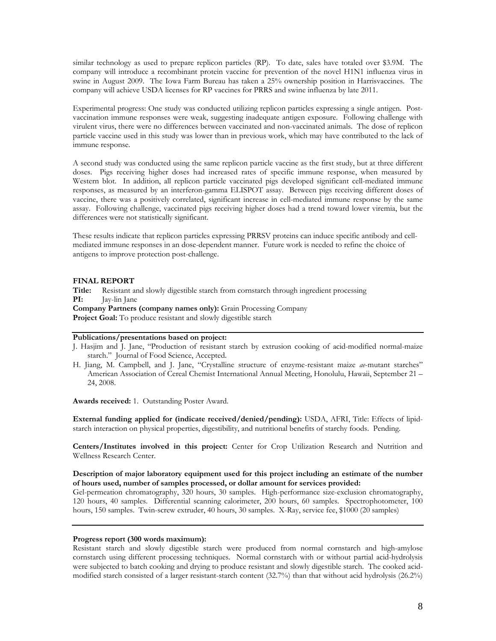similar technology as used to prepare replicon particles (RP). To date, sales have totaled over \$3.9M. The company will introduce a recombinant protein vaccine for prevention of the novel H1N1 influenza virus in swine in August 2009. The Iowa Farm Bureau has taken a 25% ownership position in Harrisvaccines. The company will achieve USDA licenses for RP vaccines for PRRS and swine influenza by late 2011.

Experimental progress: One study was conducted utilizing replicon particles expressing a single antigen. Postvaccination immune responses were weak, suggesting inadequate antigen exposure. Following challenge with virulent virus, there were no differences between vaccinated and non-vaccinated animals. The dose of replicon particle vaccine used in this study was lower than in previous work, which may have contributed to the lack of immune response.

A second study was conducted using the same replicon particle vaccine as the first study, but at three different doses. Pigs receiving higher doses had increased rates of specific immune response, when measured by Western blot. In addition, all replicon particle vaccinated pigs developed significant cell-mediated immune responses, as measured by an interferon-gamma ELISPOT assay. Between pigs receiving different doses of vaccine, there was a positively correlated, significant increase in cell-mediated immune response by the same assay. Following challenge, vaccinated pigs receiving higher doses had a trend toward lower viremia, but the differences were not statistically significant.

These results indicate that replicon particles expressing PRRSV proteins can induce specific antibody and cellmediated immune responses in an dose-dependent manner. Future work is needed to refine the choice of antigens to improve protection post-challenge.

#### **FINAL REPORT**

**Title:** Resistant and slowly digestible starch from cornstarch through ingredient processing **PI:** Jay-lin Jane **Company Partners (company names only):** Grain Processing Company

**Project Goal:** To produce resistant and slowly digestible starch

#### **Publications/presentations based on project:**

- J. Hasjim and J. Jane, "Production of resistant starch by extrusion cooking of acid-modified normal-maize starch." Journal of Food Science, Accepted.
- H. Jiang, M. Campbell, and J. Jane, "Crystalline structure of enzyme-resistant maize *ae*-mutant starches" American Association of Cereal Chemist International Annual Meeting, Honolulu, Hawaii, September 21 – 24, 2008.

**Awards received:** 1. Outstanding Poster Award.

**External funding applied for (indicate received/denied/pending):** USDA, AFRI, Title: Effects of lipidstarch interaction on physical properties, digestibility, and nutritional benefits of starchy foods. Pending.

**Centers/Institutes involved in this project:** Center for Crop Utilization Research and Nutrition and Wellness Research Center.

#### **Description of major laboratory equipment used for this project including an estimate of the number of hours used, number of samples processed, or dollar amount for services provided:**

Gel-permeation chromatography, 320 hours, 30 samples. High-performance size-exclusion chromatography, 120 hours, 40 samples. Differential scanning calorimeter, 200 hours, 60 samples. Spectrophotometer, 100 hours, 150 samples. Twin-screw extruder, 40 hours, 30 samples. X-Ray, service fee, \$1000 (20 samples)

#### **Progress report (300 words maximum):**

Resistant starch and slowly digestible starch were produced from normal cornstarch and high-amylose cornstarch using different processing techniques. Normal cornstarch with or without partial acid-hydrolysis were subjected to batch cooking and drying to produce resistant and slowly digestible starch. The cooked acidmodified starch consisted of a larger resistant-starch content (32.7%) than that without acid hydrolysis (26.2%)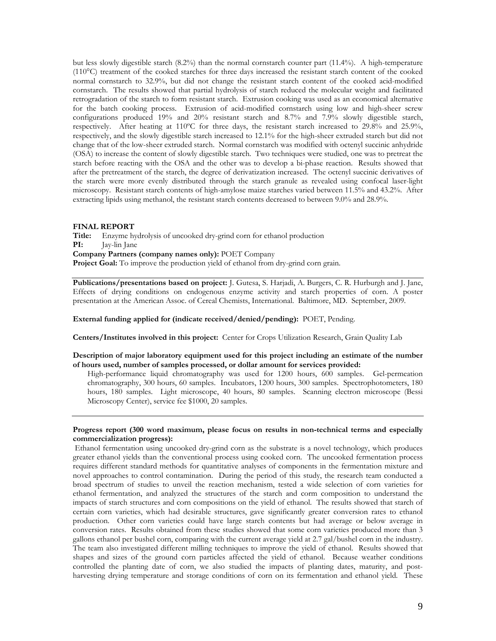but less slowly digestible starch (8.2%) than the normal cornstarch counter part (11.4%). A high-temperature (110°C) treatment of the cooked starches for three days increased the resistant starch content of the cooked normal cornstarch to 32.9%, but did not change the resistant starch content of the cooked acid-modified cornstarch. The results showed that partial hydrolysis of starch reduced the molecular weight and facilitated retrogradation of the starch to form resistant starch. Extrusion cooking was used as an economical alternative for the batch cooking process. Extrusion of acid-modified cornstarch using low and high-sheer screw configurations produced 19% and 20% resistant starch and 8.7% and 7.9% slowly digestible starch, respectively. After heating at 110ºC for three days, the resistant starch increased to 29.8% and 25.9%, respectively, and the slowly digestible starch increased to 12.1% for the high-sheer extruded starch but did not change that of the low-sheer extruded starch. Normal cornstarch was modified with octenyl succinic anhydride (OSA) to increase the content of slowly digestible starch. Two techniques were studied, one was to pretreat the starch before reacting with the OSA and the other was to develop a bi-phase reaction. Results showed that after the pretreatment of the starch, the degree of derivatization increased. The octenyl succinic derivatives of the starch were more evenly distributed through the starch granule as revealed using confocal laser-light microscopy. Resistant starch contents of high-amylose maize starches varied between 11.5% and 43.2%. After extracting lipids using methanol, the resistant starch contents decreased to between 9.0% and 28.9%.

#### **FINAL REPORT**

Title: Enzyme hydrolysis of uncooked dry-grind corn for ethanol production **PI:** Jay-lin Jane **PI:** Jay-lin Jane **Company Partners (company names only):** POET Company Project Goal: To improve the production yield of ethanol from dry-grind corn grain.

**Publications/presentations based on project:** J. Gutesa, S. Harjadi, A. Burgers, C. R. Hurburgh and J. Jane, Effects of drying conditions on endogenous enzyme activity and starch properties of corn. A poster presentation at the American Assoc. of Cereal Chemists, International. Baltimore, MD. September, 2009.

**External funding applied for (indicate received/denied/pending):** POET, Pending.

**Centers/Institutes involved in this project:** Center for Crops Utilization Research, Grain Quality Lab

#### **Description of major laboratory equipment used for this project including an estimate of the number of hours used, number of samples processed, or dollar amount for services provided:**

High-performance liquid chromatography was used for 1200 hours, 600 samples. Gel-permeation chromatography, 300 hours, 60 samples. Incubators, 1200 hours, 300 samples. Spectrophotometers, 180 hours, 180 samples. Light microscope, 40 hours, 80 samples. Scanning electron microscope (Bessi Microscopy Center), service fee \$1000, 20 samples.

#### **Progress report (300 word maximum, please focus on results in non-technical terms and especially commercialization progress):**

Ethanol fermentation using uncooked dry-grind corn as the substrate is a novel technology, which produces greater ethanol yields than the conventional process using cooked corn. The uncooked fermentation process requires different standard methods for quantitative analyses of components in the fermentation mixture and novel approaches to control contamination. During the period of this study, the research team conducted a broad spectrum of studies to unveil the reaction mechanism, tested a wide selection of corn varieties for ethanol fermentation, and analyzed the structures of the starch and corm composition to understand the impacts of starch structures and corn compositions on the yield of ethanol. The results showed that starch of certain corn varieties, which had desirable structures, gave significantly greater conversion rates to ethanol production. Other corn varieties could have large starch contents but had average or below average in conversion rates. Results obtained from these studies showed that some corn varieties produced more than 3 gallons ethanol per bushel corn, comparing with the current average yield at 2.7 gal/bushel corn in the industry. The team also investigated different milling techniques to improve the yield of ethanol. Results showed that shapes and sizes of the ground corn particles affected the yield of ethanol. Because weather conditions controlled the planting date of corn, we also studied the impacts of planting dates, maturity, and postharvesting drying temperature and storage conditions of corn on its fermentation and ethanol yield. These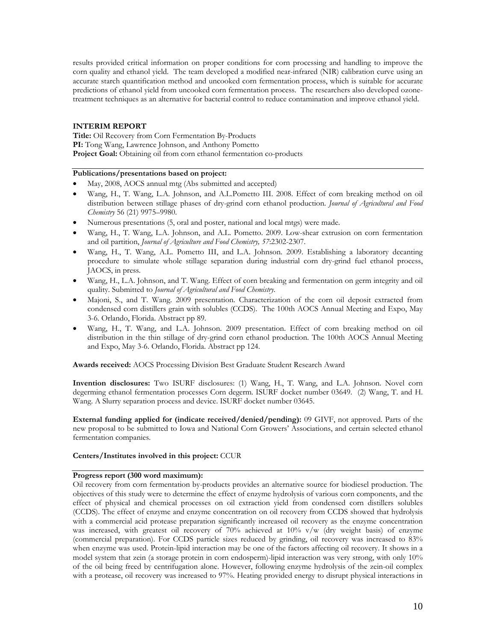results provided critical information on proper conditions for corn processing and handling to improve the corn quality and ethanol yield. The team developed a modified near-infrared (NIR) calibration curve using an accurate starch quantification method and uncooked corn fermentation process, which is suitable for accurate predictions of ethanol yield from uncooked corn fermentation process. The researchers also developed ozonetreatment techniques as an alternative for bacterial control to reduce contamination and improve ethanol yield.

#### **INTERIM REPORT**

**Title:** Oil Recovery from Corn Fermentation By-Products PI: Tong Wang, Lawrence Johnson, and Anthony Pometto Project Goal: Obtaining oil from corn ethanol fermentation co-products

#### **Publications/presentations based on project:**

- May, 2008, AOCS annual mtg (Abs submitted and accepted)
- Wang, H., T. Wang, L.A. Johnson, and A.L.Pometto III. 2008. Effect of corn breaking method on oil distribution between stillage phases of dry-grind corn ethanol production. *Journal of Agricultural and Food Chemistry* 56 (21) 9975–9980.
- Numerous presentations (5, oral and poster, national and local mtgs) were made.
- Wang, H., T. Wang, L.A. Johnson, and A.L. Pometto. 2009. Low-shear extrusion on corn fermentation and oil partition, *Journal of Agriculture and Food Chemistry, 57*:2302-2307.
- Wang, H., T. Wang, A.L. Pometto III, and L.A. Johnson. 2009. Establishing a laboratory decanting procedure to simulate whole stillage separation during industrial corn dry-grind fuel ethanol process, JAOCS, in press.
- Wang, H., L.A. Johnson, and T. Wang. Effect of corn breaking and fermentation on germ integrity and oil quality. Submitted to *Journal of Agricultural and Food Chemistry.*
- Majoni, S., and T. Wang. 2009 presentation. Characterization of the corn oil deposit extracted from condensed corn distillers grain with solubles (CCDS). The 100th AOCS Annual Meeting and Expo, May 3-6. Orlando, Florida. Abstract pp 89.
- Wang, H., T. Wang, and L.A. Johnson. 2009 presentation. Effect of corn breaking method on oil distribution in the thin stillage of dry-grind corn ethanol production. The 100th AOCS Annual Meeting and Expo, May 3-6. Orlando, Florida. Abstract pp 124.

**Awards received:** AOCS Processing Division Best Graduate Student Research Award

**Invention disclosures:** Two ISURF disclosures: (1) Wang, H., T. Wang, and L.A. Johnson. Novel corn degerming ethanol fermentation processes Corn degerm. ISURF docket number 03649. (2) Wang, T. and H. Wang. A Slurry separation process and device. ISURF docket number 03645.

**External funding applied for (indicate received/denied/pending):** 09 GIVF, not approved. Parts of the new proposal to be submitted to Iowa and National Corn Growers' Associations, and certain selected ethanol fermentation companies.

#### **Centers/Institutes involved in this project:** CCUR

#### **Progress report (300 word maximum):**

Oil recovery from corn fermentation by-products provides an alternative source for biodiesel production. The objectives of this study were to determine the effect of enzyme hydrolysis of various corn components, and the effect of physical and chemical processes on oil extraction yield from condensed corn distillers solubles (CCDS). The effect of enzyme and enzyme concentration on oil recovery from CCDS showed that hydrolysis with a commercial acid protease preparation significantly increased oil recovery as the enzyme concentration was increased, with greatest oil recovery of 70% achieved at 10% v/w (dry weight basis) of enzyme (commercial preparation). For CCDS particle sizes reduced by grinding, oil recovery was increased to 83% when enzyme was used. Protein-lipid interaction may be one of the factors affecting oil recovery. It shows in a model system that zein (a storage protein in corn endosperm)-lipid interaction was very strong, with only 10% of the oil being freed by centrifugation alone. However, following enzyme hydrolysis of the zein-oil complex with a protease, oil recovery was increased to 97%. Heating provided energy to disrupt physical interactions in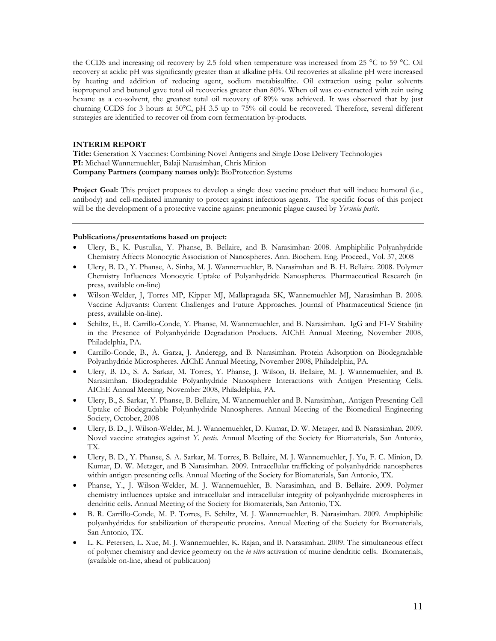the CCDS and increasing oil recovery by 2.5 fold when temperature was increased from 25 °C to 59 °C. Oil recovery at acidic pH was significantly greater than at alkaline pHs. Oil recoveries at alkaline pH were increased by heating and addition of reducing agent, sodium metabisulfite. Oil extraction using polar solvents isopropanol and butanol gave total oil recoveries greater than 80%. When oil was co-extracted with zein using hexane as a co-solvent, the greatest total oil recovery of 89% was achieved. It was observed that by just churning CCDS for 3 hours at 50°C, pH 3.5 up to 75% oil could be recovered. Therefore, several different strategies are identified to recover oil from corn fermentation by-products.

#### **INTERIM REPORT**

**Title:** Generation X Vaccines: Combining Novel Antigens and Single Dose Delivery Technologies **PI:** Michael Wannemuehler, Balaji Narasimhan, Chris Minion **Company Partners (company names only):** BioProtection Systems

**Project Goal:** This project proposes to develop a single dose vaccine product that will induce humoral (i.e., antibody) and cell-mediated immunity to protect against infectious agents. The specific focus of this project will be the development of a protective vaccine against pneumonic plague caused by *Yersinia pestis*.

#### **Publications/presentations based on project:**

- Ulery, B., K. Pustulka, Y. Phanse, B. Bellaire, and B. Narasimhan. 2008. Amphiphilic Polyanhydride Chemistry Affects Monocytic Association of Nanospheres. Ann. Biochem. Eng. Proceed., Vol. 37, 2008
- Ulery, B. D., Y. Phanse, A. Sinha, M. J. Wannemuehler, B. Narasimhan and B. H. Bellaire. 2008. Polymer Chemistry Influences Monocytic Uptake of Polyanhydride Nanospheres. Pharmaceutical Research (in press, available on-line)
- Wilson-Welder, J, Torres MP, Kipper MJ, Mallapragada SK, Wannemuehler MJ, Narasimhan B. 2008. Vaccine Adjuvants: Current Challenges and Future Approaches. Journal of Pharmaceutical Science (in press, available on-line).
- Schiltz, E., B. Carrillo-Conde, Y. Phanse, M. Wannemuehler, and B. Narasimhan. IgG and F1-V Stability in the Presence of Polyanhydride Degradation Products. AIChE Annual Meeting, November 2008, Philadelphia, PA.
- Carrillo-Conde, B., A. Garza, J. Anderegg, and B. Narasimhan. Protein Adsorption on Biodegradable Polyanhydride Microspheres. AIChE Annual Meeting, November 2008, Philadelphia, PA.
- Ulery, B. D., S. A. Sarkar, M. Torres, Y. Phanse, J. Wilson, B. Bellaire, M. J. Wannemuehler, and B. Narasimhan. Biodegradable Polyanhydride Nanosphere Interactions with Antigen Presenting Cells. AIChE Annual Meeting, November 2008, Philadelphia, PA.
- Ulery, B., S. Sarkar, Y. Phanse, B. Bellaire, M. Wannemuehler and B. Narasimhan,. Antigen Presenting Cell Uptake of Biodegradable Polyanhydride Nanospheres. Annual Meeting of the Biomedical Engineering Society, October, 2008
- Ulery, B. D., J. Wilson-Welder, M. J. Wannemuehler, D. Kumar, D. W. Metzger, and B. Narasimhan. 2009. Novel vaccine strategies against *Y. pestis.* Annual Meeting of the Society for Biomaterials, San Antonio, TX.
- Ulery, B. D., Y. Phanse, S. A. Sarkar, M. Torres, B. Bellaire, M. J. Wannemuehler, J. Yu, F. C. Minion, D. Kumar, D. W. Metzger, and B Narasimhan. 2009. Intracellular trafficking of polyanhydride nanospheres within antigen presenting cells. Annual Meeting of the Society for Biomaterials, San Antonio, TX.
- Phanse, Y., J. Wilson-Welder, M. J. Wannemuehler, B. Narasimhan, and B. Bellaire. 2009. Polymer chemistry influences uptake and intracellular and intracellular integrity of polyanhydride microspheres in dendritic cells. Annual Meeting of the Society for Biomaterials, San Antonio, TX.
- B. R. Carrillo-Conde, M. P. Torres, E. Schiltz, M. J. Wannemuehler, B. Narasimhan. 2009. Amphiphilic polyanhydrides for stabilization of therapeutic proteins. Annual Meeting of the Society for Biomaterials, San Antonio, TX.
- L. K. Petersen, L. Xue, M. J. Wannemuehler, K. Rajan, and B. Narasimhan. 2009. The simultaneous effect of polymer chemistry and device geometry on the *in vitro* activation of murine dendritic cells. Biomaterials, (available on-line, ahead of publication)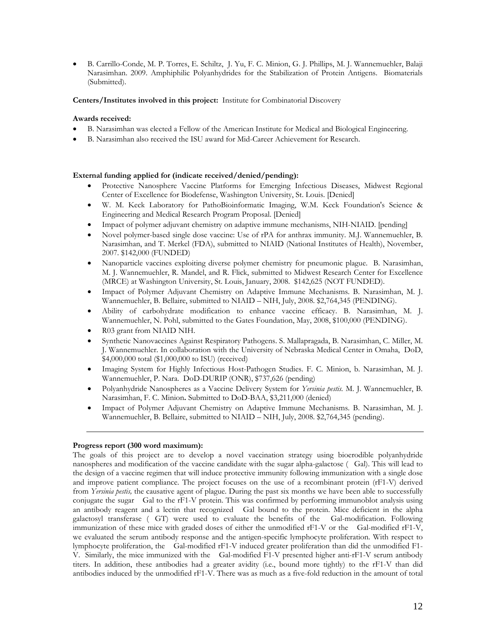B. Carrillo-Conde, M. P. Torres, E. Schiltz, J. Yu, F. C. Minion, G. J. Phillips, M. J. Wannemuehler, Balaji Narasimhan. 2009. Amphiphilic Polyanhydrides for the Stabilization of Protein Antigens. Biomaterials (Submitted).

**Centers/Institutes involved in this project:** Institute for Combinatorial Discovery

#### **Awards received:**

- B. Narasimhan was elected a Fellow of the American Institute for Medical and Biological Engineering.
- B. Narasimhan also received the ISU award for Mid-Career Achievement for Research.

#### **External funding applied for (indicate received/denied/pending):**

- Protective Nanosphere Vaccine Platforms for Emerging Infectious Diseases, Midwest Regional Center of Excellence for Biodefense, Washington University, St. Louis. [Denied]
- W. M. Keck Laboratory for PathoBioinformatic Imaging, W.M. Keck Foundation's Science & Engineering and Medical Research Program Proposal. [Denied]
- Impact of polymer adjuvant chemistry on adaptive immune mechanisms, NIH-NIAID. [pending]
- Novel polymer-based single dose vaccine: Use of rPA for anthrax immunity. M.J. Wannemuehler, B. Narasimhan, and T. Merkel (FDA), submitted to NIAID (National Institutes of Health), November, 2007. \$142,000 (FUNDED)
- Nanoparticle vaccines exploiting diverse polymer chemistry for pneumonic plague. B. Narasimhan, M. J. Wannemuehler, R. Mandel, and R. Flick, submitted to Midwest Research Center for Excellence (MRCE) at Washington University, St. Louis, January, 2008. \$142,625 (NOT FUNDED).
- Impact of Polymer Adjuvant Chemistry on Adaptive Immune Mechanisms. B. Narasimhan, M. J. Wannemuehler, B. Bellaire, submitted to NIAID – NIH, July, 2008. \$2,764,345 (PENDING).
- Ability of carbohydrate modification to enhance vaccine efficacy. B. Narasimhan, M. J. Wannemuehler, N. Pohl, submitted to the Gates Foundation, May, 2008, \$100,000 (PENDING).
- R03 grant from NIAID NIH.
- Synthetic Nanovaccines Against Respiratory Pathogens. S. Mallapragada, B. Narasimhan, C. Miller, M. J. Wannemuehler. In collaboration with the University of Nebraska Medical Center in Omaha, DoD, \$4,000,000 total (\$1,000,000 to ISU) (received)
- Imaging System for Highly Infectious Host-Pathogen Studies. F. C. Minion, b. Narasimhan, M. J. Wannemuehler, P. Nara. DoD-DURIP (ONR), \$737,626 (pending)
- Polyanhydride Nanospheres as a Vaccine Delivery System for *Yersinia pestis.* M. J. Wannemuehler, B. Narasimhan, F. C. Minion**.** Submitted to DoD-BAA, \$3,211,000 (denied)
- Impact of Polymer Adjuvant Chemistry on Adaptive Immune Mechanisms. B. Narasimhan, M. J. Wannemuehler, B. Bellaire, submitted to NIAID – NIH, July, 2008. \$2,764,345 (pending).

#### **Progress report (300 word maximum):**

The goals of this project are to develop a novel vaccination strategy using bioerodible polyanhydride nanospheres and modification of the vaccine candidate with the sugar alpha-galactose (Gal). This will lead to the design of a vaccine regimen that will induce protective immunity following immunization with a single dose and improve patient compliance. The project focuses on the use of a recombinant protein (rF1-V) derived from *Yersinia pestis,* the causative agent of plague. During the past six months we have been able to successfully conjugate the sugar Gal to the rF1-V protein. This was confirmed by performing immunoblot analysis using an antibody reagent and a lectin that recognized Gal bound to the protein. Mice deficient in the alpha galactosyl transferase (GT) were used to evaluate the benefits of the Gal-modification. Following immunization of these mice with graded doses of either the unmodified rF1-V or the Gal-modified rF1-V, we evaluated the serum antibody response and the antigen-specific lymphocyte proliferation. With respect to lymphocyte proliferation, the Gal-modified rF1-V induced greater proliferation than did the unmodified F1- V. Similarly, the mice immunized with the Gal-modified F1-V presented higher anti-rF1-V serum antibody titers. In addition, these antibodies had a greater avidity (i.e., bound more tightly) to the rF1-V than did antibodies induced by the unmodified rF1-V. There was as much as a five-fold reduction in the amount of total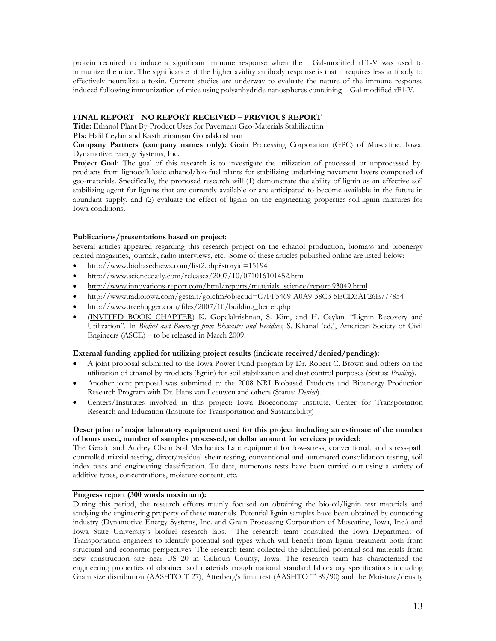protein required to induce a significant immune response when the Gal-modified rF1-V was used to immunize the mice. The significance of the higher avidity antibody response is that it requires less antibody to effectively neutralize a toxin. Current studies are underway to evaluate the nature of the immune response induced following immunization of mice using polyanhydride nanospheres containing Gal-modified rF1-V.

#### **FINAL REPORT - NO REPORT RECEIVED – PREVIOUS REPORT**

**Title:** Ethanol Plant By-Product Uses for Pavement Geo-Materials Stabilization

**PIs:** Halil Ceylan and Kasthurirangan Gopalakrishnan

**Company Partners (company names only):** Grain Processing Corporation (GPC) of Muscatine, Iowa; Dynamotive Energy Systems, Inc.

**Project Goal:** The goal of this research is to investigate the utilization of processed or unprocessed byproducts from lignocellulosic ethanol/bio-fuel plants for stabilizing underlying pavement layers composed of geo-materials. Specifically, the proposed research will (1) demonstrate the ability of lignin as an effective soil stabilizing agent for lignins that are currently available or are anticipated to become available in the future in abundant supply, and (2) evaluate the effect of lignin on the engineering properties soil-lignin mixtures for Iowa conditions.

#### **Publications/presentations based on project:**

Several articles appeared regarding this research project on the ethanol production, biomass and bioenergy related magazines, journals, radio interviews, etc. Some of these articles published online are listed below:

- http://www.biobasednews.com/list2.php?storyid=15194
- http://www.sciencedaily.com/releases/2007/10/071016101452.htm
- http://www.innovations-report.com/html/reports/materials\_science/report-93049.html
- http://www.radioiowa.com/gestalt/go.cfm?objectid=C7FF5469-A0A9-38C3-5ECD3AF26E777854
- http://www.treehugger.com/files/2007/10/building\_better.php
- (INVITED BOOK CHAPTER) K. Gopalakrishnan, S. Kim, and H. Ceylan. "Lignin Recovery and Utilization". In *Biofuel and Bioenergy from Biowastes and Residues*, S. Khanal (ed.), American Society of Civil Engineers (ASCE) – to be released in March 2009.

#### **External funding applied for utilizing project results (indicate received/denied/pending):**

- A joint proposal submitted to the Iowa Power Fund program by Dr. Robert C. Brown and others on the utilization of ethanol by products (lignin) for soil stabilization and dust control purposes (Status: *Pending*).
- Another joint proposal was submitted to the 2008 NRI Biobased Products and Bioenergy Production Research Program with Dr. Hans van Leeuwen and others (Status: *Denied*).
- Centers/Institutes involved in this project: Iowa Bioeconomy Institute, Center for Transportation Research and Education (Institute for Transportation and Sustainability)

#### **Description of major laboratory equipment used for this project including an estimate of the number of hours used, number of samples processed, or dollar amount for services provided:**

The Gerald and Audrey Olson Soil Mechanics Lab: equipment for low-stress, conventional, and stress-path controlled triaxial testing, direct/residual shear testing, conventional and automated consolidation testing, soil index tests and engineering classification. To date, numerous tests have been carried out using a variety of additive types, concentrations, moisture content, etc.

#### **Progress report (300 words maximum):**

During this period, the research efforts mainly focused on obtaining the bio-oil/lignin test materials and studying the engineering property of these materials. Potential lignin samples have been obtained by contacting industry (Dynamotive Energy Systems, Inc. and Grain Processing Corporation of Muscatine, Iowa, Inc.) and Iowa State University's biofuel research labs. The research team consulted the Iowa Department of Transportation engineers to identify potential soil types which will benefit from lignin treatment both from structural and economic perspectives. The research team collected the identified potential soil materials from new construction site near US 20 in Calhoun County, Iowa. The research team has characterized the engineering properties of obtained soil materials trough national standard laboratory specifications including Grain size distribution (AASHTO T 27), Atterberg's limit test (AASHTO T 89/90) and the Moisture/density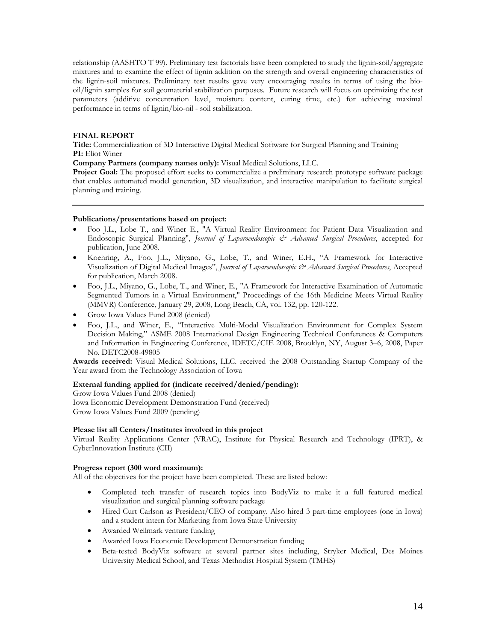relationship (AASHTO T 99). Preliminary test factorials have been completed to study the lignin-soil/aggregate mixtures and to examine the effect of lignin addition on the strength and overall engineering characteristics of the lignin-soil mixtures. Preliminary test results gave very encouraging results in terms of using the biooil/lignin samples for soil geomaterial stabilization purposes. Future research will focus on optimizing the test parameters (additive concentration level, moisture content, curing time, etc.) for achieving maximal performance in terms of lignin/bio-oil - soil stabilization.

#### **FINAL REPORT**

**Title:** Commercialization of 3D Interactive Digital Medical Software for Surgical Planning and Training **PI:** Eliot Winer

**Company Partners (company names only):** Visual Medical Solutions, LLC.

**Project Goal:** The proposed effort seeks to commercialize a preliminary research prototype software package that enables automated model generation, 3D visualization, and interactive manipulation to facilitate surgical planning and training.

#### **Publications/presentations based on project:**

- Foo J.L., Lobe T., and Winer E., "A Virtual Reality Environment for Patient Data Visualization and Endoscopic Surgical Planning", *Journal of Laparoendoscopic & Advanced Surgical Procedures*, accepted for publication, June 2008.
- Koehring, A., Foo, J.L., Miyano, G., Lobe, T., and Winer, E.H., "A Framework for Interactive Visualization of Digital Medical Images", *Journal of Laparoendoscopic & Advanced Surgical Procedures*, Accepted for publication, March 2008.
- Foo, J.L., Miyano, G., Lobe, T., and Winer, E., "A Framework for Interactive Examination of Automatic Segmented Tumors in a Virtual Environment," Proceedings of the 16th Medicine Meets Virtual Reality (MMVR) Conference, January 29, 2008, Long Beach, CA, vol. 132, pp. 120-122.
- Grow Iowa Values Fund 2008 (denied)
- Foo, J.L., and Winer, E., "Interactive Multi-Modal Visualization Environment for Complex System Decision Making," ASME 2008 International Design Engineering Technical Conferences & Computers and Information in Engineering Conference, IDETC/CIE 2008, Brooklyn, NY, August 3–6, 2008, Paper No. DETC2008-49805

**Awards received:** Visual Medical Solutions, LLC. received the 2008 Outstanding Startup Company of the Year award from the Technology Association of Iowa

#### **External funding applied for (indicate received/denied/pending):**

Grow Iowa Values Fund 2008 (denied) Iowa Economic Development Demonstration Fund (received) Grow Iowa Values Fund 2009 (pending)

#### **Please list all Centers/Institutes involved in this project**

Virtual Reality Applications Center (VRAC), Institute for Physical Research and Technology (IPRT), & CyberInnovation Institute (CII)

### **Progress report (300 word maximum):**

All of the objectives for the project have been completed. These are listed below:

- Completed tech transfer of research topics into BodyViz to make it a full featured medical visualization and surgical planning software package
- Hired Curt Carlson as President/CEO of company. Also hired 3 part-time employees (one in Iowa) and a student intern for Marketing from Iowa State University
- Awarded Wellmark venture funding
- Awarded Iowa Economic Development Demonstration funding
- Beta-tested BodyViz software at several partner sites including, Stryker Medical, Des Moines University Medical School, and Texas Methodist Hospital System (TMHS)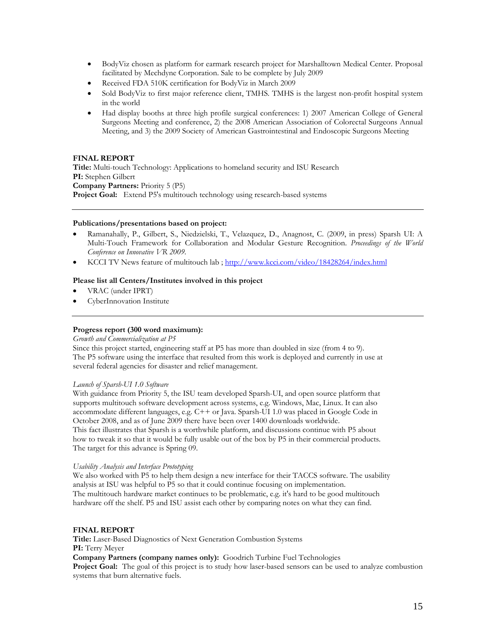- BodyViz chosen as platform for earmark research project for Marshalltown Medical Center. Proposal facilitated by Mechdyne Corporation. Sale to be complete by July 2009
- Received FDA 510K certification for BodyViz in March 2009
- Sold BodyViz to first major reference client, TMHS. TMHS is the largest non-profit hospital system in the world
- Had display booths at three high profile surgical conferences: 1) 2007 American College of General Surgeons Meeting and conference, 2) the 2008 American Association of Colorectal Surgeons Annual Meeting, and 3) the 2009 Society of American Gastrointestinal and Endoscopic Surgeons Meeting

#### **FINAL REPORT**

**Title:** Multi-touch Technology: Applications to homeland security and ISU Research **PI:** Stephen Gilbert **Company Partners:** Priority 5 (P5) Project Goal: Extend P5's multitouch technology using research-based systems

#### **Publications/presentations based on project:**

- Ramanahally, P., Gilbert, S., Niedzielski, T., Velazquez, D., Anagnost, C. (2009, in press) Sparsh UI: A Multi-Touch Framework for Collaboration and Modular Gesture Recognition. *Proceedings of the World Conference on Innovative VR 2009*.
- KCCI TV News feature of multitouch lab ; http://www.kcci.com/video/18428264/index.html

#### **Please list all Centers/Institutes involved in this project**

- VRAC (under IPRT)
- CyberInnovation Institute

#### **Progress report (300 word maximum):**

#### *Growth and Commercialization at P5*

Since this project started, engineering staff at P5 has more than doubled in size (from 4 to 9). The P5 software using the interface that resulted from this work is deployed and currently in use at several federal agencies for disaster and relief management.

#### *Launch of Sparsh-UI 1.0 Software*

With guidance from Priority 5, the ISU team developed Sparsh-UI, and open source platform that supports multitouch software development across systems, e.g. Windows, Mac, Linux. It can also accommodate different languages, e.g. C++ or Java. Sparsh-UI 1.0 was placed in Google Code in October 2008, and as of June 2009 there have been over 1400 downloads worldwide. This fact illustrates that Sparsh is a worthwhile platform, and discussions continue with P5 about how to tweak it so that it would be fully usable out of the box by P5 in their commercial products. The target for this advance is Spring 09.

#### *Usability Analysis and Interface Prototyping*

We also worked with P5 to help them design a new interface for their TACCS software. The usability analysis at ISU was helpful to P5 so that it could continue focusing on implementation. The multitouch hardware market continues to be problematic, e.g. it's hard to be good multitouch hardware off the shelf. P5 and ISU assist each other by comparing notes on what they can find.

#### **FINAL REPORT**

**Title:** Laser-Based Diagnostics of Next Generation Combustion Systems **PI:** Terry Meyer

**Company Partners (company names only):** Goodrich Turbine Fuel Technologies

**Project Goal:** The goal of this project is to study how laser-based sensors can be used to analyze combustion systems that burn alternative fuels.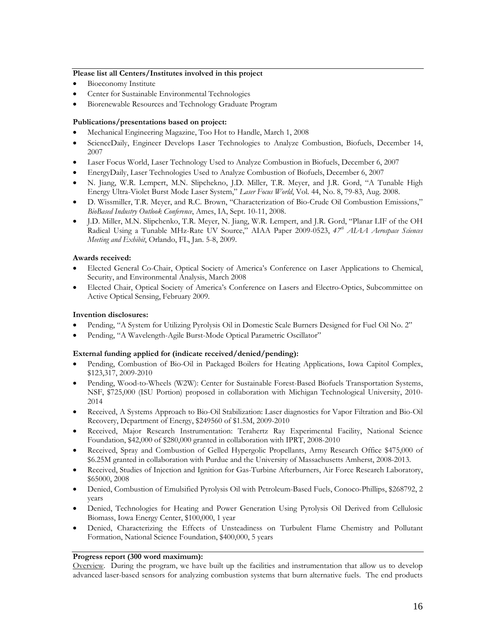#### **Please list all Centers/Institutes involved in this project**

- Bioeconomy Institute
- Center for Sustainable Environmental Technologies
- Biorenewable Resources and Technology Graduate Program

#### **Publications/presentations based on project:**

- Mechanical Engineering Magazine, Too Hot to Handle, March 1, 2008
- ScienceDaily, Engineer Develops Laser Technologies to Analyze Combustion, Biofuels, December 14, 2007
- Laser Focus World, Laser Technology Used to Analyze Combustion in Biofuels, December 6, 2007
- EnergyDaily, Laser Technologies Used to Analyze Combustion of Biofuels, December 6, 2007
- N. Jiang, W.R. Lempert, M.N. Slipchekno, J.D. Miller, T.R. Meyer, and J.R. Gord, "A Tunable High Energy Ultra-Violet Burst Mode Laser System," *Laser Focus World*, Vol. 44, No. 8, 79-83, Aug. 2008.
- D. Wissmiller, T.R. Meyer, and R.C. Brown, "Characterization of Bio-Crude Oil Combustion Emissions," *BioBased Industry Outlook Conference*, Ames, IA, Sept. 10-11, 2008.
- J.D. Miller, M.N. Slipchenko, T.R. Meyer, N. Jiang, W.R. Lempert, and J.R. Gord, "Planar LIF of the OH Radical Using a Tunable MHz-Rate UV Source," AIAA Paper 2009-0523, *47th AIAA Aerospace Sciences Meeting and Exhibit*, Orlando, FL, Jan. 5-8, 2009.

#### **Awards received:**

- Elected General Co-Chair, Optical Society of America's Conference on Laser Applications to Chemical, Security, and Environmental Analysis, March 2008
- Elected Chair, Optical Society of America's Conference on Lasers and Electro-Optics, Subcommittee on Active Optical Sensing, February 2009.

#### **Invention disclosures:**

- Pending, "A System for Utilizing Pyrolysis Oil in Domestic Scale Burners Designed for Fuel Oil No. 2"
- Pending, "A Wavelength-Agile Burst-Mode Optical Parametric Oscillator"

#### **External funding applied for (indicate received/denied/pending):**

- Pending, Combustion of Bio-Oil in Packaged Boilers for Heating Applications, Iowa Capitol Complex, \$123,317, 2009-2010
- Pending, Wood-to-Wheels (W2W): Center for Sustainable Forest-Based Biofuels Transportation Systems, NSF, \$725,000 (ISU Portion) proposed in collaboration with Michigan Technological University, 2010- 2014
- Received, A Systems Approach to Bio-Oil Stabilization: Laser diagnostics for Vapor Filtration and Bio-Oil Recovery, Department of Energy, \$249560 of \$1.5M, 2009-2010
- Received, Major Research Instrumentation: Terahertz Ray Experimental Facility, National Science Foundation, \$42,000 of \$280,000 granted in collaboration with IPRT, 2008-2010
- Received, Spray and Combustion of Gelled Hypergolic Propellants, Army Research Office \$475,000 of \$6.25M granted in collaboration with Purdue and the University of Massachusetts Amherst, 2008-2013.
- Received, Studies of Injection and Ignition for Gas-Turbine Afterburners, Air Force Research Laboratory, \$65000, 2008
- Denied, Combustion of Emulsified Pyrolysis Oil with Petroleum-Based Fuels, Conoco-Phillips, \$268792, 2 years
- Denied, Technologies for Heating and Power Generation Using Pyrolysis Oil Derived from Cellulosic Biomass, Iowa Energy Center, \$100,000, 1 year
- Denied, Characterizing the Effects of Unsteadiness on Turbulent Flame Chemistry and Pollutant Formation, National Science Foundation, \$400,000, 5 years

### **Progress report (300 word maximum):**

Overview. During the program, we have built up the facilities and instrumentation that allow us to develop advanced laser-based sensors for analyzing combustion systems that burn alternative fuels. The end products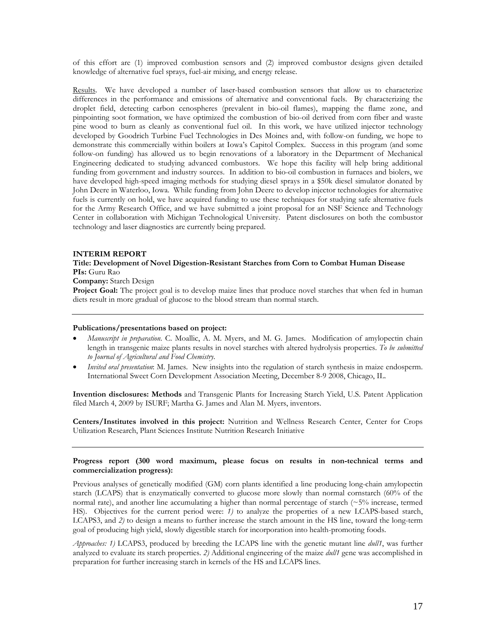of this effort are (1) improved combustion sensors and (2) improved combustor designs given detailed knowledge of alternative fuel sprays, fuel-air mixing, and energy release.

Results. We have developed a number of laser-based combustion sensors that allow us to characterize differences in the performance and emissions of alternative and conventional fuels. By characterizing the droplet field, detecting carbon cenospheres (prevalent in bio-oil flames), mapping the flame zone, and pinpointing soot formation, we have optimized the combustion of bio-oil derived from corn fiber and waste pine wood to burn as cleanly as conventional fuel oil. In this work, we have utilized injector technology developed by Goodrich Turbine Fuel Technologies in Des Moines and, with follow-on funding, we hope to demonstrate this commercially within boilers at Iowa's Capitol Complex. Success in this program (and some follow-on funding) has allowed us to begin renovations of a laboratory in the Department of Mechanical Engineering dedicated to studying advanced combustors. We hope this facility will help bring additional funding from government and industry sources. In addition to bio-oil combustion in furnaces and biolers, we have developed high-speed imaging methods for studying diesel sprays in a \$50k diesel simulator donated by John Deere in Waterloo, Iowa. While funding from John Deere to develop injector technologies for alternative fuels is currently on hold, we have acquired funding to use these techniques for studying safe alternative fuels for the Army Research Office, and we have submitted a joint proposal for an NSF Science and Technology Center in collaboration with Michigan Technological University. Patent disclosures on both the combustor technology and laser diagnostics are currently being prepared.

## **INTERIM REPORT**

### **Title: Development of Novel Digestion-Resistant Starches from Corn to Combat Human Disease PIs:** Guru Rao

**Company:** Starch Design

**Project Goal:** The project goal is to develop maize lines that produce novel starches that when fed in human diets result in more gradual of glucose to the blood stream than normal starch.

### **Publications/presentations based on project:**

- *Manuscript in preparation*. C. Moallic, A. M. Myers, and M. G. James. Modification of amylopectin chain length in transgenic maize plants results in novel starches with altered hydrolysis properties. *To be submitted to Journal of Agricultural and Food Chemistry*.
- *Invited oral presentation*: M. James. New insights into the regulation of starch synthesis in maize endosperm. International Sweet Corn Development Association Meeting, December 8-9 2008, Chicago, IL.

**Invention disclosures: Methods** and Transgenic Plants for Increasing Starch Yield, U.S. Patent Application filed March 4, 2009 by ISURF; Martha G. James and Alan M. Myers, inventors.

**Centers/Institutes involved in this project:** Nutrition and Wellness Research Center, Center for Crops Utilization Research, Plant Sciences Institute Nutrition Research Initiative

## **Progress report (300 word maximum, please focus on results in non-technical terms and commercialization progress):**

Previous analyses of genetically modified (GM) corn plants identified a line producing long-chain amylopectin starch (LCAPS) that is enzymatically converted to glucose more slowly than normal cornstarch (60% of the normal rate), and another line accumulating a higher than normal percentage of starch (~5% increase, termed HS). Objectives for the current period were: *1*) to analyze the properties of a new LCAPS-based starch, LCAPS3, and *2)* to design a means to further increase the starch amount in the HS line, toward the long-term goal of producing high yield, slowly digestible starch for incorporation into health-promoting foods.

*Approaches: 1)* LCAPS3, produced by breeding the LCAPS line with the genetic mutant line *dull1*, was further analyzed to evaluate its starch properties. *2)* Additional engineering of the maize *dull1* gene was accomplished in preparation for further increasing starch in kernels of the HS and LCAPS lines.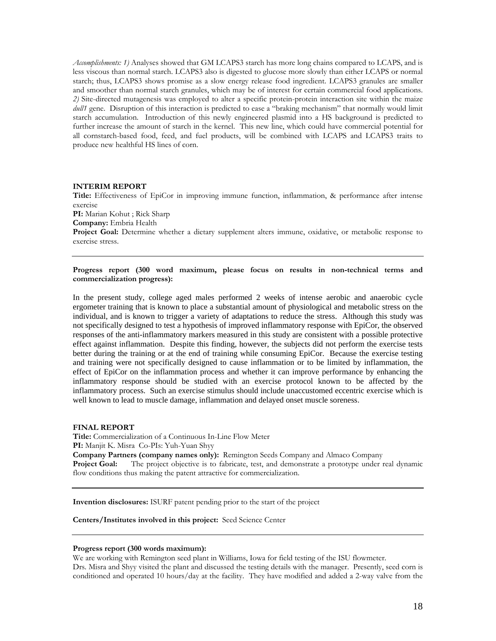*Accomplishments: 1)* Analyses showed that GM LCAPS3 starch has more long chains compared to LCAPS, and is less viscous than normal starch. LCAPS3 also is digested to glucose more slowly than either LCAPS or normal starch; thus, LCAPS3 shows promise as a slow energy release food ingredient. LCAPS3 granules are smaller and smoother than normal starch granules, which may be of interest for certain commercial food applications. *2)* Site-directed mutagenesis was employed to alter a specific protein-protein interaction site within the maize *dull1* gene. Disruption of this interaction is predicted to ease a "braking mechanism" that normally would limit starch accumulation. Introduction of this newly engineered plasmid into a HS background is predicted to further increase the amount of starch in the kernel. This new line, which could have commercial potential for all cornstarch-based food, feed, and fuel products, will be combined with LCAPS and LCAPS3 traits to produce new healthful HS lines of corn.

#### **INTERIM REPORT**

**Title:** Effectiveness of EpiCor in improving immune function, inflammation, & performance after intense exercise **PI:** Marian Kohut ; Rick Sharp **Company:** Embria Health Project Goal: Determine whether a dietary supplement alters immune, oxidative, or metabolic response to exercise stress.

**Progress report (300 word maximum, please focus on results in non-technical terms and commercialization progress):** 

In the present study, college aged males performed 2 weeks of intense aerobic and anaerobic cycle ergometer training that is known to place a substantial amount of physiological and metabolic stress on the individual, and is known to trigger a variety of adaptations to reduce the stress. Although this study was not specifically designed to test a hypothesis of improved inflammatory response with EpiCor, the observed responses of the anti-inflammatory markers measured in this study are consistent with a possible protective effect against inflammation. Despite this finding, however, the subjects did not perform the exercise tests better during the training or at the end of training while consuming EpiCor. Because the exercise testing and training were not specifically designed to cause inflammation or to be limited by inflammation, the effect of EpiCor on the inflammation process and whether it can improve performance by enhancing the inflammatory response should be studied with an exercise protocol known to be affected by the inflammatory process. Such an exercise stimulus should include unaccustomed eccentric exercise which is well known to lead to muscle damage, inflammation and delayed onset muscle soreness.

### **FINAL REPORT**

**Title:** Commercialization of a Continuous In-Line Flow Meter **PI:** Manjit K. Misra Co-PIs: Yuh-Yuan Shyy **Company Partners (company names only):** Remington Seeds Company and Almaco Company **Project Goal:** The project objective is to fabricate, test, and demonstrate a prototype under real dynamic flow conditions thus making the patent attractive for commercialization.

**Invention disclosures:** ISURF patent pending prior to the start of the project

**Centers/Institutes involved in this project:** Seed Science Center

#### **Progress report (300 words maximum):**

We are working with Remington seed plant in Williams, Iowa for field testing of the ISU flowmeter. Drs. Misra and Shyy visited the plant and discussed the testing details with the manager. Presently, seed corn is conditioned and operated 10 hours/day at the facility. They have modified and added a 2-way valve from the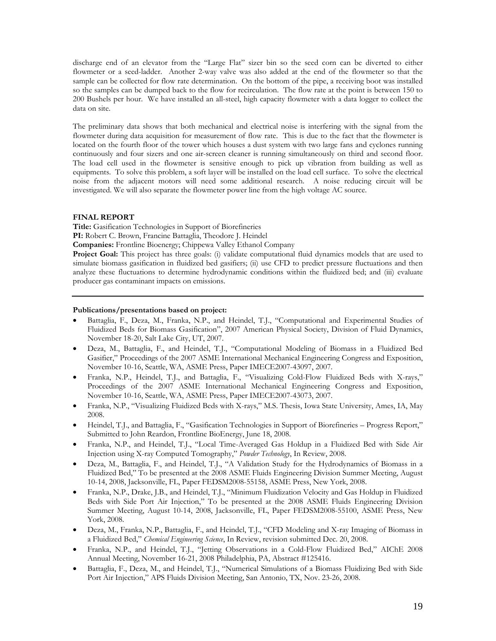discharge end of an elevator from the "Large Flat" sizer bin so the seed corn can be diverted to either flowmeter or a seed-ladder. Another 2-way valve was also added at the end of the flowmeter so that the sample can be collected for flow rate determination. On the bottom of the pipe, a receiving boot was installed so the samples can be dumped back to the flow for recirculation. The flow rate at the point is between 150 to 200 Bushels per hour. We have installed an all-steel, high capacity flowmeter with a data logger to collect the data on site.

The preliminary data shows that both mechanical and electrical noise is interfering with the signal from the flowmeter during data acquisition for measurement of flow rate. This is due to the fact that the flowmeter is located on the fourth floor of the tower which houses a dust system with two large fans and cyclones running continuously and four sizers and one air-screen cleaner is running simultaneously on third and second floor. The load cell used in the flowmeter is sensitive enough to pick up vibration from building as well as equipments. To solve this problem, a soft layer will be installed on the load cell surface. To solve the electrical noise from the adjacent motors will need some additional research. A noise reducing circuit will be investigated. We will also separate the flowmeter power line from the high voltage AC source.

## **FINAL REPORT**

**Title:** Gasification Technologies in Support of Biorefineries

**PI:** Robert C. Brown, Francine Battaglia, Theodore J. Heindel

**Companies:** Frontline Bioenergy; Chippewa Valley Ethanol Company

**Project Goal:** This project has three goals: (i) validate computational fluid dynamics models that are used to simulate biomass gasification in fluidized bed gasifiers; (ii) use CFD to predict pressure fluctuations and then analyze these fluctuations to determine hydrodynamic conditions within the fluidized bed; and (iii) evaluate producer gas contaminant impacts on emissions.

## **Publications/presentations based on project:**

- Battaglia, F., Deza, M., Franka, N.P., and Heindel, T.J., "Computational and Experimental Studies of Fluidized Beds for Biomass Gasification", 2007 American Physical Society, Division of Fluid Dynamics, November 18-20, Salt Lake City, UT, 2007.
- Deza, M., Battaglia, F., and Heindel, T.J., "Computational Modeling of Biomass in a Fluidized Bed Gasifier," Proceedings of the 2007 ASME International Mechanical Engineering Congress and Exposition, November 10-16, Seattle, WA, ASME Press, Paper IMECE2007-43097, 2007.
- Franka, N.P., Heindel, T.J., and Battaglia, F., "Visualizing Cold-Flow Fluidized Beds with X-rays," Proceedings of the 2007 ASME International Mechanical Engineering Congress and Exposition, November 10-16, Seattle, WA, ASME Press, Paper IMECE2007-43073, 2007.
- Franka, N.P., "Visualizing Fluidized Beds with X-rays," M.S. Thesis, Iowa State University, Ames, IA, May 2008.
- Heindel, T.J., and Battaglia, F., "Gasification Technologies in Support of Biorefineries Progress Report," Submitted to John Reardon, Frontline BioEnergy, June 18, 2008.
- Franka, N.P., and Heindel, T.J., "Local Time-Averaged Gas Holdup in a Fluidized Bed with Side Air Injection using X-ray Computed Tomography," *Powder Technology*, In Review, 2008.
- Deza, M., Battaglia, F., and Heindel, T.J., "A Validation Study for the Hydrodynamics of Biomass in a Fluidized Bed," To be presented at the 2008 ASME Fluids Engineering Division Summer Meeting, August 10-14, 2008, Jacksonville, FL, Paper FEDSM2008-55158, ASME Press, New York, 2008.
- Franka, N.P., Drake, J.B., and Heindel, T.J., "Minimum Fluidization Velocity and Gas Holdup in Fluidized Beds with Side Port Air Injection," To be presented at the 2008 ASME Fluids Engineering Division Summer Meeting, August 10-14, 2008, Jacksonville, FL, Paper FEDSM2008-55100, ASME Press, New York, 2008.
- Deza, M., Franka, N.P., Battaglia, F., and Heindel, T.J., "CFD Modeling and X-ray Imaging of Biomass in a Fluidized Bed," *Chemical Engineering Science*, In Review, revision submitted Dec. 20, 2008.
- Franka, N.P., and Heindel, T.J., "Jetting Observations in a Cold-Flow Fluidized Bed," AIChE 2008 Annual Meeting, November 16-21, 2008 Philadelphia, PA, Abstract #125416.
- Battaglia, F., Deza, M., and Heindel, T.J., "Numerical Simulations of a Biomass Fluidizing Bed with Side Port Air Injection," APS Fluids Division Meeting, San Antonio, TX, Nov. 23-26, 2008.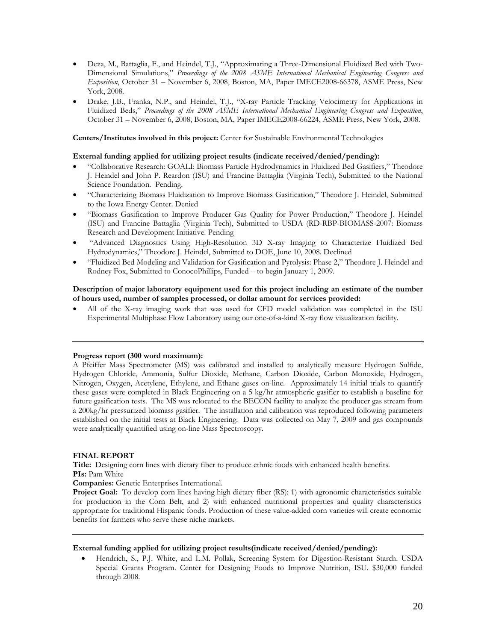- Deza, M., Battaglia, F., and Heindel, T.J., "Approximating a Three-Dimensional Fluidized Bed with Two-Dimensional Simulations," *Proceedings of the 2008 ASME International Mechanical Engineering Congress and Exposition*, October 31 – November 6, 2008, Boston, MA, Paper IMECE2008-66378, ASME Press, New York, 2008.
- Drake, J.B., Franka, N.P., and Heindel, T.J., "X-ray Particle Tracking Velocimetry for Applications in Fluidized Beds," *Proceedings of the 2008 ASME International Mechanical Engineering Congress and Exposition*, October 31 – November 6, 2008, Boston, MA, Paper IMECE2008-66224, ASME Press, New York, 2008.

**Centers/Institutes involved in this project:** Center for Sustainable Environmental Technologies

## **External funding applied for utilizing project results (indicate received/denied/pending):**

- "Collaborative Research: GOALI: Biomass Particle Hydrodynamics in Fluidized Bed Gasifiers," Theodore J. Heindel and John P. Reardon (ISU) and Francine Battaglia (Virginia Tech), Submitted to the National Science Foundation. Pending.
- "Characterizing Biomass Fluidization to Improve Biomass Gasification," Theodore J. Heindel, Submitted to the Iowa Energy Center. Denied
- "Biomass Gasification to Improve Producer Gas Quality for Power Production," Theodore J. Heindel (ISU) and Francine Battaglia (Virginia Tech), Submitted to USDA (RD-RBP-BIOMASS-2007: Biomass Research and Development Initiative. Pending
- "Advanced Diagnostics Using High-Resolution 3D X-ray Imaging to Characterize Fluidized Bed Hydrodynamics," Theodore J. Heindel, Submitted to DOE, June 10, 2008. Declined
- "Fluidized Bed Modeling and Validation for Gasification and Pyrolysis: Phase 2," Theodore J. Heindel and Rodney Fox, Submitted to ConocoPhillips, Funded – to begin January 1, 2009.

## **Description of major laboratory equipment used for this project including an estimate of the number of hours used, number of samples processed, or dollar amount for services provided:**

 All of the X-ray imaging work that was used for CFD model validation was completed in the ISU Experimental Multiphase Flow Laboratory using our one-of-a-kind X-ray flow visualization facility.

### **Progress report (300 word maximum):**

A Pfeiffer Mass Spectrometer (MS) was calibrated and installed to analytically measure Hydrogen Sulfide, Hydrogen Chloride, Ammonia, Sulfur Dioxide, Methane, Carbon Dioxide, Carbon Monoxide, Hydrogen, Nitrogen, Oxygen, Acetylene, Ethylene, and Ethane gases on-line. Approximately 14 initial trials to quantify these gases were completed in Black Engineering on a 5 kg/hr atmospheric gasifier to establish a baseline for future gasification tests. The MS was relocated to the BECON facility to analyze the producer gas stream from a 200kg/hr pressurized biomass gasifier. The installation and calibration was reproduced following parameters established on the initial tests at Black Engineering. Data was collected on May 7, 2009 and gas compounds were analytically quantified using on-line Mass Spectroscopy.

### **FINAL REPORT**

**Title:** Designing corn lines with dietary fiber to produce ethnic foods with enhanced health benefits. **PIs:** Pam White

**Companies:** Genetic Enterprises International.

**Project Goal:** To develop corn lines having high dietary fiber (RS): 1) with agronomic characteristics suitable for production in the Corn Belt, and 2) with enhanced nutritional properties and quality characteristics appropriate for traditional Hispanic foods. Production of these value-added corn varieties will create economic benefits for farmers who serve these niche markets.

## **External funding applied for utilizing project results(indicate received/denied/pending):**

 Hendrich, S., P.J. White, and L.M. Pollak, Screening System for Digestion-Resistant Starch. USDA Special Grants Program. Center for Designing Foods to Improve Nutrition, ISU. \$30,000 funded through 2008.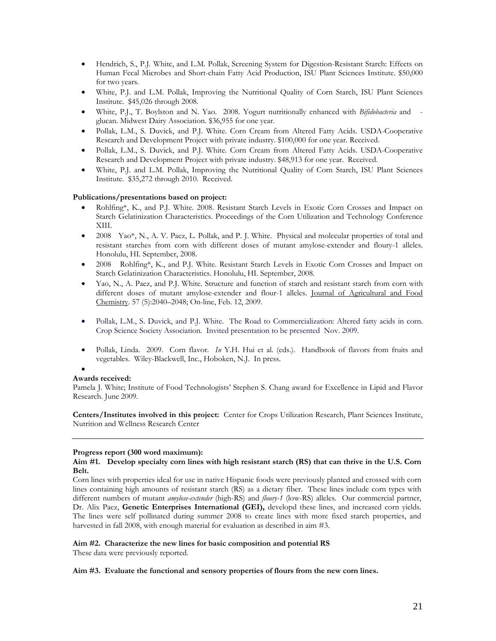- Hendrich, S., P.J. White, and L.M. Pollak, Screening System for Digestion-Resistant Starch: Effects on Human Fecal Microbes and Short-chain Fatty Acid Production, ISU Plant Sciences Institute. \$50,000 for two years.
- White, P.J. and L.M. Pollak, Improving the Nutritional Quality of Corn Starch, ISU Plant Sciences Institute. \$45,026 through 2008.
- White, P.J., T. Boylston and N. Yao. 2008. Yogurt nutritionally enhanced with *Bifidobacteria* and glucan. Midwest Dairy Association. \$36,955 for one year.
- Pollak, L.M., S. Duvick, and P.J. White. Corn Cream from Altered Fatty Acids. USDA-Cooperative Research and Development Project with private industry. \$100,000 for one year. Received.
- Pollak, L.M., S. Duvick, and P.J. White. Corn Cream from Altered Fatty Acids. USDA-Cooperative Research and Development Project with private industry. \$48,913 for one year. Received.
- White, P.J. and L.M. Pollak, Improving the Nutritional Quality of Corn Starch, ISU Plant Sciences Institute. \$35,272 through 2010. Received.

## **Publications/presentations based on project:**

- Rohlfing\*, K., and P.J. White. 2008. Resistant Starch Levels in Exotic Corn Crosses and Impact on Starch Gelatinization Characteristics. Proceedings of the Corn Utilization and Technology Conference XIII.
- 2008 Yao\*, N., A. V. Paez, L. Pollak, and P. J. White. Physical and molecular properties of total and resistant starches from corn with different doses of mutant amylose-extender and floury-1 alleles. Honolulu, HI. September, 2008.
- 2008 Rohlfing\*, K., and P.J. White. Resistant Starch Levels in Exotic Corn Crosses and Impact on Starch Gelatinization Characteristics. Honolulu, HI. September, 2008.
- Yao, N., A. Paez, and P.J. White. Structure and function of starch and resistant starch from corn with different doses of mutant amylose-extender and flour-1 alleles. Journal of Agricultural and Food Chemistry. 57 (5):2040–2048; On-line, Feb. 12, 2009.
- Pollak, L.M., S. Duvick, and P.J. White. The Road to Commercialization: Altered fatty acids in corn. Crop Science Society Association. Invited presentation to be presented Nov. 2009.
- Pollak, Linda. 2009. Corn flavor. *In* Y.H. Hui et al. (eds.). Handbook of flavors from fruits and vegetables. Wiley-Blackwell, Inc., Hoboken, N.J. In press.

## $\bullet$

### **Awards received:**

Pamela J. White; Institute of Food Technologists' Stephen S. Chang award for Excellence in Lipid and Flavor Research. June 2009.

**Centers/Institutes involved in this project:** Center for Crops Utilization Research, Plant Sciences Institute, Nutrition and Wellness Research Center

### **Progress report (300 word maximum):**

### **Aim #1. Develop specialty corn lines with high resistant starch (RS) that can thrive in the U.S. Corn Belt.**

Corn lines with properties ideal for use in native Hispanic foods were previously planted and crossed with corn lines containing high amounts of resistant starch (RS) as a dietary fiber. These lines include corn types with different numbers of mutant *amylose-extender* (high-RS) and *floury-1* (low-RS) alleles. Our commercial partner, Dr. Alix Paez, **Genetic Enterprises International (GEI),** developd these lines, and increased corn yields. The lines were self pollinated during summer 2008 to create lines with more fixed starch properties, and harvested in fall 2008, with enough material for evaluation as described in aim #3.

### **Aim #2. Characterize the new lines for basic composition and potential RS**

These data were previously reported.

### **Aim #3. Evaluate the functional and sensory properties of flours from the new corn lines.**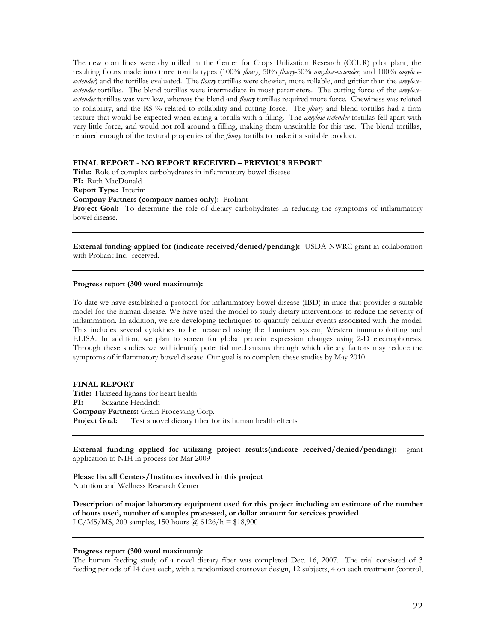The new corn lines were dry milled in the Center for Crops Utilization Research (CCUR) pilot plant, the resulting flours made into three tortilla types (100% *floury*, 50% *floury-*50% *amylose-extender*, and 100% *amyloseextender*) and the tortillas evaluated. The *floury* tortillas were chewier, more rollable, and grittier than the *amyloseextender* tortillas. The blend tortillas were intermediate in most parameters. The cutting force of the *amyloseextender* tortillas was very low, whereas the blend and *floury* tortillas required more force. Chewiness was related to rollability, and the RS % related to rollability and cutting force. The *floury* and blend tortillas had a firm texture that would be expected when eating a tortilla with a filling. The *amylose-extender* tortillas fell apart with very little force, and would not roll around a filling, making them unsuitable for this use. The blend tortillas, retained enough of the textural properties of the *floury* tortilla to make it a suitable product.

### **FINAL REPORT - NO REPORT RECEIVED – PREVIOUS REPORT**

**Title:** Role of complex carbohydrates in inflammatory bowel disease **PI:** Ruth MacDonald **Report Type:** Interim **Company Partners (company names only):** Proliant **Project Goal:** To determine the role of dietary carbohydrates in reducing the symptoms of inflammatory bowel disease.

**External funding applied for (indicate received/denied/pending):** USDA-NWRC grant in collaboration with Proliant Inc. received.

### **Progress report (300 word maximum):**

To date we have established a protocol for inflammatory bowel disease (IBD) in mice that provides a suitable model for the human disease. We have used the model to study dietary interventions to reduce the severity of inflammation. In addition, we are developing techniques to quantify cellular events associated with the model. This includes several cytokines to be measured using the Luminex system, Western immunoblotting and ELISA. In addition, we plan to screen for global protein expression changes using 2-D electrophoresis. Through these studies we will identify potential mechanisms through which dietary factors may reduce the symptoms of inflammatory bowel disease. Our goal is to complete these studies by May 2010.

#### **FINAL REPORT**

**Title:** Flaxseed lignans for heart health **PI:** Suzanne Hendrich **Company Partners:** Grain Processing Corp. **Project Goal:** Test a novel dietary fiber for its human health effects

**External funding applied for utilizing project results(indicate received/denied/pending):** grant application to NIH in process for Mar 2009

**Please list all Centers/Institutes involved in this project**  Nutrition and Wellness Research Center

**Description of major laboratory equipment used for this project including an estimate of the number of hours used, number of samples processed, or dollar amount for services provided**  LC/MS/MS, 200 samples, 150 hours  $\bar{a}$ , \$126/h = \$18,900

#### **Progress report (300 word maximum):**

The human feeding study of a novel dietary fiber was completed Dec. 16, 2007. The trial consisted of 3 feeding periods of 14 days each, with a randomized crossover design, 12 subjects, 4 on each treatment (control,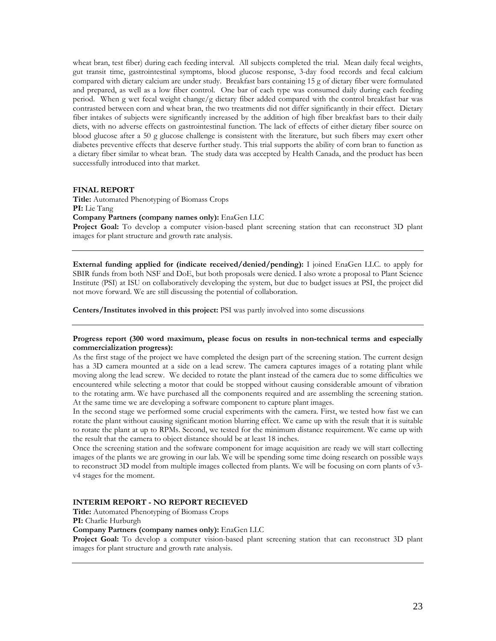wheat bran, test fiber) during each feeding interval. All subjects completed the trial. Mean daily fecal weights, gut transit time, gastrointestinal symptoms, blood glucose response, 3-day food records and fecal calcium compared with dietary calcium are under study. Breakfast bars containing 15 g of dietary fiber were formulated and prepared, as well as a low fiber control. One bar of each type was consumed daily during each feeding period. When g wet fecal weight change/g dietary fiber added compared with the control breakfast bar was contrasted between corn and wheat bran, the two treatments did not differ significantly in their effect. Dietary fiber intakes of subjects were significantly increased by the addition of high fiber breakfast bars to their daily diets, with no adverse effects on gastrointestinal function. The lack of effects of either dietary fiber source on blood glucose after a 50 g glucose challenge is consistent with the literature, but such fibers may exert other diabetes preventive effects that deserve further study. This trial supports the ability of corn bran to function as a dietary fiber similar to wheat bran. The study data was accepted by Health Canada, and the product has been successfully introduced into that market.

## **FINAL REPORT**

**Title:** Automated Phenotyping of Biomass Crops **PI:** Lie Tang **Company Partners (company names only):** EnaGen LLC

**Project Goal:** To develop a computer vision-based plant screening station that can reconstruct 3D plant images for plant structure and growth rate analysis.

**External funding applied for (indicate received/denied/pending):** I joined EnaGen LLC. to apply for SBIR funds from both NSF and DoE, but both proposals were denied. I also wrote a proposal to Plant Science Institute (PSI) at ISU on collaboratively developing the system, but due to budget issues at PSI, the project did not move forward. We are still discussing the potential of collaboration.

**Centers/Institutes involved in this project:** PSI was partly involved into some discussions

## **Progress report (300 word maximum, please focus on results in non-technical terms and especially commercialization progress):**

As the first stage of the project we have completed the design part of the screening station. The current design has a 3D camera mounted at a side on a lead screw. The camera captures images of a rotating plant while moving along the lead screw. We decided to rotate the plant instead of the camera due to some difficulties we encountered while selecting a motor that could be stopped without causing considerable amount of vibration to the rotating arm. We have purchased all the components required and are assembling the screening station. At the same time we are developing a software component to capture plant images.

In the second stage we performed some crucial experiments with the camera. First, we tested how fast we can rotate the plant without causing significant motion blurring effect. We came up with the result that it is suitable to rotate the plant at up to RPMs. Second, we tested for the minimum distance requirement. We came up with the result that the camera to object distance should be at least 18 inches.

Once the screening station and the software component for image acquisition are ready we will start collecting images of the plants we are growing in our lab. We will be spending some time doing research on possible ways to reconstruct 3D model from multiple images collected from plants. We will be focusing on corn plants of v3 v4 stages for the moment.

## **INTERIM REPORT - NO REPORT RECIEVED**

**Title:** Automated Phenotyping of Biomass Crops **PI:** Charlie Hurburgh

## **Company Partners (company names only):** EnaGen LLC

**Project Goal:** To develop a computer vision-based plant screening station that can reconstruct 3D plant images for plant structure and growth rate analysis.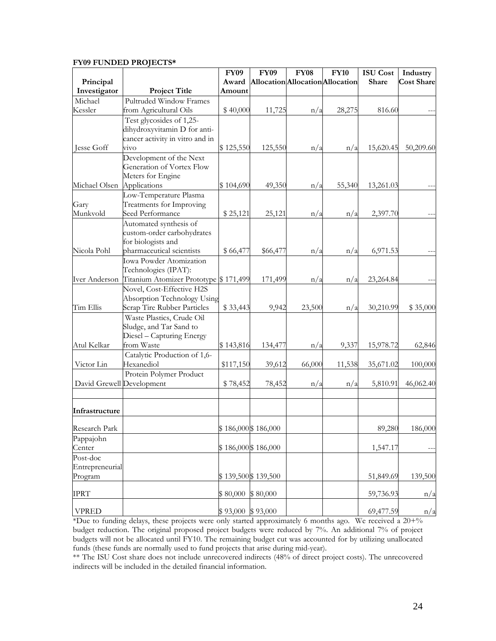# **FY09 FUNDED PROJECTS\***

|                           |                                       | <b>FY09</b> | <b>FY09</b>         | <b>FY08</b>                      | <b>FY10</b> | <b>ISU</b> Cost | Industry          |
|---------------------------|---------------------------------------|-------------|---------------------|----------------------------------|-------------|-----------------|-------------------|
| Principal                 |                                       | Award       |                     | Allocation Allocation Allocation |             | Share           | <b>Cost Share</b> |
| Investigator              | <b>Project Title</b>                  | Amount      |                     |                                  |             |                 |                   |
| Michael                   | Pultruded Window Frames               |             |                     |                                  |             |                 |                   |
| Kessler                   | from Agricultural Oils                | \$40,000    | 11,725              | n/a                              | 28,275      | 816.60          |                   |
|                           | Test glycosides of 1,25-              |             |                     |                                  |             |                 |                   |
|                           | dihydroxyvitamin D for anti-          |             |                     |                                  |             |                 |                   |
|                           | cancer activity in vitro and in       |             |                     |                                  |             |                 |                   |
| Jesse Goff                | vivo                                  | \$125,550   | 125,550             | n/a                              | n/a         | 15,620.45       | 50,209.60         |
|                           | Development of the Next               |             |                     |                                  |             |                 |                   |
|                           | Generation of Vortex Flow             |             |                     |                                  |             |                 |                   |
|                           | Meters for Engine                     |             |                     |                                  |             |                 |                   |
| Michael Olsen             | Applications                          | \$104,690   | 49,350              | n/a                              | 55,340      | 13,261.03       |                   |
|                           | Low-Temperature Plasma                |             |                     |                                  |             |                 |                   |
| Gary                      | Treatments for Improving              |             |                     |                                  |             |                 |                   |
| Munkvold                  | Seed Performance                      | \$25,121    | 25,121              | n/a                              | n/a         | 2,397.70        |                   |
|                           | Automated synthesis of                |             |                     |                                  |             |                 |                   |
|                           | custom-order carbohydrates            |             |                     |                                  |             |                 |                   |
|                           | for biologists and                    |             |                     |                                  |             |                 |                   |
| Nicola Pohl               | pharmaceutical scientists             | \$66,477    | \$66,477            | n/a                              | n/a         | 6,971.53        |                   |
|                           | <b>Iowa Powder Atomization</b>        |             |                     |                                  |             |                 |                   |
|                           | Technologies (IPAT):                  |             |                     |                                  |             |                 |                   |
| Iver Anderson             | Titanium Atomizer Prototype \$171,499 |             | 171,499             | n/a                              | n/a         | 23,264.84       |                   |
|                           | Novel, Cost-Effective H2S             |             |                     |                                  |             |                 |                   |
|                           | Absorption Technology Using           |             |                     |                                  |             |                 |                   |
| Tim Ellis                 | Scrap Tire Rubber Particles           | \$33,443    | 9,942               | 23,500                           | n/a         | 30,210.99       | \$35,000          |
|                           | Waste Plastics, Crude Oil             |             |                     |                                  |             |                 |                   |
|                           | Sludge, and Tar Sand to               |             |                     |                                  |             |                 |                   |
|                           | Diesel - Capturing Energy             |             |                     |                                  |             |                 |                   |
| Atul Kelkar               | from Waste                            | \$143,816   | 134,477             | n/a                              | 9,337       | 15,978.72       | 62,846            |
|                           | Catalytic Production of 1,6-          |             |                     |                                  |             |                 |                   |
| Victor Lin                | Hexanediol                            | \$117,150   | 39,612              | 66,000                           | 11,538      | 35,671.02       | 100,000           |
|                           |                                       |             |                     |                                  |             |                 |                   |
| David Grewell Development | Protein Polymer Product               |             |                     |                                  |             |                 |                   |
|                           |                                       | \$78,452    | 78,452              | n/a                              | n/a         | 5,810.91        | 46,062.40         |
|                           |                                       |             |                     |                                  |             |                 |                   |
| Infrastructure            |                                       |             |                     |                                  |             |                 |                   |
|                           |                                       |             |                     |                                  |             |                 |                   |
| Research Park             |                                       |             | \$186,000 \$186,000 |                                  |             | 89,280          | 186,000           |
| Pappajohn                 |                                       |             |                     |                                  |             |                 |                   |
| Center                    |                                       |             | \$186,000 \$186,000 |                                  |             | 1,547.17        |                   |
| Post-doc                  |                                       |             |                     |                                  |             |                 |                   |
| Entrepreneurial           |                                       |             |                     |                                  |             |                 |                   |
| Program                   |                                       |             | \$139,500 \$139,500 |                                  |             | 51,849.69       | 139,500           |
|                           |                                       |             |                     |                                  |             |                 |                   |
| <b>IPRT</b>               |                                       | \$80,000    | \$80,000            |                                  |             | 59,736.93       | n/a               |
|                           |                                       |             |                     |                                  |             |                 |                   |
| <b>VPRED</b>              |                                       | \$93,000    | \$93,000            |                                  |             | 69,477.59       | n/a               |

\*Due to funding delays, these projects were only started approximately 6 months ago. We received a 20+% budget reduction. The original proposed project budgets were reduced by 7%. An additional 7% of project budgets will not be allocated until FY10. The remaining budget cut was accounted for by utilizing unallocated funds (these funds are normally used to fund projects that arise during mid-year).

\*\* The ISU Cost share does not include unrecovered indirects (48% of direct project costs). The unrecovered indirects will be included in the detailed financial information.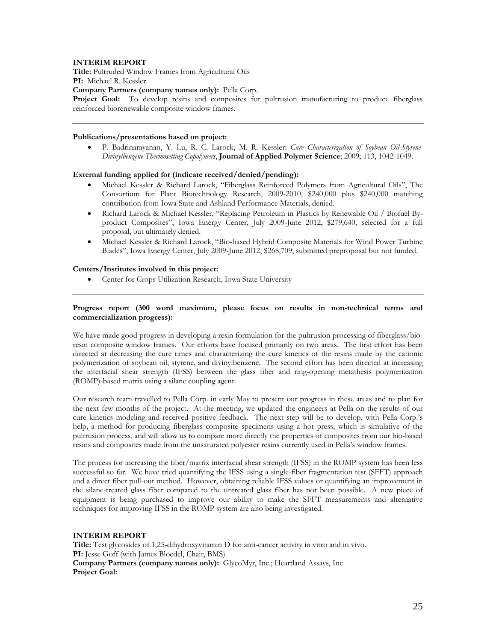## **INTERIM REPORT**

**Title:** Pultruded Window Frames from Agricultural Oils

**PI:** Michael R. Kessler

**Company Partners (company names only):** Pella Corp.

**Project Goal:** To develop resins and composites for pultrusion manufacturing to produce fiberglass reinforced biorenewable composite window frames.

## **Publications/presentations based on project:**

 P. Badrinarayanan, Y. Lu, R. C. Larock, M. R. Kessler: *Cure Characterization of Soybean Oil-Styrene-Divinylbenzene Thermosetting Copolymers*, **Journal of Applied Polymer Science**; 2009; 113, 1042-1049.

## **External funding applied for (indicate received/denied/pending):**

- Michael Kessler & Richard Larock, "Fiberglass Reinforced Polymers from Agricultural Oils", The Consortium for Plant Biotechnology Research, 2009-2010, \$240,000 plus \$240,000 matching contribution from Iowa State and Ashland Performance Materials, denied.
- Richard Larock & Michael Kessler, "Replacing Petroleum in Plastics by Renewable Oil / Biofuel Byproduct Composites", Iowa Energy Center, July 2009-June 2012, \$279,640, selected for a full proposal, but ultimately denied.
- Michael Kessler & Richard Larock, "Bio-based Hybrid Composite Materials for Wind Power Turbine Blades", Iowa Energy Center, July 2009-June 2012, \$268,709, submitted preproposal but not funded.

### **Centers/Institutes involved in this project:**

Center for Crops Utilization Research, Iowa State University

### **Progress report (300 word maximum, please focus on results in non-technical terms and commercialization progress):**

We have made good progress in developing a resin formulation for the pultrusion processing of fiberglass/bioresin composite window frames. Our efforts have focused primarily on two areas. The first effort has been directed at decreasing the cure times and characterizing the cure kinetics of the resins made by the cationic polymerization of soybean oil, styrene, and divinylbenzene. The second effort has been directed at increasing the interfacial shear strength (IFSS) between the glass fiber and ring-opening metathesis polymerization (ROMP)-based matrix using a silane coupling agent.

Our research team travelled to Pella Corp. in early May to present our progress in these areas and to plan for the next few months of the project. At the meeting, we updated the engineers at Pella on the results of our cure kinetics modeling and received positive feedback. The next step will be to develop, with Pella Corp.'s help, a method for producing fiberglass composite specimens using a hot press, which is simulative of the pultrusion process, and will allow us to compare more directly the properties of composites from our bio-based resins and composites made from the unsaturated polyester resins currently used in Pella's window frames.

The process for increasing the fiber/matrix interfacial shear strength (IFSS) in the ROMP system has been less successful so far. We have tried quantifying the IFSS using a single-fiber fragmentation test (SFFT) approach and a direct fiber pull-out method. However, obtaining reliable IFSS values or quantifying an improvement in the silane-treated glass fiber compared to the untreated glass fiber has not been possible. A new piece of equipment is being purchased to improve our ability to make the SFFT measurements and alternative techniques for improving IFSS in the ROMP system are also being investigated.

### **INTERIM REPORT**

**Title:** Test glycosides of 1,25-dihydroxyvitamin D for anti-cancer activity in vitro and in vivo. PI: Jesse Goff (with James Bloedel, Chair, BMS) **Company Partners (company names only):** GlycoMyr, Inc.; Heartland Assays, Inc **Project Goal:**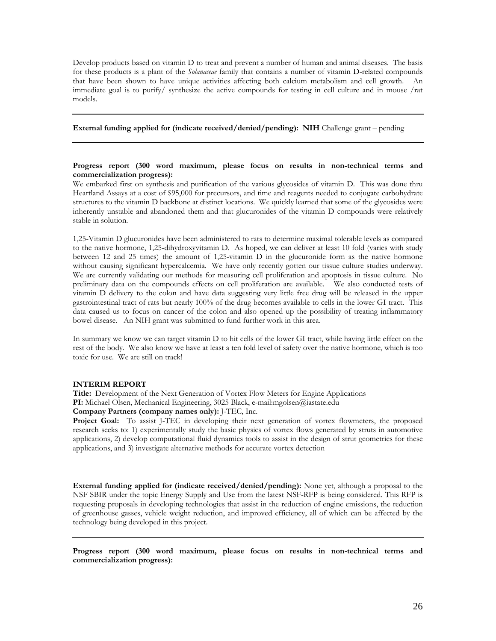Develop products based on vitamin D to treat and prevent a number of human and animal diseases. The basis for these products is a plant of the *Solanaceae* family that contains a number of vitamin D-related compounds that have been shown to have unique activities affecting both calcium metabolism and cell growth. An immediate goal is to purify/ synthesize the active compounds for testing in cell culture and in mouse /rat models.

### **External funding applied for (indicate received/denied/pending): NIH** Challenge grant – pending

## **Progress report (300 word maximum, please focus on results in non-technical terms and commercialization progress):**

We embarked first on synthesis and purification of the various glycosides of vitamin D. This was done thru Heartland Assays at a cost of \$95,000 for precursors, and time and reagents needed to conjugate carbohydrate structures to the vitamin D backbone at distinct locations. We quickly learned that some of the glycosides were inherently unstable and abandoned them and that glucuronides of the vitamin D compounds were relatively stable in solution.

1,25-Vitamin D glucuronides have been administered to rats to determine maximal tolerable levels as compared to the native hormone, 1,25-dihydroxyvitamin D. As hoped, we can deliver at least 10 fold (varies with study between 12 and 25 times) the amount of 1,25-vitamin D in the glucuronide form as the native hormone without causing significant hypercalcemia. We have only recently gotten our tissue culture studies underway. We are currently validating our methods for measuring cell proliferation and apoptosis in tissue culture. No preliminary data on the compounds effects on cell proliferation are available. We also conducted tests of vitamin D delivery to the colon and have data suggesting very little free drug will be released in the upper gastrointestinal tract of rats but nearly 100% of the drug becomes available to cells in the lower GI tract. This data caused us to focus on cancer of the colon and also opened up the possibility of treating inflammatory bowel disease. An NIH grant was submitted to fund further work in this area.

In summary we know we can target vitamin D to hit cells of the lower GI tract, while having little effect on the rest of the body. We also know we have at least a ten fold level of safety over the native hormone, which is too toxic for use. We are still on track!

#### **INTERIM REPORT**

**Title:** Development of the Next Generation of Vortex Flow Meters for Engine Applications **PI:** Michael Olsen, Mechanical Engineering, 3025 Black, e-mail:mgolsen@iastate.edu

# **Company Partners (company names only):** J-TEC, Inc.

**Project Goal:** To assist J-TEC in developing their next generation of vortex flowmeters, the proposed research seeks to: 1) experimentally study the basic physics of vortex flows generated by struts in automotive applications, 2) develop computational fluid dynamics tools to assist in the design of strut geometries for these applications, and 3) investigate alternative methods for accurate vortex detection

**External funding applied for (indicate received/denied/pending):** None yet, although a proposal to the NSF SBIR under the topic Energy Supply and Use from the latest NSF-RFP is being considered. This RFP is requesting proposals in developing technologies that assist in the reduction of engine emissions, the reduction of greenhouse gasses, vehicle weight reduction, and improved efficiency, all of which can be affected by the technology being developed in this project.

**Progress report (300 word maximum, please focus on results in non-technical terms and commercialization progress):**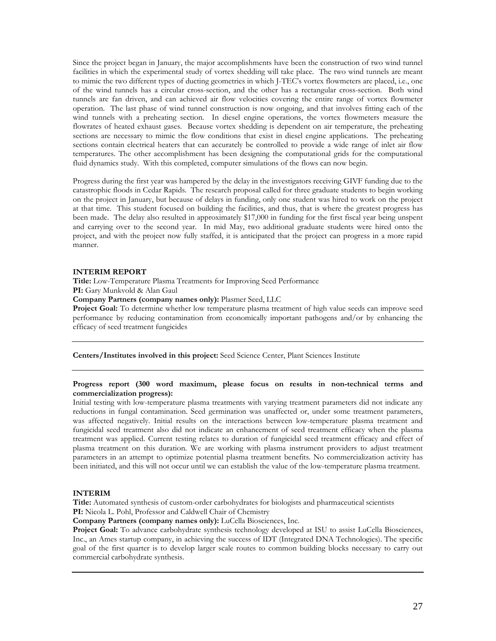Since the project began in January, the major accomplishments have been the construction of two wind tunnel facilities in which the experimental study of vortex shedding will take place. The two wind tunnels are meant to mimic the two different types of ducting geometries in which J-TEC's vortex flowmeters are placed, i.e., one of the wind tunnels has a circular cross-section, and the other has a rectangular cross-section. Both wind tunnels are fan driven, and can achieved air flow velocities covering the entire range of vortex flowmeter operation. The last phase of wind tunnel construction is now ongoing, and that involves fitting each of the wind tunnels with a preheating section. In diesel engine operations, the vortex flowmeters measure the flowrates of heated exhaust gases. Because vortex shedding is dependent on air temperature, the preheating sections are necessary to mimic the flow conditions that exist in diesel engine applications. The preheating sections contain electrical heaters that can accurately be controlled to provide a wide range of inlet air flow temperatures. The other accomplishment has been designing the computational grids for the computational fluid dynamics study. With this completed, computer simulations of the flows can now begin.

Progress during the first year was hampered by the delay in the investigators receiving GIVF funding due to the catastrophic floods in Cedar Rapids. The research proposal called for three graduate students to begin working on the project in January, but because of delays in funding, only one student was hired to work on the project at that time. This student focused on building the facilities, and thus, that is where the greatest progress has been made. The delay also resulted in approximately \$17,000 in funding for the first fiscal year being unspent and carrying over to the second year. In mid May, two additional graduate students were hired onto the project, and with the project now fully staffed, it is anticipated that the project can progress in a more rapid manner.

### **INTERIM REPORT**

**Title:** Low-Temperature Plasma Treatments for Improving Seed Performance

**PI:** Gary Munkvold & Alan Gaul

**Company Partners (company names only):** Plasmer Seed, LLC

**Project Goal:** To determine whether low temperature plasma treatment of high value seeds can improve seed performance by reducing contamination from economically important pathogens and/or by enhancing the efficacy of seed treatment fungicides

**Centers/Institutes involved in this project:** Seed Science Center, Plant Sciences Institute

### **Progress report (300 word maximum, please focus on results in non-technical terms and commercialization progress):**

Initial testing with low-temperature plasma treatments with varying treatment parameters did not indicate any reductions in fungal contamination. Seed germination was unaffected or, under some treatment parameters, was affected negatively. Initial results on the interactions between low-temperature plasma treatment and fungicidal seed treatment also did not indicate an enhancement of seed treatment efficacy when the plasma treatment was applied. Current testing relates to duration of fungicidal seed treatment efficacy and effect of plasma treatment on this duration. We are working with plasma instrument providers to adjust treatment parameters in an attempt to optimize potential plasma treatment benefits. No commercialization activity has been initiated, and this will not occur until we can establish the value of the low-temperature plasma treatment.

### **INTERIM**

**Title:** Automated synthesis of custom-order carbohydrates for biologists and pharmaceutical scientists **PI:** Nicola L. Pohl, Professor and Caldwell Chair of Chemistry

**Company Partners (company names only):** LuCella Biosciences, Inc.

Project Goal: To advance carbohydrate synthesis technology developed at ISU to assist LuCella Biosciences, Inc., an Ames startup company, in achieving the success of IDT (Integrated DNA Technologies). The specific goal of the first quarter is to develop larger scale routes to common building blocks necessary to carry out commercial carbohydrate synthesis.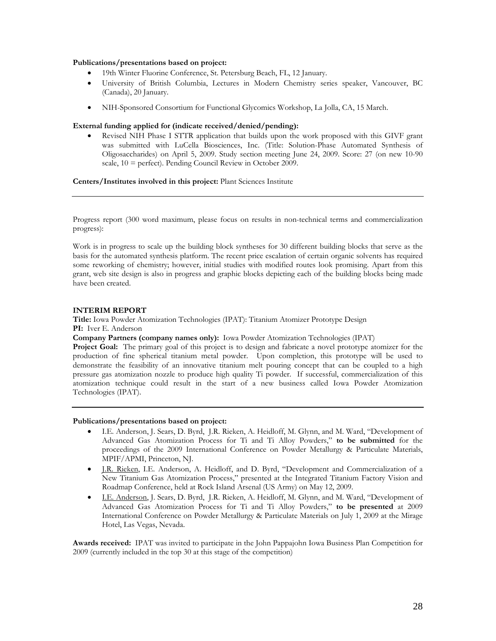### **Publications/presentations based on project:**

- 19th Winter Fluorine Conference, St. Petersburg Beach, FL, 12 January.
- University of British Columbia, Lectures in Modern Chemistry series speaker, Vancouver, BC (Canada), 20 January.
- NIH-Sponsored Consortium for Functional Glycomics Workshop, La Jolla, CA, 15 March.

## **External funding applied for (indicate received/denied/pending):**

 Revised NIH Phase I STTR application that builds upon the work proposed with this GIVF grant was submitted with LuCella Biosciences, Inc. (Title: Solution-Phase Automated Synthesis of Oligosaccharides) on April 5, 2009. Study section meeting June 24, 2009. Score: 27 (on new 10-90 scale, 10 = perfect). Pending Council Review in October 2009.

**Centers/Institutes involved in this project:** Plant Sciences Institute

Progress report (300 word maximum, please focus on results in non-technical terms and commercialization progress):

Work is in progress to scale up the building block syntheses for 30 different building blocks that serve as the basis for the automated synthesis platform. The recent price escalation of certain organic solvents has required some reworking of chemistry; however, initial studies with modified routes look promising. Apart from this grant, web site design is also in progress and graphic blocks depicting each of the building blocks being made have been created.

## **INTERIM REPORT**

**Title:** Iowa Powder Atomization Technologies (IPAT): Titanium Atomizer Prototype Design **PI:** Iver E. Anderson

**Company Partners (company names only):** Iowa Powder Atomization Technologies (IPAT)

**Project Goal:** The primary goal of this project is to design and fabricate a novel prototype atomizer for the production of fine spherical titanium metal powder. Upon completion, this prototype will be used to demonstrate the feasibility of an innovative titanium melt pouring concept that can be coupled to a high pressure gas atomization nozzle to produce high quality Ti powder. If successful, commercialization of this atomization technique could result in the start of a new business called Iowa Powder Atomization Technologies (IPAT).

### **Publications/presentations based on project:**

- I.E. Anderson, J. Sears, D. Byrd, J.R. Rieken, A. Heidloff, M. Glynn, and M. Ward, "Development of Advanced Gas Atomization Process for Ti and Ti Alloy Powders," **to be submitted** for the proceedings of the 2009 International Conference on Powder Metallurgy & Particulate Materials, MPIF/APMI, Princeton, NJ.
- J.R. Rieken, I.E. Anderson, A. Heidloff, and D. Byrd, "Development and Commercialization of a New Titanium Gas Atomization Process," presented at the Integrated Titanium Factory Vision and Roadmap Conference, held at Rock Island Arsenal (US Army) on May 12, 2009.
- I.E. Anderson, J. Sears, D. Byrd, J.R. Rieken, A. Heidloff, M. Glynn, and M. Ward, "Development of Advanced Gas Atomization Process for Ti and Ti Alloy Powders," **to be presented** at 2009 International Conference on Powder Metallurgy & Particulate Materials on July 1, 2009 at the Mirage Hotel, Las Vegas, Nevada.

**Awards received:** IPAT was invited to participate in the John Pappajohn Iowa Business Plan Competition for 2009 (currently included in the top 30 at this stage of the competition)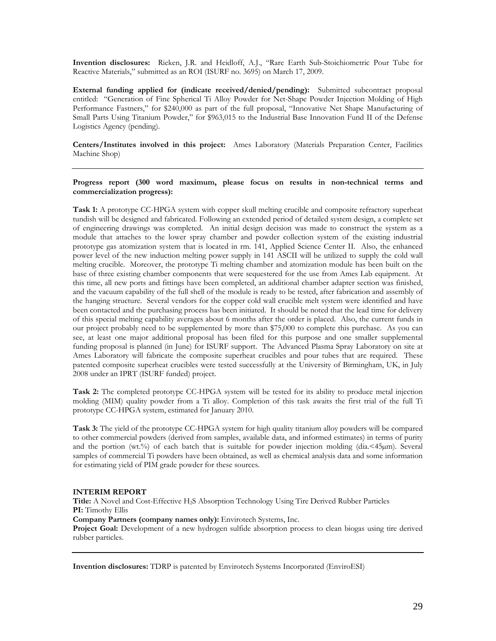**Invention disclosures:** Rieken, J.R. and Heidloff, A.J., "Rare Earth Sub-Stoichiometric Pour Tube for Reactive Materials," submitted as an ROI (ISURF no. 3695) on March 17, 2009.

**External funding applied for (indicate received/denied/pending):** Submitted subcontract proposal entitled: "Generation of Fine Spherical Ti Alloy Powder for Net-Shape Powder Injection Molding of High Performance Fastners," for \$240,000 as part of the full proposal, "Innovative Net Shape Manufacturing of Small Parts Using Titanium Powder," for \$963,015 to the Industrial Base Innovation Fund II of the Defense Logistics Agency (pending).

**Centers/Institutes involved in this project:** Ames Laboratory (Materials Preparation Center, Facilities Machine Shop)

### **Progress report (300 word maximum, please focus on results in non-technical terms and commercialization progress):**

**Task 1:** A prototype CC-HPGA system with copper skull melting crucible and composite refractory superheat tundish will be designed and fabricated. Following an extended period of detailed system design, a complete set of engineering drawings was completed. An initial design decision was made to construct the system as a module that attaches to the lower spray chamber and powder collection system of the existing industrial prototype gas atomization system that is located in rm. 141, Applied Science Center II. Also, the enhanced power level of the new induction melting power supply in 141 ASCII will be utilized to supply the cold wall melting crucible. Moreover, the prototype Ti melting chamber and atomization module has been built on the base of three existing chamber components that were sequestered for the use from Ames Lab equipment. At this time, all new ports and fittings have been completed, an additional chamber adapter section was finished, and the vacuum capability of the full shell of the module is ready to be tested, after fabrication and assembly of the hanging structure. Several vendors for the copper cold wall crucible melt system were identified and have been contacted and the purchasing process has been initiated. It should be noted that the lead time for delivery of this special melting capability averages about 6 months after the order is placed. Also, the current funds in our project probably need to be supplemented by more than \$75,000 to complete this purchase. As you can see, at least one major additional proposal has been filed for this purpose and one smaller supplemental funding proposal is planned (in June) for ISURF support. The Advanced Plasma Spray Laboratory on site at Ames Laboratory will fabricate the composite superheat crucibles and pour tubes that are required. These patented composite superheat crucibles were tested successfully at the University of Birmingham, UK, in July 2008 under an IPRT (ISURF funded) project.

**Task 2:** The completed prototype CC-HPGA system will be tested for its ability to produce metal injection molding (MIM) quality powder from a Ti alloy. Completion of this task awaits the first trial of the full Ti prototype CC-HPGA system, estimated for January 2010.

**Task 3:** The yield of the prototype CC-HPGA system for high quality titanium alloy powders will be compared to other commercial powders (derived from samples, available data, and informed estimates) in terms of purity and the portion (wt.%) of each batch that is suitable for powder injection molding (dia.<45µm). Several samples of commercial Ti powders have been obtained, as well as chemical analysis data and some information for estimating yield of PIM grade powder for these sources.

### **INTERIM REPORT**

**Title:** A Novel and Cost-Effective H2S Absorption Technology Using Tire Derived Rubber Particles **PI:** Timothy Ellis

**Company Partners (company names only):** Envirotech Systems, Inc.

**Project Goal:** Development of a new hydrogen sulfide absorption process to clean biogas using tire derived rubber particles.

**Invention disclosures:** TDRP is patented by Envirotech Systems Incorporated (EnviroESI)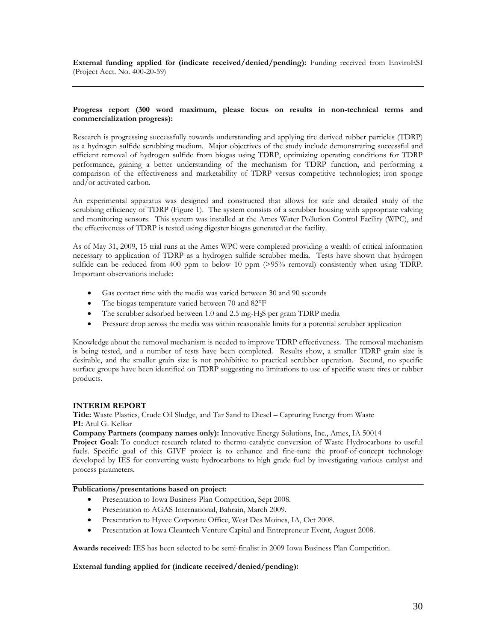**External funding applied for (indicate received/denied/pending):** Funding received from EnviroESI (Project Acct. No. 400-20-59)

### **Progress report (300 word maximum, please focus on results in non-technical terms and commercialization progress):**

Research is progressing successfully towards understanding and applying tire derived rubber particles (TDRP) as a hydrogen sulfide scrubbing medium. Major objectives of the study include demonstrating successful and efficient removal of hydrogen sulfide from biogas using TDRP, optimizing operating conditions for TDRP performance, gaining a better understanding of the mechanism for TDRP function, and performing a comparison of the effectiveness and marketability of TDRP versus competitive technologies; iron sponge and/or activated carbon.

An experimental apparatus was designed and constructed that allows for safe and detailed study of the scrubbing efficiency of TDRP (Figure 1). The system consists of a scrubber housing with appropriate valving and monitoring sensors. This system was installed at the Ames Water Pollution Control Facility (WPC), and the effectiveness of TDRP is tested using digester biogas generated at the facility.

As of May 31, 2009, 15 trial runs at the Ames WPC were completed providing a wealth of critical information necessary to application of TDRP as a hydrogen sulfide scrubber media. Tests have shown that hydrogen sulfide can be reduced from 400 ppm to below 10 ppm (>95% removal) consistently when using TDRP. Important observations include:

- Gas contact time with the media was varied between 30 and 90 seconds
- The biogas temperature varied between 70 and 82°F
- The scrubber adsorbed between 1.0 and 2.5 mg-H<sub>2</sub>S per gram TDRP media
- Pressure drop across the media was within reasonable limits for a potential scrubber application

Knowledge about the removal mechanism is needed to improve TDRP effectiveness. The removal mechanism is being tested, and a number of tests have been completed. Results show, a smaller TDRP grain size is desirable, and the smaller grain size is not prohibitive to practical scrubber operation. Second, no specific surface groups have been identified on TDRP suggesting no limitations to use of specific waste tires or rubber products.

## **INTERIM REPORT**

**Title:** Waste Plastics, Crude Oil Sludge, and Tar Sand to Diesel – Capturing Energy from Waste **PI:** Atul G. Kelkar

**Company Partners (company names only):** Innovative Energy Solutions, Inc., Ames, IA 50014

**Project Goal:** To conduct research related to thermo-catalytic conversion of Waste Hydrocarbons to useful fuels. Specific goal of this GIVF project is to enhance and fine-tune the proof-of-concept technology developed by IES for converting waste hydrocarbons to high grade fuel by investigating various catalyst and process parameters.

## **Publications/presentations based on project:**

- **•** Presentation to Iowa Business Plan Competition, Sept 2008.
- Presentation to AGAS International, Bahrain, March 2009.
- Presentation to Hyvee Corporate Office, West Des Moines, IA, Oct 2008.
- Presentation at Iowa Cleantech Venture Capital and Entrepreneur Event, August 2008.

**Awards received:** IES has been selected to be semi-finalist in 2009 Iowa Business Plan Competition.

## **External funding applied for (indicate received/denied/pending):**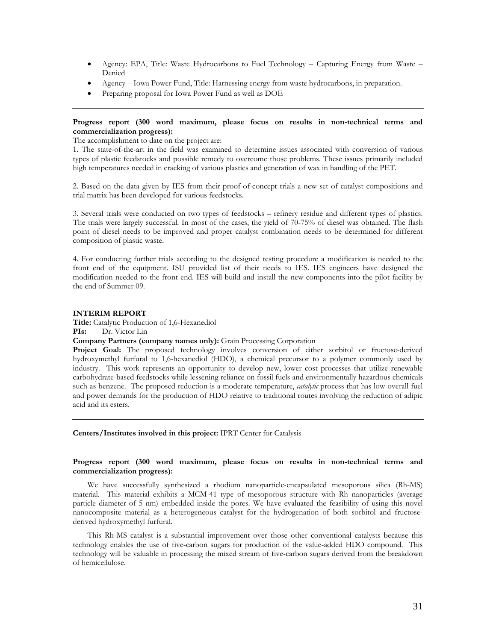- Agency: EPA, Title: Waste Hydrocarbons to Fuel Technology Capturing Energy from Waste Denied
- Agency Iowa Power Fund, Title: Harnessing energy from waste hydrocarbons, in preparation.
- Preparing proposal for Iowa Power Fund as well as DOE

### **Progress report (300 word maximum, please focus on results in non-technical terms and commercialization progress):**

The accomplishment to date on the project are:

1. The state-of-the-art in the field was examined to determine issues associated with conversion of various types of plastic feedstocks and possible remedy to overcome those problems. These issues primarily included high temperatures needed in cracking of various plastics and generation of wax in handling of the PET.

2. Based on the data given by IES from their proof-of-concept trials a new set of catalyst compositions and trial matrix has been developed for various feedstocks.

3. Several trials were conducted on two types of feedstocks – refinery residue and different types of plastics. The trials were largely successful. In most of the cases, the yield of 70-75% of diesel was obtained. The flash point of diesel needs to be improved and proper catalyst combination needs to be determined for different composition of plastic waste.

4. For conducting further trials according to the designed testing procedure a modification is needed to the front end of the equipment. ISU provided list of their needs to IES. IES engineers have designed the modification needed to the front end. IES will build and install the new components into the pilot facility by the end of Summer 09.

### **INTERIM REPORT**

**Title:** Catalytic Production of 1,6-Hexanediol **PIs:** Dr. Victor Lin

**Company Partners (company names only):** Grain Processing Corporation

**Project Goal:** The proposed technology involves conversion of either sorbitol or fructose-derived hydroxymethyl furfural to 1,6-hexanediol (HDO), a chemical precursor to a polymer commonly used by industry. This work represents an opportunity to develop new, lower cost processes that utilize renewable carbohydrate-based feedstocks while lessening reliance on fossil fuels and environmentally hazardous chemicals such as benzene. The proposed reduction is a moderate temperature, *catalytic* process that has low overall fuel and power demands for the production of HDO relative to traditional routes involving the reduction of adipic acid and its esters.

**Centers/Institutes involved in this project:** IPRT Center for Catalysis

### **Progress report (300 word maximum, please focus on results in non-technical terms and commercialization progress):**

We have successfully synthesized a rhodium nanoparticle-encapsulated mesoporous silica (Rh-MS) material. This material exhibits a MCM-41 type of mesoporous structure with Rh nanoparticles (average particle diameter of 5 nm) embedded inside the pores. We have evaluated the feasibility of using this novel nanocomposite material as a heterogeneous catalyst for the hydrogenation of both sorbitol and fructosederived hydroxymethyl furfural.

This Rh-MS catalyst is a substantial improvement over those other conventional catalysts because this technology enables the use of five-carbon sugars for production of the value-added HDO compound. This technology will be valuable in processing the mixed stream of five-carbon sugars derived from the breakdown of hemicellulose.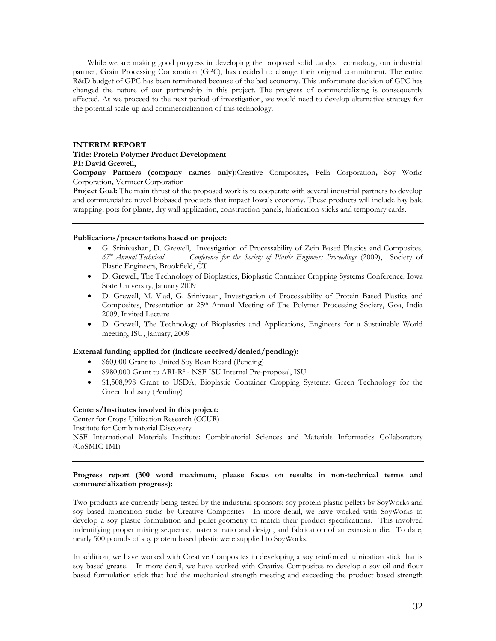While we are making good progress in developing the proposed solid catalyst technology, our industrial partner, Grain Processing Corporation (GPC), has decided to change their original commitment. The entire R&D budget of GPC has been terminated because of the bad economy. This unfortunate decision of GPC has changed the nature of our partnership in this project. The progress of commercializing is consequently affected. As we proceed to the next period of investigation, we would need to develop alternative strategy for the potential scale-up and commercialization of this technology.

### **INTERIM REPORT Title: Protein Polymer Product Development PI: David Grewell,**

**Company Partners (company names only):**Creative Composites**,** Pella Corporation**,** Soy Works Corporation**,** Vermeer Corporation

**Project Goal:** The main thrust of the proposed work is to cooperate with several industrial partners to develop and commercialize novel biobased products that impact Iowa's economy. These products will include hay bale wrapping, pots for plants, dry wall application, construction panels, lubrication sticks and temporary cards.

#### **Publications/presentations based on project:**

- G. Srinivashan, D. Grewell, Investigation of Processability of Zein Based Plastics and Composites, *67th Annual Technical Conference for the Society of Plastic Engineers Proceedings* (2009), Society of Plastic Engineers, Brookfield, CT
- D. Grewell, The Technology of Bioplastics, Bioplastic Container Cropping Systems Conference, Iowa State University, January 2009
- D. Grewell, M. Vlad, G. Srinivasan, Investigation of Processability of Protein Based Plastics and Composites, Presentation at 25<sup>th</sup> Annual Meeting of The Polymer Processing Society, Goa, India 2009, Invited Lecture
- D. Grewell, The Technology of Bioplastics and Applications, Engineers for a Sustainable World meeting, ISU, January, 2009

## **External funding applied for (indicate received/denied/pending):**

- \$60,000 Grant to United Soy Bean Board (Pending)
- \$980,000 Grant to ARI-R² NSF ISU Internal Pre-proposal, ISU
- \$1,508,998 Grant to USDA, Bioplastic Container Cropping Systems: Green Technology for the Green Industry (Pending)

#### **Centers/Institutes involved in this project:**

Center for Crops Utilization Research (CCUR) Institute for Combinatorial Discovery NSF International Materials Institute: Combinatorial Sciences and Materials Informatics Collaboratory (CoSMIC-IMI)

## **Progress report (300 word maximum, please focus on results in non-technical terms and commercialization progress):**

Two products are currently being tested by the industrial sponsors; soy protein plastic pellets by SoyWorks and soy based lubrication sticks by Creative Composites. In more detail, we have worked with SoyWorks to develop a soy plastic formulation and pellet geometry to match their product specifications. This involved indentifying proper mixing sequence, material ratio and design, and fabrication of an extrusion die. To date, nearly 500 pounds of soy protein based plastic were supplied to SoyWorks.

In addition, we have worked with Creative Composites in developing a soy reinforced lubrication stick that is soy based grease. In more detail, we have worked with Creative Composites to develop a soy oil and flour based formulation stick that had the mechanical strength meeting and exceeding the product based strength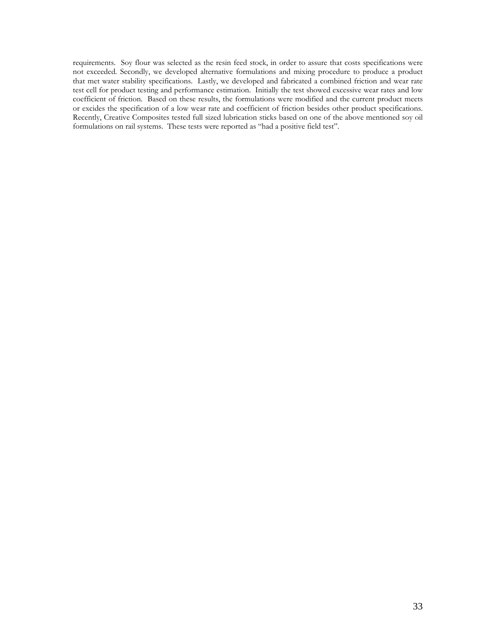requirements. Soy flour was selected as the resin feed stock, in order to assure that costs specifications were not exceeded. Secondly, we developed alternative formulations and mixing procedure to produce a product that met water stability specifications. Lastly, we developed and fabricated a combined friction and wear rate test cell for product testing and performance estimation. Initially the test showed excessive wear rates and low coefficient of friction. Based on these results, the formulations were modified and the current product meets or excides the specification of a low wear rate and coefficient of friction besides other product specifications. Recently, Creative Composites tested full sized lubrication sticks based on one of the above mentioned soy oil formulations on rail systems. These tests were reported as "had a positive field test".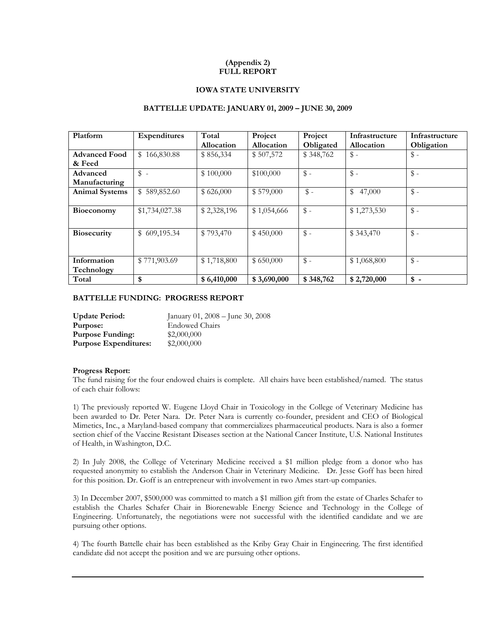## **(Appendix 2) FULL REPORT**

## **IOWA STATE UNIVERSITY**

### **BATTELLE UPDATE: JANUARY 01, 2009 – JUNE 30, 2009**

| Platform              | <b>Expenditures</b>        | Total       | Project     | Project         | Infrastructure | Infrastructure        |
|-----------------------|----------------------------|-------------|-------------|-----------------|----------------|-----------------------|
|                       |                            | Allocation  | Allocation  | Obligated       | Allocation     | Obligation            |
| <b>Advanced Food</b>  | \$166,830.88               | \$856,334   | \$507,572   | \$348,762       | $\$\,$         | $\hat{\mathcal{S}}$ - |
| & Feed                |                            |             |             |                 |                |                       |
| Advanced              | $\frac{1}{2}$ -            | \$100,000   | \$100,000   | $\frac{1}{2}$ - | $\$\,$ -       | $\mathbb{S}$ -        |
| Manufacturing         |                            |             |             |                 |                |                       |
| <b>Animal Systems</b> | 589,852.60<br>$\mathbb{S}$ | \$626,000   | \$579,000   | $\mathbb{S}$ -  | 47,000<br>\$   | $\$\,$                |
|                       |                            |             |             |                 |                |                       |
| <b>Bioeconomy</b>     | \$1,734,027.38             | \$2,328,196 | \$1,054,666 | $\$\,$ -        | \$1,273,530    | $\mathbb{S}$ -        |
|                       |                            |             |             |                 |                |                       |
| <b>Biosecurity</b>    | \$609,195.34               | \$793,470   | \$450,000   | $\$\,$ -        | \$343,470      | $\$\,$                |
|                       |                            |             |             |                 |                |                       |
|                       |                            |             |             |                 |                |                       |
| Information           | \$771,903.69               | \$1,718,800 | \$650,000   | $\$\,$ -        | \$1,068,800    | $\$\,$                |
| Technology            |                            |             |             |                 |                |                       |
| Total                 | \$                         | \$6,410,000 | \$3,690,000 | \$348,762       | \$2,720,000    | $\frac{1}{2}$ -       |

## **BATTELLE FUNDING: PROGRESS REPORT**

| <b>Update Period:</b>        | January 01, $2008 -$ June 30, $2008$ |
|------------------------------|--------------------------------------|
| Purpose:                     | <b>Endowed Chairs</b>                |
| <b>Purpose Funding:</b>      | \$2,000,000                          |
| <b>Purpose Expenditures:</b> | \$2,000,000                          |

### **Progress Report:**

The fund raising for the four endowed chairs is complete. All chairs have been established/named. The status of each chair follows:

1) The previously reported W. Eugene Lloyd Chair in Toxicology in the College of Veterinary Medicine has been awarded to Dr. Peter Nara. Dr. Peter Nara is currently co-founder, president and CEO of Biological Mimetics, Inc., a Maryland-based company that commercializes pharmaceutical products. Nara is also a former section chief of the Vaccine Resistant Diseases section at the National Cancer Institute, U.S. National Institutes of Health, in Washington, D.C.

2) In July 2008, the College of Veterinary Medicine received a \$1 million pledge from a donor who has requested anonymity to establish the Anderson Chair in Veterinary Medicine. Dr. Jesse Goff has been hired for this position. Dr. Goff is an entrepreneur with involvement in two Ames start-up companies.

3) In December 2007, \$500,000 was committed to match a \$1 million gift from the estate of Charles Schafer to establish the Charles Schafer Chair in Biorenewable Energy Science and Technology in the College of Engineering. Unfortunately, the negotiations were not successful with the identified candidate and we are pursuing other options.

4) The fourth Battelle chair has been established as the Kriby Gray Chair in Engineering. The first identified candidate did not accept the position and we are pursuing other options.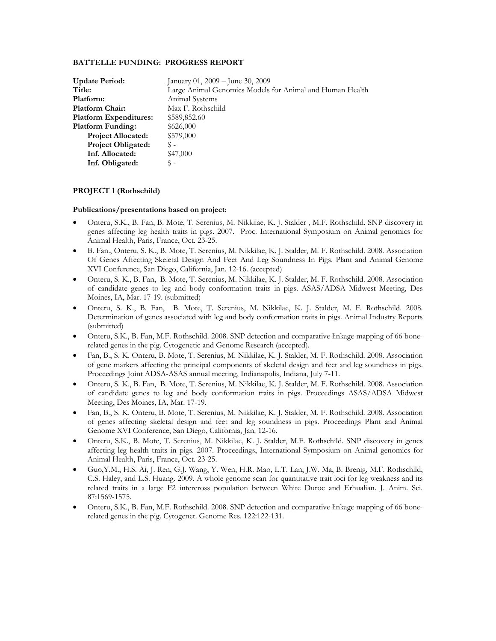## **BATTELLE FUNDING: PROGRESS REPORT**

| <b>Update Period:</b>         | January 01, 2009 - June 30, 2009                         |
|-------------------------------|----------------------------------------------------------|
| Title:                        | Large Animal Genomics Models for Animal and Human Health |
| Platform:                     | Animal Systems                                           |
| <b>Platform Chair:</b>        | Max F. Rothschild                                        |
| <b>Platform Expenditures:</b> | \$589,852.60                                             |
| <b>Platform Funding:</b>      | \$626,000                                                |
| <b>Project Allocated:</b>     | \$579,000                                                |
| <b>Project Obligated:</b>     | \$ -                                                     |
| Inf. Allocated:               | \$47,000                                                 |
| Inf. Obligated:               | \$-                                                      |

## **PROJECT 1 (Rothschild)**

### **Publications/presentations based on project**:

- Onteru, S.K., B. Fan, B. Mote, T. Serenius, M. Nikkilae, K. J. Stalder , M.F. Rothschild. SNP discovery in genes affecting leg health traits in pigs. 2007. Proc. International Symposium on Animal genomics for Animal Health, Paris, France, Oct. 23-25.
- B. Fan., Onteru, S. K., B. Mote, T. Serenius, M. Nikkilae, K. J. Stalder, M. F. Rothschild. 2008. Association Of Genes Affecting Skeletal Design And Feet And Leg Soundness In Pigs. Plant and Animal Genome XVI Conference, San Diego, California, Jan. 12-16. (accepted)
- Onteru, S. K., B. Fan, B. Mote, T. Serenius, M. Nikkilae, K. J. Stalder, M. F. Rothschild. 2008. Association of candidate genes to leg and body conformation traits in pigs. ASAS/ADSA Midwest Meeting, Des Moines, IA, Mar. 17-19. (submitted)
- Onteru, S. K., B. Fan, B. Mote, T. Serenius, M. Nikkilae, K. J. Stalder, M. F. Rothschild. 2008. Determination of genes associated with leg and body conformation traits in pigs. Animal Industry Reports (submitted)
- Onteru, S.K., B. Fan, M.F. Rothschild. 2008. SNP detection and comparative linkage mapping of 66 bonerelated genes in the pig. Cytogenetic and Genome Research (accepted).
- Fan, B., S. K. Onteru, B. Mote, T. Serenius, M. Nikkilae, K. J. Stalder, M. F. Rothschild. 2008. Association of gene markers affecting the principal components of skeletal design and feet and leg soundness in pigs. Proceedings Joint ADSA-ASAS annual meeting, Indianapolis, Indiana, July 7-11.
- Onteru, S. K., B. Fan, B. Mote, T. Serenius, M. Nikkilae, K. J. Stalder, M. F. Rothschild. 2008. Association of candidate genes to leg and body conformation traits in pigs. Proceedings ASAS/ADSA Midwest Meeting, Des Moines, IA, Mar. 17-19.
- Fan, B., S. K. Onteru, B. Mote, T. Serenius, M. Nikkilae, K. J. Stalder, M. F. Rothschild. 2008. Association of genes affecting skeletal design and feet and leg soundness in pigs. Proceedings Plant and Animal Genome XVI Conference, San Diego, California, Jan. 12-16.
- Onteru, S.K., B. Mote, T. Serenius, M. Nikkilae, K. J. Stalder, M.F. Rothschild. SNP discovery in genes affecting leg health traits in pigs. 2007. Proceedings, International Symposium on Animal genomics for Animal Health, Paris, France, Oct. 23-25.
- Guo,Y.M., H.S. Ai, J. Ren, G.J. Wang, Y. Wen, H.R. Mao, L.T. Lan, J.W. Ma, B. Brenig, M.F. Rothschild, C.S. Haley, and L.S. Huang. 2009. A whole genome scan for quantitative trait loci for leg weakness and its related traits in a large F2 intercross population between White Duroc and Erhualian. J. Anim. Sci. 87:1569-1575.
- Onteru, S.K., B. Fan, M.F. Rothschild. 2008. SNP detection and comparative linkage mapping of 66 bonerelated genes in the pig. Cytogenet. Genome Res. 122:122-131.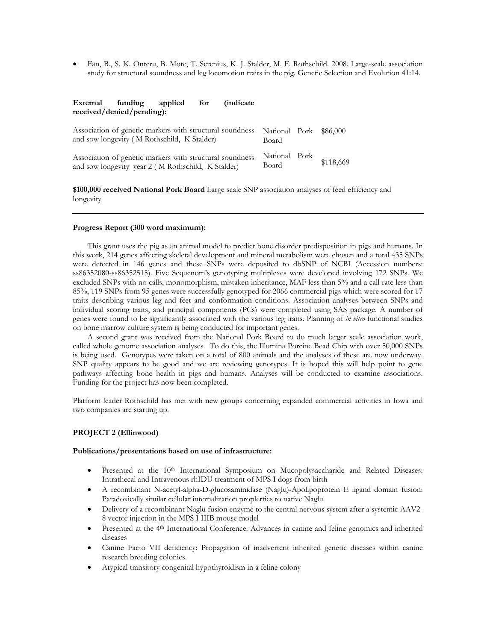Fan, B., S. K. Onteru, B. Mote, T. Serenius, K. J. Stalder, M. F. Rothschild. 2008. Large-scale association study for structural soundness and leg locomotion traits in the pig. Genetic Selection and Evolution 41:14.

## **External funding applied for (indicate received/denied/pending):**

| Association of genetic markers with structural soundness<br>and sow longevity (M Rothschild, K Stalder)        | National Pork<br>Board | \$86,000  |
|----------------------------------------------------------------------------------------------------------------|------------------------|-----------|
| Association of genetic markers with structural soundness<br>and sow longevity year 2 (M Rothschild, K Stalder) | National Pork<br>Board | \$118,669 |

**\$100,000 received National Pork Board** Large scale SNP association analyses of feed efficiency and longevity

#### **Progress Report (300 word maximum):**

This grant uses the pig as an animal model to predict bone disorder predisposition in pigs and humans. In this work, 214 genes affecting skeletal development and mineral metabolism were chosen and a total 435 SNPs were detected in 146 genes and these SNPs were deposited to dbSNP of NCBI (Accession numbers: ss86352080-ss86352515). Five Sequenom's genotyping multiplexes were developed involving 172 SNPs. We excluded SNPs with no calls, monomorphism, mistaken inheritance, MAF less than 5% and a call rate less than 85%, 119 SNPs from 95 genes were successfully genotyped for 2066 commercial pigs which were scored for 17 traits describing various leg and feet and conformation conditions. Association analyses between SNPs and individual scoring traits, and principal components (PCs) were completed using SAS package. A number of genes were found to be significantly associated with the various leg traits. Planning of *in vitro* functional studies on bone marrow culture system is being conducted for important genes.

A second grant was received from the National Pork Board to do much larger scale association work, called whole genome association analyses. To do this, the Illumina Porcine Bead Chip with over 50,000 SNPs is being used. Genotypes were taken on a total of 800 animals and the analyses of these are now underway. SNP quality appears to be good and we are reviewing genotypes. It is hoped this will help point to gene pathways affecting bone health in pigs and humans. Analyses will be conducted to examine associations. Funding for the project has now been completed.

Platform leader Rothschild has met with new groups concerning expanded commercial activities in Iowa and two companies are starting up.

### **PROJECT 2 (Ellinwood)**

#### **Publications/presentations based on use of infrastructure:**

- Presented at the 10<sup>th</sup> International Symposium on Mucopolysaccharide and Related Diseases: Intrathecal and Intravenous rhIDU treatment of MPS I dogs from birth
- A recombinant N-acetyl-alpha-D-glucosaminidase (Naglu)-Apolipoprotein E ligand domain fusion: Paradoxically similar cellular internalization proplerties to native Naglu
- Delivery of a recombinant Naglu fusion enzyme to the central nervous system after a systemic AAV2- 8 vector injection in the MPS I IIIB mouse model
- Presented at the 4th International Conference: Advances in canine and feline genomics and inherited diseases
- Canine Facto VII deficiency: Propagation of inadvertent inherited genetic diseases within canine research breeding colonies.
- Atypical transitory congenital hypothyroidism in a feline colony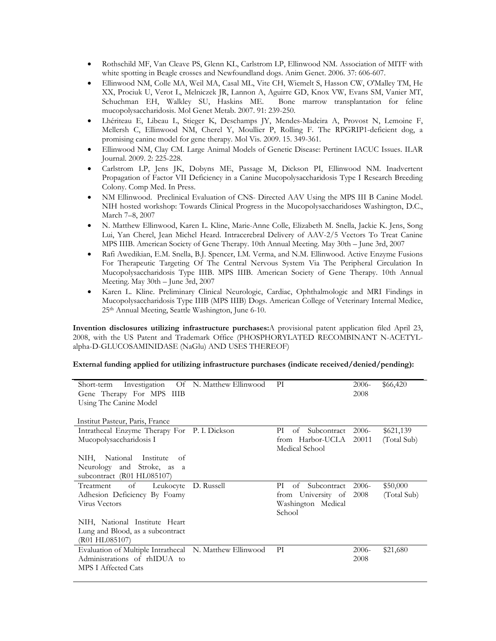- Rothschild MF, Van Cleave PS, Glenn KL, Carlstrom LP, Ellinwood NM. Association of MITF with white spotting in Beagle crosses and Newfoundland dogs. Anim Genet. 2006. 37: 606-607.
- Ellinwood NM, Colle MA, Weil MA, Casal ML, Vite CH, Wiemelt S, Hasson CW, O'Malley TM, He XX, Prociuk U, Verot L, Melniczek JR, Lannon A, Aguirre GD, Knox VW, Evans SM, Vanier MT, Schuchman EH, Walkley SU, Haskins ME. Bone marrow transplantation for feline mucopolysaccharidosis. Mol Genet Metab. 2007. 91: 239-250.
- Lhériteau E, Libeau L, Stieger K, Deschamps JY, Mendes-Madeira A, Provost N, Lemoine F, Mellersh C, Ellinwood NM, Cherel Y, Moullier P, Rolling F. The RPGRIP1-deficient dog, a promising canine model for gene therapy. Mol Vis. 2009. 15. 349-361.
- Ellinwood NM, Clay CM. Large Animal Models of Genetic Disease: Pertinent IACUC Issues. ILAR Journal. 2009. 2: 225-228.
- Carlstrom LP, Jens JK, Dobyns ME, Passage M, Dickson PI, Ellinwood NM. Inadvertent Propagation of Factor VII Deficiency in a Canine Mucopolysaccharidosis Type I Research Breeding Colony. Comp Med. In Press.
- NM Ellinwood. Preclinical Evaluation of CNS- Directed AAV Using the MPS III B Canine Model. NIH hosted workshop: Towards Clinical Progress in the Mucopolysaccharidoses Washington, D.C., March 7–8, 2007
- N. Matthew Ellinwood, Karen L. Kline, Marie-Anne Colle, Elizabeth M. Snella, Jackie K. Jens, Song Lui, Yan Cherel, Jean Michel Heard. Intracerebral Delivery of AAV-2/5 Vectors To Treat Canine MPS IIIB. American Society of Gene Therapy. 10th Annual Meeting. May 30th – June 3rd, 2007
- Rafi Awedikian, E.M. Snella, B.J. Spencer, I.M. Verma, and N.M. Ellinwood. Active Enzyme Fusions For Therapeutic Targeting Of The Central Nervous System Via The Peripheral Circulation In Mucopolysaccharidosis Type IIIB. MPS IIIB. American Society of Gene Therapy. 10th Annual Meeting. May 30th – June 3rd, 2007
- Karen L. Kline. Preliminary Clinical Neurologic, Cardiac, Ophthalmologic and MRI Findings in Mucopolysaccharidosis Type IIIB (MPS IIIB) Dogs. American College of Veterinary Internal Medice, 25th Annual Meeting, Seattle Washington, June 6-10.

**Invention disclosures utilizing infrastructure purchases:**A provisional patent application filed April 23, 2008, with the US Patent and Trademark Office (PHOSPHORYLATED RECOMBINANT N-ACETYLalpha-D-GLUCOSAMINIDASE (NaGlu) AND USES THEREOF)

### **External funding applied for utilizing infrastructure purchases (indicate received/denied/pending):**

| Investigation<br>Short-term<br>Gene Therapy For MPS IIIB<br>Using The Canine Model<br>Institut Pasteur, Paris, France | Of N. Matthew Ellinwood | PI                                       | $2006 -$<br>2008 | \$66,420    |
|-----------------------------------------------------------------------------------------------------------------------|-------------------------|------------------------------------------|------------------|-------------|
| Intrathecal Enzyme Therapy For P. I. Dickson                                                                          |                         | РI<br>Subcontract<br>of                  | $2006-$          | \$621,139   |
| Mucopolysaccharidosis I                                                                                               |                         | from Harbor-UCLA 20011<br>Medical School |                  | (Total Sub) |
| National Institute<br>NIH,<br>of                                                                                      |                         |                                          |                  |             |
| Neurology and Stroke, as a                                                                                            |                         |                                          |                  |             |
| subcontract (R01 HL085107)                                                                                            |                         |                                          |                  |             |
| of<br>Treatment<br>Leukocyte                                                                                          | D. Russell              | РI<br>Subcontract 2006-<br>of            |                  | \$50,000    |
| Adhesion Deficiency By Foamy                                                                                          |                         | from University of 2008                  |                  | (Total Sub) |
| <b>Virus Vectors</b>                                                                                                  |                         | Washington Medical<br>School             |                  |             |
| NIH, National Institute Heart                                                                                         |                         |                                          |                  |             |
| Lung and Blood, as a subcontract                                                                                      |                         |                                          |                  |             |
| (R01 HL085107)                                                                                                        |                         |                                          |                  |             |
| Evaluation of Multiple Intrathecal N. Matthew Ellinwood                                                               |                         | PI                                       | $2006-$          | \$21,680    |
| Administrations of rhIDUA to                                                                                          |                         |                                          | 2008             |             |
| <b>MPS I Affected Cats</b>                                                                                            |                         |                                          |                  |             |
|                                                                                                                       |                         |                                          |                  |             |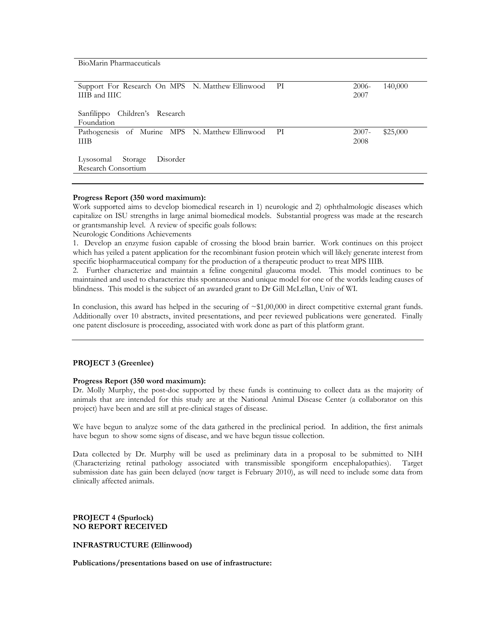BioMarin Pharmaceuticals

| Support For Research On MPS N. Matthew Ellinwood PI<br>IIIB and IIIC |  | $2006-$<br>2007  | 140,000  |
|----------------------------------------------------------------------|--|------------------|----------|
| Sanfilippo Children's Research<br>Foundation                         |  |                  |          |
| Pathogenesis of Murine MPS N. Matthew Ellinwood PI<br><b>THB</b>     |  | $2007 -$<br>2008 | \$25,000 |
| Lysosomal Storage<br>Disorder<br>Research Consortium                 |  |                  |          |

#### **Progress Report (350 word maximum):**

Work supported aims to develop biomedical research in 1) neurologic and 2) ophthalmologic diseases which capitalize on ISU strengths in large animal biomedical models. Substantial progress was made at the research or grantsmanship level. A review of specific goals follows:

Neurologic Conditions Achievements

1. Develop an enzyme fusion capable of crossing the blood brain barrier. Work continues on this project which has yeiled a patent application for the recombinant fusion protein which will likely generate interest from specific biopharmaceutical company for the production of a therapeutic product to treat MPS IIIB.

2. Further characterize and maintain a feline congenital glaucoma model. This model continues to be maintained and used to characterize this spontaneous and unique model for one of the worlds leading causes of blindness. This model is the subject of an awarded grant to Dr Gill McLellan, Univ of WI.

In conclusion, this award has helped in the securing of  $\sim $1,00,000$  in direct competitive external grant funds. Additionally over 10 abstracts, invited presentations, and peer reviewed publications were generated. Finally one patent disclosure is proceeding, associated with work done as part of this platform grant.

## **PROJECT 3 (Greenlee)**

## **Progress Report (350 word maximum):**

Dr. Molly Murphy, the post-doc supported by these funds is continuing to collect data as the majority of animals that are intended for this study are at the National Animal Disease Center (a collaborator on this project) have been and are still at pre-clinical stages of disease.

We have begun to analyze some of the data gathered in the preclinical period. In addition, the first animals have begun to show some signs of disease, and we have begun tissue collection.

Data collected by Dr. Murphy will be used as preliminary data in a proposal to be submitted to NIH (Characterizing retinal pathology associated with transmissible spongiform encephalopathies). Target submission date has gain been delayed (now target is February 2010), as will need to include some data from clinically affected animals.

**PROJECT 4 (Spurlock) NO REPORT RECEIVED** 

#### **INFRASTRUCTURE (Ellinwood)**

**Publications/presentations based on use of infrastructure:**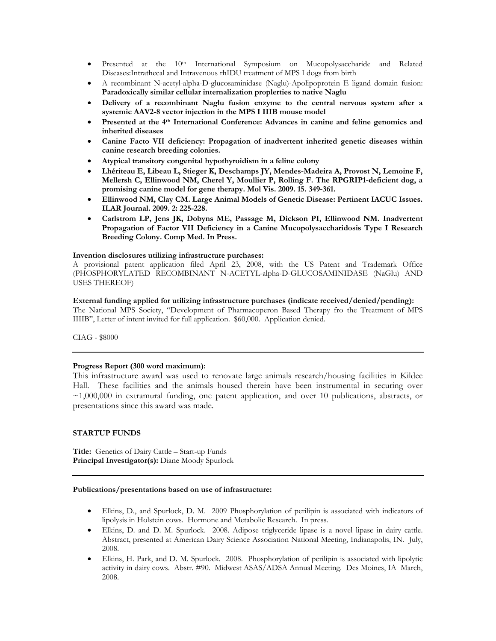- Presented at the  $10^{th}$  International Symposium on Mucopolysaccharide and Related Diseases:Intrathecal and Intravenous rhIDU treatment of MPS I dogs from birth
- A recombinant N-acetyl-alpha-D-glucosaminidase (Naglu)-Apolipoprotein E ligand domain fusion: **Paradoxically similar cellular internalization proplerties to native Naglu**
- **Delivery of a recombinant Naglu fusion enzyme to the central nervous system after a systemic AAV2-8 vector injection in the MPS I IIIB mouse model**
- **Presented at the 4th International Conference: Advances in canine and feline genomics and inherited diseases**
- **Canine Facto VII deficiency: Propagation of inadvertent inherited genetic diseases within canine research breeding colonies.**
- **Atypical transitory congenital hypothyroidism in a feline colony**
- **Lhériteau E, Libeau L, Stieger K, Deschamps JY, Mendes-Madeira A, Provost N, Lemoine F, Mellersh C, Ellinwood NM, Cherel Y, Moullier P, Rolling F. The RPGRIP1-deficient dog, a promising canine model for gene therapy. Mol Vis. 2009. 15. 349-361.**
- **Ellinwood NM, Clay CM. Large Animal Models of Genetic Disease: Pertinent IACUC Issues. ILAR Journal. 2009. 2: 225-228.**
- **Carlstrom LP, Jens JK, Dobyns ME, Passage M, Dickson PI, Ellinwood NM. Inadvertent Propagation of Factor VII Deficiency in a Canine Mucopolysaccharidosis Type I Research Breeding Colony. Comp Med. In Press.**

### **Invention disclosures utilizing infrastructure purchases:**

A provisional patent application filed April 23, 2008, with the US Patent and Trademark Office (PHOSPHORYLATED RECOMBINANT N-ACETYL-alpha-D-GLUCOSAMINIDASE (NaGlu) AND USES THEREOF)

# **External funding applied for utilizing infrastructure purchases (indicate received/denied/pending):**

The National MPS Society, "Development of Pharmacoperon Based Therapy fro the Treatment of MPS IIIIB", Letter of intent invited for full application. \$60,000. Application denied.

CIAG - \$8000

### **Progress Report (300 word maximum):**

This infrastructure award was used to renovate large animals research/housing facilities in Kildee Hall. These facilities and the animals housed therein have been instrumental in securing over  $\sim$ 1,000,000 in extramural funding, one patent application, and over 10 publications, abstracts, or presentations since this award was made.

### **STARTUP FUNDS**

**Title:** Genetics of Dairy Cattle – Start-up Funds **Principal Investigator(s):** Diane Moody Spurlock

#### **Publications/presentations based on use of infrastructure:**

- Elkins, D., and Spurlock, D. M. 2009 Phosphorylation of perilipin is associated with indicators of lipolysis in Holstein cows. Hormone and Metabolic Research. In press.
- Elkins, D. and D. M. Spurlock. 2008. Adipose triglyceride lipase is a novel lipase in dairy cattle. Abstract, presented at American Dairy Science Association National Meeting, Indianapolis, IN. July, 2008.
- Elkins, H. Park, and D. M. Spurlock. 2008. Phosphorylation of perilipin is associated with lipolytic activity in dairy cows. Abstr. #90. Midwest ASAS/ADSA Annual Meeting. Des Moines, IA March, 2008.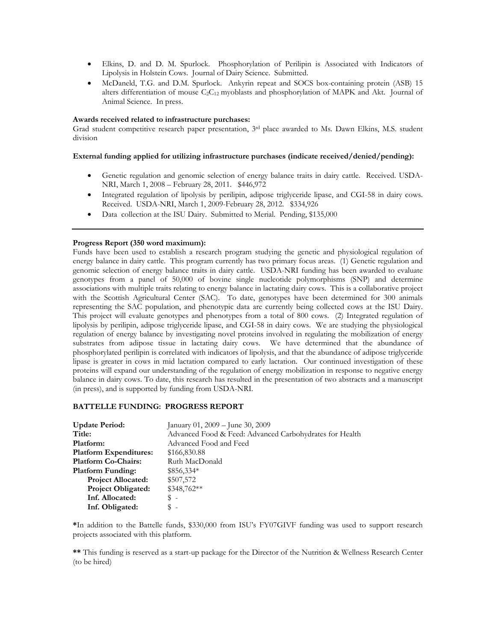- Elkins, D. and D. M. Spurlock. Phosphorylation of Perilipin is Associated with Indicators of Lipolysis in Holstein Cows. Journal of Dairy Science. Submitted.
- McDaneld, T.G. and D.M. Spurlock. Ankyrin repeat and SOCS box-containing protein (ASB) 15 alters differentiation of mouse  $C_2C_{12}$  myoblasts and phosphorylation of MAPK and Akt. Journal of Animal Science. In press.

#### **Awards received related to infrastructure purchases:**

Grad student competitive research paper presentation, 3rd place awarded to Ms. Dawn Elkins, M.S. student division

### **External funding applied for utilizing infrastructure purchases (indicate received/denied/pending):**

- Genetic regulation and genomic selection of energy balance traits in dairy cattle. Received. USDA-NRI, March 1, 2008 – February 28, 2011. \$446,972
- Integrated regulation of lipolysis by perilipin, adipose triglyceride lipase, and CGI-58 in dairy cows. Received. USDA-NRI, March 1, 2009-February 28, 2012. \$334,926
- Data collection at the ISU Dairy. Submitted to Merial. Pending, \$135,000

### **Progress Report (350 word maximum):**

Funds have been used to establish a research program studying the genetic and physiological regulation of energy balance in dairy cattle. This program currently has two primary focus areas. (1) Genetic regulation and genomic selection of energy balance traits in dairy cattle. USDA-NRI funding has been awarded to evaluate genotypes from a panel of 50,000 of bovine single nucleotide polymorphisms (SNP) and determine associations with multiple traits relating to energy balance in lactating dairy cows. This is a collaborative project with the Scottish Agricultural Center (SAC). To date, genotypes have been determined for 300 animals representing the SAC population, and phenotypic data are currently being collected cows at the ISU Dairy. This project will evaluate genotypes and phenotypes from a total of 800 cows. (2) Integrated regulation of lipolysis by perilipin, adipose triglyceride lipase, and CGI-58 in dairy cows. We are studying the physiological regulation of energy balance by investigating novel proteins involved in regulating the mobilization of energy substrates from adipose tissue in lactating dairy cows. We have determined that the abundance of phosphorylated perilipin is correlated with indicators of lipolysis, and that the abundance of adipose triglyceride lipase is greater in cows in mid lactation compared to early lactation. Our continued investigation of these proteins will expand our understanding of the regulation of energy mobilization in response to negative energy balance in dairy cows. To date, this research has resulted in the presentation of two abstracts and a manuscript (in press), and is supported by funding from USDA-NRI.

### **BATTELLE FUNDING: PROGRESS REPORT**

| <b>Update Period:</b>         | January 01, 2009 – June 30, 2009                        |
|-------------------------------|---------------------------------------------------------|
| Title:                        | Advanced Food & Feed: Advanced Carbohydrates for Health |
| Platform:                     | Advanced Food and Feed                                  |
| <b>Platform Expenditures:</b> | \$166,830.88                                            |
| <b>Platform Co-Chairs:</b>    | Ruth MacDonald                                          |
| <b>Platform Funding:</b>      | $$856,334*$                                             |
| <b>Project Allocated:</b>     | \$507,572                                               |
| <b>Project Obligated:</b>     | \$348,762**                                             |
| Inf. Allocated:               | \$-                                                     |
| Inf. Obligated:               | \$-                                                     |

**\***In addition to the Battelle funds, \$330,000 from ISU's FY07GIVF funding was used to support research projects associated with this platform.

**\*\*** This funding is reserved as a start-up package for the Director of the Nutrition & Wellness Research Center (to be hired)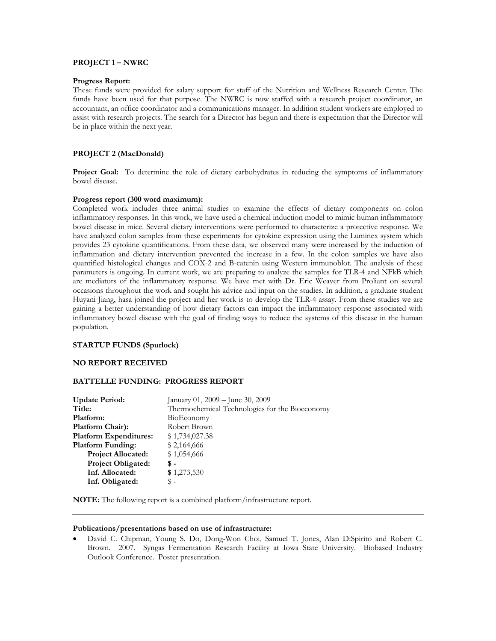## **PROJECT 1 – NWRC**

#### **Progress Report:**

These funds were provided for salary support for staff of the Nutrition and Wellness Research Center. The funds have been used for that purpose. The NWRC is now staffed with a research project coordinator, an accountant, an office coordinator and a communications manager. In addition student workers are employed to assist with research projects. The search for a Director has begun and there is expectation that the Director will be in place within the next year.

## **PROJECT 2 (MacDonald)**

**Project Goal:** To determine the role of dietary carbohydrates in reducing the symptoms of inflammatory bowel disease.

## **Progress report (300 word maximum):**

Completed work includes three animal studies to examine the effects of dietary components on colon inflammatory responses. In this work, we have used a chemical induction model to mimic human inflammatory bowel disease in mice. Several dietary interventions were performed to characterize a protective response. We have analyzed colon samples from these experiments for cytokine expression using the Luminex system which provides 23 cytokine quantifications. From these data, we observed many were increased by the induction of inflammation and dietary intervention prevented the increase in a few. In the colon samples we have also quantified histological changes and COX-2 and B-catenin using Western immunoblot. The analysis of these parameters is ongoing. In current work, we are preparing to analyze the samples for TLR-4 and NFkB which are mediators of the inflammatory response. We have met with Dr. Eric Weaver from Proliant on several occasions throughout the work and sought his advice and input on the studies. In addition, a graduate student Huyani Jiang, hasa joined the project and her work is to develop the TLR-4 assay. From these studies we are gaining a better understanding of how dietary factors can impact the inflammatory response associated with inflammatory bowel disease with the goal of finding ways to reduce the systems of this disease in the human population.

#### **STARTUP FUNDS (Spurlock)**

### **NO REPORT RECEIVED**

### **BATTELLE FUNDING: PROGRESS REPORT**

| January 01, 2009 - June 30, 2009               |
|------------------------------------------------|
| Thermochemical Technologies for the Bioeconomy |
| BioEconomy                                     |
| Robert Brown                                   |
| \$1,734,027.38                                 |
| \$2,164,666                                    |
| \$1,054,666                                    |
| \$ -                                           |
| \$1,273,530                                    |
| $\mathbb{S}$ –                                 |
|                                                |

**NOTE:** The following report is a combined platform/infrastructure report.

#### **Publications/presentations based on use of infrastructure:**

 David C. Chipman, Young S. Do, Dong-Won Choi, Samuel T. Jones, Alan DiSpirito and Robert C. Brown. 2007. Syngas Fermentation Research Facility at Iowa State University. Biobased Industry Outlook Conference. Poster presentation.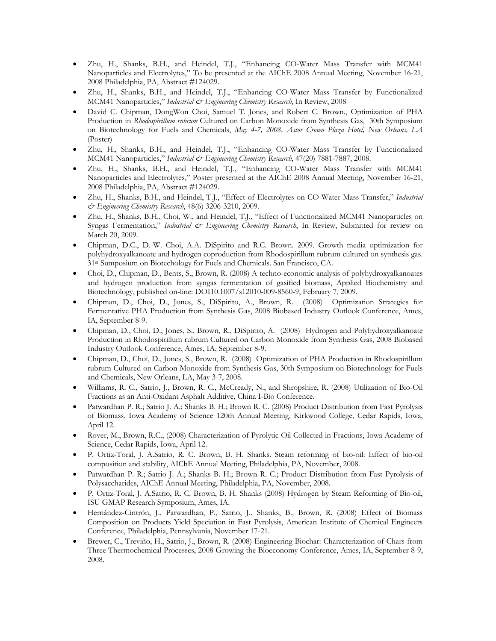- Zhu, H., Shanks, B.H., and Heindel, T.J., "Enhancing CO-Water Mass Transfer with MCM41 Nanoparticles and Electrolytes," To be presented at the AIChE 2008 Annual Meeting, November 16-21, 2008 Philadelphia, PA, Abstract #124029.
- Zhu, H., Shanks, B.H., and Heindel, T.J., "Enhancing CO-Water Mass Transfer by Functionalized MCM41 Nanoparticles," *Industrial & Engineering Chemistry Research*, In Review, 2008
- David C. Chipman, DongWon Choi, Samuel T. Jones, and Robert C. Brown., Optimization of PHA Production in *Rhodospirillum rubrum* Cultured on Carbon Monoxide from Synthesis Gas, 30th Symposium on Biotechnology for Fuels and Chemicals, *May 4-7, 2008, Astor Crown Plaza Hotel, New Orleans, LA* (Poster)
- Zhu, H., Shanks, B.H., and Heindel, T.J., "Enhancing CO-Water Mass Transfer by Functionalized MCM41 Nanoparticles," Industrial & Engineering Chemistry Research, 47(20) 7881-7887, 2008.
- Zhu, H., Shanks, B.H., and Heindel, T.J., "Enhancing CO-Water Mass Transfer with MCM41 Nanoparticles and Electrolytes," Poster presented at the AIChE 2008 Annual Meeting, November 16-21, 2008 Philadelphia, PA, Abstract #124029.
- Zhu, H., Shanks, B.H., and Heindel, T.J., "Effect of Electrolytes on CO-Water Mass Transfer," *Industrial & Engineering Chemistry Research*, 48(6) 3206-3210, 2009.
- Zhu, H., Shanks, B.H., Choi, W., and Heindel, T.J., "Effect of Functionalized MCM41 Nanoparticles on Syngas Fermentation," Industrial & Engineering Chemistry Research, In Review, Submitted for review on March 20, 2009.
- Chipman, D.C., D.-W. Choi, A.A. DiSpirito and R.C. Brown. 2009. Growth media optimization for polyhydroxyalkanoate and hydrogen coproduction from Rhodospirillum rubrum cultured on synthesis gas. 31st Sumposium on Biotechology for Fuels and Chemicals. San Francisco, CA.
- Choi, D., Chipman, D., Bents, S., Brown, R. (2008) A techno-economic analysis of polyhydroxyalkanoates and hydrogen production from syngas fermentation of gasified biomass, Applied Biochemistry and Biotechnology, published on-line: DOI10.1007/s12010-009-8560-9, February 7, 2009.
- Chipman, D., Choi, D., Jones, S., DiSpirito, A., Brown, R. (2008) Optimization Strategies for Fermentative PHA Production from Synthesis Gas, 2008 Biobased Industry Outlook Conference, Ames, IA, September 8-9.
- Chipman, D., Choi, D., Jones, S., Brown, R., DiSpirito, A. (2008) Hydrogen and Polyhydroxyalkanoate Production in Rhodospirillum rubrum Cultured on Carbon Monoxide from Synthesis Gas, 2008 Biobased Industry Outlook Conference, Ames, IA, September 8-9.
- Chipman, D., Choi, D., Jones, S., Brown, R. (2008) Optimization of PHA Production in Rhodospirillum rubrum Cultured on Carbon Monoxide from Synthesis Gas, 30th Symposium on Biotechnology for Fuels and Chemicals, New Orleans, LA, May 3-7, 2008.
- Williams, R. C., Satrio, J., Brown, R. C., McCready, N., and Shropshire, R. (2008) Utilization of Bio-Oil Fractions as an Anti-Oxidant Asphalt Additive, China I-Bio Conference.
- Patwardhan P. R.; Satrio J. A.; Shanks B. H.; Brown R. C. (2008) Product Distribution from Fast Pyrolysis of Biomass, Iowa Academy of Science 120th Annual Meeting, Kirkwood College, Cedar Rapids, Iowa, April 12.
- Rover, M., Brown, R.C., (2008) Characterization of Pyrolytic Oil Collected in Fractions, Iowa Academy of Science, Cedar Rapids, Iowa, April 12.
- P. Ortiz-Toral, J. A.Satrio, R. C. Brown, B. H. Shanks. Steam reforming of bio-oil: Effect of bio-oil composition and stability, AIChE Annual Meeting, Philadelphia, PA, November, 2008.
- Patwardhan P. R.; Satrio J. A.; Shanks B. H.; Brown R. C.; Product Distribution from Fast Pyrolysis of Polysaccharides, AIChE Annual Meeting, Philadelphia, PA, November, 2008.
- P. Ortiz-Toral, J. A.Satrio, R. C. Brown, B. H. Shanks (2008) Hydrogen by Steam Reforming of Bio-oil, ISU GMAP Research Symposium, Ames, IA.
- Hernández-Cintrón, J., Patwardhan, P., Satrio, J., Shanks, B., Brown, R. (2008) Effect of Biomass Composition on Products Yield Speciation in Fast Pyrolysis, American Institute of Chemical Engineers Conference, Philadelphia, Pennsylvania, November 17-21.
- Brewer, C., Treviño, H., Satrio, J., Brown, R. (2008) Engineering Biochar: Characterization of Chars from Three Thermochemical Processes, 2008 Growing the Bioeconomy Conference, Ames, IA, September 8-9, 2008.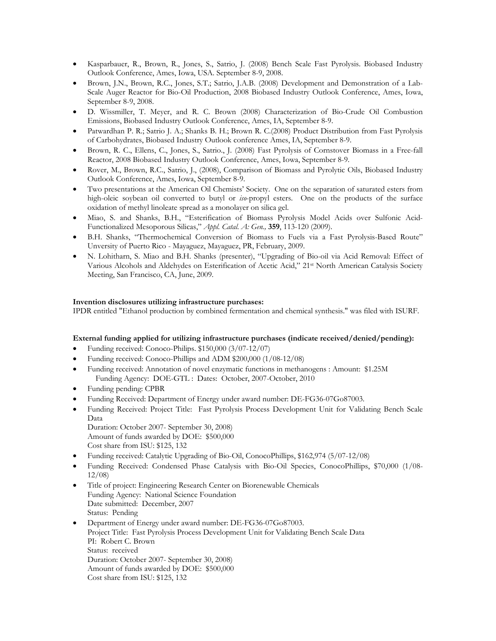- Kasparbauer, R., Brown, R., Jones, S., Satrio, J. (2008) Bench Scale Fast Pyrolysis. Biobased Industry Outlook Conference, Ames, Iowa, USA. September 8-9, 2008.
- Brown, J.N., Brown, R.C., Jones, S.T.; Satrio, J.A.B. (2008) Development and Demonstration of a Lab-Scale Auger Reactor for Bio-Oil Production, 2008 Biobased Industry Outlook Conference, Ames, Iowa, September 8-9, 2008.
- D. Wissmiller, T. Meyer, and R. C. Brown (2008) Characterization of Bio-Crude Oil Combustion Emissions, Biobased Industry Outlook Conference, Ames, IA, September 8-9.
- Patwardhan P. R.; Satrio J. A.; Shanks B. H.; Brown R. C.(2008) Product Distribution from Fast Pyrolysis of Carbohydrates, Biobased Industry Outlook conference Ames, IA, September 8-9.
- Brown, R. C., Ellens, C., Jones, S., Satrio., J. (2008) Fast Pyrolysis of Cornstover Biomass in a Free-fall Reactor, 2008 Biobased Industry Outlook Conference, Ames, Iowa, September 8-9.
- Rover, M., Brown, R.C., Satrio, J., (2008), Comparison of Biomass and Pyrolytic Oils, Biobased Industry Outlook Conference, Ames, Iowa, September 8-9.
- Two presentations at the American Oil Chemists' Society. One on the separation of saturated esters from high-oleic soybean oil converted to butyl or *iso*-propyl esters. One on the products of the surface oxidation of methyl linoleate spread as a monolayer on silica gel.
- Miao, S. and Shanks, B.H., "Esterification of Biomass Pyrolysis Model Acids over Sulfonic Acid-Functionalized Mesoporous Silicas," *Appl. Catal. A: Gen.,* **359**, 113-120 (2009).
- B.H. Shanks, "Thermochemical Conversion of Biomass to Fuels via a Fast Pyrolysis-Based Route" Unversity of Puerto Rico - Mayaguez, Mayaguez, PR, February, 2009.
- N. Lohitharn, S. Miao and B.H. Shanks (presenter), "Upgrading of Bio-oil via Acid Removal: Effect of Various Alcohols and Aldehydes on Esterification of Acetic Acid," 21st North American Catalysis Society Meeting, San Francisco, CA, June, 2009.

## **Invention disclosures utilizing infrastructure purchases:**

IPDR entitled "Ethanol production by combined fermentation and chemical synthesis." was filed with ISURF.

### **External funding applied for utilizing infrastructure purchases (indicate received/denied/pending):**

- Funding received: Conoco-Philips. \$150,000 (3/07-12/07)
- Funding received: Conoco-Phillips and ADM \$200,000 (1/08-12/08)
- Funding received: Annotation of novel enzymatic functions in methanogens : Amount: \$1.25M Funding Agency: DOE-GTL : Dates: October, 2007-October, 2010
- Funding pending: CPBR
- Funding Received: Department of Energy under award number: DE-FG36-07Go87003.
- Funding Received: Project Title: Fast Pyrolysis Process Development Unit for Validating Bench Scale Data
- Duration: October 2007- September 30, 2008) Amount of funds awarded by DOE: \$500,000 Cost share from ISU: \$125, 132
- Funding received: Catalytic Upgrading of Bio-Oil, ConocoPhillips, \$162,974 (5/07-12/08)
- Funding Received: Condensed Phase Catalysis with Bio-Oil Species, ConocoPhillips, \$70,000 (1/08- 12/08)
- Title of project: Engineering Research Center on Biorenewable Chemicals Funding Agency: National Science Foundation Date submitted: December, 2007 Status: Pending
- Department of Energy under award number: DE-FG36-07Go87003. Project Title: Fast Pyrolysis Process Development Unit for Validating Bench Scale Data PI: Robert C. Brown Status: received Duration: October 2007- September 30, 2008) Amount of funds awarded by DOE: \$500,000 Cost share from ISU: \$125, 132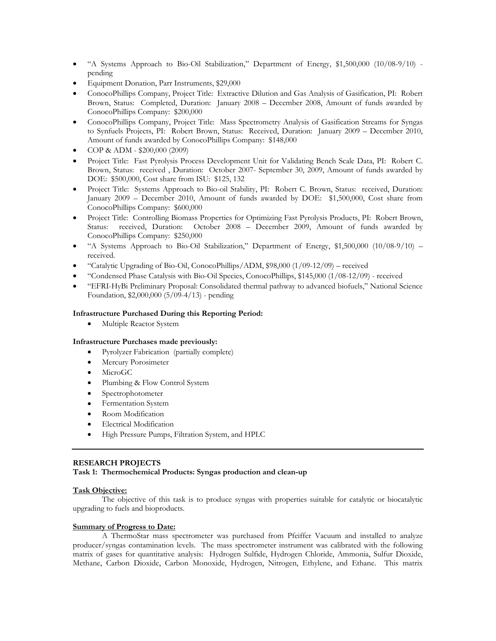- "A Systems Approach to Bio-Oil Stabilization," Department of Energy, \$1,500,000 (10/08-9/10) pending
- Equipment Donation, Parr Instruments, \$29,000
- ConocoPhillips Company, Project Title: Extractive Dilution and Gas Analysis of Gasification, PI: Robert Brown, Status: Completed, Duration: January 2008 – December 2008, Amount of funds awarded by ConocoPhillips Company: \$200,000
- ConocoPhillips Company, Project Title: Mass Spectrometry Analysis of Gasification Streams for Syngas to Synfuels Projects, PI: Robert Brown, Status: Received, Duration: January 2009 – December 2010, Amount of funds awarded by ConocoPhillips Company: \$148,000
- COP & ADM \$200,000 (2009)
- Project Title: Fast Pyrolysis Process Development Unit for Validating Bench Scale Data, PI: Robert C. Brown, Status: received , Duration: October 2007- September 30, 2009, Amount of funds awarded by DOE: \$500,000, Cost share from ISU: \$125, 132
- Project Title: Systems Approach to Bio-oil Stability, PI: Robert C. Brown, Status: received, Duration: January 2009 – December 2010, Amount of funds awarded by DOE: \$1,500,000, Cost share from ConocoPhillips Company: \$600,000
- Project Title: Controlling Biomass Properties for Optimizing Fast Pyrolysis Products, PI: Robert Brown, Status: received, Duration: October 2008 – December 2009, Amount of funds awarded by ConocoPhillips Company: \$250,000
- "A Systems Approach to Bio-Oil Stabilization," Department of Energy, \$1,500,000 (10/08-9/10) received.
- "Catalytic Upgrading of Bio-Oil, ConocoPhillips/ADM, \$98,000 (1/09-12/09) received
- "Condensed Phase Catalysis with Bio-Oil Species, ConocoPhillips, \$145,000 (1/08-12/09) received
- "EFRI-HyBi Preliminary Proposal: Consolidated thermal pathway to advanced biofuels," National Science Foundation, \$2,000,000 (5/09-4/13) - pending

### **Infrastructure Purchased During this Reporting Period:**

Multiple Reactor System

### **Infrastructure Purchases made previously:**

- Pyrolyzer Fabrication (partially complete)
- Mercury Porosimeter
- MicroGC
- Plumbing & Flow Control System
- Spectrophotometer
- Fermentation System
- Room Modification
- Electrical Modification
- High Pressure Pumps, Filtration System, and HPLC

## **RESEARCH PROJECTS**

**Task 1: Thermochemical Products: Syngas production and clean-up** 

### **Task Objective:**

The objective of this task is to produce syngas with properties suitable for catalytic or biocatalytic upgrading to fuels and bioproducts.

### **Summary of Progress to Date:**

A ThermoStar mass spectrometer was purchased from Pfeiffer Vacuum and installed to analyze producer/syngas contamination levels. The mass spectrometer instrument was calibrated with the following matrix of gases for quantitative analysis: Hydrogen Sulfide, Hydrogen Chloride, Ammonia, Sulfur Dioxide, Methane, Carbon Dioxide, Carbon Monoxide, Hydrogen, Nitrogen, Ethylene, and Ethane. This matrix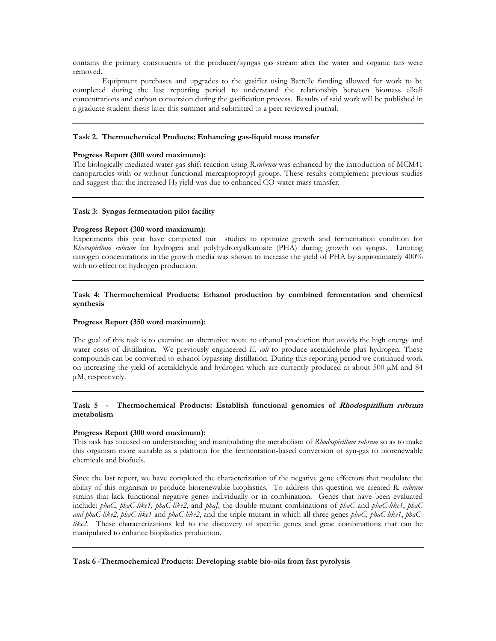contains the primary constituents of the producer/syngas gas stream after the water and organic tars were removed.

Equipment purchases and upgrades to the gasifier using Battelle funding allowed for work to be completed during the last reporting period to understand the relationship between biomass alkali concentrations and carbon conversion during the gasification process. Results of said work will be published in a graduate student thesis later this summer and submitted to a peer reviewed journal.

### **Task 2. Thermochemical Products: Enhancing gas-liquid mass transfer**

### **Progress Report (300 word maximum):**

The biologically mediated water-gas shift reaction using *R.rubrum* was enhanced by the introduction of MCM41 nanoparticles with or without functional mercaptopropyl groups. These results complement previous studies and suggest that the increased H<sub>2</sub> yield was due to enhanced CO-water mass transfer.

### **Task 3: Syngas fermentation pilot facility**

### **Progress Report (300 word maximum):**

Experiments this year have completed our studies to optimize growth and fermentation condition for *Rhotospirllum rubrum* for hydrogen and polyhydroxyalkanoate (PHA) during growth on syngas. Limiting nitrogen concentrations in the growth media was shown to increase the yield of PHA by approximately 400% with no effect on hydrogen production.

## **Task 4: Thermochemical Products: Ethanol production by combined fermentation and chemical synthesis**

#### **Progress Report (350 word maximum):**

The goal of this task is to examine an alternative route to ethanol production that avoids the high energy and water costs of distillation. We previously engineered *E. coli* to produce acetaldehyde plus hydrogen. These compounds can be converted to ethanol bypassing distillation. During this reporting period we continued work on increasing the yield of acetaldehyde and hydrogen which are currently produced at about 500 μM and 84 μM, respectively.

## **Task 5 - Thermochemical Products: Establish functional genomics of Rhodospirillum rubrum metabolism**

### **Progress Report (300 word maximum):**

This task has focused on understanding and manipulating the metabolism of *Rhodospirillum rubrum* so as to make this organism more suitable as a platform for the fermentation-based conversion of syn-gas to biorenewable chemicals and biofuels.

Since the last report, we have completed the characterization of the negative gene effectors that modulate the ability of this organism to produce biorenewable bioplastics. To address this question we created *R. rubrum*  strains that lack functional negative genes individually or in combination. Genes that have been evaluated include: *phaC*, *phaC-like1*, *phaC-like2*, and *phaJ*, the double mutant combinations of *phaC* and *phaC-like1*, *phaC and phaC-like2, phaC-like1* and *phaC-like2*, and the triple mutant in which all three genes *phaC*, *phaC-like1*, *phaC*like2. These characterizations led to the discovery of specific genes and gene combinations that can be manipulated to enhance bioplastics production.

**Task 6 -Thermochemical Products: Developing stable bio-oils from fast pyrolysis**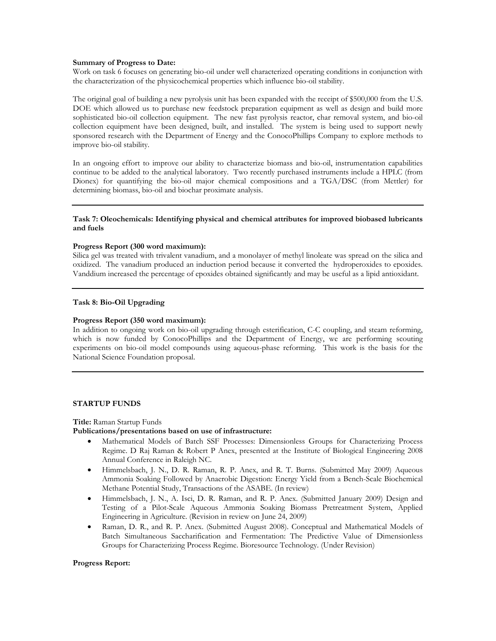#### **Summary of Progress to Date:**

Work on task 6 focuses on generating bio-oil under well characterized operating conditions in conjunction with the characterization of the physicochemical properties which influence bio-oil stability.

The original goal of building a new pyrolysis unit has been expanded with the receipt of \$500,000 from the U.S. DOE which allowed us to purchase new feedstock preparation equipment as well as design and build more sophisticated bio-oil collection equipment. The new fast pyrolysis reactor, char removal system, and bio-oil collection equipment have been designed, built, and installed. The system is being used to support newly sponsored research with the Department of Energy and the ConocoPhillips Company to explore methods to improve bio-oil stability.

In an ongoing effort to improve our ability to characterize biomass and bio-oil, instrumentation capabilities continue to be added to the analytical laboratory. Two recently purchased instruments include a HPLC (from Dionex) for quantifying the bio-oil major chemical compositions and a TGA/DSC (from Mettler) for determining biomass, bio-oil and biochar proximate analysis.

### **Task 7: Oleochemicals: Identifying physical and chemical attributes for improved biobased lubricants and fuels**

### **Progress Report (300 word maximum):**

Silica gel was treated with trivalent vanadium, and a monolayer of methyl linoleate was spread on the silica and oxidized. The vanadium produced an induction period because it converted the hydroperoxides to epoxides. Vanddium increased the percentage of epoxides obtained significantly and may be useful as a lipid antioxidant.

### **Task 8: Bio-Oil Upgrading**

#### **Progress Report (350 word maximum):**

In addition to ongoing work on bio-oil upgrading through esterification, C-C coupling, and steam reforming, which is now funded by ConocoPhillips and the Department of Energy, we are performing scouting experiments on bio-oil model compounds using aqueous-phase reforming. This work is the basis for the National Science Foundation proposal.

#### **STARTUP FUNDS**

#### **Title:** Raman Startup Funds

### **Publications/presentations based on use of infrastructure:**

- Mathematical Models of Batch SSF Processes: Dimensionless Groups for Characterizing Process Regime. D Raj Raman & Robert P Anex, presented at the Institute of Biological Engineering 2008 Annual Conference in Raleigh NC.
- Himmelsbach, J. N., D. R. Raman, R. P. Anex, and R. T. Burns. (Submitted May 2009) Aqueous Ammonia Soaking Followed by Anaerobic Digestion: Energy Yield from a Bench-Scale Biochemical Methane Potential Study, Transactions of the ASABE. (In review)
- Himmelsbach, J. N., A. Isci, D. R. Raman, and R. P. Anex. (Submitted January 2009) Design and Testing of a Pilot-Scale Aqueous Ammonia Soaking Biomass Pretreatment System, Applied Engineering in Agriculture. (Revision in review on June 24, 2009)
- Raman, D. R., and R. P. Anex. (Submitted August 2008). Conceptual and Mathematical Models of Batch Simultaneous Saccharification and Fermentation: The Predictive Value of Dimensionless Groups for Characterizing Process Regime. Bioresource Technology. (Under Revision)

#### **Progress Report:**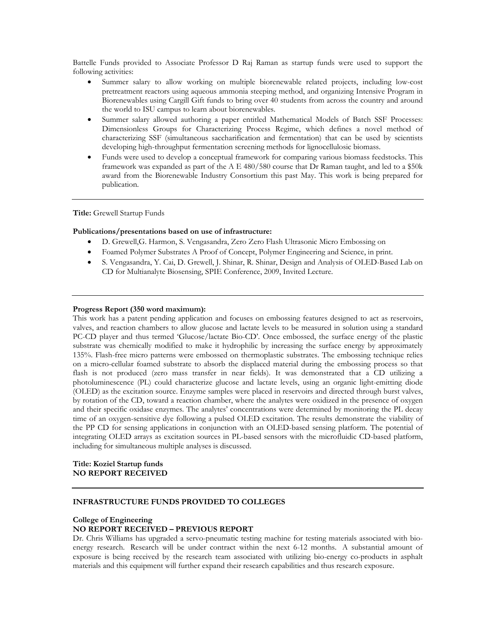Battelle Funds provided to Associate Professor D Raj Raman as startup funds were used to support the following activities:

- Summer salary to allow working on multiple biorenewable related projects, including low-cost pretreatment reactors using aqueous ammonia steeping method, and organizing Intensive Program in Biorenewables using Cargill Gift funds to bring over 40 students from across the country and around the world to ISU campus to learn about biorenewables.
- Summer salary allowed authoring a paper entitled Mathematical Models of Batch SSF Processes: Dimensionless Groups for Characterizing Process Regime, which defines a novel method of characterizing SSF (simultaneous saccharification and fermentation) that can be used by scientists developing high-throughput fermentation screening methods for lignocellulosic biomass.
- Funds were used to develop a conceptual framework for comparing various biomass feedstocks. This framework was expanded as part of the A E 480/580 course that Dr Raman taught, and led to a \$50k award from the Biorenewable Industry Consortium this past May. This work is being prepared for publication.

**Title:** Grewell Startup Funds

#### **Publications/presentations based on use of infrastructure:**

- D. Grewell,G. Harmon, S. Vengasandra, Zero Zero Flash Ultrasonic Micro Embossing on
- Foamed Polymer Substrates A Proof of Concept, Polymer Engineering and Science, in print.
- S. Vengasandra, Y. Cai, D. Grewell, J. Shinar, R. Shinar, Design and Analysis of OLED-Based Lab on CD for Multianalyte Biosensing, SPIE Conference, 2009, Invited Lecture.

#### **Progress Report (350 word maximum):**

This work has a patent pending application and focuses on embossing features designed to act as reservoirs, valves, and reaction chambers to allow glucose and lactate levels to be measured in solution using a standard PC-CD player and thus termed 'Glucose/lactate Bio-CD'. Once embossed, the surface energy of the plastic substrate was chemically modified to make it hydrophilic by increasing the surface energy by approximately 135%. Flash-free micro patterns were embossed on thermoplastic substrates. The embossing technique relies on a micro-cellular foamed substrate to absorb the displaced material during the embossing process so that flash is not produced (zero mass transfer in near fields). It was demonstrated that a CD utilizing a photoluminescence (PL) could characterize glucose and lactate levels, using an organic light-emitting diode (OLED) as the excitation source. Enzyme samples were placed in reservoirs and directed through burst valves, by rotation of the CD, toward a reaction chamber, where the analytes were oxidized in the presence of oxygen and their specific oxidase enzymes. The analytes' concentrations were determined by monitoring the PL decay time of an oxygen-sensitive dye following a pulsed OLED excitation. The results demonstrate the viability of the PP CD for sensing applications in conjunction with an OLED-based sensing platform. The potential of integrating OLED arrays as excitation sources in PL-based sensors with the microfluidic CD-based platform, including for simultaneous multiple analyses is discussed.

#### **Title: Koziel Startup funds NO REPORT RECEIVED**

#### **INFRASTRUCTURE FUNDS PROVIDED TO COLLEGES**

### **College of Engineering NO REPORT RECEIVED – PREVIOUS REPORT**

Dr. Chris Williams has upgraded a servo-pneumatic testing machine for testing materials associated with bioenergy research. Research will be under contract within the next 6-12 months. A substantial amount of exposure is being received by the research team associated with utilizing bio-energy co-products in asphalt materials and this equipment will further expand their research capabilities and thus research exposure.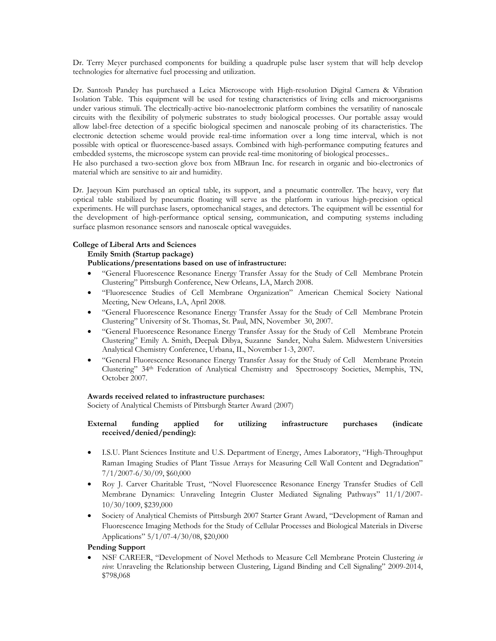Dr. Terry Meyer purchased components for building a quadruple pulse laser system that will help develop technologies for alternative fuel processing and utilization.

Dr. Santosh Pandey has purchased a Leica Microscope with High-resolution Digital Camera & Vibration Isolation Table. This equipment will be used for testing characteristics of living cells and microorganisms under various stimuli. The electrically-active bio-nanoelectronic platform combines the versatility of nanoscale circuits with the flexibility of polymeric substrates to study biological processes. Our portable assay would allow label-free detection of a specific biological specimen and nanoscale probing of its characteristics. The electronic detection scheme would provide real-time information over a long time interval, which is not possible with optical or fluorescence-based assays. Combined with high-performance computing features and embedded systems, the microscope system can provide real-time monitoring of biological processes..

He also purchased a two-section glove box from MBraun Inc. for research in organic and bio-electronics of material which are sensitive to air and humidity.

Dr. Jaeyoun Kim purchased an optical table, its support, and a pneumatic controller. The heavy, very flat optical table stabilized by pneumatic floating will serve as the platform in various high-precision optical experiments. He will purchase lasers, optomechanical stages, and detectors. The equipment will be essential for the development of high-performance optical sensing, communication, and computing systems including surface plasmon resonance sensors and nanoscale optical waveguides.

## **College of Liberal Arts and Sciences**

### **Emily Smith (Startup package)**

## **Publications/presentations based on use of infrastructure:**

- "General Fluorescence Resonance Energy Transfer Assay for the Study of Cell Membrane Protein Clustering" Pittsburgh Conference, New Orleans, LA, March 2008.
- "Fluorescence Studies of Cell Membrane Organization" American Chemical Society National Meeting, New Orleans, LA, April 2008.
- "General Fluorescence Resonance Energy Transfer Assay for the Study of Cell Membrane Protein Clustering" University of St. Thomas, St. Paul, MN, November 30, 2007.
- "General Fluorescence Resonance Energy Transfer Assay for the Study of Cell Membrane Protein Clustering" Emily A. Smith, Deepak Dibya, Suzanne Sander, Nuha Salem. Midwestern Universities Analytical Chemistry Conference, Urbana, IL, November 1-3, 2007.
- "General Fluorescence Resonance Energy Transfer Assay for the Study of Cell Membrane Protein Clustering" 34th Federation of Analytical Chemistry and Spectroscopy Societies, Memphis, TN, October 2007.

### **Awards received related to infrastructure purchases:**

Society of Analytical Chemists of Pittsburgh Starter Award (2007)

## **External funding applied for utilizing infrastructure purchases (indicate received/denied/pending):**

- I.S.U. Plant Sciences Institute and U.S. Department of Energy, Ames Laboratory, "High-Throughput Raman Imaging Studies of Plant Tissue Arrays for Measuring Cell Wall Content and Degradation" 7/1/2007-6/30/09, \$60,000
- Roy J. Carver Charitable Trust, "Novel Fluorescence Resonance Energy Transfer Studies of Cell Membrane Dynamics: Unraveling Integrin Cluster Mediated Signaling Pathways" 11/1/2007- 10/30/1009, \$239,000
- Society of Analytical Chemists of Pittsburgh 2007 Starter Grant Award, "Development of Raman and Fluorescence Imaging Methods for the Study of Cellular Processes and Biological Materials in Diverse Applications" 5/1/07-4/30/08, \$20,000

# **Pending Support**

 NSF CAREER, "Development of Novel Methods to Measure Cell Membrane Protein Clustering *in vivo*: Unraveling the Relationship between Clustering, Ligand Binding and Cell Signaling" 2009-2014, \$798,068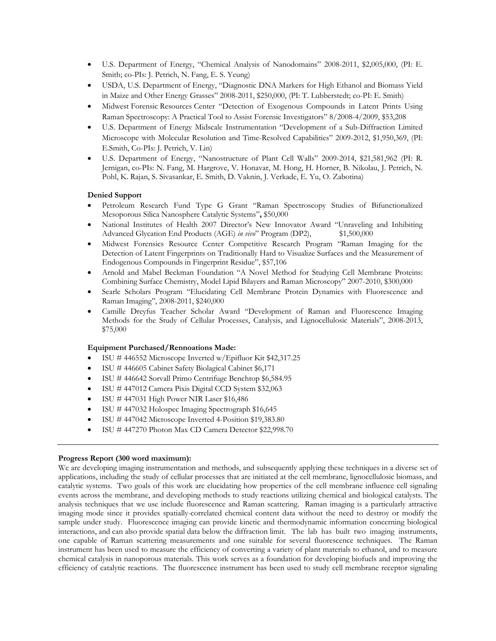- U.S. Department of Energy, "Chemical Analysis of Nanodomains" 2008-2011, \$2,005,000, (PI: E. Smith; co-PIs: J. Petrich, N. Fang, E. S. Yeung)
- USDA, U.S. Department of Energy, "Diagnostic DNA Markers for High Ethanol and Biomass Yield in Maize and Other Energy Grasses" 2008-2011, \$250,000, (PI: T. Lubberstedt; co-PI: E. Smith)
- Midwest Forensic Resources Center "Detection of Exogenous Compounds in Latent Prints Using Raman Spectroscopy: A Practical Tool to Assist Forensic Investigators" 8/2008-4/2009, \$53,208
- U.S. Department of Energy Midscale Instrumentation "Development of a Sub-Diffraction Limited Microscope with Molecular Resolution and Time-Resolved Capabilities" 2009-2012, \$1,950,369, (PI: E.Smith, Co-PIs: J. Petrich, V. Lin)
- U.S. Department of Energy, "Nanostructure of Plant Cell Walls" 2009-2014, \$21,581,962 (PI: R. Jernigan, co-PIs: N. Fang, M. Hargrove, V. Honavar, M. Hong, H. Horner, B. Nikolau, J. Petrich, N. Pohl, K. Rajan, S. Sivasankar, E. Smith, D. Vaknin, J. Verkade, E. Yu, O. Zabotina)

### **Denied Support**

- Petroleum Research Fund Type G Grant "Raman Spectroscopy Studies of Bifunctionalized Mesoporous Silica Nanosphere Catalytic Systems"**,** \$50,000
- National Institutes of Health 2007 Director's New Innovator Award "Unraveling and Inhibiting Advanced Glycation End Products (AGE) *in vivo*" Program (DP2), \$1,500,000
- Midwest Forensics Resource Center Competitive Research Program "Raman Imaging for the Detection of Latent Fingerprints on Traditionally Hard to Visualize Surfaces and the Measurement of Endogenous Compounds in Fingerprint Residue", \$57,106
- Arnold and Mabel Beckman Foundation "A Novel Method for Studying Cell Membrane Proteins: Combining Surface Chemistry, Model Lipid Bilayers and Raman Microscopy" 2007-2010, \$300,000
- Searle Scholars Program "Elucidating Cell Membrane Protein Dynamics with Fluorescence and Raman Imaging", 2008-2011, \$240,000
- Camille Dreyfus Teacher Scholar Award "Development of Raman and Fluorescence Imaging Methods for the Study of Cellular Processes, Catalysis, and Lignocellulosic Materials", 2008-2013, \$75,000

### **Equipment Purchased/Rennoations Made:**

- ISU # 446552 Microscope Inverted w/Epifluor Kit \$42,317.25
- ISU # 446605 Cabinet Safety Biolagical Cabinet \$6,171
- ISU # 446642 Sorvall Primo Centrifuge Benchtop \$6,584.95
- ISU # 447012 Camera Pixis Digital CCD System \$32,063
- $\bullet$  ISU # 447031 High Power NIR Laser \$16,486
- ISU # 447032 Holospec Imaging Spectrograph \$16,645
- ISU # 447042 Microscope Inverted 4-Position \$19,383.80
- ISU # 447270 Photon Max CD Camera Detector \$22,998.70

### **Progress Report (300 word maximum):**

We are developing imaging instrumentation and methods, and subsequently applying these techniques in a diverse set of applications, including the study of cellular processes that are initiated at the cell membrane, lignocellulosic biomass, and catalytic systems. Two goals of this work are elucidating how properties of the cell membrane influence cell signaling events across the membrane, and developing methods to study reactions utilizing chemical and biological catalysts. The analysis techniques that we use include fluorescence and Raman scattering. Raman imaging is a particularly attractive imaging mode since it provides spatially-correlated chemical content data without the need to destroy or modify the sample under study. Fluorescence imaging can provide kinetic and thermodynamic information concerning biological interactions, and can also provide spatial data below the diffraction limit. The lab has built two imaging instruments, one capable of Raman scattering measurements and one suitable for several fluorescence techniques. The Raman instrument has been used to measure the efficiency of converting a variety of plant materials to ethanol, and to measure chemical catalysis in nanoporous materials. This work serves as a foundation for developing biofuels and improving the efficiency of catalytic reactions. The fluorescence instrument has been used to study cell membrane receptor signaling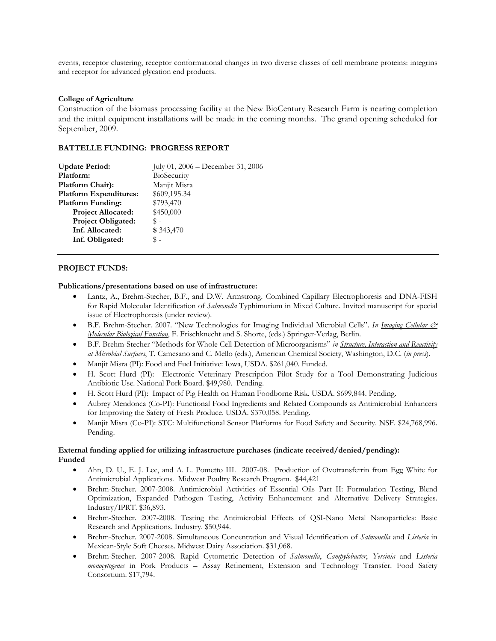events, receptor clustering, receptor conformational changes in two diverse classes of cell membrane proteins: integrins and receptor for advanced glycation end products.

### **College of Agriculture**

Construction of the biomass processing facility at the New BioCentury Research Farm is nearing completion and the initial equipment installations will be made in the coming months. The grand opening scheduled for September, 2009.

## **BATTELLE FUNDING: PROGRESS REPORT**

| <b>Update Period:</b>         | July 01, $2006 - December 31, 2006$ |
|-------------------------------|-------------------------------------|
| Platform:                     | BioSecurity                         |
| Platform Chair):              | Manjit Misra                        |
| <b>Platform Expenditures:</b> | \$609,195.34                        |
| <b>Platform Funding:</b>      | \$793,470                           |
| <b>Project Allocated:</b>     | \$450,000                           |
| <b>Project Obligated:</b>     | \$ -                                |
| Inf. Allocated:               | \$343,470                           |
| Inf. Obligated:               | \$ -                                |

## **PROJECT FUNDS:**

### **Publications/presentations based on use of infrastructure:**

- Lantz, A., Brehm-Stecher, B.F., and D.W. Armstrong. Combined Capillary Electrophoresis and DNA-FISH for Rapid Molecular Identification of *Salmonella* Typhimurium in Mixed Culture. Invited manuscript for special issue of Electrophoresis (under review).
- B.F. Brehm-Stecher. 2007. "New Technologies for Imaging Individual Microbial Cells". *In Imaging Cellular & Molecular Biological Function*, F. Frischknecht and S. Shorte, (eds.) Springer-Verlag, Berlin.
- B.F. Brehm-Stecher "Methods for Whole Cell Detection of Microorganisms" *in Structure, Interaction and Reactivity at Microbial Surfaces*, T. Camesano and C. Mello (eds.), American Chemical Society, Washington, D.C. (*in press*).
- Manjit Misra (PI): Food and Fuel Initiative: Iowa, USDA. \$261,040. Funded.
- H. Scott Hurd (PI): Electronic Veterinary Prescription Pilot Study for a Tool Demonstrating Judicious Antibiotic Use. National Pork Board. \$49,980. Pending.
- H. Scott Hurd (PI): Impact of Pig Health on Human Foodborne Risk. USDA. \$699,844. Pending.
- Aubrey Mendonca (Co-PI): Functional Food Ingredients and Related Compounds as Antimicrobial Enhancers for Improving the Safety of Fresh Produce. USDA. \$370,058. Pending.
- Manjit Misra (Co-PI): STC: Multifunctional Sensor Platforms for Food Safety and Security. NSF. \$24,768,996. Pending.

## **External funding applied for utilizing infrastructure purchases (indicate received/denied/pending): Funded**

- Ahn, D. U., E. J. Lee, and A. L. Pometto III. 2007-08. Production of Ovotransferrin from Egg White for Antimicrobial Applications. Midwest Poultry Research Program. \$44,421
- Brehm-Stecher. 2007-2008. Antimicrobial Activities of Essential Oils Part II: Formulation Testing, Blend Optimization, Expanded Pathogen Testing, Activity Enhancement and Alternative Delivery Strategies. Industry/IPRT. \$36,893.
- Brehm-Stecher. 2007-2008. Testing the Antimicrobial Effects of QSI-Nano Metal Nanoparticles: Basic Research and Applications. Industry. \$50,944.
- Brehm-Stecher. 2007-2008. Simultaneous Concentration and Visual Identification of *Salmonella* and *Listeria* in Mexican-Style Soft Cheeses. Midwest Dairy Association. \$31,068.
- Brehm-Stecher. 2007-2008. Rapid Cytometric Detection of *Salmonella*, *Campylobacter*, *Yersinia* and *Listeria monocytogenes* in Pork Products – Assay Refinement, Extension and Technology Transfer. Food Safety Consortium. \$17,794.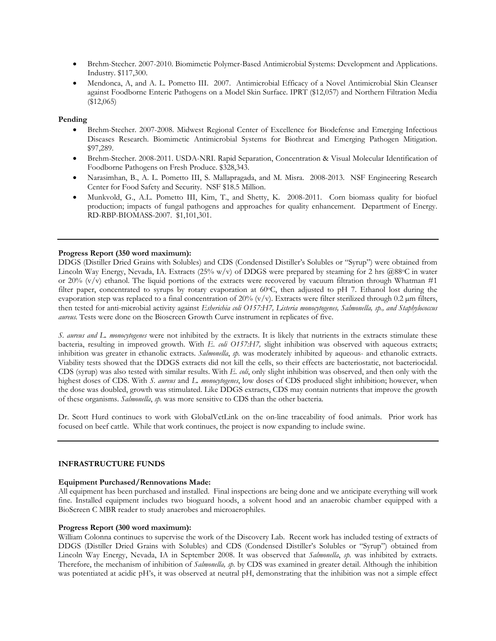- Brehm-Stecher. 2007-2010. Biomimetic Polymer-Based Antimicrobial Systems: Development and Applications. Industry. \$117,300.
- Mendonca, A, and A. L. Pometto III. 2007. Antimicrobial Efficacy of a Novel Antimicrobial Skin Cleanser against Foodborne Enteric Pathogens on a Model Skin Surface. IPRT (\$12,057) and Northern Filtration Media (\$12,065)

### **Pending**

- Brehm-Stecher. 2007-2008. Midwest Regional Center of Excellence for Biodefense and Emerging Infectious Diseases Research. Biomimetic Antimicrobial Systems for Biothreat and Emerging Pathogen Mitigation. \$97,289.
- Brehm-Stecher. 2008-2011. USDA-NRI. Rapid Separation, Concentration & Visual Molecular Identification of Foodborne Pathogens on Fresh Produce. \$328,343.
- Narasimhan, B., A. L. Pometto III, S. Mallapragada, and M. Misra. 2008-2013. NSF Engineering Research Center for Food Safety and Security. NSF \$18.5 Million.
- Munkvold, G., A.L. Pometto III, Kim, T., and Shetty, K. 2008-2011. Corn biomass quality for biofuel production; impacts of fungal pathogens and approaches for quality enhancement. Department of Energy. RD-RBP-BIOMASS-2007. \$1,101,301.

## **Progress Report (350 word maximum):**

DDGS (Distiller Dried Grains with Solubles) and CDS (Condensed Distiller's Solubles or "Syrup") were obtained from Lincoln Way Energy, Nevada, IA. Extracts  $(25\% w/v)$  of DDGS were prepared by steaming for 2 hrs  $@88°C$  in water or 20% (v/v) ethanol. The liquid portions of the extracts were recovered by vacuum filtration through Whatman #1 filter paper, concentrated to syrups by rotary evaporation at 60°C, then adjusted to pH 7. Ethanol lost during the evaporation step was replaced to a final concentration of  $20\%$  (v/v). Extracts were filter sterilized through 0.2  $\mu$ m filters, then tested for anti-microbial activity against *Esherichia coli O157:H7, Listeria monocytogenes, Salmonella, sp., and Staphylococcus aureus.* Tests were done on the Bioscreen Growth Curve instrument in replicates of five.

*S. aureus and L. monocytogenes* were not inhibited by the extracts. It is likely that nutrients in the extracts stimulate these bacteria, resulting in improved growth. With *E. coli O157:H7,* slight inhibition was observed with aqueous extracts; inhibition was greater in ethanolic extracts. *Salmonella*, *sp.* was moderately inhibited by aqueous- and ethanolic extracts. Viability tests showed that the DDGS extracts did not kill the cells, so their effects are bacteriostatic, not bacteriocidal. CDS (syrup) was also tested with similar results. With *E. coli*, only slight inhibition was observed, and then only with the highest doses of CDS. With *S. aureus* and *L. monocytogenes*, low doses of CDS produced slight inhibition; however, when the dose was doubled, growth was stimulated. Like DDGS extracts, CDS may contain nutrients that improve the growth of these organisms. *Salmonella*, *sp.* was more sensitive to CDS than the other bacteria.

Dr. Scott Hurd continues to work with GlobalVetLink on the on-line traceability of food animals. Prior work has focused on beef cattle. While that work continues, the project is now expanding to include swine.

### **INFRASTRUCTURE FUNDS**

### **Equipment Purchased/Rennovations Made:**

All equipment has been purchased and installed. Final inspections are being done and we anticipate everything will work fine. Installed equipment includes two bioguard hoods, a solvent hood and an anaerobic chamber equipped with a BioScreen C MBR reader to study anaerobes and microaerophiles.

### **Progress Report (300 word maximum):**

William Colonna continues to supervise the work of the Discovery Lab. Recent work has included testing of extracts of DDGS (Distiller Dried Grains with Solubles) and CDS (Condensed Distiller's Solubles or "Syrup") obtained from Lincoln Way Energy, Nevada, IA in September 2008. It was observed that *Salmonella*, *sp.* was inhibited by extracts. Therefore, the mechanism of inhibition of *Salmonella, sp.* by CDS was examined in greater detail. Although the inhibition was potentiated at acidic pH's, it was observed at neutral pH, demonstrating that the inhibition was not a simple effect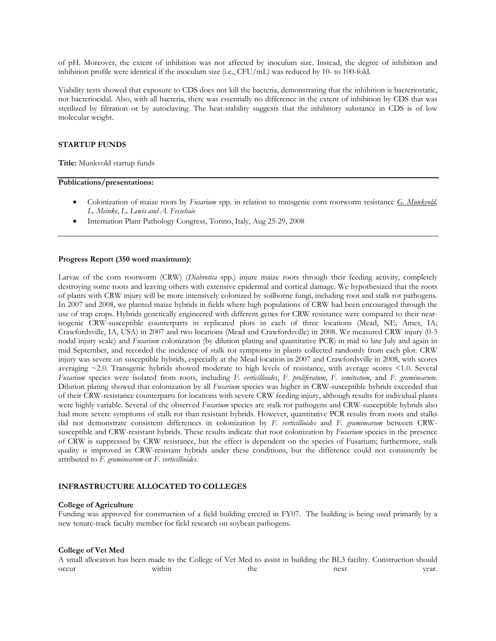of pH. Moreover, the extent of inhibition was not affected by inoculum size. Instead, the degree of inhibition and inhibition profile were identical if the inoculum size (i.e., CFU/mL) was reduced by 10- to 100-fold.

Viability tests showed that exposure to CDS does not kill the bacteria, demonstrating that the inhibition is bacteriostatic, not bacteriocidal. Also, with all bacteria, there was essentially no difference in the extent of inhibition by CDS that was sterilized by filtration or by autoclaving. The heat-stability suggests that the inhibitory substance in CDS is of low molecular weight.

#### **STARTUP FUNDS**

**Title:** Munkvold startup funds

#### **Publications/presentations:**

- Colonization of maize roots by *Fusarium* spp. in relation to transgenic corn rootworm resistance *G. Munkvold, L. Meinke, L. Lewis and A. Fessehaie*
- Internation Plant Pathology Congress, Torino, Italy, Aug 25-29, 2008

#### **Progress Report (350 word maximum):**

Larvae of the corn rootworm (CRW) (*Diabrotica* spp.) injure maize roots through their feeding activity, completely destroying some roots and leaving others with extensive epidermal and cortical damage. We hypothesized that the roots of plants with CRW injury will be more intensively colonized by soilborne fungi, including root and stalk rot pathogens. In 2007 and 2008, we planted maize hybrids in fields where high populations of CRW had been encouraged through the use of trap crops. Hybrids genetically engineered with different genes for CRW resistance were compared to their nearisogenic CRW-susceptible counterparts in replicated plots in each of three locations (Mead, NE; Ames, IA; Crawfordsville, IA, USA) in 2007 and two locations (Mead and Crawfordsville) in 2008. We measured CRW injury (0-3 nodal injury scale) and *Fusarium* colonization (by dilution plating and quantitative PCR) in mid to late July and again in mid September, and recorded the incidence of stalk rot symptoms in plants collected randomly from each plot. CRW injury was severe on susceptible hybrids, especially at the Mead location in 2007 and Crawfordsville in 2008, with scores averaging ~2.0. Transgenic hybrids showed moderate to high levels of resistance, with average scores <1.0. Several *Fusarium* species were isolated from roots, including *F. verticillioides*, *F. proliferatum*, *F. semitectum*, and *F. graminearum*. Dilution plating showed that colonization by all *Fusarium* species was higher in CRW-susceptible hybrids exceeded that of their CRW-resistance counterparts for locations with severe CRW feeding injury, although results for individual plants were highly variable. Several of the observed *Fusarium* species are stalk rot pathogens and CRW-susceptible hybrids also had more severe symptoms of stalk rot than resistant hybrids. However, quantitative PCR results from roots and stalks did not demonstrate consistent differences in colonization by *F. verticillioides* and *F. graminearum* between CRWsusceptible and CRW-resistant hybrids. These results indicate that root colonization by *Fusarium* species in the presence of CRW is suppressed by CRW resistance, but the effect is dependent on the species of Fusarium; furthermore, stalk quality is improved in CRW-resistant hybrids under these conditions, but the difference could not consistently be attributed to *F. graminearum* or *F. verticillioides*.

#### **INFRASTRUCTURE ALLOCATED TO COLLEGES**

#### **College of Agriculture**

Funding was approved for construction of a field building erected in FY07. The building is being used primarily by a new tenure-track faculty member for field research on soybean pathogens.

#### **College of Vet Med**

A small allocation has been made to the College of Vet Med to assist in building the BL3 facility. Construction should occur within the next year.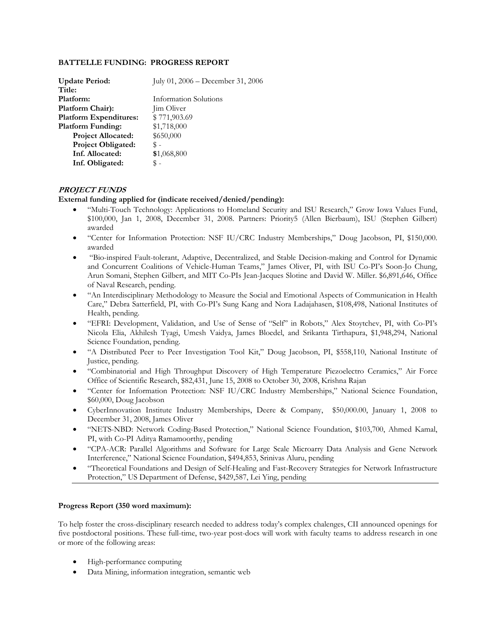### **BATTELLE FUNDING: PROGRESS REPORT**

| <b>Update Period:</b>         | July 01, $2006 - December 31, 2006$ |
|-------------------------------|-------------------------------------|
| Title:                        |                                     |
| Platform:                     | Information Solutions               |
| Platform Chair):              | Jim Oliver                          |
| <b>Platform Expenditures:</b> | \$771,903.69                        |
| <b>Platform Funding:</b>      | \$1,718,000                         |
| <b>Project Allocated:</b>     | \$650,000                           |
| <b>Project Obligated:</b>     | $\mathbb{S}$ –                      |
| Inf. Allocated:               | \$1,068,800                         |
| Inf. Obligated:               | \$-                                 |

### **PROJECT FUNDS**

### **External funding applied for (indicate received/denied/pending):**

- "Multi-Touch Technology: Applications to Homeland Security and ISU Research," Grow Iowa Values Fund, \$100,000, Jan 1, 2008, December 31, 2008. Partners: Priority5 (Allen Bierbaum), ISU (Stephen Gilbert) awarded
- "Center for Information Protection: NSF IU/CRC Industry Memberships," Doug Jacobson, PI, \$150,000. awarded
- "Bio-inspired Fault-tolerant, Adaptive, Decentralized, and Stable Decision-making and Control for Dynamic and Concurrent Coalitions of Vehicle-Human Teams," James Oliver, PI, with ISU Co-PI's Soon-Jo Chung, Arun Somani, Stephen Gilbert, and MIT Co-PIs Jean-Jacques Slotine and David W. Miller. \$6,891,646, Office of Naval Research, pending.
- "An Interdisciplinary Methodology to Measure the Social and Emotional Aspects of Communication in Health Care," Debra Satterfield, PI, with Co-PI's Sung Kang and Nora Ladajahasen, \$108,498, National Institutes of Health, pending.
- "EFRI: Development, Validation, and Use of Sense of "Self" in Robots," Alex Stoytchev, PI, with Co-PI's Nicola Elia, Akhilesh Tyagi, Umesh Vaidya, James Bloedel, and Srikanta Tirthapura, \$1,948,294, National Science Foundation, pending.
- "A Distributed Peer to Peer Investigation Tool Kit," Doug Jacobson, PI, \$558,110, National Institute of Justice, pending.
- "Combinatorial and High Throughput Discovery of High Temperature Piezoelectro Ceramics," Air Force Office of Scientific Research, \$82,431, June 15, 2008 to October 30, 2008, Krishna Rajan
- "Center for Information Protection: NSF IU/CRC Industry Memberships," National Science Foundation, \$60,000, Doug Jacobson
- CyberInnovation Institute Industry Memberships, Deere & Company, \$50,000.00, January 1, 2008 to December 31, 2008, James Oliver
- "NETS-NBD: Network Coding-Based Protection," National Science Foundation, \$103,700, Ahmed Kamal, PI, with Co-PI Aditya Ramamoorthy, pending
- "CPA-ACR: Parallel Algorithms and Software for Large Scale Microarry Data Analysis and Gene Network Interference," National Science Foundation, \$494,853, Srinivas Aluru, pending
- "Theoretical Foundations and Design of Self-Healing and Fast-Recovery Strategies for Network Infrastructure Protection," US Department of Defense, \$429,587, Lei Ying, pending

### **Progress Report (350 word maximum):**

To help foster the cross-disciplinary research needed to address today's complex chalenges, CII announced openings for five postdoctoral positions. These full-time, two-year post-docs will work with faculty teams to address research in one or more of the following areas:

- High-performance computing
- Data Mining, information integration, semantic web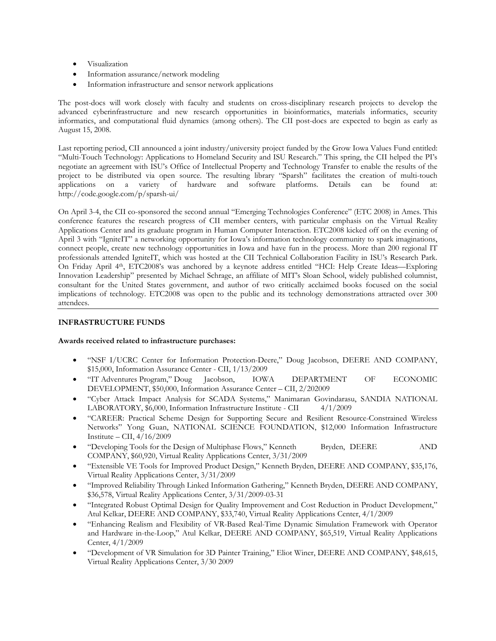- Visualization
- Information assurance/network modeling
- Information infrastructure and sensor network applications

The post-docs will work closely with faculty and students on cross-disciplinary research projects to develop the advanced cyberinfrastructure and new research opportunities in bioinformatics, materials informatics, security informatics, and computational fluid dynamics (among others). The CII post-docs are expected to begin as early as August 15, 2008.

Last reporting period, CII announced a joint industry/university project funded by the Grow Iowa Values Fund entitled: "Multi-Touch Technology: Applications to Homeland Security and ISU Research." This spring, the CII helped the PI's negotiate an agreement with ISU's Office of Intellectual Property and Technology Transfer to enable the results of the project to be distributed via open source. The resulting library "Sparsh" facilitates the creation of multi-touch applications on a variety of hardware and software platforms. Details can be found at: http://code.google.com/p/sparsh-ui/

On April 3-4, the CII co-sponsored the second annual "Emerging Technologies Conference" (ETC 2008) in Ames. This conference features the research progress of CII member centers, with particular emphasis on the Virtual Reality Applications Center and its graduate program in Human Computer Interaction. ETC2008 kicked off on the evening of April 3 with "IgniteIT" a networking opportunity for Iowa's information technology community to spark imaginations, connect people, create new technology opportunities in Iowa and have fun in the process. More than 200 regional IT professionals attended IgniteIT, which was hosted at the CII Technical Collaboration Facility in ISU's Research Park. On Friday April 4th, ETC2008's was anchored by a keynote address entitled "HCI: Help Create Ideas—Exploring Innovation Leadership" presented by Michael Schrage, an affiliate of MIT's Sloan School, widely published columnist, consultant for the United States government, and author of two critically acclaimed books focused on the social implications of technology. ETC2008 was open to the public and its technology demonstrations attracted over 300 attendees.

### **INFRASTRUCTURE FUNDS**

### **Awards received related to infrastructure purchases:**

- "NSF I/UCRC Center for Information Protection-Deere," Doug Jacobson, DEERE AND COMPANY, \$15,000, Information Assurance Center - CII, 1/13/2009
- "IT Adventures Program," Doug Jacobson, IOWA DEPARTMENT OF ECONOMIC DEVELOPMENT, \$50,000, Information Assurance Center – CII, 2/202009
- "Cyber Attack Impact Analysis for SCADA Systems," Manimaran Govindarasu, SANDIA NATIONAL LABORATORY, \$6,000, Information Infrastructure Institute - CII 4/1/2009
- "CAREER: Practical Scheme Design for Supporting Secure and Resilient Resource-Constrained Wireless Networks" Yong Guan, NATIONAL SCIENCE FOUNDATION, \$12,000 Information Infrastructure Institute – CII,  $4/16/2009$
- "Developing Tools for the Design of Multiphase Flows," Kenneth Bryden, DEERE AND COMPANY, \$60,920, Virtual Reality Applications Center, 3/31/2009
- "Extensible VE Tools for Improved Product Design," Kenneth Bryden, DEERE AND COMPANY, \$35,176, Virtual Reality Applications Center, 3/31/2009
- "Improved Reliability Through Linked Information Gathering," Kenneth Bryden, DEERE AND COMPANY, \$36,578, Virtual Reality Applications Center, 3/31/2009-03-31
- "Integrated Robust Optimal Design for Quality Improvement and Cost Reduction in Product Development," Atul Kelkar, DEERE AND COMPANY, \$33,740, Virtual Reality Applications Center, 4/1/2009
- "Enhancing Realism and Flexibility of VR-Based Real-Time Dynamic Simulation Framework with Operator and Hardware in-the-Loop," Atul Kelkar, DEERE AND COMPANY, \$65,519, Virtual Reality Applications Center, 4/1/2009
- "Development of VR Simulation for 3D Painter Training," Eliot Winer, DEERE AND COMPANY, \$48,615, Virtual Reality Applications Center, 3/30 2009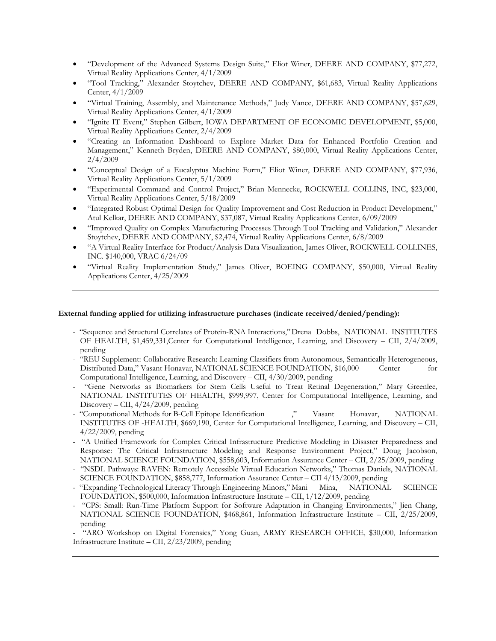- "Development of the Advanced Systems Design Suite," Eliot Winer, DEERE AND COMPANY, \$77,272, Virtual Reality Applications Center, 4/1/2009
- "Tool Tracking," Alexander Stoytchev, DEERE AND COMPANY, \$61,683, Virtual Reality Applications Center, 4/1/2009
- "Virtual Training, Assembly, and Maintenance Methods," Judy Vance, DEERE AND COMPANY, \$57,629, Virtual Reality Applications Center, 4/1/2009
- "Ignite IT Event," Stephen Gilbert, IOWA DEPARTMENT OF ECONOMIC DEVELOPMENT, \$5,000, Virtual Reality Applications Center, 2/4/2009
- "Creating an Information Dashboard to Explore Market Data for Enhanced Portfolio Creation and Management," Kenneth Bryden, DEERE AND COMPANY, \$80,000, Virtual Reality Applications Center, 2/4/2009
- "Conceptual Design of a Eucalyptus Machine Form," Eliot Winer, DEERE AND COMPANY, \$77,936, Virtual Reality Applications Center, 5/1/2009
- "Experimental Command and Control Project," Brian Mennecke, ROCKWELL COLLINS, INC, \$23,000, Virtual Reality Applications Center, 5/18/2009
- "Integrated Robust Optimal Design for Quality Improvement and Cost Reduction in Product Development," Atul Kelkar, DEERE AND COMPANY, \$37,087, Virtual Reality Applications Center, 6/09/2009
- "Improved Quality on Complex Manufacturing Processes Through Tool Tracking and Validation," Alexander Stoytchev, DEERE AND COMPANY, \$2,474, Virtual Reality Applications Center, 6/8/2009
- "A Virtual Reality Interface for Product/Analysis Data Visualization, James Oliver, ROCKWELL COLLINES, INC. \$140,000, VRAC 6/24/09
- "Virtual Reality Implementation Study," James Oliver, BOEING COMPANY, \$50,000, Virtual Reality Applications Center, 4/25/2009

### **External funding applied for utilizing infrastructure purchases (indicate received/denied/pending):**

- "Sequence and Structural Correlates of Protein-RNA Interactions," Drena Dobbs, NATIONAL INSTITUTES OF HEALTH, \$1,459,331,Center for Computational Intelligence, Learning, and Discovery – CII, 2/4/2009, pending
- "REU Supplement: Collaborative Research: Learning Classifiers from Autonomous, Semantically Heterogeneous, Distributed Data," Vasant Honavar, NATIONAL SCIENCE FOUNDATION, \$16,000 Center for Computational Intelligence, Learning, and Discovery – CII, 4/30/2009, pending
- "Gene Networks as Biomarkers for Stem Cells Useful to Treat Retinal Degeneration," Mary Greenlee, NATIONAL INSTITUTES OF HEALTH, \$999,997, Center for Computational Intelligence, Learning, and Discovery – CII, 4/24/2009, pending
- "Computational Methods for B-Cell Epitope Identification ," Vasant Honavar, NATIONAL INSTITUTES OF -HEALTH, \$669,190, Center for Computational Intelligence, Learning, and Discovery – CII, 4/22/2009, pending
- "A Unified Framework for Complex Critical Infrastructure Predictive Modeling in Disaster Preparedness and Response: The Critical Infrastructure Modeling and Response Environment Project," Doug Jacobson, NATIONAL SCIENCE FOUNDATION, \$558,603, Information Assurance Center – CII, 2/25/2009, pending
- "NSDL Pathways: RAVEN: Remotely Accessible Virtual Education Networks," Thomas Daniels, NATIONAL SCIENCE FOUNDATION, \$858,777, Information Assurance Center – CII 4/13/2009, pending
- "Expanding Technological Literacy Through Engineering Minors," Mani Mina, NATIONAL SCIENCE FOUNDATION, \$500,000, Information Infrastructure Institute – CII, 1/12/2009, pending
- "CPS: Small: Run-Time Platform Support for Software Adaptation in Changing Environments," Jien Chang, NATIONAL SCIENCE FOUNDATION, \$468,861, Information Infrastructure Institute – CII, 2/25/2009, pending

- "ARO Workshop on Digital Forensics," Yong Guan, ARMY RESEARCH OFFICE, \$30,000, Information Infrastructure Institute – CII, 2/23/2009, pending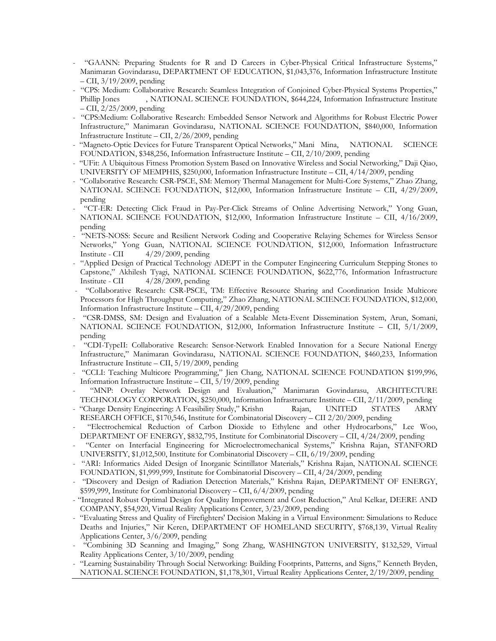- "GAANN: Preparing Students for R and D Careers in Cyber-Physical Critical Infrastructure Systems," Manimaran Govindarasu, DEPARTMENT OF EDUCATION, \$1,043,376, Information Infrastructure Institute – CII, 3/19/2009, pending
- "CPS: Medium: Collaborative Research: Seamless Integration of Conjoined Cyber-Physical Systems Properties," Phillip Jones , NATIONAL SCIENCE FOUNDATION, \$644,224, Information Infrastructure Institute – CII, 2/25/2009, pending
- "CPS:Medium: Collaborative Research: Embedded Sensor Network and Algorithms for Robust Electric Power Infrastructure," Manimaran Govindarasu, NATIONAL SCIENCE FOUNDATION, \$840,000, Information Infrastructure Institute – CII, 2/26/2009, pending
- "Magneto-Optic Devices for Future Transparent Optical Networks," Mani Mina, NATIONAL SCIENCE FOUNDATION, \$348,256, Information Infrastructure Institute – CII, 2/10/2009, pending
- "UFit: A Ubiquitous Fitness Promotion System Based on Innovative Wireless and Social Networking," Daji Qiao, UNIVERSITY OF MEMPHIS, \$250,000, Information Infrastructure Institute – CII, 4/14/2009, pending
- "Collaborative Research: CSR-PSCE, SM: Memory Thermal Management for Multi-Core Systems," Zhao Zhang, NATIONAL SCIENCE FOUNDATION, \$12,000, Information Infrastructure Institute – CII, 4/29/2009, pending
- "CT-ER: Detecting Click Fraud in Pay-Per-Click Streams of Online Advertising Network," Yong Guan, NATIONAL SCIENCE FOUNDATION, \$12,000, Information Infrastructure Institute – CII, 4/16/2009, pending
- "NETS-NOSS: Secure and Resilient Network Coding and Cooperative Relaying Schemes for Wireless Sensor Networks," Yong Guan, NATIONAL SCIENCE FOUNDATION, \$12,000, Information Infrastructure Institute - CII 4/29/2009, pending
- "Applied Design of Practical Technology ADEPT in the Computer Engineering Curriculum Stepping Stones to Capstone," Akhilesh Tyagi, NATIONAL SCIENCE FOUNDATION, \$622,776, Information Infrastructure Institute - CII 4/28/2009, pending
- "Collaborative Research: CSR-PSCE, TM: Effective Resource Sharing and Coordination Inside Multicore Processors for High Throughput Computing," Zhao Zhang, NATIONAL SCIENCE FOUNDATION, \$12,000, Information Infrastructure Institute – CII, 4/29/2009, pending
- "CSR-DMSS, SM: Design and Evaluation of a Scalable Meta-Event Dissemination System, Arun, Somani, NATIONAL SCIENCE FOUNDATION, \$12,000, Information Infrastructure Institute – CII, 5/1/2009, pending
- "CDI-TypeII: Collaborative Research: Sensor-Network Enabled Innovation for a Secure National Energy Infrastructure," Manimaran Govindarasu, NATIONAL SCIENCE FOUNDATION, \$460,233, Information Infrastructure Institute – CII, 5/19/2009, pending
- "CCLI: Teaching Multicore Programming," Jien Chang, NATIONAL SCIENCE FOUNDATION \$199,996, Information Infrastructure Institute – CII, 5/19/2009, pending
- "MNP: Overlay Network Design and Evaluation," Manimaran Govindarasu, ARCHITECTURE TECHNOLOGY CORPORATION, \$250,000, Information Infrastructure Institute – CII, 2/11/2009, pending
- "Charge Density Engineering: A Feasibility Study," Krishn Rajan, UNITED STATES ARMY RESEARCH OFFICE, \$170,546, Institute for Combinatorial Discovery – CII 2/20/2009, pending
- "Electrochemical Reduction of Carbon Dioxide to Ethylene and other Hydrocarbons," Lee Woo, DEPARTMENT OF ENERGY, \$832,795, Institute for Combinatorial Discovery – CII, 4/24/2009, pending
- "Center on Interfacial Engineering for Microelectromechanical Systems," Krishna Rajan, STANFORD UNIVERSITY, \$1,012,500, Institute for Combinatorial Discovery – CII, 6/19/2009, pending
- "ARI: Informatics Aided Design of Inorganic Scintillator Materials," Krishna Rajan, NATIONAL SCIENCE FOUNDATION, \$1,999,999, Institute for Combinatorial Discovery – CII, 4/24/2009, pending
- "Discovery and Design of Radiation Detection Materials," Krishna Rajan, DEPARTMENT OF ENERGY, \$599,999, Institute for Combinatorial Discovery – CII, 6/4/2009, pending
- "Integrated Robust Optimal Design for Quality Improvement and Cost Reduction," Atul Kelkar, DEERE AND COMPANY, \$54,920, Virtual Reality Applications Center, 3/23/2009, pending
- "Evaluating Stress and Quality of Firefighters' Decision Making in a Virtual Environment: Simulations to Reduce Deaths and Injuries," Nir Keren, DEPARTMENT OF HOMELAND SECURITY, \$768,139, Virtual Reality Applications Center, 3/6/2009, pending
- "Combining 3D Scanning and Imaging," Song Zhang, WASHINGTON UNIVERSITY, \$132,529, Virtual Reality Applications Center, 3/10/2009, pending
- "Learning Sustainability Through Social Networking: Building Footprints, Patterns, and Signs," Kenneth Bryden, NATIONAL SCIENCE FOUNDATION, \$1,178,301, Virtual Reality Applications Center, 2/19/2009, pending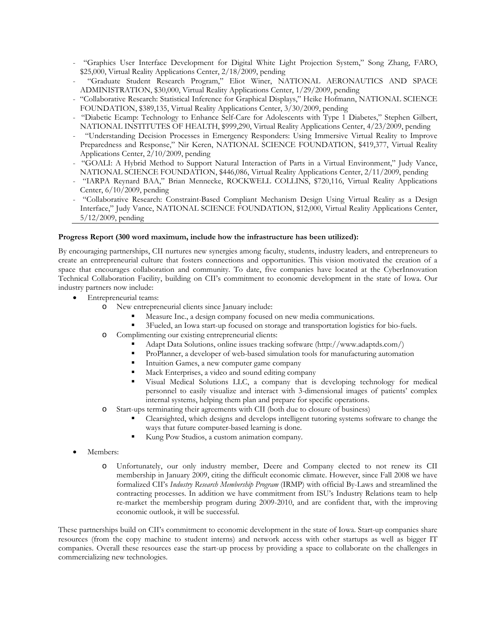- "Graphics User Interface Development for Digital White Light Projection System," Song Zhang, FARO, \$25,000, Virtual Reality Applications Center, 2/18/2009, pending
- "Graduate Student Research Program," Eliot Winer, NATIONAL AERONAUTICS AND SPACE ADMINISTRATION, \$30,000, Virtual Reality Applications Center, 1/29/2009, pending
- "Collaborative Research: Statistical Inference for Graphical Displays," Heike Hofmann, NATIONAL SCIENCE FOUNDATION, \$389,135, Virtual Reality Applications Center, 3/30/2009, pending
- "Diabetic Ecamp: Technology to Enhance Self-Care for Adolescents with Type 1 Diabetes," Stephen Gilbert, NATIONAL INSTITUTES OF HEALTH, \$999,290, Virtual Reality Applications Center, 4/23/2009, pending
- "Understanding Decision Processes in Emergency Responders: Using Immersive Virtual Reality to Improve Preparedness and Response," Nir Keren, NATIONAL SCIENCE FOUNDATION, \$419,377, Virtual Reality Applications Center, 2/10/2009, pending
- "GOALI: A Hybrid Method to Support Natural Interaction of Parts in a Virtual Environment," Judy Vance, NATIONAL SCIENCE FOUNDATION, \$446,086, Virtual Reality Applications Center, 2/11/2009, pending
- "IARPA Reynard BAA," Brian Mennecke, ROCKWELL COLLINS, \$720,116, Virtual Reality Applications Center, 6/10/2009, pending
- "Collaborative Research: Constraint-Based Compliant Mechanism Design Using Virtual Reality as a Design Interface," Judy Vance, NATIONAL SCIENCE FOUNDATION, \$12,000, Virtual Reality Applications Center, 5/12/2009, pending

### **Progress Report (300 word maximum, include how the infrastructure has been utilized):**

By encouraging partnerships, CII nurtures new synergies among faculty, students, industry leaders, and entrepreneurs to create an entrepreneurial culture that fosters connections and opportunities. This vision motivated the creation of a space that encourages collaboration and community. To date, five companies have located at the CyberInnovation Technical Collaboration Facility, building on CII's commitment to economic development in the state of Iowa. Our industry partners now include:

- Entrepreneurial teams:
	- o New entrepreneurial clients since January include:
		- Measure Inc., a design company focused on new media communications.
		- 3Fueled, an Iowa start-up focused on storage and transportation logistics for bio-fuels.
	- o Complimenting our existing entrepreneurial clients:
		- Adapt Data Solutions, online issues tracking software (http://www.adaptds.com/)
		- ProPlanner, a developer of web-based simulation tools for manufacturing automation
		- Intuition Games, a new computer game company
		- Mack Enterprises, a video and sound editing company
		- Visual Medical Solutions LLC, a company that is developing technology for medical personnel to easily visualize and interact with 3-dimensional images of patients' complex internal systems, helping them plan and prepare for specific operations.
	- o Start-ups terminating their agreements with CII (both due to closure of business)
		- Clearsighted, which designs and develops intelligent tutoring systems software to change the ways that future computer-based learning is done.
		- Kung Pow Studios, a custom animation company.
- Members:
	- o Unfortunately, our only industry member, Deere and Company elected to not renew its CII membership in January 2009, citing the difficult economic climate. However, since Fall 2008 we have formalized CII's *Industry Research Membership Program* (IRMP) with official By-Laws and streamlined the contracting processes. In addition we have commitment from ISU's Industry Relations team to help re-market the membership program during 2009-2010, and are confident that, with the improving economic outlook, it will be successful.

These partnerships build on CII's commitment to economic development in the state of Iowa. Start-up companies share resources (from the copy machine to student interns) and network access with other startups as well as bigger IT companies. Overall these resources ease the start-up process by providing a space to collaborate on the challenges in commercializing new technologies.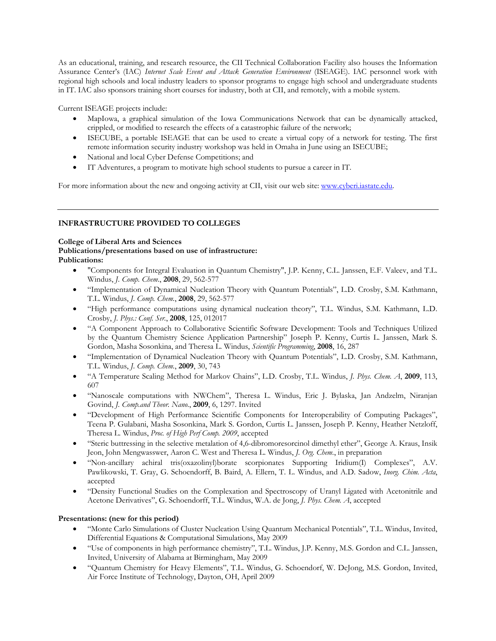As an educational, training, and research resource, the CII Technical Collaboration Facility also houses the Information Assurance Center's (IAC) *Internet Scale Event and Attack Generation Environment* (ISEAGE). IAC personnel work with regional high schools and local industry leaders to sponsor programs to engage high school and undergraduate students in IT. IAC also sponsors training short courses for industry, both at CII, and remotely, with a mobile system.

Current ISEAGE projects include:

- MapIowa, a graphical simulation of the Iowa Communications Network that can be dynamically attacked, crippled, or modified to research the effects of a catastrophic failure of the network;
- ISECUBE, a portable ISEAGE that can be used to create a virtual copy of a network for testing. The first remote information security industry workshop was held in Omaha in June using an ISECUBE;
- National and local Cyber Defense Competitions; and
- IT Adventures, a program to motivate high school students to pursue a career in IT.

For more information about the new and ongoing activity at CII, visit our web site: www.cyberi.iastate.edu.

### **INFRASTRUCTURE PROVIDED TO COLLEGES**

### **College of Liberal Arts and Sciences**

### **Publications/presentations based on use of infrastructure: Publications:**

- "Components for Integral Evaluation in Quantum Chemistry", J.P. Kenny, C.L. Janssen, E.F. Valeev, and T.L. Windus, *J. Comp. Chem.*, **2008**, 29, 562-577
- "Implementation of Dynamical Nucleation Theory with Quantum Potentials", L.D. Crosby, S.M. Kathmann, T.L. Windus, *J. Comp. Chem.*, **2008**, 29, 562-577
- "High performance computations using dynamical nucleation theory", T.L. Windus, S.M. Kathmann, L.D. Crosby, *J. Phys.: Conf. Ser.*, **2008**, 125, 012017
- "A Component Approach to Collaborative Scientific Software Development: Tools and Techniques Utilized by the Quantum Chemistry Science Application Partnership" Joseph P. Kenny, Curtis L. Janssen, Mark S. Gordon, Masha Sosonkina, and Theresa L. Windus, *Scientific Programming*, **2008**, 16, 287
- "Implementation of Dynamical Nucleation Theory with Quantum Potentials", L.D. Crosby, S.M. Kathmann, T.L. Windus, *J. Comp. Chem.*, **2009**, 30, 743
- "A Temperature Scaling Method for Markov Chains", L.D. Crosby, T.L. Windus, *J. Phys. Chem. A*, **2009**, 113, 607
- "Nanoscale computations with NWChem", Theresa L. Windus, Eric J. Bylaska, Jan Andzelm, Niranjan Govind, *J. Comp.and Theor. Nano.*, **2009**, 6, 1297. Invited
- "Development of High Performance Scientific Components for Interoperability of Computing Packages", Teena P. Gulabani, Masha Sosonkina, Mark S. Gordon, Curtis L. Janssen, Joseph P. Kenny, Heather Netzloff, Theresa L. Windus, *Proc. of High Perf Comp. 2009*, accepted
- "Steric buttressing in the selective metalation of 4,6-dibromoresorcinol dimethyl ether", George A. Kraus, Insik Jeon, John Mengwasswer, Aaron C. West and Theresa L. Windus, *J. Org. Chem.*, in preparation
- "Non-ancillary achiral tris(oxazolinyl)borate scorpionates Supporting Iridium(I) Complexes", A.V. Pawlikowski, T. Gray, G. Schoendorff, B. Baird, A. Ellern, T. L. Windus, and A.D. Sadow, *Inorg. Chim. Acta*, accepted
- "Density Functional Studies on the Complexation and Spectroscopy of Uranyl Ligated with Acetonitrile and Acetone Derivatives", G. Schoendorff, T.L. Windus, W.A. de Jong, *J. Phys. Chem. A*, accepted

### **Presentations: (new for this period)**

- "Monte Carlo Simulations of Cluster Nucleation Using Quantum Mechanical Potentials", T.L. Windus, Invited, Differential Equations & Computational Simulations, May 2009
- "Use of components in high performance chemistry", T.L. Windus, J.P. Kenny, M.S. Gordon and C.L. Janssen, Invited, University of Alabama at Birmingham, May 2009
- "Quantum Chemistry for Heavy Elements", T.L. Windus, G. Schoendorf, W. DeJong, M.S. Gordon, Invited, Air Force Institute of Technology, Dayton, OH, April 2009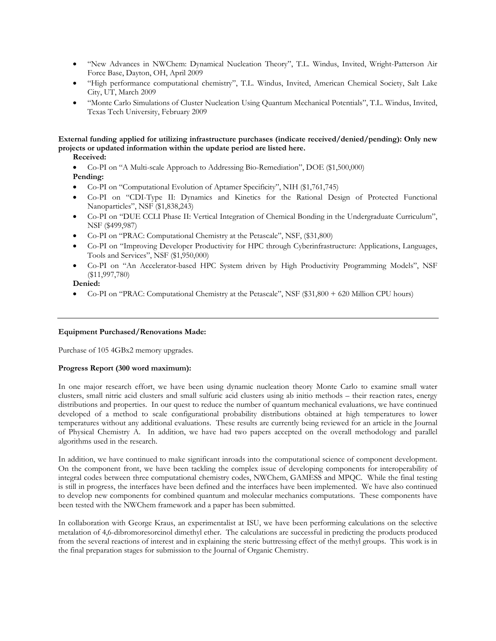- "New Advances in NWChem: Dynamical Nucleation Theory", T.L. Windus, Invited, Wright-Patterson Air Force Base, Dayton, OH, April 2009
- "High performance computational chemistry", T.L. Windus, Invited, American Chemical Society, Salt Lake City, UT, March 2009
- "Monte Carlo Simulations of Cluster Nucleation Using Quantum Mechanical Potentials", T.L. Windus, Invited, Texas Tech University, February 2009

### **External funding applied for utilizing infrastructure purchases (indicate received/denied/pending): Only new projects or updated information within the update period are listed here.**

### **Received:**

- Co-PI on "A Multi-scale Approach to Addressing Bio-Remediation", DOE (\$1,500,000) **Pending:**
- Co-PI on "Computational Evolution of Aptamer Specificity", NIH (\$1,761,745)
- Co-PI on "CDI-Type II: Dynamics and Kinetics for the Rational Design of Protected Functional Nanoparticles", NSF (\$1,838,243)
- Co-PI on "DUE CCLI Phase II: Vertical Integration of Chemical Bonding in the Undergraduate Curriculum", NSF (\$499,987)
- Co-PI on "PRAC: Computational Chemistry at the Petascale", NSF, (\$31,800)
- Co-PI on "Improving Developer Productivity for HPC through Cyberinfrastructure: Applications, Languages, Tools and Services", NSF (\$1,950,000)
- Co-PI on "An Accelerator-based HPC System driven by High Productivity Programming Models", NSF (\$11,997,780)

**Denied:** 

Co-PI on "PRAC: Computational Chemistry at the Petascale", NSF (\$31,800 + 620 Million CPU hours)

### **Equipment Purchased/Renovations Made:**

Purchase of 105 4GBx2 memory upgrades.

### **Progress Report (300 word maximum):**

In one major research effort, we have been using dynamic nucleation theory Monte Carlo to examine small water clusters, small nitric acid clusters and small sulfuric acid clusters using ab initio methods – their reaction rates, energy distributions and properties. In our quest to reduce the number of quantum mechanical evaluations, we have continued developed of a method to scale configurational probability distributions obtained at high temperatures to lower temperatures without any additional evaluations. These results are currently being reviewed for an article in the Journal of Physical Chemistry A. In addition, we have had two papers accepted on the overall methodology and parallel algorithms used in the research.

In addition, we have continued to make significant inroads into the computational science of component development. On the component front, we have been tackling the complex issue of developing components for interoperability of integral codes between three computational chemistry codes, NWChem, GAMESS and MPQC. While the final testing is still in progress, the interfaces have been defined and the interfaces have been implemented. We have also continued to develop new components for combined quantum and molecular mechanics computations. These components have been tested with the NWChem framework and a paper has been submitted.

In collaboration with George Kraus, an experimentalist at ISU, we have been performing calculations on the selective metalation of 4,6-dibromoresorcinol dimethyl ether. The calculations are successful in predicting the products produced from the several reactions of interest and in explaining the steric buttressing effect of the methyl groups. This work is in the final preparation stages for submission to the Journal of Organic Chemistry.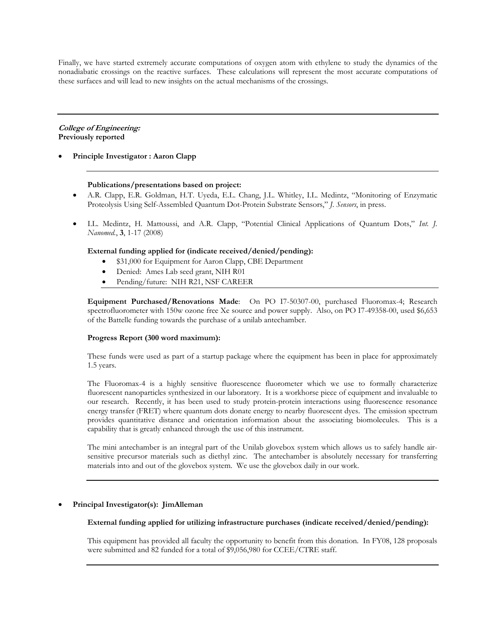Finally, we have started extremely accurate computations of oxygen atom with ethylene to study the dynamics of the nonadiabatic crossings on the reactive surfaces. These calculations will represent the most accurate computations of these surfaces and will lead to new insights on the actual mechanisms of the crossings.

### **College of Engineering: Previously reported**

**Principle Investigator : Aaron Clapp** 

### **Publications/presentations based on project:**

- A.R. Clapp, E.R. Goldman, H.T. Uyeda, E.L. Chang, J.L. Whitley, I.L. Medintz, "Monitoring of Enzymatic Proteolysis Using Self-Assembled Quantum Dot-Protein Substrate Sensors," *J. Sensors*, in press.
- I.L. Medintz, H. Mattoussi, and A.R. Clapp, "Potential Clinical Applications of Quantum Dots," *Int. J. Nanomed.*, **3**, 1-17 (2008)

### **External funding applied for (indicate received/denied/pending):**

- \$31,000 for Equipment for Aaron Clapp, CBE Department
- Denied: Ames Lab seed grant, NIH R01
- Pending/future: NIH R21, NSF CAREER

**Equipment Purchased/Renovations Made**: On PO I7-50307-00, purchased Fluoromax-4; Research spectrofluorometer with 150w ozone free Xe source and power supply. Also, on PO I7-49358-00, used \$6,653 of the Battelle funding towards the purchase of a unilab antechamber.

### **Progress Report (300 word maximum):**

These funds were used as part of a startup package where the equipment has been in place for approximately 1.5 years.

The Fluoromax-4 is a highly sensitive fluorescence fluorometer which we use to formally characterize fluorescent nanoparticles synthesized in our laboratory. It is a workhorse piece of equipment and invaluable to our research. Recently, it has been used to study protein-protein interactions using fluorescence resonance energy transfer (FRET) where quantum dots donate energy to nearby fluorescent dyes. The emission spectrum provides quantitative distance and orientation information about the associating biomolecules. This is a capability that is greatly enhanced through the use of this instrument.

The mini antechamber is an integral part of the Unilab glovebox system which allows us to safely handle airsensitive precursor materials such as diethyl zinc. The antechamber is absolutely necessary for transferring materials into and out of the glovebox system. We use the glovebox daily in our work.

### **Principal Investigator(s): JimAlleman**

### **External funding applied for utilizing infrastructure purchases (indicate received/denied/pending):**

This equipment has provided all faculty the opportunity to benefit from this donation. In FY08, 128 proposals were submitted and 82 funded for a total of \$9,056,980 for CCEE/CTRE staff.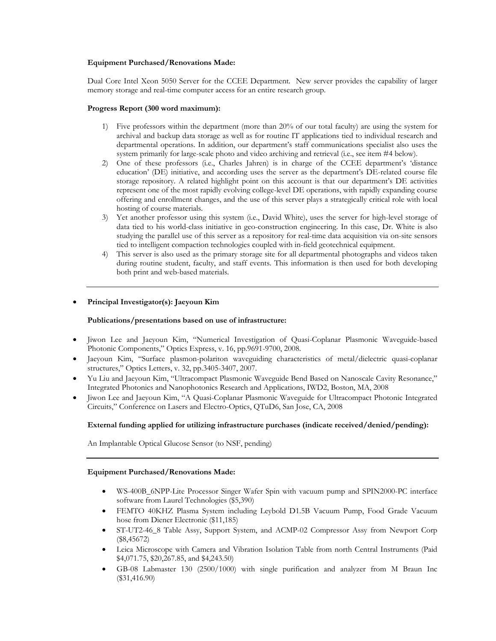### **Equipment Purchased/Renovations Made:**

Dual Core Intel Xeon 5050 Server for the CCEE Department. New server provides the capability of larger memory storage and real-time computer access for an entire research group.

### **Progress Report (300 word maximum):**

- 1) Five professors within the department (more than 20% of our total faculty) are using the system for archival and backup data storage as well as for routine IT applications tied to individual research and departmental operations. In addition, our department's staff communications specialist also uses the system primarily for large-scale photo and video archiving and retrieval (i.e., see item #4 below).
- 2) One of these professors (i.e., Charles Jahren) is in charge of the CCEE department's 'distance education' (DE) initiative, and according uses the server as the department's DE-related course file storage repository. A related highlight point on this account is that our department's DE activities represent one of the most rapidly evolving college-level DE operations, with rapidly expanding course offering and enrollment changes, and the use of this server plays a strategically critical role with local hosting of course materials.
- 3) Yet another professor using this system (i.e., David White), uses the server for high-level storage of data tied to his world-class initiative in geo-construction engineering. In this case, Dr. White is also studying the parallel use of this server as a repository for real-time data acquisition via on-site sensors tied to intelligent compaction technologies coupled with in-field geotechnical equipment.
- 4) This server is also used as the primary storage site for all departmental photographs and videos taken during routine student, faculty, and staff events. This information is then used for both developing both print and web-based materials.

### **Principal Investigator(s): Jaeyoun Kim**

### **Publications/presentations based on use of infrastructure:**

- Jiwon Lee and Jaeyoun Kim, "Numerical Investigation of Quasi-Coplanar Plasmonic Waveguide-based Photonic Components," Optics Express, v. 16, pp.9691-9700, 2008.
- Jaeyoun Kim, "Surface plasmon-polariton waveguiding characteristics of metal/dielectric quasi-coplanar structures," Optics Letters, v. 32, pp.3405-3407, 2007.
- Yu Liu and Jaeyoun Kim, "Ultracompact Plasmonic Waveguide Bend Based on Nanoscale Cavity Resonance," Integrated Photonics and Nanophotonics Research and Applications, IWD2, Boston, MA, 2008
- Jiwon Lee and Jaeyoun Kim, "A Quasi-Coplanar Plasmonic Waveguide for Ultracompact Photonic Integrated Circuits," Conference on Lasers and Electro-Optics, QTuD6, San Jose, CA, 2008

### **External funding applied for utilizing infrastructure purchases (indicate received/denied/pending):**

An Implantable Optical Glucose Sensor (to NSF, pending)

### **Equipment Purchased/Renovations Made:**

- WS-400B\_6NPP-Lite Processor Singer Wafer Spin with vacuum pump and SPIN2000-PC interface software from Laurel Technologies (\$5,390)
- FEMTO 40KHZ Plasma System including Leybold D1.5B Vacuum Pump, Food Grade Vacuum hose from Diener Electronic (\$11,185)
- ST-UT2-46\_8 Table Assy, Support System, and ACMP-02 Compressor Assy from Newport Corp (\$8,45672)
- Leica Microscope with Camera and Vibration Isolation Table from north Central Instruments (Paid \$4,071.75, \$20,267.85, and \$4,243.50)
- GB-08 Labmaster 130 (2500/1000) with single purification and analyzer from M Braun Inc (\$31,416.90)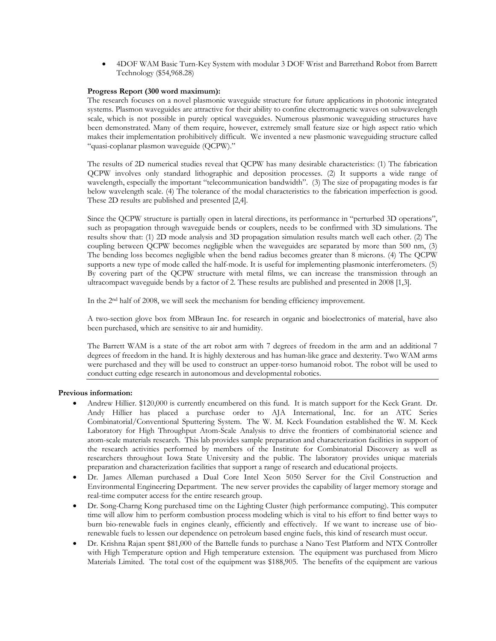4DOF WAM Basic Turn-Key System with modular 3 DOF Wrist and Barrethand Robot from Barrett Technology (\$54,968.28)

### **Progress Report (300 word maximum):**

The research focuses on a novel plasmonic waveguide structure for future applications in photonic integrated systems. Plasmon waveguides are attractive for their ability to confine electromagnetic waves on subwavelength scale, which is not possible in purely optical waveguides. Numerous plasmonic waveguiding structures have been demonstrated. Many of them require, however, extremely small feature size or high aspect ratio which makes their implementation prohibitively difficult. We invented a new plasmonic waveguiding structure called "quasi-coplanar plasmon waveguide (QCPW)."

The results of 2D numerical studies reveal that QCPW has many desirable characteristics: (1) The fabrication QCPW involves only standard lithographic and deposition processes. (2) It supports a wide range of wavelength, especially the important "telecommunication bandwidth". (3) The size of propagating modes is far below wavelength scale. (4) The tolerance of the modal characteristics to the fabrication imperfection is good. These 2D results are published and presented [2,4].

Since the QCPW structure is partially open in lateral directions, its performance in "perturbed 3D operations", such as propagation through waveguide bends or couplers, needs to be confirmed with 3D simulations. The results show that: (1) 2D mode analysis and 3D propagation simulation results match well each other. (2) The coupling between QCPW becomes negligible when the waveguides are separated by more than 500 nm, (3) The bending loss becomes negligible when the bend radius becomes greater than 8 microns. (4) The QCPW supports a new type of mode called the half-mode. It is useful for implementing plasmonic interferometers. (5) By covering part of the QCPW structure with metal films, we can increase the transmission through an ultracompact waveguide bends by a factor of 2. These results are published and presented in 2008 [1,3].

In the 2nd half of 2008, we will seek the mechanism for bending efficiency improvement.

A two-section glove box from MBraun Inc. for research in organic and bioelectronics of material, have also been purchased, which are sensitive to air and humidity.

The Barrett WAM is a state of the art robot arm with 7 degrees of freedom in the arm and an additional 7 degrees of freedom in the hand. It is highly dexterous and has human-like grace and dexterity. Two WAM arms were purchased and they will be used to construct an upper-torso humanoid robot. The robot will be used to conduct cutting edge research in autonomous and developmental robotics.

### **Previous information:**

- Andrew Hillier. \$120,000 is currently encumbered on this fund. It is match support for the Keck Grant. Dr. Andy Hillier has placed a purchase order to AJA International, Inc. for an ATC Series Combinatorial/Conventional Sputtering System. The W. M. Keck Foundation established the W. M. Keck Laboratory for High Throughput Atom-Scale Analysis to drive the frontiers of combinatorial science and atom-scale materials research. This lab provides sample preparation and characterization facilities in support of the research activities performed by members of the Institute for Combinatorial Discovery as well as researchers throughout Iowa State University and the public. The laboratory provides unique materials preparation and characterization facilities that support a range of research and educational projects.
- Dr. James Alleman purchased a Dual Core Intel Xeon 5050 Server for the Civil Construction and Environmental Engineering Department. The new server provides the capability of larger memory storage and real-time computer access for the entire research group.
- Dr. Song-Charng Kong purchased time on the Lighting Cluster (high performance computing). This computer time will allow him to perform combustion process modeling which is vital to his effort to find better ways to burn bio-renewable fuels in engines cleanly, efficiently and effectively. If we want to increase use of biorenewable fuels to lessen our dependence on petroleum based engine fuels, this kind of research must occur.
- Dr. Krishna Rajan spent \$81,000 of the Battelle funds to purchase a Nano Test Platform and NTX Controller with High Temperature option and High temperature extension. The equipment was purchased from Micro Materials Limited. The total cost of the equipment was \$188,905. The benefits of the equipment are various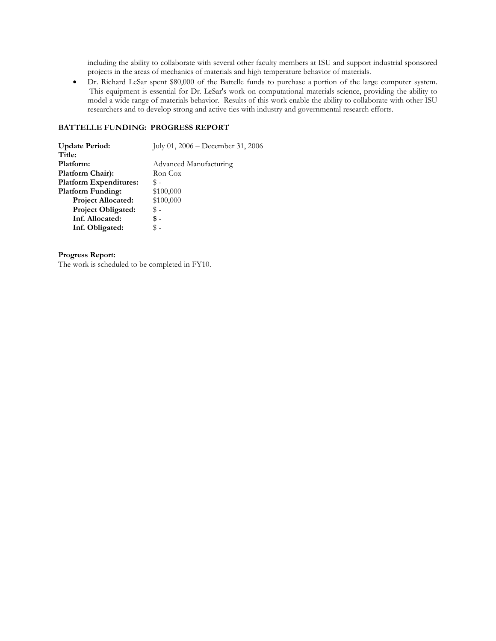including the ability to collaborate with several other faculty members at ISU and support industrial sponsored projects in the areas of mechanics of materials and high temperature behavior of materials.

 Dr. Richard LeSar spent \$80,000 of the Battelle funds to purchase a portion of the large computer system. This equipment is essential for Dr. LeSar's work on computational materials science, providing the ability to model a wide range of materials behavior. Results of this work enable the ability to collaborate with other ISU researchers and to develop strong and active ties with industry and governmental research efforts.

### **BATTELLE FUNDING: PROGRESS REPORT**

| <b>Update Period:</b>         | July 01, $2006 - December 31, 2006$ |
|-------------------------------|-------------------------------------|
| Title:                        |                                     |
| Platform:                     | Advanced Manufacturing              |
| Platform Chair):              | Ron Cox                             |
| <b>Platform Expenditures:</b> | \$-                                 |
| <b>Platform Funding:</b>      | \$100,000                           |
| <b>Project Allocated:</b>     | \$100,000                           |
| <b>Project Obligated:</b>     | \$ -                                |
| Inf. Allocated:               | \$ -                                |
| Inf. Obligated:               |                                     |

### **Progress Report:**

The work is scheduled to be completed in FY10.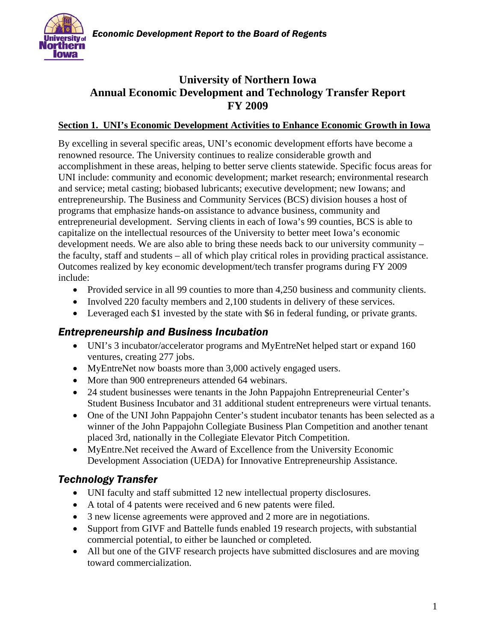

# **University of Northern Iowa Annual Economic Development and Technology Transfer Report FY 2009**

### **Section 1. UNI's Economic Development Activities to Enhance Economic Growth in Iowa**

By excelling in several specific areas, UNI's economic development efforts have become a renowned resource. The University continues to realize considerable growth and accomplishment in these areas, helping to better serve clients statewide. Specific focus areas for UNI include: community and economic development; market research; environmental research and service; metal casting; biobased lubricants; executive development; new Iowans; and entrepreneurship. The Business and Community Services (BCS) division houses a host of programs that emphasize hands-on assistance to advance business, community and entrepreneurial development. Serving clients in each of Iowa's 99 counties, BCS is able to capitalize on the intellectual resources of the University to better meet Iowa's economic development needs. We are also able to bring these needs back to our university community – the faculty, staff and students – all of which play critical roles in providing practical assistance. Outcomes realized by key economic development/tech transfer programs during FY 2009 include:

- Provided service in all 99 counties to more than 4,250 business and community clients.
- Involved 220 faculty members and 2,100 students in delivery of these services.
- Leveraged each \$1 invested by the state with \$6 in federal funding, or private grants.

# *Entrepreneurship and Business Incubation*

- UNI's 3 incubator/accelerator programs and MyEntreNet helped start or expand 160 ventures, creating 277 jobs.
- MyEntreNet now boasts more than 3,000 actively engaged users.
- More than 900 entrepreneurs attended 64 webinars.
- 24 student businesses were tenants in the John Pappajohn Entrepreneurial Center's Student Business Incubator and 31 additional student entrepreneurs were virtual tenants.
- One of the UNI John Pappajohn Center's student incubator tenants has been selected as a winner of the John Pappajohn Collegiate Business Plan Competition and another tenant placed 3rd, nationally in the Collegiate Elevator Pitch Competition.
- MyEntre.Net received the Award of Excellence from the University Economic Development Association (UEDA) for Innovative Entrepreneurship Assistance.

# *Technology Transfer*

- UNI faculty and staff submitted 12 new intellectual property disclosures.
- A total of 4 patents were received and 6 new patents were filed.
- 3 new license agreements were approved and 2 more are in negotiations.
- Support from GIVF and Battelle funds enabled 19 research projects, with substantial commercial potential, to either be launched or completed.
- All but one of the GIVF research projects have submitted disclosures and are moving toward commercialization.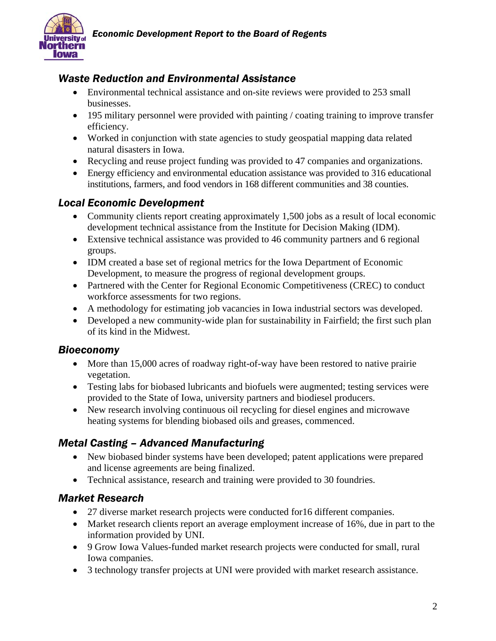

# *Waste Reduction and Environmental Assistance*

- Environmental technical assistance and on-site reviews were provided to 253 small businesses.
- 195 military personnel were provided with painting / coating training to improve transfer efficiency.
- Worked in conjunction with state agencies to study geospatial mapping data related natural disasters in Iowa.
- Recycling and reuse project funding was provided to 47 companies and organizations.
- Energy efficiency and environmental education assistance was provided to 316 educational institutions, farmers, and food vendors in 168 different communities and 38 counties.

# *Local Economic Development*

- Community clients report creating approximately 1,500 jobs as a result of local economic development technical assistance from the Institute for Decision Making (IDM).
- Extensive technical assistance was provided to 46 community partners and 6 regional groups.
- IDM created a base set of regional metrics for the Iowa Department of Economic Development, to measure the progress of regional development groups.
- Partnered with the Center for Regional Economic Competitiveness (CREC) to conduct workforce assessments for two regions.
- A methodology for estimating job vacancies in Iowa industrial sectors was developed.
- Developed a new community-wide plan for sustainability in Fairfield; the first such plan of its kind in the Midwest.

# *Bioeconomy*

- More than 15,000 acres of roadway right-of-way have been restored to native prairie vegetation.
- Testing labs for biobased lubricants and biofuels were augmented; testing services were provided to the State of Iowa, university partners and biodiesel producers.
- New research involving continuous oil recycling for diesel engines and microwave heating systems for blending biobased oils and greases, commenced.

# *Metal Casting – Advanced Manufacturing*

- New biobased binder systems have been developed; patent applications were prepared and license agreements are being finalized.
- Technical assistance, research and training were provided to 30 foundries.

# *Market Research*

- 27 diverse market research projects were conducted for 16 different companies.
- Market research clients report an average employment increase of 16%, due in part to the information provided by UNI.
- 9 Grow Iowa Values-funded market research projects were conducted for small, rural Iowa companies.
- 3 technology transfer projects at UNI were provided with market research assistance.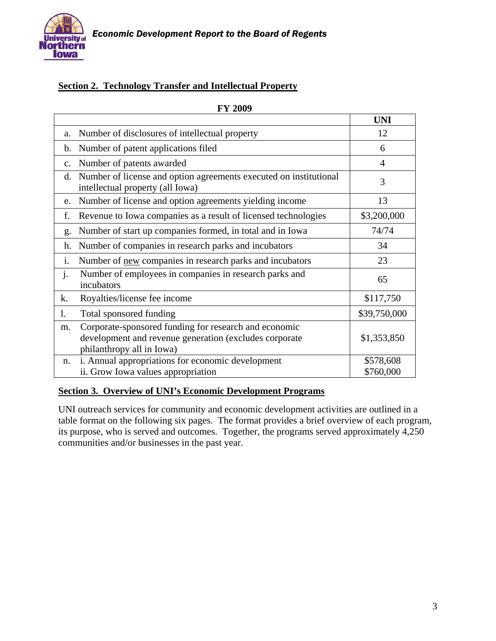

# **Section 2. Technology Transfer and Intellectual Property**

|                |                                                                                                                                              | <b>UNI</b>             |
|----------------|----------------------------------------------------------------------------------------------------------------------------------------------|------------------------|
| a.             | Number of disclosures of intellectual property                                                                                               | 12                     |
| b.             | Number of patent applications filed                                                                                                          | 6                      |
| c.             | Number of patents awarded                                                                                                                    | 4                      |
| d.             | Number of license and option agreements executed on institutional<br>intellectual property (all Iowa)                                        | 3                      |
| e.             | Number of license and option agreements yielding income                                                                                      | 13                     |
| f.             | Revenue to Iowa companies as a result of licensed technologies                                                                               | \$3,200,000            |
| g.             | Number of start up companies formed, in total and in Iowa                                                                                    | 74/74                  |
| h.             | Number of companies in research parks and incubators                                                                                         | 34                     |
| i.             | Number of new companies in research parks and incubators                                                                                     | 23                     |
| $\mathbf{j}$ . | Number of employees in companies in research parks and<br>incubators                                                                         | 65                     |
| k.             | Royalties/license fee income                                                                                                                 | \$117,750              |
| 1.             | Total sponsored funding                                                                                                                      | \$39,750,000           |
| m.             | Corporate-sponsored funding for research and economic<br>development and revenue generation (excludes corporate<br>philanthropy all in Iowa) | \$1,353,850            |
| n.             | i. Annual appropriations for economic development<br>ii. Grow Iowa values appropriation                                                      | \$578,608<br>\$760,000 |

### **FY 2009**

### **Section 3. Overview of UNI's Economic Development Programs**

UNI outreach services for community and economic development activities are outlined in a table format on the following six pages. The format provides a brief overview of each program, its purpose, who is served and outcomes. Together, the programs served approximately 4,250 communities and/or businesses in the past year.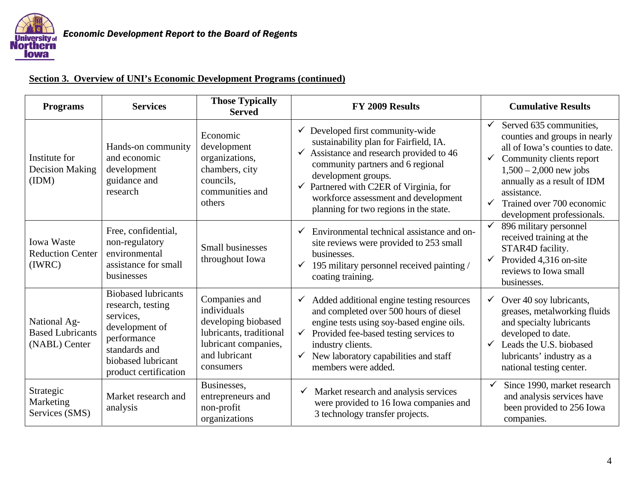

| <b>Programs</b>                                          | <b>Services</b>                                                                                                                                               | <b>Those Typically</b><br><b>Served</b>                                                                                              | FY 2009 Results                                                                                                                                                                                                                                                                                                               | <b>Cumulative Results</b>                                                                                                                                                                                                                                                                                    |
|----------------------------------------------------------|---------------------------------------------------------------------------------------------------------------------------------------------------------------|--------------------------------------------------------------------------------------------------------------------------------------|-------------------------------------------------------------------------------------------------------------------------------------------------------------------------------------------------------------------------------------------------------------------------------------------------------------------------------|--------------------------------------------------------------------------------------------------------------------------------------------------------------------------------------------------------------------------------------------------------------------------------------------------------------|
| Institute for<br><b>Decision Making</b><br>(IDM)         | Hands-on community<br>and economic<br>development<br>guidance and<br>research                                                                                 | Economic<br>development<br>organizations,<br>chambers, city<br>councils,<br>communities and<br>others                                | Developed first community-wide<br>✓<br>sustainability plan for Fairfield, IA.<br>Assistance and research provided to 46<br>community partners and 6 regional<br>development groups.<br>Partnered with C2ER of Virginia, for<br>$\checkmark$<br>workforce assessment and development<br>planning for two regions in the state. | Served 635 communities,<br>$\checkmark$<br>counties and groups in nearly<br>all of Iowa's counties to date.<br>Community clients report<br>$\checkmark$<br>$1,500 - 2,000$ new jobs<br>annually as a result of IDM<br>assistance.<br>Trained over 700 economic<br>$\checkmark$<br>development professionals. |
| Iowa Waste<br><b>Reduction Center</b><br>(IWRC)          | Free, confidential,<br>non-regulatory<br>environmental<br>assistance for small<br>businesses                                                                  | <b>Small businesses</b><br>throughout Iowa                                                                                           | Environmental technical assistance and on-<br>site reviews were provided to 253 small<br>businesses.<br>195 military personnel received painting /<br>$\checkmark$<br>coating training.                                                                                                                                       | ✓<br>896 military personnel<br>received training at the<br>STAR4D facility.<br>Provided 4,316 on-site<br>$\checkmark$<br>reviews to Iowa small<br>businesses.                                                                                                                                                |
| National Ag-<br><b>Based Lubricants</b><br>(NABL) Center | <b>Biobased lubricants</b><br>research, testing<br>services,<br>development of<br>performance<br>standards and<br>biobased lubricant<br>product certification | Companies and<br>individuals<br>developing biobased<br>lubricants, traditional<br>lubricant companies,<br>and lubricant<br>consumers | Added additional engine testing resources<br>$\checkmark$<br>and completed over 500 hours of diesel<br>engine tests using soy-based engine oils.<br>Provided fee-based testing services to<br>industry clients.<br>New laboratory capabilities and staff<br>$\checkmark$<br>members were added.                               | Over 40 soy lubricants,<br>✓<br>greases, metalworking fluids<br>and specialty lubricants<br>developed to date.<br>Leads the U.S. biobased<br>$\checkmark$<br>lubricants' industry as a<br>national testing center.                                                                                           |
| Strategic<br>Marketing<br>Services (SMS)                 | Market research and<br>analysis                                                                                                                               | Businesses,<br>entrepreneurs and<br>non-profit<br>organizations                                                                      | Market research and analysis services<br>were provided to 16 Iowa companies and<br>3 technology transfer projects.                                                                                                                                                                                                            | Since 1990, market research<br>✓<br>and analysis services have<br>been provided to 256 Iowa<br>companies.                                                                                                                                                                                                    |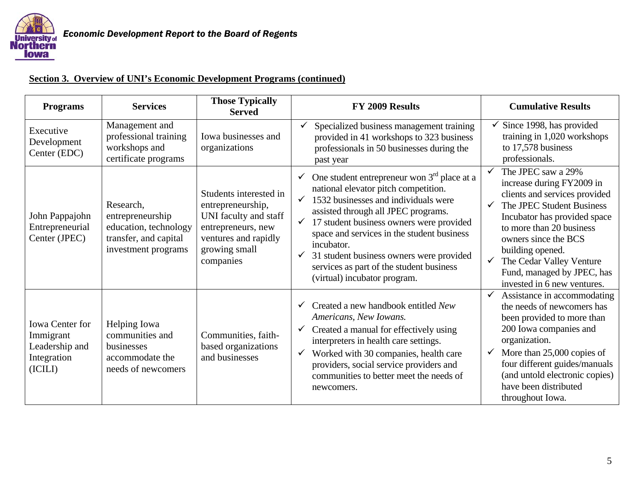

#### Programs Services **Results** Services **Results** Served **FY 2009 Results** Cumulative Results Executive Development Center (EDC) Management and professional training workshops and certificate programs Iowa businesses and organizations  $\checkmark$  Specialized business management training provided in 41 workshops to 323 business professionals in 50 businesses during the past year  $\checkmark$  Since 1998, has provided training in 1,020 workshops Research, Students interested in entrepreneurship, ✓  $\checkmark$  One student entrepreneur won 3<sup>rd</sup> place at a national elevator pitch competition. ✓  $\checkmark$  1532 businesses and individuals were ✓ ✓

| Development<br>Center (EDC)                                                     | workshops and<br>certificate programs                                                                  | organizations                                                                                                                                    | professionals in 50 businesses during the<br>past year                                                                                                                                                                                                                                                                                                                                                                                    | to 17,578 business<br>professionals.                                                                                                                                                                                                                                                                                                           |
|---------------------------------------------------------------------------------|--------------------------------------------------------------------------------------------------------|--------------------------------------------------------------------------------------------------------------------------------------------------|-------------------------------------------------------------------------------------------------------------------------------------------------------------------------------------------------------------------------------------------------------------------------------------------------------------------------------------------------------------------------------------------------------------------------------------------|------------------------------------------------------------------------------------------------------------------------------------------------------------------------------------------------------------------------------------------------------------------------------------------------------------------------------------------------|
| John Pappajohn<br>Entrepreneurial<br>Center (JPEC)                              | Research,<br>entrepreneurship<br>education, technology<br>transfer, and capital<br>investment programs | Students interested in<br>entrepreneurship,<br>UNI faculty and staff<br>entrepreneurs, new<br>ventures and rapidly<br>growing small<br>companies | One student entrepreneur won $3rd$ place at a<br>national elevator pitch competition.<br>1532 businesses and individuals were<br>$\checkmark$<br>assisted through all JPEC programs.<br>17 student business owners were provided<br>$\checkmark$<br>space and services in the student business<br>incubator.<br>31 student business owners were provided<br>√<br>services as part of the student business<br>(virtual) incubator program. | The JPEC saw a 29%<br>increase during FY2009 in<br>clients and services provided<br>The JPEC Student Business<br>$\checkmark$<br>Incubator has provided space<br>to more than 20 business<br>owners since the BCS<br>building opened.<br>The Cedar Valley Venture<br>$\checkmark$<br>Fund, managed by JPEC, has<br>invested in 6 new ventures. |
| <b>Iowa Center for</b><br>Immigrant<br>Leadership and<br>Integration<br>(ICILI) | Helping Iowa<br>communities and<br>businesses<br>accommodate the<br>needs of newcomers                 | Communities, faith-<br>based organizations<br>and businesses                                                                                     | Created a new handbook entitled New<br>Americans, New Iowans.<br>Created a manual for effectively using<br>✔<br>interpreters in health care settings.<br>Worked with 30 companies, health care<br>$\checkmark$<br>providers, social service providers and<br>communities to better meet the needs of<br>newcomers.                                                                                                                        | Assistance in accommodating<br>the needs of newcomers has<br>been provided to more than<br>200 Iowa companies and<br>organization.<br>More than 25,000 copies of<br>$\checkmark$<br>four different guides/manuals<br>(and untold electronic copies)<br>have been distributed<br>throughout Iowa.                                               |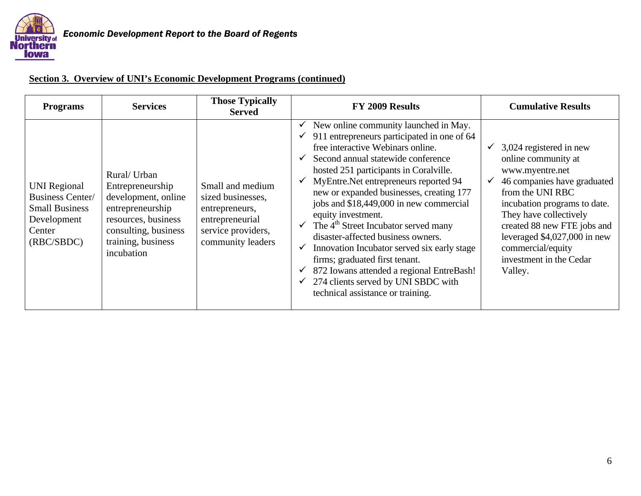

| <b>Programs</b>                                                                                                | <b>Services</b>                                                                                                                                                | <b>Those Typically</b><br><b>Served</b>                                                                               | FY 2009 Results                                                                                                                                                                                                                                                                                                                                                                                                                                                                                                                                                                                                                                                                  | <b>Cumulative Results</b>                                                                                                                                                                                                                                                                                                      |
|----------------------------------------------------------------------------------------------------------------|----------------------------------------------------------------------------------------------------------------------------------------------------------------|-----------------------------------------------------------------------------------------------------------------------|----------------------------------------------------------------------------------------------------------------------------------------------------------------------------------------------------------------------------------------------------------------------------------------------------------------------------------------------------------------------------------------------------------------------------------------------------------------------------------------------------------------------------------------------------------------------------------------------------------------------------------------------------------------------------------|--------------------------------------------------------------------------------------------------------------------------------------------------------------------------------------------------------------------------------------------------------------------------------------------------------------------------------|
| <b>UNI Regional</b><br><b>Business Center/</b><br><b>Small Business</b><br>Development<br>Center<br>(RBC/SBDC) | Rural/ Urban<br>Entrepreneurship<br>development, online<br>entrepreneurship<br>resources, business<br>consulting, business<br>training, business<br>incubation | Small and medium<br>sized businesses,<br>entrepreneurs,<br>entrepreneurial<br>service providers,<br>community leaders | $\checkmark$ New online community launched in May.<br>911 entrepreneurs participated in one of 64<br>free interactive Webinars online.<br>Second annual statewide conference<br>hosted 251 participants in Coralville.<br>MyEntre.Net entrepreneurs reported 94<br>new or expanded businesses, creating 177<br>jobs and \$18,449,000 in new commercial<br>equity investment.<br>The 4 <sup>th</sup> Street Incubator served many<br>disaster-affected business owners.<br>Innovation Incubator served six early stage<br>firms; graduated first tenant.<br>872 Iowans attended a regional EntreBash!<br>274 clients served by UNI SBDC with<br>technical assistance or training. | 3,024 registered in new<br>✓<br>online community at<br>www.myentre.net<br>46 companies have graduated<br>$\checkmark$<br>from the UNI RBC<br>incubation programs to date.<br>They have collectively<br>created 88 new FTE jobs and<br>leveraged $$4,027,000$ in new<br>commercial/equity<br>investment in the Cedar<br>Valley. |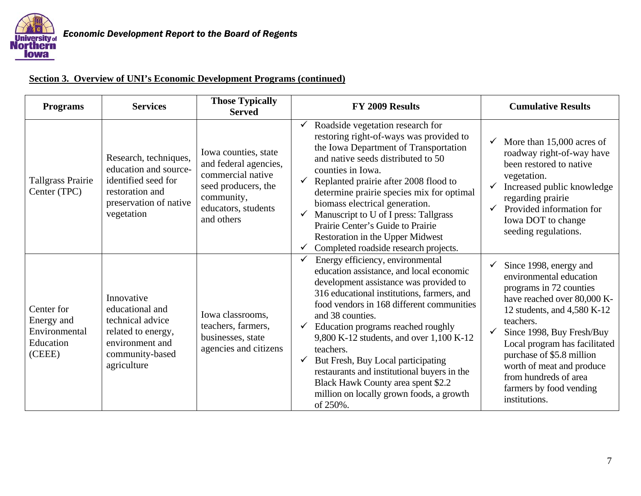

| <b>Programs</b>                                                  | <b>Services</b>                                                                                                                  | <b>Those Typically</b><br><b>Served</b>                                                                                                      | FY 2009 Results                                                                                                                                                                                                                                                                                                                                                                                                                                                                                                         | <b>Cumulative Results</b>                                                                                                                                                                                                                                                                                                                            |
|------------------------------------------------------------------|----------------------------------------------------------------------------------------------------------------------------------|----------------------------------------------------------------------------------------------------------------------------------------------|-------------------------------------------------------------------------------------------------------------------------------------------------------------------------------------------------------------------------------------------------------------------------------------------------------------------------------------------------------------------------------------------------------------------------------------------------------------------------------------------------------------------------|------------------------------------------------------------------------------------------------------------------------------------------------------------------------------------------------------------------------------------------------------------------------------------------------------------------------------------------------------|
| <b>Tallgrass Prairie</b><br>Center (TPC)                         | Research, techniques,<br>education and source-<br>identified seed for<br>restoration and<br>preservation of native<br>vegetation | Iowa counties, state<br>and federal agencies,<br>commercial native<br>seed producers, the<br>community,<br>educators, students<br>and others | Roadside vegetation research for<br>restoring right-of-ways was provided to<br>the Iowa Department of Transportation<br>and native seeds distributed to 50<br>counties in Iowa.<br>Replanted prairie after 2008 flood to<br>determine prairie species mix for optimal<br>biomass electrical generation.<br>Manuscript to U of I press: Tallgrass<br>Prairie Center's Guide to Prairie<br>Restoration in the Upper Midwest<br>Completed roadside research projects.                                                      | More than 15,000 acres of<br>roadway right-of-way have<br>been restored to native<br>vegetation.<br>Increased public knowledge<br>✓<br>regarding prairie<br>Provided information for<br>Iowa DOT to change<br>seeding regulations.                                                                                                                   |
| Center for<br>Energy and<br>Environmental<br>Education<br>(CEEE) | Innovative<br>educational and<br>technical advice<br>related to energy,<br>environment and<br>community-based<br>agriculture     | Iowa classrooms,<br>teachers, farmers,<br>businesses, state<br>agencies and citizens                                                         | Energy efficiency, environmental<br>education assistance, and local economic<br>development assistance was provided to<br>316 educational institutions, farmers, and<br>food vendors in 168 different communities<br>and 38 counties.<br>Education programs reached roughly<br>9,800 K-12 students, and over 1,100 K-12<br>teachers.<br>But Fresh, Buy Local participating<br>restaurants and institutional buyers in the<br>Black Hawk County area spent \$2.2<br>million on locally grown foods, a growth<br>of 250%. | Since 1998, energy and<br>environmental education<br>programs in 72 counties<br>have reached over 80,000 K-<br>12 students, and 4,580 K-12<br>teachers.<br>Since 1998, Buy Fresh/Buy<br>Local program has facilitated<br>purchase of \$5.8 million<br>worth of meat and produce<br>from hundreds of area<br>farmers by food vending<br>institutions. |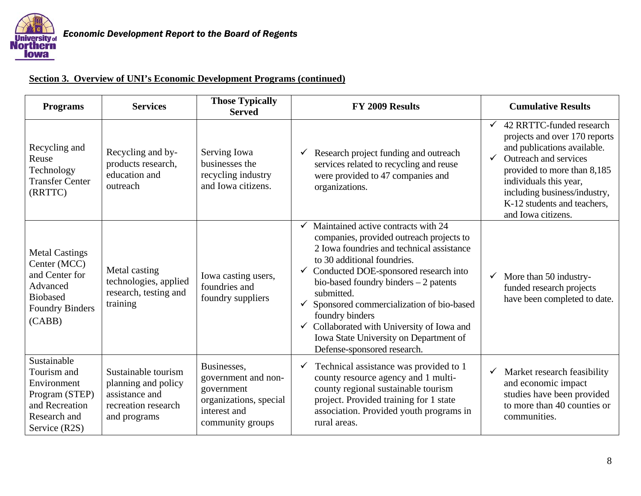

| <b>Programs</b>                                                                                                            | <b>Services</b>                                                                                     | <b>Those Typically</b><br><b>Served</b>                                                                        | FY 2009 Results                                                                                                                                                                                                                                                                                                                                                                                                                                  | <b>Cumulative Results</b>                                                                                                                                                                                                                                                       |
|----------------------------------------------------------------------------------------------------------------------------|-----------------------------------------------------------------------------------------------------|----------------------------------------------------------------------------------------------------------------|--------------------------------------------------------------------------------------------------------------------------------------------------------------------------------------------------------------------------------------------------------------------------------------------------------------------------------------------------------------------------------------------------------------------------------------------------|---------------------------------------------------------------------------------------------------------------------------------------------------------------------------------------------------------------------------------------------------------------------------------|
| Recycling and<br>Reuse<br>Technology<br><b>Transfer Center</b><br>(RRTTC)                                                  | Recycling and by-<br>products research,<br>education and<br>outreach                                | Serving Iowa<br>businesses the<br>recycling industry<br>and Iowa citizens.                                     | Research project funding and outreach<br>services related to recycling and reuse<br>were provided to 47 companies and<br>organizations.                                                                                                                                                                                                                                                                                                          | 42 RRTTC-funded research<br>$\checkmark$<br>projects and over 170 reports<br>and publications available.<br>Outreach and services<br>provided to more than 8,185<br>individuals this year,<br>including business/industry,<br>K-12 students and teachers,<br>and Iowa citizens. |
| <b>Metal Castings</b><br>Center (MCC)<br>and Center for<br>Advanced<br><b>Biobased</b><br><b>Foundry Binders</b><br>(CABB) | Metal casting<br>technologies, applied<br>research, testing and<br>training                         | Iowa casting users,<br>foundries and<br>foundry suppliers                                                      | Maintained active contracts with 24<br>companies, provided outreach projects to<br>2 Iowa foundries and technical assistance<br>to 30 additional foundries.<br>Conducted DOE-sponsored research into<br>bio-based foundry binders $-2$ patents<br>submitted.<br>Sponsored commercialization of bio-based<br>foundry binders<br>Collaborated with University of Iowa and<br>Iowa State University on Department of<br>Defense-sponsored research. | More than 50 industry-<br>$\checkmark$<br>funded research projects<br>have been completed to date.                                                                                                                                                                              |
| Sustainable<br>Tourism and<br>Environment<br>Program (STEP)<br>and Recreation<br>Research and<br>Service (R2S)             | Sustainable tourism<br>planning and policy<br>assistance and<br>recreation research<br>and programs | Businesses,<br>government and non-<br>government<br>organizations, special<br>interest and<br>community groups | Technical assistance was provided to 1<br>county resource agency and 1 multi-<br>county regional sustainable tourism<br>project. Provided training for 1 state<br>association. Provided youth programs in<br>rural areas.                                                                                                                                                                                                                        | Market research feasibility<br>and economic impact<br>studies have been provided<br>to more than 40 counties or<br>communities.                                                                                                                                                 |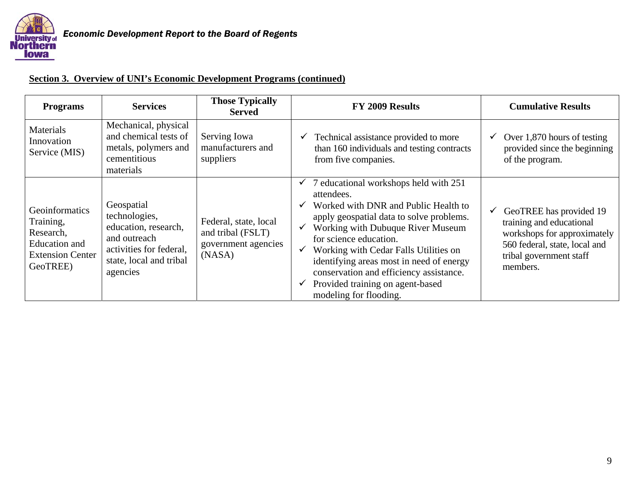

| <b>Programs</b>                                                                                  | <b>Services</b>                                                                                                                       | <b>Those Typically</b><br><b>Served</b>                                     | FY 2009 Results                                                                                                                                                                                                                                                                                                                                                                                                | <b>Cumulative Results</b>                                                                                                                                                  |
|--------------------------------------------------------------------------------------------------|---------------------------------------------------------------------------------------------------------------------------------------|-----------------------------------------------------------------------------|----------------------------------------------------------------------------------------------------------------------------------------------------------------------------------------------------------------------------------------------------------------------------------------------------------------------------------------------------------------------------------------------------------------|----------------------------------------------------------------------------------------------------------------------------------------------------------------------------|
| <b>Materials</b><br>Innovation<br>Service (MIS)                                                  | Mechanical, physical<br>and chemical tests of<br>metals, polymers and<br>cementitious<br>materials                                    | Serving Iowa<br>manufacturers and<br>suppliers                              | Technical assistance provided to more<br>than 160 individuals and testing contracts<br>from five companies.                                                                                                                                                                                                                                                                                                    | Over $1,870$ hours of testing<br>$\checkmark$<br>provided since the beginning<br>of the program.                                                                           |
| Geoinformatics<br>Training,<br>Research,<br>Education and<br><b>Extension Center</b><br>GeoTREE) | Geospatial<br>technologies,<br>education, research,<br>and outreach<br>activities for federal,<br>state, local and tribal<br>agencies | Federal, state, local<br>and tribal (FSLT)<br>government agencies<br>(NASA) | 7 educational workshops held with 251<br>✔<br>attendees.<br>Worked with DNR and Public Health to<br>apply geospatial data to solve problems.<br>Working with Dubuque River Museum<br>for science education.<br>Working with Cedar Falls Utilities on<br>✓<br>identifying areas most in need of energy<br>conservation and efficiency assistance.<br>Provided training on agent-based<br>modeling for flooding. | GeoTREE has provided 19<br>$\checkmark$<br>training and educational<br>workshops for approximately<br>560 federal, state, local and<br>tribal government staff<br>members. |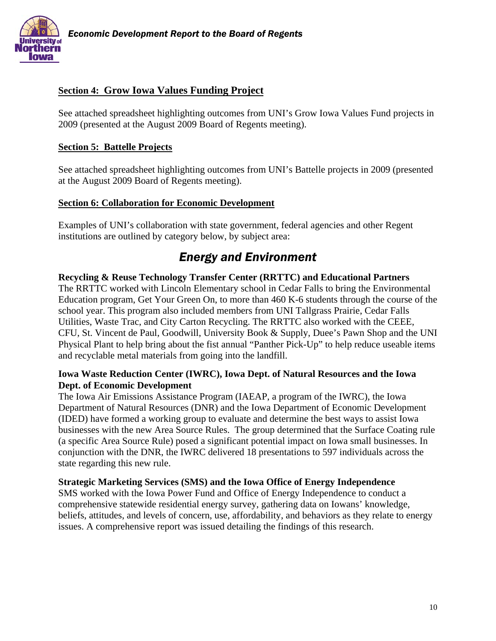

# **Section 4: Grow Iowa Values Funding Project**

See attached spreadsheet highlighting outcomes from UNI's Grow Iowa Values Fund projects in 2009 (presented at the August 2009 Board of Regents meeting).

### **Section 5: Battelle Projects**

See attached spreadsheet highlighting outcomes from UNI's Battelle projects in 2009 (presented at the August 2009 Board of Regents meeting).

### **Section 6: Collaboration for Economic Development**

Examples of UNI's collaboration with state government, federal agencies and other Regent institutions are outlined by category below, by subject area:

# *Energy and Environment*

**Recycling & Reuse Technology Transfer Center (RRTTC) and Educational Partners**  The RRTTC worked with Lincoln Elementary school in Cedar Falls to bring the Environmental Education program, Get Your Green On, to more than 460 K-6 students through the course of the school year. This program also included members from UNI Tallgrass Prairie, Cedar Falls Utilities, Waste Trac, and City Carton Recycling. The RRTTC also worked with the CEEE, CFU, St. Vincent de Paul, Goodwill, University Book & Supply, Duee's Pawn Shop and the UNI Physical Plant to help bring about the fist annual "Panther Pick-Up" to help reduce useable items and recyclable metal materials from going into the landfill.

### **Iowa Waste Reduction Center (IWRC), Iowa Dept. of Natural Resources and the Iowa Dept. of Economic Development**

The Iowa Air Emissions Assistance Program (IAEAP, a program of the IWRC), the Iowa Department of Natural Resources (DNR) and the Iowa Department of Economic Development (IDED) have formed a working group to evaluate and determine the best ways to assist Iowa businesses with the new Area Source Rules. The group determined that the Surface Coating rule (a specific Area Source Rule) posed a significant potential impact on Iowa small businesses. In conjunction with the DNR, the IWRC delivered 18 presentations to 597 individuals across the state regarding this new rule.

### **Strategic Marketing Services (SMS) and the Iowa Office of Energy Independence**

SMS worked with the Iowa Power Fund and Office of Energy Independence to conduct a comprehensive statewide residential energy survey, gathering data on Iowans' knowledge, beliefs, attitudes, and levels of concern, use, affordability, and behaviors as they relate to energy issues. A comprehensive report was issued detailing the findings of this research.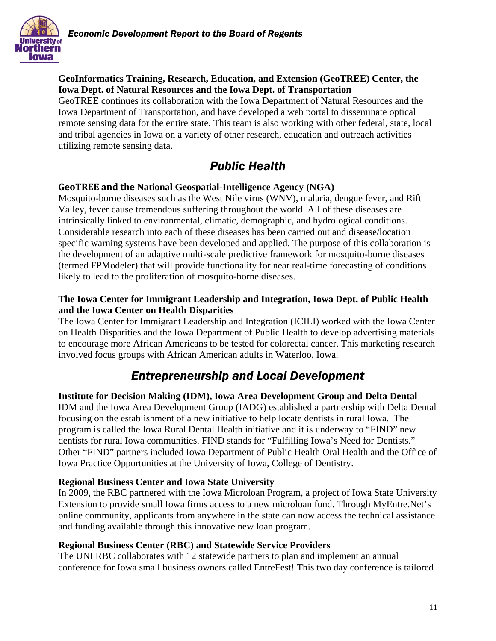

### **GeoInformatics Training, Research, Education, and Extension (GeoTREE) Center, the Iowa Dept. of Natural Resources and the Iowa Dept. of Transportation**

GeoTREE continues its collaboration with the Iowa Department of Natural Resources and the Iowa Department of Transportation, and have developed a web portal to disseminate optical remote sensing data for the entire state. This team is also working with other federal, state, local and tribal agencies in Iowa on a variety of other research, education and outreach activities utilizing remote sensing data.

# *Public Health*

# **GeoTREE and the National Geospatial**-**Intelligence Agency (NGA)**

Mosquito-borne diseases such as the West Nile virus (WNV), malaria, dengue fever, and Rift Valley, fever cause tremendous suffering throughout the world. All of these diseases are intrinsically linked to environmental, climatic, demographic, and hydrological conditions. Considerable research into each of these diseases has been carried out and disease/location specific warning systems have been developed and applied. The purpose of this collaboration is the development of an adaptive multi-scale predictive framework for mosquito-borne diseases (termed FPModeler) that will provide functionality for near real-time forecasting of conditions likely to lead to the proliferation of mosquito-borne diseases.

### **The Iowa Center for Immigrant Leadership and Integration, Iowa Dept. of Public Health and the Iowa Center on Health Disparities**

The Iowa Center for Immigrant Leadership and Integration (ICILI) worked with the Iowa Center on Health Disparities and the Iowa Department of Public Health to develop advertising materials to encourage more African Americans to be tested for colorectal cancer. This marketing research involved focus groups with African American adults in Waterloo, Iowa.

# *Entrepreneurship and Local Development*

**Institute for Decision Making (IDM), Iowa Area Development Group and Delta Dental**  IDM and the Iowa Area Development Group (IADG) established a partnership with Delta Dental focusing on the establishment of a new initiative to help locate dentists in rural Iowa. The program is called the Iowa Rural Dental Health initiative and it is underway to "FIND" new dentists for rural Iowa communities. FIND stands for "Fulfilling Iowa's Need for Dentists." Other "FIND" partners included Iowa Department of Public Health Oral Health and the Office of Iowa Practice Opportunities at the University of Iowa, College of Dentistry.

### **Regional Business Center and Iowa State University**

In 2009, the RBC partnered with the Iowa Microloan Program, a project of Iowa State University Extension to provide small Iowa firms access to a new microloan fund. Through MyEntre.Net's online community, applicants from anywhere in the state can now access the technical assistance and funding available through this innovative new loan program.

### **Regional Business Center (RBC) and Statewide Service Providers**

The UNI RBC collaborates with 12 statewide partners to plan and implement an annual conference for Iowa small business owners called EntreFest! This two day conference is tailored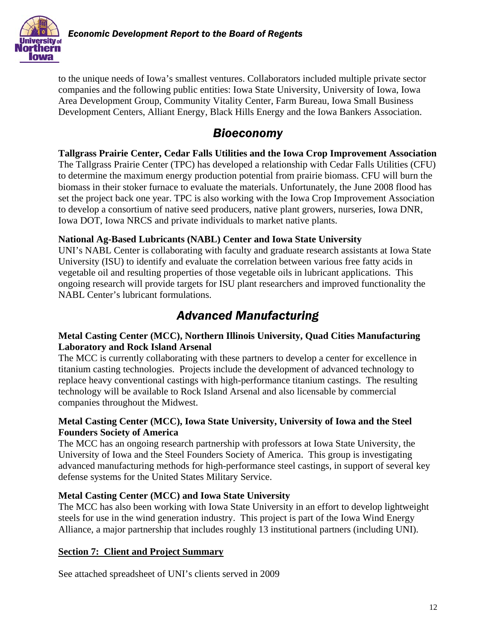

to the unique needs of Iowa's smallest ventures. Collaborators included multiple private sector companies and the following public entities: Iowa State University, University of Iowa, Iowa Area Development Group, Community Vitality Center, Farm Bureau, Iowa Small Business Development Centers, Alliant Energy, Black Hills Energy and the Iowa Bankers Association.

# *Bioeconomy*

**Tallgrass Prairie Center, Cedar Falls Utilities and the Iowa Crop Improvement Association** 

The Tallgrass Prairie Center (TPC) has developed a relationship with Cedar Falls Utilities (CFU) to determine the maximum energy production potential from prairie biomass. CFU will burn the biomass in their stoker furnace to evaluate the materials. Unfortunately, the June 2008 flood has set the project back one year. TPC is also working with the Iowa Crop Improvement Association to develop a consortium of native seed producers, native plant growers, nurseries, Iowa DNR, Iowa DOT, Iowa NRCS and private individuals to market native plants.

### **National Ag-Based Lubricants (NABL) Center and Iowa State University**

UNI's NABL Center is collaborating with faculty and graduate research assistants at Iowa State University (ISU) to identify and evaluate the correlation between various free fatty acids in vegetable oil and resulting properties of those vegetable oils in lubricant applications. This ongoing research will provide targets for ISU plant researchers and improved functionality the NABL Center's lubricant formulations.

# *Advanced Manufacturing*

# **Metal Casting Center (MCC), Northern Illinois University, Quad Cities Manufacturing Laboratory and Rock Island Arsenal**

The MCC is currently collaborating with these partners to develop a center for excellence in titanium casting technologies. Projects include the development of advanced technology to replace heavy conventional castings with high-performance titanium castings. The resulting technology will be available to Rock Island Arsenal and also licensable by commercial companies throughout the Midwest.

### **Metal Casting Center (MCC), Iowa State University, University of Iowa and the Steel Founders Society of America**

The MCC has an ongoing research partnership with professors at Iowa State University, the University of Iowa and the Steel Founders Society of America. This group is investigating advanced manufacturing methods for high-performance steel castings, in support of several key defense systems for the United States Military Service.

# **Metal Casting Center (MCC) and Iowa State University**

The MCC has also been working with Iowa State University in an effort to develop lightweight steels for use in the wind generation industry. This project is part of the Iowa Wind Energy Alliance, a major partnership that includes roughly 13 institutional partners (including UNI).

# **Section 7: Client and Project Summary**

See attached spreadsheet of UNI's clients served in 2009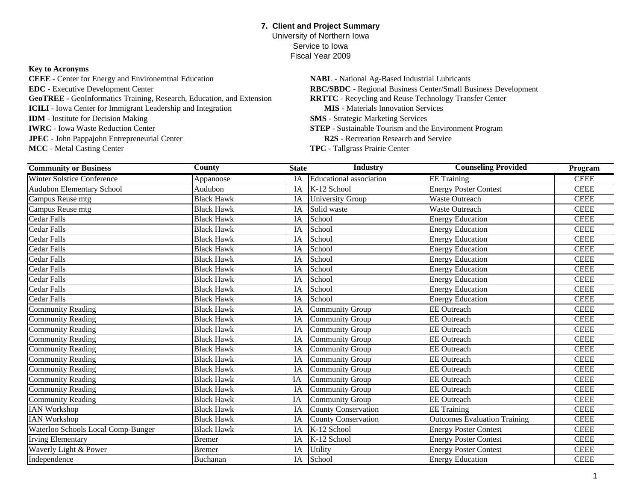### **7. Client and Project Summary** University of Northern Iowa

Service to IowaFiscal Year 2009

### **Key to Acronyms**

**JPEC** - John Pappajohn Entrepreneurial Center<br> **R2S** - Recreation Research and Service **GeoTREE -** GeoInformatics Training, Research, Education, and Extension **IWRC** - Iowa Waste Reduction Center **CEEE** - Center for Energy and Environemtnal Education **EDC** - Executive Development Center **ICILI** - Iowa Center for Immigrant Leadership and Integration **IDM** - Institute for Decision Making

**MCC** - Metal Casting Center

 **MIS** - Materials Innovation Services **STEP** - Sustainable Tourism and the Environment Program **NABL** - National Ag-Based Industrial Lubricants **RBC/SBDC** - Regional Business Center/Small Business Development **RRTTC** - Recycling and Reuse Technology Transfer Center **SMS** - Strategic Marketing Services

**TPC -** Tallgrass Prairie Center

| <b>Community or Business</b>       | <b>County</b>     | <b>State</b> | <b>Industry</b>                | <b>Counseling Provided</b>          | Program     |
|------------------------------------|-------------------|--------------|--------------------------------|-------------------------------------|-------------|
| <b>Winter Solstice Conference</b>  | Appanoose         | IA           | <b>Educational</b> association | <b>EE</b> Training                  | <b>CEEE</b> |
| Audubon Elementary School          | Audubon           | IA           | K-12 School                    | <b>Energy Poster Contest</b>        | <b>CEEE</b> |
| Campus Reuse mtg                   | <b>Black Hawk</b> | IA           | <b>University Group</b>        | Waste Outreach                      | <b>CEEE</b> |
| Campus Reuse mtg                   | <b>Black Hawk</b> | IA           | Solid waste                    | <b>Waste Outreach</b>               | <b>CEEE</b> |
| <b>Cedar Falls</b>                 | <b>Black Hawk</b> | IA           | School                         | <b>Energy Education</b>             | <b>CEEE</b> |
| <b>Cedar Falls</b>                 | <b>Black Hawk</b> | IA           | School                         | <b>Energy Education</b>             | <b>CEEE</b> |
| <b>Cedar Falls</b>                 | <b>Black Hawk</b> | IA           | School                         | <b>Energy Education</b>             | <b>CEEE</b> |
| Cedar Falls                        | <b>Black Hawk</b> | IA           | School                         | <b>Energy Education</b>             | <b>CEEE</b> |
| <b>Cedar Falls</b>                 | <b>Black Hawk</b> | IA           | School                         | <b>Energy Education</b>             | <b>CEEE</b> |
| Cedar Falls                        | <b>Black Hawk</b> | IA           | School                         | <b>Energy Education</b>             | <b>CEEE</b> |
| <b>Cedar Falls</b>                 | <b>Black Hawk</b> | IA           | School                         | <b>Energy Education</b>             | <b>CEEE</b> |
| Cedar Falls                        | <b>Black Hawk</b> | IA           | School                         | <b>Energy Education</b>             | <b>CEEE</b> |
| <b>Cedar Falls</b>                 | <b>Black Hawk</b> | IA           | School                         | <b>Energy Education</b>             | <b>CEEE</b> |
| <b>Community Reading</b>           | <b>Black Hawk</b> | IA           | Community Group                | <b>EE</b> Outreach                  | <b>CEEE</b> |
| <b>Community Reading</b>           | <b>Black Hawk</b> | IA           | Community Group                | <b>EE</b> Outreach                  | <b>CEEE</b> |
| Community Reading                  | <b>Black Hawk</b> | IA           | Community Group                | <b>EE</b> Outreach                  | <b>CEEE</b> |
| <b>Community Reading</b>           | <b>Black Hawk</b> | IA           | Community Group                | <b>EE</b> Outreach                  | <b>CEEE</b> |
| <b>Community Reading</b>           | <b>Black Hawk</b> | IA           | <b>Community Group</b>         | <b>EE</b> Outreach                  | <b>CEEE</b> |
| <b>Community Reading</b>           | <b>Black Hawk</b> | IA           | Community Group                | <b>EE</b> Outreach                  | <b>CEEE</b> |
| <b>Community Reading</b>           | <b>Black Hawk</b> | IA           | <b>Community Group</b>         | <b>EE</b> Outreach                  | <b>CEEE</b> |
| <b>Community Reading</b>           | <b>Black Hawk</b> | IA           | Community Group                | <b>EE</b> Outreach                  | <b>CEEE</b> |
| <b>Community Reading</b>           | <b>Black Hawk</b> | IA           | Community Group                | <b>EE</b> Outreach                  | <b>CEEE</b> |
| <b>Community Reading</b>           | <b>Black Hawk</b> | IA           | <b>Community Group</b>         | <b>EE</b> Outreach                  | <b>CEEE</b> |
| <b>IAN Workshop</b>                | <b>Black Hawk</b> | IA           | <b>County Conservation</b>     | <b>EE</b> Training                  | <b>CEEE</b> |
| <b>IAN Workshop</b>                | <b>Black Hawk</b> | IA           | <b>County Conservation</b>     | <b>Outcomes Evaluation Training</b> | <b>CEEE</b> |
| Waterloo Schools Local Comp-Bunger | <b>Black Hawk</b> | IA           | K-12 School                    | <b>Energy Poster Contest</b>        | <b>CEEE</b> |
| <b>Irving Elementary</b>           | <b>Bremer</b>     | IA           | K-12 School                    | <b>Energy Poster Contest</b>        | <b>CEEE</b> |
| Waverly Light & Power              | Bremer            | IA           | Utility                        | <b>Energy Poster Contest</b>        | <b>CEEE</b> |
| Independence                       | Buchanan          | IA           | School                         | <b>Energy Education</b>             | <b>CEEE</b> |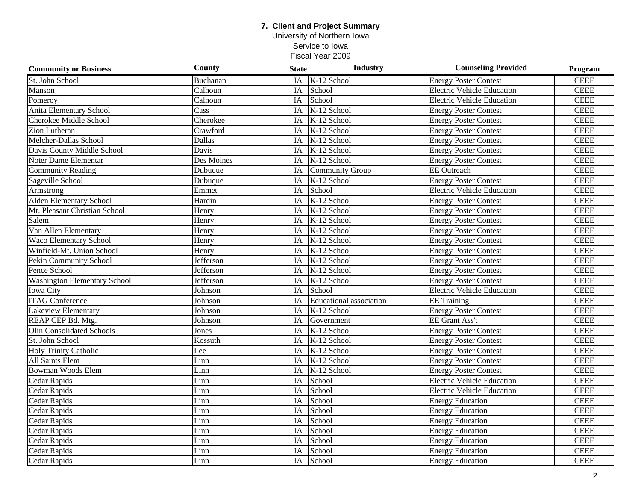University of Northern Iowa Service to Iowa Fiscal Year 2009

| <b>Community or Business</b>        | County     | <b>State</b> | <b>Industry</b>                | <b>Counseling Provided</b>        | Program     |
|-------------------------------------|------------|--------------|--------------------------------|-----------------------------------|-------------|
| St. John School                     | Buchanan   | IA           | K-12 School                    | <b>Energy Poster Contest</b>      | <b>CEEE</b> |
| Manson                              | Calhoun    | IA           | School                         | <b>Electric Vehicle Education</b> | <b>CEEE</b> |
| Pomeroy                             | Calhoun    | IA           | School                         | <b>Electric Vehicle Education</b> | <b>CEEE</b> |
| Anita Elementary School             | Cass       | IA           | $K-12$ School                  | <b>Energy Poster Contest</b>      | <b>CEEE</b> |
| Cherokee Middle School              | Cherokee   | IA           | K-12 School                    | <b>Energy Poster Contest</b>      | $\it{CEEE}$ |
| Zion Lutheran                       | Crawford   | IA           | K-12 School                    | <b>Energy Poster Contest</b>      | <b>CEEE</b> |
| Melcher-Dallas School               | Dallas     | IA           | K-12 School                    | <b>Energy Poster Contest</b>      | <b>CEEE</b> |
| Davis County Middle School          | Davis      | IA           | K-12 School                    | <b>Energy Poster Contest</b>      | <b>CEEE</b> |
| Noter Dame Elementar                | Des Moines | IA           | K-12 School                    | <b>Energy Poster Contest</b>      | <b>CEEE</b> |
| <b>Community Reading</b>            | Dubuque    | IA           | <b>Community Group</b>         | <b>EE</b> Outreach                | <b>CEEE</b> |
| Sageville School                    | Dubuque    | IA           | K-12 School                    | <b>Energy Poster Contest</b>      | <b>CEEE</b> |
| Armstrong                           | Emmet      | IA           | School                         | <b>Electric Vehicle Education</b> | <b>CEEE</b> |
| <b>Alden Elementary School</b>      | Hardin     | IA           | K-12 School                    | <b>Energy Poster Contest</b>      | <b>CEEE</b> |
| Mt. Pleasant Christian School       | Henry      | IA           | K-12 School                    | <b>Energy Poster Contest</b>      | <b>CEEE</b> |
| Salem                               | Henry      | IA           | K-12 School                    | <b>Energy Poster Contest</b>      | <b>CEEE</b> |
| Van Allen Elementary                | Henry      | IA           | K-12 School                    | <b>Energy Poster Contest</b>      | <b>CEEE</b> |
| Waco Elementary School              | Henry      | IA           | K-12 School                    | <b>Energy Poster Contest</b>      | <b>CEEE</b> |
| Winfield-Mt. Union School           | Henry      | IA           | K-12 School                    | <b>Energy Poster Contest</b>      | <b>CEEE</b> |
| Pekin Community School              | Jefferson  | IA           | K-12 School                    | <b>Energy Poster Contest</b>      | <b>CEEE</b> |
| Pence School                        | Jefferson  | IA           | K-12 School                    | <b>Energy Poster Contest</b>      | <b>CEEE</b> |
| <b>Washington Elementary School</b> | Jefferson  | IA           | K-12 School                    | <b>Energy Poster Contest</b>      | <b>CEEE</b> |
| Iowa City                           | Johnson    | IA           | School                         | <b>Electric Vehicle Education</b> | <b>CEEE</b> |
| <b>ITAG Conference</b>              | Johnson    | IA           | <b>Educational</b> association | <b>EE</b> Training                | <b>CEEE</b> |
| Lakeview Elementary                 | Johnson    | IA           | $K-12$ School                  | <b>Energy Poster Contest</b>      | <b>CEEE</b> |
| REAP CEP Bd. Mtg.                   | Johnson    | IA           | Government                     | <b>EE</b> Grant Ass't             | <b>CEEE</b> |
| <b>Olin Consolidated Schools</b>    | Jones      | IA           | K-12 School                    | <b>Energy Poster Contest</b>      | <b>CEEE</b> |
| St. John School                     | Kossuth    | IA           | K-12 School                    | <b>Energy Poster Contest</b>      | <b>CEEE</b> |
| Holy Trinity Catholic               | Lee        | IA           | K-12 School                    | <b>Energy Poster Contest</b>      | $\it{CEEE}$ |
| All Saints Elem                     | Linn       | IA           | K-12 School                    | <b>Energy Poster Contest</b>      | <b>CEEE</b> |
| <b>Bowman Woods Elem</b>            | Linn       | IA           | K-12 School                    | <b>Energy Poster Contest</b>      | <b>CEEE</b> |
| Cedar Rapids                        | Linn       | IA           | School                         | <b>Electric Vehicle Education</b> | <b>CEEE</b> |
| Cedar Rapids                        | Linn       | IA           | School                         | <b>Electric Vehicle Education</b> | <b>CEEE</b> |
| Cedar Rapids                        | Linn       | IA           | School                         | <b>Energy Education</b>           | <b>CEEE</b> |
| Cedar Rapids                        | Linn       | IA           | School                         | <b>Energy Education</b>           | <b>CEEE</b> |
| Cedar Rapids                        | Linn       | IA           | School                         | <b>Energy Education</b>           | <b>CEEE</b> |
| Cedar Rapids                        | Linn       | IA           | School                         | <b>Energy Education</b>           | <b>CEEE</b> |
| Cedar Rapids                        | Linn       | IA           | School                         | <b>Energy Education</b>           | <b>CEEE</b> |
| Cedar Rapids                        | Linn       | IA           | School                         | <b>Energy Education</b>           | <b>CEEE</b> |
| Cedar Rapids                        | Linn       | IA           | School                         | <b>Energy Education</b>           | <b>CEEE</b> |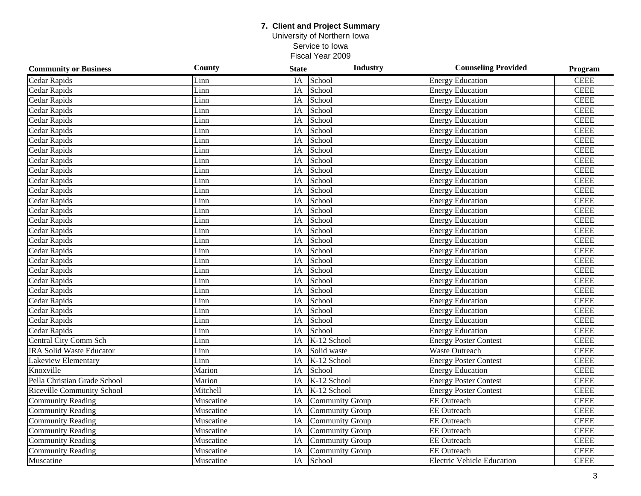University of Northern Iowa Service to Iowa Fiscal Year 2009

| <b>Community or Business</b>    | County    | <b>State</b>    | <b>Industry</b>        | <b>Counseling Provided</b>        | Program     |
|---------------------------------|-----------|-----------------|------------------------|-----------------------------------|-------------|
| <b>Cedar Rapids</b>             | Linn      | IA              | School                 | <b>Energy Education</b>           | <b>CEEE</b> |
| Cedar Rapids                    | Linn      | IA              | School                 | <b>Energy Education</b>           | <b>CEEE</b> |
| Cedar Rapids                    | Linn      | IA              | School                 | <b>Energy Education</b>           | <b>CEEE</b> |
| Cedar Rapids                    | Linn      | IA              | School                 | <b>Energy Education</b>           | <b>CEEE</b> |
| Cedar Rapids                    | Linn      | IA              | School                 | <b>Energy Education</b>           | <b>CEEE</b> |
| Cedar Rapids                    | Linn      | IA              | School                 | <b>Energy Education</b>           | <b>CEEE</b> |
| Cedar Rapids                    | Linn      | IA              | School                 | <b>Energy Education</b>           | <b>CEEE</b> |
| Cedar Rapids                    | Linn      | IA              | School                 | <b>Energy Education</b>           | <b>CEEE</b> |
| Cedar Rapids                    | Linn      | IA              | School                 | <b>Energy Education</b>           | <b>CEEE</b> |
| <b>Cedar Rapids</b>             | Linn      | IA              | School                 | <b>Energy Education</b>           | <b>CEEE</b> |
| Cedar Rapids                    | Linn      | IA              | School                 | <b>Energy Education</b>           | <b>CEEE</b> |
| Cedar Rapids                    | Linn      | IA              | School                 | <b>Energy Education</b>           | <b>CEEE</b> |
| Cedar Rapids                    | Linn      | IA              | School                 | <b>Energy Education</b>           | <b>CEEE</b> |
| Cedar Rapids                    | Linn      | IA              | School                 | <b>Energy Education</b>           | <b>CEEE</b> |
| Cedar Rapids                    | Linn      | IA              | School                 | <b>Energy Education</b>           | <b>CEEE</b> |
| Cedar Rapids                    | Linn      | IA              | School                 | <b>Energy Education</b>           | <b>CEEE</b> |
| Cedar Rapids                    | Linn      | IA              | School                 | <b>Energy Education</b>           | <b>CEEE</b> |
| Cedar Rapids                    | Linn      | IA              | School                 | <b>Energy Education</b>           | <b>CEEE</b> |
| Cedar Rapids                    | Linn      | IA              | School                 | <b>Energy Education</b>           | <b>CEEE</b> |
| Cedar Rapids                    | Linn      | IA              | School                 | <b>Energy Education</b>           | <b>CEEE</b> |
| Cedar Rapids                    | Linn      | IA              | School                 | <b>Energy Education</b>           | <b>CEEE</b> |
| Cedar Rapids                    | Linn      | IA              | School                 | <b>Energy Education</b>           | <b>CEEE</b> |
| Cedar Rapids                    | Linn      | IA              | School                 | <b>Energy Education</b>           | <b>CEEE</b> |
| <b>Cedar Rapids</b>             | Linn      | IA              | School                 | <b>Energy Education</b>           | <b>CEEE</b> |
| <b>Cedar Rapids</b>             | Linn      | $\overline{IA}$ | School                 | <b>Energy Education</b>           | <b>CEEE</b> |
| Cedar Rapids                    | Linn      | IA              | School                 | <b>Energy Education</b>           | <b>CEEE</b> |
| Central City Comm Sch           | Linn      | IA              | K-12 School            | <b>Energy Poster Contest</b>      | <b>CEEE</b> |
| <b>IRA Solid Waste Educator</b> | Linn      | IA              | Solid waste            | Waste Outreach                    | <b>CEEE</b> |
| Lakeview Elementary             | Linn      | IA              | K-12 School            | <b>Energy Poster Contest</b>      | <b>CEEE</b> |
| Knoxville                       | Marion    | IA              | School                 | <b>Energy Education</b>           | <b>CEEE</b> |
| Pella Christian Grade School    | Marion    | IA              | K-12 School            | <b>Energy Poster Contest</b>      | <b>CEEE</b> |
| Riceville Community School      | Mitchell  | IA              | K-12 School            | <b>Energy Poster Contest</b>      | <b>CEEE</b> |
| <b>Community Reading</b>        | Muscatine | IA              | <b>Community Group</b> | <b>EE</b> Outreach                | <b>CEEE</b> |
| <b>Community Reading</b>        | Muscatine | IA              | <b>Community Group</b> | <b>EE</b> Outreach                | <b>CEEE</b> |
| <b>Community Reading</b>        | Muscatine | IA              | <b>Community Group</b> | <b>EE</b> Outreach                | <b>CEEE</b> |
| <b>Community Reading</b>        | Muscatine | IA              | <b>Community Group</b> | <b>EE</b> Outreach                | <b>CEEE</b> |
| <b>Community Reading</b>        | Muscatine | IA              | <b>Community Group</b> | <b>EE</b> Outreach                | <b>CEEE</b> |
| <b>Community Reading</b>        | Muscatine | IA              | <b>Community Group</b> | <b>EE</b> Outreach                | <b>CEEE</b> |
| Muscatine                       | Muscatine | IA              | School                 | <b>Electric Vehicle Education</b> | <b>CEEE</b> |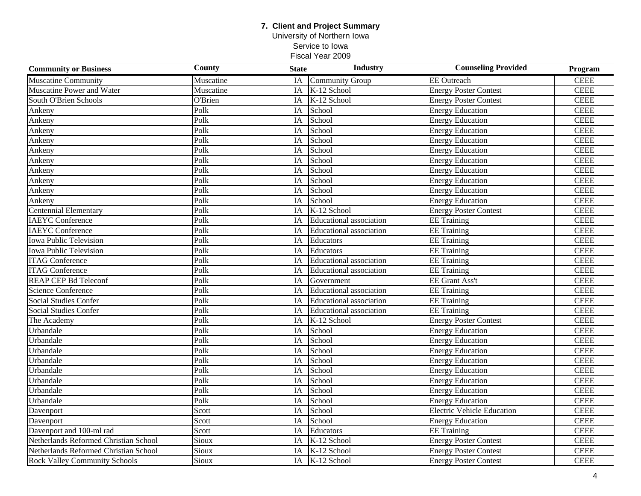University of Northern Iowa Service to Iowa

| <b>Community or Business</b>          | County    | <b>State</b>    | Industry                       | <b>Counseling Provided</b>        | Program     |
|---------------------------------------|-----------|-----------------|--------------------------------|-----------------------------------|-------------|
| <b>Muscatine Community</b>            | Muscatine | IA              | Community Group                | <b>EE</b> Outreach                | <b>CEEE</b> |
| Muscatine Power and Water             | Muscatine | IA              | K-12 School                    | <b>Energy Poster Contest</b>      | <b>CEEE</b> |
| South O'Brien Schools                 | O'Brien   | IA              | K-12 School                    | <b>Energy Poster Contest</b>      | <b>CEEE</b> |
| Ankeny                                | Polk      | IA              | School                         | <b>Energy Education</b>           | <b>CEEE</b> |
| Ankeny                                | Polk      | IA              | School                         | <b>Energy Education</b>           | <b>CEEE</b> |
| Ankeny                                | Polk      | IA              | School                         | <b>Energy Education</b>           | <b>CEEE</b> |
| Ankeny                                | Polk      | IA              | School                         | <b>Energy Education</b>           | <b>CEEE</b> |
| Ankeny                                | Polk      | IA              | School                         | <b>Energy Education</b>           | <b>CEEE</b> |
| Ankeny                                | Polk      | IA              | School                         | <b>Energy Education</b>           | <b>CEEE</b> |
| Ankeny                                | Polk      | IA              | School                         | <b>Energy Education</b>           | <b>CEEE</b> |
| Ankeny                                | Polk      | IA              | School                         | <b>Energy Education</b>           | <b>CEEE</b> |
| Ankeny                                | Polk      | IA              | School                         | <b>Energy Education</b>           | <b>CEEE</b> |
| Ankeny                                | Polk      | IA              | School                         | <b>Energy Education</b>           | <b>CEEE</b> |
| <b>Centennial Elementary</b>          | Polk      | IA              | K-12 School                    | <b>Energy Poster Contest</b>      | <b>CEEE</b> |
| <b>IAEYC</b> Conference               | Polk      | IA              | <b>Educational</b> association | <b>EE</b> Training                | <b>CEEE</b> |
| <b>IAEYC</b> Conference               | Polk      | IA              | <b>Educational</b> association | <b>EE</b> Training                | <b>CEEE</b> |
| <b>Iowa Public Television</b>         | Polk      | IA              | Educators                      | <b>EE</b> Training                | <b>CEEE</b> |
| <b>Iowa Public Television</b>         | Polk      | IA              | Educators                      | <b>EE</b> Training                | <b>CEEE</b> |
| <b>ITAG Conference</b>                | Polk      | IA              | <b>Educational</b> association | <b>EE</b> Training                | <b>CEEE</b> |
| <b>ITAG Conference</b>                | Polk      | IA              | <b>Educational</b> association | <b>EE</b> Training                | <b>CEEE</b> |
| <b>REAP CEP Bd Teleconf</b>           | Polk      | IA              | Government                     | EE Grant Ass't                    | <b>CEEE</b> |
| Science Conference                    | Polk      | $\overline{IA}$ | <b>Educational</b> association | <b>EE</b> Training                | <b>CEEE</b> |
| <b>Social Studies Confer</b>          | Polk      | IA              | <b>Educational</b> association | <b>EE</b> Training                | <b>CEEE</b> |
| <b>Social Studies Confer</b>          | Polk      | IA              | <b>Educational</b> association | $\overline{EE}$ Training          | <b>CEEE</b> |
| The Academy                           | Polk      | $\overline{IA}$ | K-12 School                    | <b>Energy Poster Contest</b>      | <b>CEEE</b> |
| Urbandale                             | Polk      | IA              | School                         | <b>Energy Education</b>           | <b>CEEE</b> |
| Urbandale                             | Polk      | IA              | School                         | <b>Energy Education</b>           | <b>CEEE</b> |
| Urbandale                             | Polk      | IA              | School                         | <b>Energy Education</b>           | <b>CEEE</b> |
| Urbandale                             | Polk      | IA              | School                         | <b>Energy Education</b>           | <b>CEEE</b> |
| Urbandale                             | Polk      | IA              | School                         | <b>Energy Education</b>           | <b>CEEE</b> |
| Urbandale                             | Polk      | IA              | School                         | <b>Energy Education</b>           | <b>CEEE</b> |
| Urbandale                             | Polk      | IA              | School                         | <b>Energy Education</b>           | <b>CEEE</b> |
| Urbandale                             | Polk      | IA              | School                         | <b>Energy Education</b>           | <b>CEEE</b> |
| Davenport                             | Scott     | IA              | School                         | <b>Electric Vehicle Education</b> | <b>CEEE</b> |
| Davenport                             | Scott     | IA              | School                         | <b>Energy Education</b>           | <b>CEEE</b> |
| Davenport and 100-ml rad              | Scott     | IA              | Educators                      | <b>EE</b> Training                | <b>CEEE</b> |
| Netherlands Reformed Christian School | Sioux     | IA              | K-12 School                    | <b>Energy Poster Contest</b>      | <b>CEEE</b> |
| Netherlands Reformed Christian School | Sioux     | IA              | K-12 School                    | <b>Energy Poster Contest</b>      | <b>CEEE</b> |
| <b>Rock Valley Community Schools</b>  | Sioux     | IA              | K-12 School                    | <b>Energy Poster Contest</b>      | <b>CEEE</b> |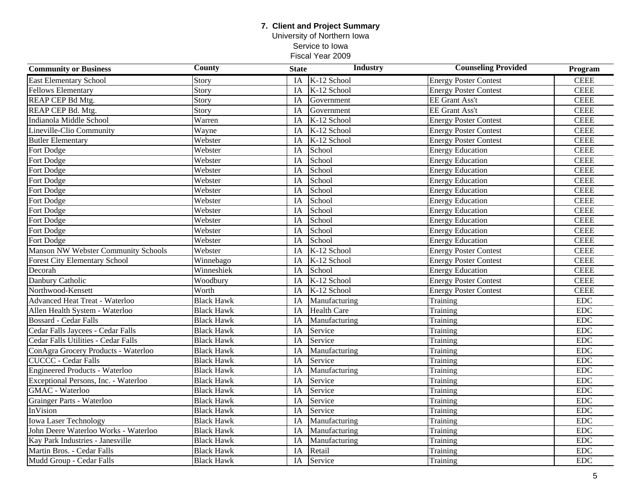University of Northern Iowa Service to Iowa Fiscal Year 2009

| <b>Community or Business</b>          | County            | <b>State</b> | Industry           | <b>Counseling Provided</b>   | Program     |
|---------------------------------------|-------------------|--------------|--------------------|------------------------------|-------------|
| <b>East Elementary School</b>         | Story             | IA           | K-12 School        | <b>Energy Poster Contest</b> | <b>CEEE</b> |
| <b>Fellows Elementary</b>             | Story             | IA           | K-12 School        | <b>Energy Poster Contest</b> | <b>CEEE</b> |
| REAP CEP Bd Mtg.                      | Story             | IA           | Government         | <b>EE Grant Ass't</b>        | <b>CEEE</b> |
| REAP CEP Bd. Mtg.                     | Story             | IA           | Government         | <b>EE Grant Ass't</b>        | <b>CEEE</b> |
| Indianola Middle School               | Warren            | IA           | K-12 School        | <b>Energy Poster Contest</b> | <b>CEEE</b> |
| Lineville-Clio Community              | Wayne             | IA           | K-12 School        | <b>Energy Poster Contest</b> | <b>CEEE</b> |
| <b>Butler Elementary</b>              | Webster           | IA           | K-12 School        | <b>Energy Poster Contest</b> | <b>CEEE</b> |
| Fort Dodge                            | Webster           | IA           | School             | <b>Energy Education</b>      | <b>CEEE</b> |
| Fort Dodge                            | Webster           | IA           | School             | <b>Energy Education</b>      | <b>CEEE</b> |
| Fort Dodge                            | Webster           | IA           | School             | <b>Energy Education</b>      | <b>CEEE</b> |
| Fort Dodge                            | Webster           | IA           | School             | <b>Energy Education</b>      | <b>CEEE</b> |
| Fort Dodge                            | Webster           | IA           | School             | <b>Energy Education</b>      | <b>CEEE</b> |
| Fort Dodge                            | Webster           | IA           | School             | <b>Energy Education</b>      | <b>CEEE</b> |
| Fort Dodge                            | Webster           | IA           | School             | <b>Energy Education</b>      | <b>CEEE</b> |
| Fort Dodge                            | Webster           | IA           | School             | <b>Energy Education</b>      | <b>CEEE</b> |
| Fort Dodge                            | Webster           | IA           | School             | <b>Energy Education</b>      | <b>CEEE</b> |
| Fort Dodge                            | Webster           | IA           | School             | <b>Energy Education</b>      | <b>CEEE</b> |
| Manson NW Webster Community Schools   | Webster           | IA           | K-12 School        | <b>Energy Poster Contest</b> | <b>CEEE</b> |
| <b>Forest City Elementary School</b>  | Winnebago         | IA           | K-12 School        | <b>Energy Poster Contest</b> | <b>CEEE</b> |
| Decorah                               | Winneshiek        | IA           | School             | <b>Energy Education</b>      | <b>CEEE</b> |
| Danbury Catholic                      | Woodbury          | IA           | K-12 School        | <b>Energy Poster Contest</b> | <b>CEEE</b> |
| Northwood-Kensett                     | Worth             | IA           | K-12 School        | <b>Energy Poster Contest</b> | <b>CEEE</b> |
| <b>Advanced Heat Treat - Waterloo</b> | <b>Black Hawk</b> | IA           | Manufacturing      | Training                     | <b>EDC</b>  |
| Allen Health System - Waterloo        | <b>Black Hawk</b> | IA           | <b>Health Care</b> | Training                     | <b>EDC</b>  |
| <b>Bossard - Cedar Falls</b>          | <b>Black Hawk</b> | IA           | Manufacturing      | Training                     | <b>EDC</b>  |
| Cedar Falls Jaycees - Cedar Falls     | <b>Black Hawk</b> | IA           | Service            | Training                     | ${\rm EDC}$ |
| Cedar Falls Utilities - Cedar Falls   | <b>Black Hawk</b> | IA           | Service            | Training                     | <b>EDC</b>  |
| ConAgra Grocery Products - Waterloo   | <b>Black Hawk</b> | IA           | Manufacturing      | Training                     | EDC         |
| <b>CUCCC</b> - Cedar Falls            | <b>Black Hawk</b> | IA           | Service            | Training                     | <b>EDC</b>  |
| <b>Engineered Products - Waterloo</b> | <b>Black Hawk</b> | IA           | Manufacturing      | Training                     | <b>EDC</b>  |
| Exceptional Persons, Inc. - Waterloo  | <b>Black Hawk</b> | IA           | Service            | Training                     | <b>EDC</b>  |
| <b>GMAC</b> - Waterloo                | <b>Black Hawk</b> | IA           | Service            | Training                     | EDC         |
| Grainger Parts - Waterloo             | <b>Black Hawk</b> | IA           | Service            | Training                     | <b>EDC</b>  |
| InVision                              | <b>Black Hawk</b> | IA           | Service            | Training                     | <b>EDC</b>  |
| <b>Iowa Laser Technology</b>          | <b>Black Hawk</b> | IA           | Manufacturing      | Training                     | <b>EDC</b>  |
| John Deere Waterloo Works - Waterloo  | <b>Black Hawk</b> | IA           | Manufacturing      | Training                     | EDC         |
| Kay Park Industries - Janesville      | <b>Black Hawk</b> | IA           | Manufacturing      | Training                     | ${\rm EDC}$ |
| Martin Bros. - Cedar Falls            | <b>Black Hawk</b> | IA           | Retail             | Training                     | <b>EDC</b>  |
| Mudd Group - Cedar Falls              | <b>Black Hawk</b> | IA           | Service            | Training                     | ${\rm EDC}$ |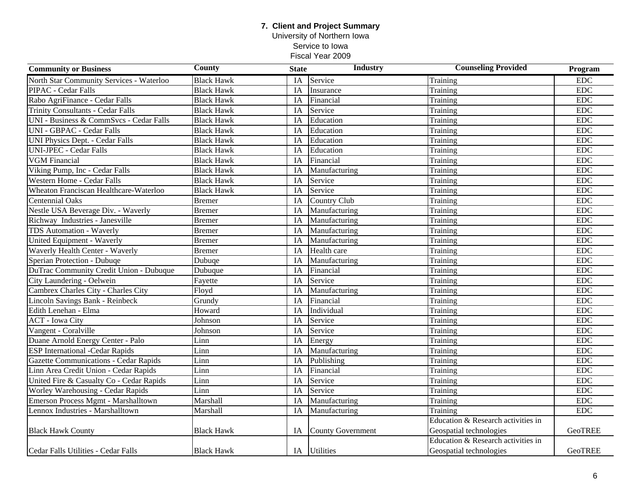University of Northern Iowa Service to Iowa

| <b>Community or Business</b>                 | <b>County</b>     | <b>State</b>    | <b>Industry</b>          | <b>Counseling Provided</b>         | Program    |
|----------------------------------------------|-------------------|-----------------|--------------------------|------------------------------------|------------|
| North Star Community Services - Waterloo     | <b>Black Hawk</b> | IA              | Service                  | Training                           | <b>EDC</b> |
| PIPAC - Cedar Falls                          | <b>Black Hawk</b> | IA              | Insurance                | Training                           | <b>EDC</b> |
| Rabo AgriFinance - Cedar Falls               | <b>Black Hawk</b> | IA              | Financial                | Training                           | <b>EDC</b> |
| <b>Trinity Consultants - Cedar Falls</b>     | <b>Black Hawk</b> | IA              | Service                  | Training                           | <b>EDC</b> |
| UNI - Business & CommSvcs - Cedar Falls      | <b>Black Hawk</b> | IA              | Education                | Training                           | <b>EDC</b> |
| <b>UNI - GBPAC - Cedar Falls</b>             | <b>Black Hawk</b> | IA              | Education                | Training                           | <b>EDC</b> |
| <b>UNI Physics Dept. - Cedar Falls</b>       | <b>Black Hawk</b> | IA              | Education                | Training                           | EDC        |
| <b>UNI-JPEC - Cedar Falls</b>                | <b>Black Hawk</b> | IA              | Education                | Training                           | <b>EDC</b> |
| <b>VGM Financial</b>                         | <b>Black Hawk</b> | IA              | Financial                | Training                           | <b>EDC</b> |
| Viking Pump, Inc - Cedar Falls               | <b>Black Hawk</b> | IA              | Manufacturing            | Training                           | <b>EDC</b> |
| Western Home - Cedar Falls                   | <b>Black Hawk</b> | IA              | Service                  | Training                           | <b>EDC</b> |
| Wheaton Franciscan Healthcare-Waterloo       | <b>Black Hawk</b> | IA              | Service                  | Training                           | <b>EDC</b> |
| <b>Centennial Oaks</b>                       | <b>Bremer</b>     | IA              | Country Club             | Training                           | EDC        |
| Nestle USA Beverage Div. - Waverly           | <b>Bremer</b>     | IA              | Manufacturing            | Training                           | EDC        |
| Richway Industries - Janesville              | <b>Bremer</b>     | IA              | Manufacturing            | Training                           | <b>EDC</b> |
| TDS Automation - Waverly                     | <b>Bremer</b>     | IA              | Manufacturing            | Training                           | <b>EDC</b> |
| United Equipment - Waverly                   | <b>Bremer</b>     | IA              | Manufacturing            | Training                           | <b>EDC</b> |
| Waverly Health Center - Waverly              | <b>Bremer</b>     | IA              | Health care              | Training                           | <b>EDC</b> |
| Sperian Protection - Dubuqe                  | Dubuqe            | IA              | Manufacturing            | Training                           | <b>EDC</b> |
| DuTrac Community Credit Union - Dubuque      | Dubuque           | IA              | Financial                | Training                           | <b>EDC</b> |
| City Laundering - Oelwein                    | Fayette           | IA              | Service                  | Training                           | <b>EDC</b> |
| Cambrex Charles City - Charles City          | Floyd             | IA              | Manufacturing            | Training                           | <b>EDC</b> |
| Lincoln Savings Bank - Reinbeck              | Grundy            | IA              | Financial                | Training                           | <b>EDC</b> |
| Edith Lenehan - Elma                         | Howard            | $\overline{IA}$ | Individual               | Training                           | <b>EDC</b> |
| <b>ACT</b> - Iowa City                       | Johnson           | IA              | Service                  | Training                           | <b>EDC</b> |
| Vangent - Coralville                         | Johnson           | IA              | Service                  | Training                           | <b>EDC</b> |
| Duane Arnold Energy Center - Palo            | Linn              | IA              | Energy                   | Training                           | <b>EDC</b> |
| <b>ESP International -Cedar Rapids</b>       | Linn              | IA              | Manufacturing            | Training                           | <b>EDC</b> |
| <b>Gazette Communications - Cedar Rapids</b> | Linn              | IA              | Publishing               | Training                           | <b>EDC</b> |
| Linn Area Credit Union - Cedar Rapids        | Linn              | IA              | Financial                | Training                           | <b>EDC</b> |
| United Fire & Casualty Co - Cedar Rapids     | Linn              | IA              | Service                  | Training                           | <b>EDC</b> |
| Worley Warehousing - Cedar Rapids            | Linn              | IA              | Service                  | Training                           | EDC        |
| <b>Emerson Process Mgmt - Marshalltown</b>   | Marshall          | IA              | Manufacturing            | Training                           | <b>EDC</b> |
| Lennox Industries - Marshalltown             | Marshall          | IA              | Manufacturing            | Training                           | <b>EDC</b> |
|                                              |                   |                 |                          | Education & Research activities in |            |
| <b>Black Hawk County</b>                     | <b>Black Hawk</b> | IA              | <b>County Government</b> | Geospatial technologies            | GeoTREE    |
|                                              |                   |                 |                          | Education & Research activities in |            |
| Cedar Falls Utilities - Cedar Falls          | <b>Black Hawk</b> |                 | IA Utilities             | Geospatial technologies            | GeoTREE    |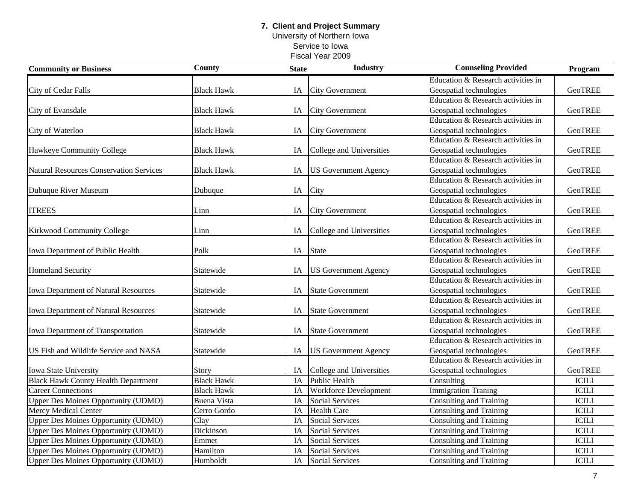University of Northern Iowa Service to Iowa Fiscal Year 2009

| <b>Community or Business</b>                   | <b>County</b>      | <b>State</b> | <b>Industry</b>              | <b>Counseling Provided</b>         | Program        |
|------------------------------------------------|--------------------|--------------|------------------------------|------------------------------------|----------------|
|                                                |                    |              |                              | Education & Research activities in |                |
| City of Cedar Falls                            | <b>Black Hawk</b>  | IA           | <b>City Government</b>       | Geospatial technologies            | <b>GeoTREE</b> |
|                                                |                    |              |                              | Education & Research activities in |                |
| City of Evansdale                              | <b>Black Hawk</b>  | IA           | <b>City Government</b>       | Geospatial technologies            | <b>GeoTREE</b> |
|                                                |                    |              |                              | Education & Research activities in |                |
| City of Waterloo                               | <b>Black Hawk</b>  | IA           | <b>City Government</b>       | Geospatial technologies            | <b>GeoTREE</b> |
|                                                |                    |              |                              | Education & Research activities in |                |
| Hawkeye Community College                      | <b>Black Hawk</b>  | IA           | College and Universities     | Geospatial technologies            | <b>GeoTREE</b> |
|                                                |                    |              |                              | Education & Research activities in |                |
| <b>Natural Resources Conservation Services</b> | <b>Black Hawk</b>  | IA           | <b>US Government Agency</b>  | Geospatial technologies            | <b>GeoTREE</b> |
|                                                |                    |              |                              | Education & Research activities in |                |
| Dubuque River Museum                           | Dubuque            | IA           | City                         | Geospatial technologies            | <b>GeoTREE</b> |
|                                                |                    |              |                              | Education & Research activities in |                |
| <b>ITREES</b>                                  | Linn               | IA           | <b>City Government</b>       | Geospatial technologies            | <b>GeoTREE</b> |
|                                                |                    |              |                              | Education & Research activities in |                |
| Kirkwood Community College                     | Linn               | IA           | College and Universities     | Geospatial technologies            | <b>GeoTREE</b> |
|                                                |                    |              |                              | Education & Research activities in |                |
| Iowa Department of Public Health               | Polk               | IA           | <b>State</b>                 | Geospatial technologies            | <b>GeoTREE</b> |
|                                                |                    |              |                              | Education & Research activities in |                |
| <b>Homeland Security</b>                       | Statewide          | IA           | <b>US Government Agency</b>  | Geospatial technologies            | GeoTREE        |
|                                                |                    |              |                              | Education & Research activities in |                |
| Iowa Department of Natural Resources           | Statewide          | IA           | <b>State Government</b>      | Geospatial technologies            | <b>GeoTREE</b> |
|                                                |                    |              |                              | Education & Research activities in |                |
| Iowa Department of Natural Resources           | Statewide          | IA           | <b>State Government</b>      | Geospatial technologies            | <b>GeoTREE</b> |
|                                                |                    |              |                              | Education & Research activities in |                |
| Iowa Department of Transportation              | Statewide          | IA           | <b>State Government</b>      | Geospatial technologies            | <b>GeoTREE</b> |
|                                                |                    |              |                              | Education & Research activities in |                |
| US Fish and Wildlife Service and NASA          | Statewide          | IA           | <b>US Government Agency</b>  | Geospatial technologies            | <b>GeoTREE</b> |
|                                                |                    |              |                              | Education & Research activities in |                |
| Iowa State University                          | Story              | IA           | College and Universities     | Geospatial technologies            | <b>GeoTREE</b> |
| <b>Black Hawk County Health Department</b>     | <b>Black Hawk</b>  | IA           | <b>Public Health</b>         | Consulting                         | <b>ICILI</b>   |
| Career Connections                             | <b>Black Hawk</b>  | IA           | <b>Workforce Development</b> | <b>Immigration Traning</b>         | <b>ICILI</b>   |
| Upper Des Moines Opportunity (UDMO)            | <b>Buena Vista</b> | IA           | <b>Social Services</b>       | <b>Consulting and Training</b>     | <b>ICILI</b>   |
| Mercy Medical Center                           | Cerro Gordo        | IA           | <b>Health Care</b>           | Consulting and Training            | <b>ICILI</b>   |
| <b>Upper Des Moines Opportunity (UDMO)</b>     | Clay               | IA           | <b>Social Services</b>       | <b>Consulting and Training</b>     | <b>ICILI</b>   |
| Upper Des Moines Opportunity (UDMO)            | Dickinson          | IA           | Social Services              | <b>Consulting and Training</b>     | <b>ICILI</b>   |
| Upper Des Moines Opportunity (UDMO)            | Emmet              | IA           | <b>Social Services</b>       | <b>Consulting and Training</b>     | <b>ICILI</b>   |
| <b>Upper Des Moines Opportunity (UDMO)</b>     | Hamilton           | <b>IA</b>    | <b>Social Services</b>       | Consulting and Training            | <b>ICILI</b>   |
| <b>Upper Des Moines Opportunity (UDMO)</b>     | Humboldt           | IA           | Social Services              | Consulting and Training            | <b>ICILI</b>   |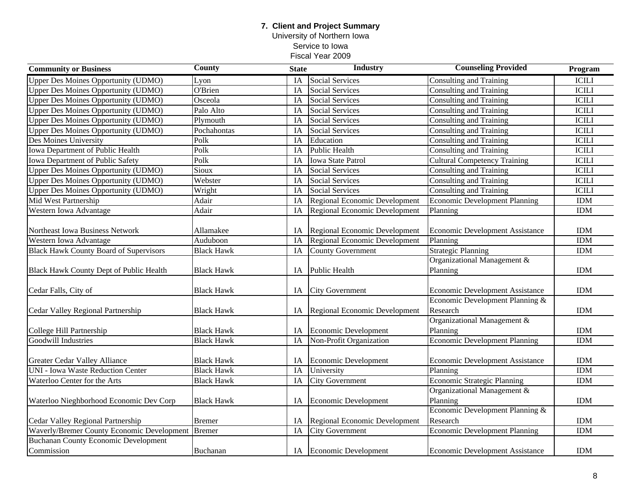University of Northern Iowa Service to Iowa

| <b>Community or Business</b>                  | <b>County</b>              | <b>State</b> | <b>Industry</b>                      | <b>Counseling Provided</b>             | Program      |
|-----------------------------------------------|----------------------------|--------------|--------------------------------------|----------------------------------------|--------------|
| <b>Upper Des Moines Opportunity (UDMO)</b>    | Lyon                       | IA           | <b>Social Services</b>               | <b>Consulting and Training</b>         | <b>ICILI</b> |
| Upper Des Moines Opportunity (UDMO)           | O'Brien                    | IA           | <b>Social Services</b>               | Consulting and Training                | <b>ICILI</b> |
| <b>Upper Des Moines Opportunity (UDMO)</b>    | Osceola                    | IA           | <b>Social Services</b>               | Consulting and Training                | <b>ICILI</b> |
| Upper Des Moines Opportunity (UDMO)           | Palo Alto                  | IA           | <b>Social Services</b>               | Consulting and Training                | <b>ICILI</b> |
| <b>Upper Des Moines Opportunity (UDMO)</b>    | Plymouth                   | IA           | <b>Social Services</b>               | Consulting and Training                | <b>ICILI</b> |
| <b>Upper Des Moines Opportunity (UDMO)</b>    | Pochahontas                | IA           | <b>Social Services</b>               | Consulting and Training                | <b>ICILI</b> |
| Des Moines University                         | Polk                       | IA           | Education                            | <b>Consulting and Training</b>         | <b>ICILI</b> |
| Iowa Department of Public Health              | Polk                       | IA           | <b>Public Health</b>                 | Consulting and Training                | <b>ICILI</b> |
| <b>Iowa Department of Public Safety</b>       | Polk                       | IA           | <b>Iowa State Patrol</b>             | <b>Cultural Competency Training</b>    | <b>ICILI</b> |
| <b>Upper Des Moines Opportunity (UDMO)</b>    | $\overline{\text{S}}$ ioux | IA           | <b>Social Services</b>               | <b>Consulting and Training</b>         | <b>ICILI</b> |
| <b>Upper Des Moines Opportunity (UDMO)</b>    | Webster                    | IA           | <b>Social Services</b>               | <b>Consulting and Training</b>         | <b>ICILI</b> |
| <b>Upper Des Moines Opportunity (UDMO)</b>    | Wright                     | IA           | Social Services                      | Consulting and Training                | <b>ICILI</b> |
| Mid West Partnership                          | Adair                      | IA           | Regional Economic Development        | Economic Development Planning          | <b>IDM</b>   |
| Western Iowa Advantage                        | Adair                      | IA           | Regional Economic Development        | Planning                               | <b>IDM</b>   |
|                                               |                            |              |                                      |                                        |              |
| Northeast Iowa Business Network               | Allamakee                  | IA           | Regional Economic Development        | Economic Development Assistance        | <b>IDM</b>   |
| Western Iowa Advantage                        | Auduboon                   | IA           | <b>Regional Economic Development</b> | Planning                               | <b>IDM</b>   |
| <b>Black Hawk County Board of Supervisors</b> | <b>Black Hawk</b>          | IA           | <b>County Government</b>             | <b>Strategic Planning</b>              | <b>IDM</b>   |
|                                               |                            |              |                                      | Organizational Management &            |              |
| Black Hawk County Dept of Public Health       | <b>Black Hawk</b>          | IA           | <b>Public Health</b>                 | Planning                               | <b>IDM</b>   |
|                                               |                            |              |                                      |                                        |              |
| Cedar Falls, City of                          | <b>Black Hawk</b>          | IA           | <b>City Government</b>               | <b>Economic Development Assistance</b> | <b>IDM</b>   |
|                                               |                            |              |                                      | Economic Development Planning &        |              |
| Cedar Valley Regional Partnership             | <b>Black Hawk</b>          | IA           | Regional Economic Development        | Research                               | <b>IDM</b>   |
|                                               |                            |              |                                      | Organizational Management &            |              |
| College Hill Partnership                      | <b>Black Hawk</b>          | IA           | Economic Development                 | Planning                               | <b>IDM</b>   |
| Goodwill Industries                           | <b>Black Hawk</b>          | IA           | Non-Profit Organization              | <b>Economic Development Planning</b>   | <b>IDM</b>   |
|                                               |                            |              |                                      |                                        |              |
| Greater Cedar Valley Alliance                 | <b>Black Hawk</b>          | IA           | Economic Development                 | <b>Economic Development Assistance</b> | <b>IDM</b>   |
| <b>UNI - Iowa Waste Reduction Center</b>      | <b>Black Hawk</b>          | IA           | University                           | Planning                               | <b>IDM</b>   |
| Waterloo Center for the Arts                  | <b>Black Hawk</b>          | IA           | <b>City Government</b>               | Economic Strategic Planning            | <b>IDM</b>   |
|                                               |                            |              |                                      | Organizational Management &            |              |
| Waterloo Nieghborhood Economic Dev Corp       | <b>Black Hawk</b>          | IA           | Economic Development                 | Planning                               | <b>IDM</b>   |
|                                               |                            |              |                                      | Economic Development Planning &        |              |
| Cedar Valley Regional Partnership             | <b>Bremer</b>              | IA           | Regional Economic Development        | Research                               | <b>IDM</b>   |
| Waverly/Bremer County Economic Development    | <b>Bremer</b>              | IA           | <b>City Government</b>               | <b>Economic Development Planning</b>   | IDM          |
| <b>Buchanan County Economic Development</b>   |                            |              |                                      |                                        |              |
| Commission                                    | Buchanan                   |              | IA Economic Development              | <b>Economic Development Assistance</b> | <b>IDM</b>   |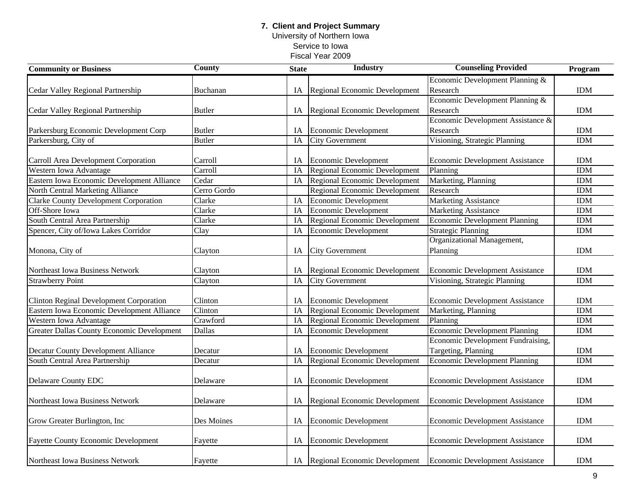University of Northern Iowa Service to Iowa

| <b>Community or Business</b>                   | <b>County</b> | <b>State</b> | <b>Industry</b>                      | <b>Counseling Provided</b>               | Program    |
|------------------------------------------------|---------------|--------------|--------------------------------------|------------------------------------------|------------|
|                                                |               |              |                                      | Economic Development Planning &          |            |
| Cedar Valley Regional Partnership              | Buchanan      | IA           | Regional Economic Development        | Research                                 | <b>IDM</b> |
|                                                |               |              |                                      | Economic Development Planning &          |            |
| Cedar Valley Regional Partnership              | <b>Butler</b> | IA           | Regional Economic Development        | Research                                 | <b>IDM</b> |
|                                                |               |              |                                      | Economic Development Assistance &        |            |
| Parkersburg Economic Development Corp          | <b>Butler</b> | IA           | Economic Development                 | Research                                 | <b>IDM</b> |
| Parkersburg, City of                           | <b>Butler</b> | IA           | <b>City Government</b>               | Visioning, Strategic Planning            | <b>IDM</b> |
|                                                |               |              |                                      |                                          |            |
| Carroll Area Development Corporation           | Carroll       | IA           | <b>Economic Development</b>          | <b>Economic Development Assistance</b>   | <b>IDM</b> |
| Western Iowa Advantage                         | Carroll       | IA           | Regional Economic Development        | Planning                                 | <b>IDM</b> |
| Eastern Iowa Economic Development Alliance     | Cedar         | IA           | Regional Economic Development        | Marketing, Planning                      | <b>IDM</b> |
| North Central Marketing Alliance               | Cerro Gordo   |              | Regional Economic Development        | Research                                 | <b>IDM</b> |
| <b>Clarke County Development Corporation</b>   | Clarke        | IA           | Economic Development                 | <b>Marketing Assistance</b>              | <b>IDM</b> |
| Off-Shore Iowa                                 | Clarke        | IA           | <b>Economic Development</b>          | <b>Marketing Assistance</b>              | <b>IDM</b> |
| South Central Area Partnership                 | Clarke        | IA           | Regional Economic Development        | <b>Economic Development Planning</b>     | <b>IDM</b> |
| Spencer, City of/Iowa Lakes Corridor           | Clay          | IA           | <b>Economic Development</b>          | <b>Strategic Planning</b>                | <b>IDM</b> |
|                                                |               |              |                                      | Organizational Management,               |            |
| Monona, City of                                | Clayton       | IA           | <b>City Government</b>               | Planning                                 | <b>IDM</b> |
|                                                |               |              |                                      |                                          |            |
| Northeast Iowa Business Network                | Clayton       | IA           | Regional Economic Development        | <b>Economic Development Assistance</b>   | <b>IDM</b> |
| <b>Strawberry Point</b>                        | Clayton       | IA           | <b>City Government</b>               | Visioning, Strategic Planning            | <b>IDM</b> |
|                                                |               |              |                                      |                                          |            |
| <b>Clinton Reginal Development Corporation</b> | Clinton       | IA           | <b>Economic Development</b>          | <b>Economic Development Assistance</b>   | <b>IDM</b> |
| Eastern Iowa Economic Development Alliance     | Clinton       | IA           | <b>Regional Economic Development</b> | Marketing, Planning                      | <b>IDM</b> |
| Western Iowa Advantage                         | Crawford      | IA           | Regional Economic Development        | Planning                                 | <b>IDM</b> |
| Greater Dallas County Economic Development     | Dallas        | IA           | Economic Development                 | <b>Economic Development Planning</b>     | <b>IDM</b> |
|                                                |               |              |                                      | <b>Economic Development Fundraising,</b> |            |
| <b>Decatur County Development Alliance</b>     | Decatur       | IA           | Economic Development                 | Targeting, Planning                      | <b>IDM</b> |
| South Central Area Partnership                 | Decatur       | IA           | <b>Regional Economic Development</b> | <b>Economic Development Planning</b>     | <b>IDM</b> |
|                                                |               |              |                                      |                                          |            |
| Delaware County EDC                            | Delaware      | IA           | Economic Development                 | <b>Economic Development Assistance</b>   | <b>IDM</b> |
|                                                |               |              |                                      |                                          |            |
| Northeast Iowa Business Network                | Delaware      | IA           | Regional Economic Development        | <b>Economic Development Assistance</b>   | <b>IDM</b> |
|                                                |               |              |                                      |                                          |            |
| Grow Greater Burlington, Inc.                  | Des Moines    | IA           | Economic Development                 | <b>Economic Development Assistance</b>   | <b>IDM</b> |
|                                                |               |              |                                      |                                          |            |
| <b>Fayette County Economic Development</b>     | Fayette       | IA           | Economic Development                 | <b>Economic Development Assistance</b>   | <b>IDM</b> |
|                                                |               |              |                                      |                                          |            |
| Northeast Iowa Business Network                | Fayette       |              | IA Regional Economic Development     | Economic Development Assistance          | <b>IDM</b> |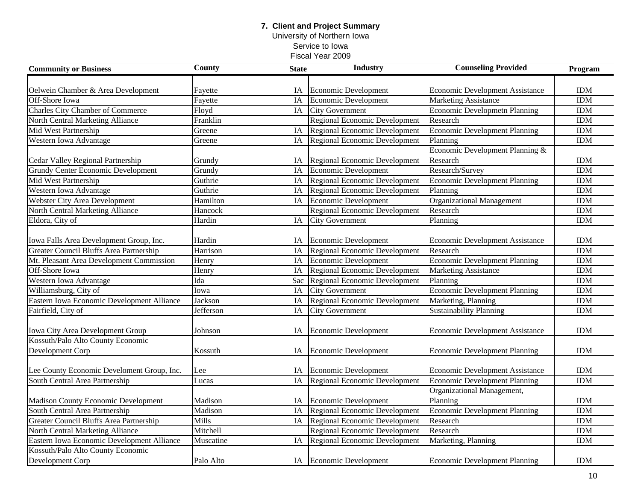University of Northern Iowa Service to Iowa

| <b>Community or Business</b>               | <b>County</b> | <b>State</b>    | <b>Industry</b>                      | <b>Counseling Provided</b>             | Program    |
|--------------------------------------------|---------------|-----------------|--------------------------------------|----------------------------------------|------------|
|                                            |               |                 |                                      |                                        |            |
| Oelwein Chamber & Area Development         | Fayette       | IA              | Economic Development                 | <b>Economic Development Assistance</b> | <b>IDM</b> |
| Off-Shore Iowa                             | Fayette       | IA              | <b>Economic Development</b>          | <b>Marketing Assistance</b>            | <b>IDM</b> |
| Charles City Chamber of Commerce           | Floyd         | IA              | <b>City Government</b>               | <b>Economic Developmetn Planning</b>   | <b>IDM</b> |
| North Central Marketing Alliance           | Franklin      |                 | <b>Regional Economic Development</b> | Research                               | <b>IDM</b> |
| Mid West Partnership                       | Greene        | IA              | <b>Regional Economic Development</b> | <b>Economic Development Planning</b>   | <b>IDM</b> |
| Western Iowa Advantage                     | Greene        | IA              | <b>Regional Economic Development</b> | Planning                               | <b>IDM</b> |
|                                            |               |                 |                                      | Economic Development Planning &        |            |
| Cedar Valley Regional Partnership          | Grundy        | IA              | Regional Economic Development        | Research                               | <b>IDM</b> |
| <b>Grundy Center Economic Development</b>  | Grundy        | IA              | Economic Development                 | Research/Survey                        | <b>IDM</b> |
| Mid West Partnership                       | Guthrie       | IA              | Regional Economic Development        | <b>Economic Development Planning</b>   | <b>IDM</b> |
| Western Iowa Advantage                     | Guthrie       | IA              | Regional Economic Development        | Planning                               | <b>IDM</b> |
| Webster City Area Development              | Hamilton      | IA              | <b>Economic Development</b>          | <b>Organizational Management</b>       | <b>IDM</b> |
| North Central Marketing Alliance           | Hancock       |                 | <b>Regional Economic Development</b> | Research                               | <b>IDM</b> |
| Eldora, City of                            | Hardin        | IA              | <b>City Government</b>               | Planning                               | <b>IDM</b> |
|                                            |               |                 |                                      |                                        |            |
| Iowa Falls Area Development Group, Inc.    | Hardin        | IA              | Economic Development                 | Economic Development Assistance        | <b>IDM</b> |
| Greater Council Bluffs Area Partnership    | Harrison      | IA              | Regional Economic Development        | Research                               | <b>IDM</b> |
| Mt. Pleasant Area Development Commission   | Henry         | IA              | <b>Economic Development</b>          | <b>Economic Development Planning</b>   | <b>IDM</b> |
| Off-Shore Iowa                             | Henry         | IA              | Regional Economic Development        | <b>Marketing Assistance</b>            | <b>IDM</b> |
| Western Iowa Advantage                     | Ida           | Sac             | Regional Economic Development        | Planning                               | <b>IDM</b> |
| Williamsburg, City of                      | Iowa          | $\overline{IA}$ | <b>City Government</b>               | <b>Economic Development Planning</b>   | <b>IDM</b> |
| Eastern Iowa Economic Development Alliance | Jackson       | $\overline{IA}$ | Regional Economic Development        | Marketing, Planning                    | <b>IDM</b> |
| Fairfield, City of                         | Jefferson     | $\overline{IA}$ | <b>City Government</b>               | <b>Sustainability Planning</b>         | <b>IDM</b> |
|                                            |               |                 |                                      |                                        |            |
| Iowa City Area Development Group           | Johnson       | IA              | Economic Development                 | <b>Economic Development Assistance</b> | <b>IDM</b> |
| Kossuth/Palo Alto County Economic          |               |                 |                                      |                                        |            |
| Development Corp                           | Kossuth       | IA              | Economic Development                 | <b>Economic Development Planning</b>   | <b>IDM</b> |
|                                            |               |                 |                                      |                                        |            |
| Lee County Economic Develoment Group, Inc. | Lee           | IA              | Economic Development                 | <b>Economic Development Assistance</b> | <b>IDM</b> |
| South Central Area Partnership             | Lucas         | IA              | <b>Regional Economic Development</b> | Economic Development Planning          | <b>IDM</b> |
|                                            |               |                 |                                      | Organizational Management,             |            |
| <b>Madison County Economic Development</b> | Madison       | IA              | Economic Development                 | Planning                               | <b>IDM</b> |
| South Central Area Partnership             | Madison       | IA              | <b>Regional Economic Development</b> | <b>Economic Development Planning</b>   | <b>IDM</b> |
| Greater Council Bluffs Area Partnership    | Mills         | IA              | <b>Regional Economic Development</b> | Research                               | <b>IDM</b> |
| North Central Marketing Alliance           | Mitchell      |                 | Regional Economic Development        | Research                               | <b>IDM</b> |
| Eastern Iowa Economic Development Alliance | Muscatine     | IA              | Regional Economic Development        | Marketing, Planning                    | <b>IDM</b> |
| Kossuth/Palo Alto County Economic          |               |                 |                                      |                                        |            |
| Development Corp                           | Palo Alto     |                 | IA Economic Development              | <b>Economic Development Planning</b>   | <b>IDM</b> |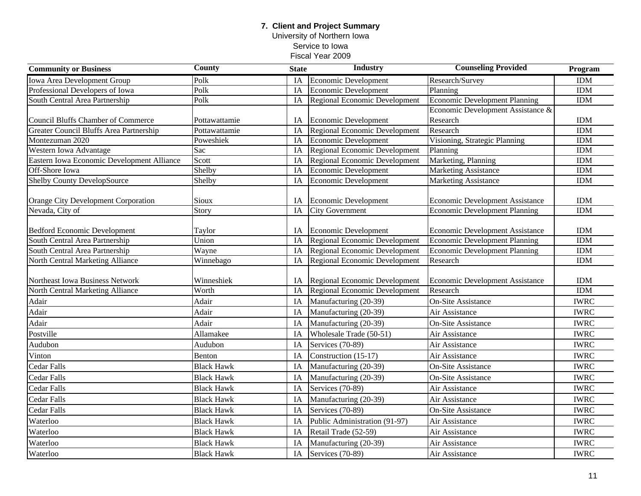### **7. Client and Project Summary** University of Northern Iowa Service to Iowa

| <b>Community or Business</b>               | <b>County</b>     | <b>State</b> | <b>Industry</b>                      | <b>Counseling Provided</b>           | Program                  |
|--------------------------------------------|-------------------|--------------|--------------------------------------|--------------------------------------|--------------------------|
| Iowa Area Development Group                | Polk              | <b>IA</b>    | <b>Economic Development</b>          | Research/Survey                      | <b>IDM</b>               |
| Professional Developers of Iowa            | Polk              | IA           | Economic Development                 | Planning                             | <b>IDM</b>               |
| South Central Area Partnership             | Polk              | IA           | Regional Economic Development        | Economic Development Planning        | <b>IDM</b>               |
|                                            |                   |              |                                      | Economic Development Assistance &    |                          |
| <b>Council Bluffs Chamber of Commerce</b>  | Pottawattamie     | IA           | <b>Economic Development</b>          | Research                             | <b>IDM</b>               |
| Greater Council Bluffs Area Partnership    | Pottawattamie     | IA           | Regional Economic Development        | Research                             | <b>IDM</b>               |
| Montezuman 2020                            | Poweshiek         | IA           | <b>Economic Development</b>          | Visioning, Strategic Planning        | <b>IDM</b>               |
| Western Iowa Advantage                     | Sac               | IA           | Regional Economic Development        | Planning                             | <b>IDM</b>               |
| Eastern Iowa Economic Development Alliance | Scott             | IA           | Regional Economic Development        | Marketing, Planning                  | <b>IDM</b>               |
| Off-Shore Iowa                             | Shelby            | IA           | Economic Development                 | <b>Marketing Assistance</b>          | <b>IDM</b>               |
| Shelby County DevelopSource                | Shelby            | IA           | Economic Development                 | <b>Marketing Assistance</b>          | <b>IDM</b>               |
| <b>Orange City Development Corporation</b> | Sioux             | IA           | Economic Development                 | Economic Development Assistance      | <b>IDM</b>               |
| Nevada, City of                            | Story             | IA           | <b>City Government</b>               | <b>Economic Development Planning</b> | <b>IDM</b>               |
|                                            |                   |              |                                      |                                      |                          |
| <b>Bedford Economic Development</b>        | Taylor<br>Union   | IA           | <b>Economic Development</b>          | Economic Development Assistance      | <b>IDM</b><br><b>IDM</b> |
| South Central Area Partnership             |                   | IA           | <b>Regional Economic Development</b> | <b>Economic Development Planning</b> | <b>IDM</b>               |
| South Central Area Partnership             | Wayne             | IA           | Regional Economic Development        | <b>Economic Development Planning</b> |                          |
| North Central Marketing Alliance           | Winnebago         | IA           | Regional Economic Development        | Research                             | <b>IDM</b>               |
| Northeast Iowa Business Network            | Winneshiek        | IA           | Regional Economic Development        | Economic Development Assistance      | <b>IDM</b>               |
| North Central Marketing Alliance           | Worth             | IA           | <b>Regional Economic Development</b> | Research                             | <b>IDM</b>               |
| Adair                                      | Adair             | IA           | Manufacturing (20-39)                | <b>On-Site Assistance</b>            | <b>IWRC</b>              |
| Adair                                      | Adair             | IA           | Manufacturing (20-39)                | Air Assistance                       | <b>IWRC</b>              |
| Adair                                      | Adair             | IA           | Manufacturing (20-39)                | On-Site Assistance                   | <b>IWRC</b>              |
| Postville                                  | Allamakee         | IA           | Wholesale Trade (50-51)              | Air Assistance                       | <b>IWRC</b>              |
| Audubon                                    | Audubon           | IA           | Services (70-89)                     | Air Assistance                       | <b>IWRC</b>              |
| Vinton                                     | Benton            | IA           | Construction (15-17)                 | Air Assistance                       | <b>IWRC</b>              |
| Cedar Falls                                | <b>Black Hawk</b> | IA           | Manufacturing (20-39)                | <b>On-Site Assistance</b>            | <b>IWRC</b>              |
| Cedar Falls                                | <b>Black Hawk</b> | IA           | Manufacturing (20-39)                | <b>On-Site Assistance</b>            | <b>IWRC</b>              |
| Cedar Falls                                | <b>Black Hawk</b> | IA           | Services (70-89)                     | Air Assistance                       | <b>IWRC</b>              |
| Cedar Falls                                | <b>Black Hawk</b> | IA           | Manufacturing (20-39)                | Air Assistance                       | <b>IWRC</b>              |
| Cedar Falls                                | <b>Black Hawk</b> | IA           | Services (70-89)                     | <b>On-Site Assistance</b>            | <b>IWRC</b>              |
| Waterloo                                   | <b>Black Hawk</b> | IA           | Public Administration (91-97)        | Air Assistance                       | <b>IWRC</b>              |
| Waterloo                                   | <b>Black Hawk</b> | IA           | Retail Trade (52-59)                 | Air Assistance                       | <b>IWRC</b>              |
| Waterloo                                   | <b>Black Hawk</b> | IA           | Manufacturing (20-39)                | Air Assistance                       | <b>IWRC</b>              |
| Waterloo                                   | <b>Black Hawk</b> | IA           | Services (70-89)                     | Air Assistance                       | <b>IWRC</b>              |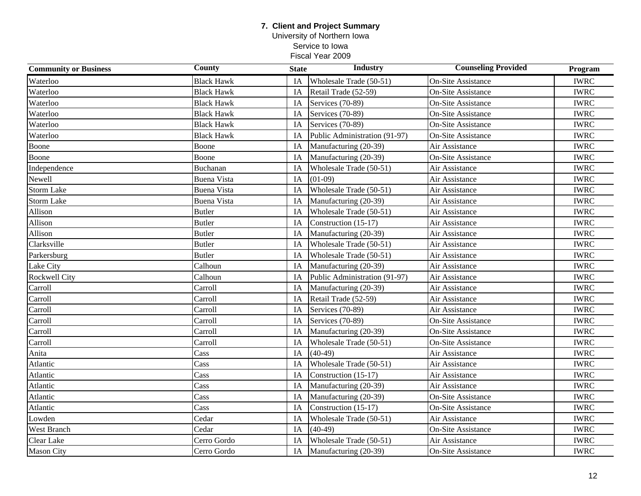### **7. Client and Project Summary** University of Northern Iowa

Service to Iowa

| <b>Community or Business</b> | <b>County</b>      | <b>State</b> | <b>Industry</b>               | <b>Counseling Provided</b> | Program     |
|------------------------------|--------------------|--------------|-------------------------------|----------------------------|-------------|
| Waterloo                     | <b>Black Hawk</b>  | IA           | Wholesale Trade (50-51)       | <b>On-Site Assistance</b>  | <b>IWRC</b> |
| Waterloo                     | <b>Black Hawk</b>  | IA           | Retail Trade (52-59)          | <b>On-Site Assistance</b>  | <b>IWRC</b> |
| Waterloo                     | <b>Black Hawk</b>  | IA           | Services (70-89)              | <b>On-Site Assistance</b>  | <b>IWRC</b> |
| Waterloo                     | <b>Black Hawk</b>  | IA           | Services (70-89)              | <b>On-Site Assistance</b>  | <b>IWRC</b> |
| Waterloo                     | <b>Black Hawk</b>  | IA           | Services (70-89)              | <b>On-Site Assistance</b>  | <b>IWRC</b> |
| Waterloo                     | <b>Black Hawk</b>  | IA           | Public Administration (91-97) | <b>On-Site Assistance</b>  | <b>IWRC</b> |
| Boone                        | Boone              | IA           | Manufacturing (20-39)         | Air Assistance             | <b>IWRC</b> |
| Boone                        | Boone              | IA           | Manufacturing (20-39)         | <b>On-Site Assistance</b>  | <b>IWRC</b> |
| Independence                 | Buchanan           | IA           | Wholesale Trade (50-51)       | Air Assistance             | <b>IWRC</b> |
| Newell                       | <b>Buena Vista</b> | IA           | $(01-09)$                     | Air Assistance             | <b>IWRC</b> |
| <b>Storm Lake</b>            | <b>Buena Vista</b> | IA           | Wholesale Trade (50-51)       | Air Assistance             | <b>IWRC</b> |
| <b>Storm Lake</b>            | <b>Buena Vista</b> | IA           | Manufacturing (20-39)         | Air Assistance             | <b>IWRC</b> |
| Allison                      | Butler             | IA           | Wholesale Trade (50-51)       | Air Assistance             | <b>IWRC</b> |
| Allison                      | <b>Butler</b>      | IA           | Construction (15-17)          | Air Assistance             | <b>IWRC</b> |
| Allison                      | <b>Butler</b>      | IA           | Manufacturing (20-39)         | Air Assistance             | <b>IWRC</b> |
| Clarksville                  | <b>Butler</b>      | IA           | Wholesale Trade (50-51)       | Air Assistance             | <b>IWRC</b> |
| Parkersburg                  | <b>Butler</b>      | IA           | Wholesale Trade (50-51)       | Air Assistance             | <b>IWRC</b> |
| Lake City                    | Calhoun            | IA           | Manufacturing (20-39)         | Air Assistance             | <b>IWRC</b> |
| Rockwell City                | Calhoun            | IA           | Public Administration (91-97) | Air Assistance             | <b>IWRC</b> |
| Carroll                      | Carroll            | IA           | Manufacturing (20-39)         | Air Assistance             | <b>IWRC</b> |
| Carroll                      | Carroll            | IA           | Retail Trade (52-59)          | Air Assistance             | <b>IWRC</b> |
| Carroll                      | Carroll            | IA           | Services (70-89)              | Air Assistance             | <b>IWRC</b> |
| Carroll                      | Carroll            | IA           | Services (70-89)              | <b>On-Site Assistance</b>  | <b>IWRC</b> |
| Carroll                      | Carroll            | IA           | Manufacturing (20-39)         | <b>On-Site Assistance</b>  | <b>IWRC</b> |
| Carroll                      | Carroll            | IA           | Wholesale Trade (50-51)       | <b>On-Site Assistance</b>  | <b>IWRC</b> |
| Anita                        | Cass               | IA           | $(40-49)$                     | Air Assistance             | <b>IWRC</b> |
| Atlantic                     | Cass               | IA           | Wholesale Trade (50-51)       | Air Assistance             | <b>IWRC</b> |
| Atlantic                     | Cass               | IA           | Construction (15-17)          | Air Assistance             | <b>IWRC</b> |
| Atlantic                     | Cass               | IA           | Manufacturing (20-39)         | Air Assistance             | <b>IWRC</b> |
| Atlantic                     | Cass               | IA           | Manufacturing (20-39)         | <b>On-Site Assistance</b>  | <b>IWRC</b> |
| Atlantic                     | Cass               | IA           | Construction (15-17)          | <b>On-Site Assistance</b>  | <b>IWRC</b> |
| Lowden                       | Cedar              | IA           | Wholesale Trade (50-51)       | Air Assistance             | <b>IWRC</b> |
| West Branch                  | Cedar              | IA           | $(40-49)$                     | <b>On-Site Assistance</b>  | <b>IWRC</b> |
| Clear Lake                   | Cerro Gordo        | IA           | Wholesale Trade (50-51)       | Air Assistance             | <b>IWRC</b> |
| <b>Mason City</b>            | Cerro Gordo        | IA           | Manufacturing (20-39)         | <b>On-Site Assistance</b>  | <b>IWRC</b> |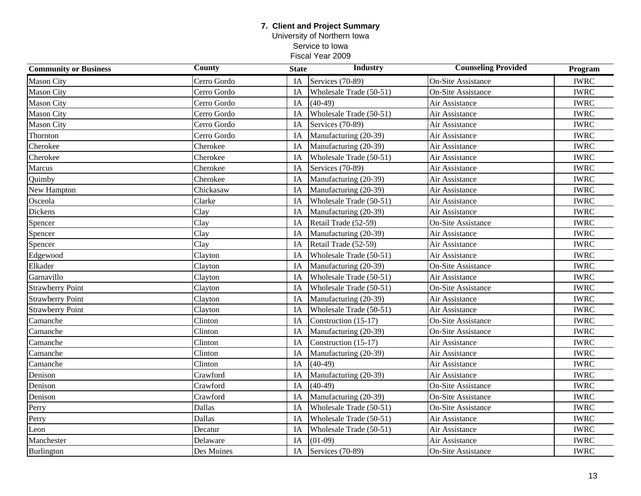University of Northern Iowa Service to Iowa

| <b>Community or Business</b> | <b>County</b> | <b>State</b> | <b>Industry</b>         | <b>Counseling Provided</b> | Program     |
|------------------------------|---------------|--------------|-------------------------|----------------------------|-------------|
| <b>Mason City</b>            | Cerro Gordo   | IA           | Services (70-89)        | <b>On-Site Assistance</b>  | <b>IWRC</b> |
| <b>Mason City</b>            | Cerro Gordo   | IA           | Wholesale Trade (50-51) | <b>On-Site Assistance</b>  | <b>IWRC</b> |
| <b>Mason City</b>            | Cerro Gordo   | IA           | $(40-49)$               | Air Assistance             | <b>IWRC</b> |
| <b>Mason City</b>            | Cerro Gordo   | IA           | Wholesale Trade (50-51) | Air Assistance             | <b>IWRC</b> |
| <b>Mason City</b>            | Cerro Gordo   | IA           | Services (70-89)        | Air Assistance             | <b>IWRC</b> |
| Thornton                     | Cerro Gordo   | IA           | Manufacturing (20-39)   | Air Assistance             | <b>IWRC</b> |
| Cherokee                     | Cherokee      | IA           | Manufacturing (20-39)   | Air Assistance             | <b>IWRC</b> |
| Cherokee                     | Cherokee      | IA           | Wholesale Trade (50-51) | Air Assistance             | <b>IWRC</b> |
| Marcus                       | Cherokee      | IA           | Services (70-89)        | Air Assistance             | <b>IWRC</b> |
| Quimby                       | Cherokee      | IA           | Manufacturing (20-39)   | Air Assistance             | <b>IWRC</b> |
| New Hampton                  | Chickasaw     | IA           | Manufacturing (20-39)   | Air Assistance             | <b>IWRC</b> |
| Osceola                      | Clarke        | IA           | Wholesale Trade (50-51) | Air Assistance             | <b>IWRC</b> |
| <b>Dickens</b>               | Clay          | IA           | Manufacturing (20-39)   | Air Assistance             | <b>IWRC</b> |
| Spencer                      | Clay          | IA           | Retail Trade (52-59)    | <b>On-Site Assistance</b>  | <b>IWRC</b> |
| Spencer                      | Clay          | IA           | Manufacturing (20-39)   | Air Assistance             | <b>IWRC</b> |
| Spencer                      | Clay          | IA           | Retail Trade (52-59)    | Air Assistance             | <b>IWRC</b> |
| Edgewood                     | Clayton       | IA           | Wholesale Trade (50-51) | Air Assistance             | <b>IWRC</b> |
| Elkader                      | Clayton       | IA           | Manufacturing (20-39)   | <b>On-Site Assistance</b>  | <b>IWRC</b> |
| Garnavillo                   | Clayton       | IA           | Wholesale Trade (50-51) | Air Assistance             | <b>IWRC</b> |
| <b>Strawberry Point</b>      | Clayton       | IA           | Wholesale Trade (50-51) | <b>On-Site Assistance</b>  | <b>IWRC</b> |
| <b>Strawberry Point</b>      | Clayton       | IA           | Manufacturing (20-39)   | Air Assistance             | <b>IWRC</b> |
| <b>Strawberry Point</b>      | Clayton       | IA           | Wholesale Trade (50-51) | Air Assistance             | <b>IWRC</b> |
| Camanche                     | Clinton       | IA           | Construction (15-17)    | <b>On-Site Assistance</b>  | <b>IWRC</b> |
| Camanche                     | Clinton       | IA           | Manufacturing (20-39)   | <b>On-Site Assistance</b>  | <b>IWRC</b> |
| Camanche                     | Clinton       | IA           | Construction (15-17)    | Air Assistance             | <b>IWRC</b> |
| Camanche                     | Clinton       | IA           | Manufacturing (20-39)   | Air Assistance             | <b>IWRC</b> |
| Camanche                     | Clinton       | IA           | $(40-49)$               | Air Assistance             | <b>IWRC</b> |
| Denison                      | Crawford      | IA           | Manufacturing (20-39)   | Air Assistance             | <b>IWRC</b> |
| Denison                      | Crawford      | IA           | $(40-49)$               | <b>On-Site Assistance</b>  | <b>IWRC</b> |
| Denison                      | Crawford      | IA           | Manufacturing (20-39)   | <b>On-Site Assistance</b>  | <b>IWRC</b> |
| Perry                        | Dallas        | IA           | Wholesale Trade (50-51) | On-Site Assistance         | <b>IWRC</b> |
| Perry                        | Dallas        | IA           | Wholesale Trade (50-51) | Air Assistance             | <b>IWRC</b> |
| Leon                         | Decatur       | IA           | Wholesale Trade (50-51) | Air Assistance             | <b>IWRC</b> |
| Manchester                   | Delaware      | IA           | $(01-09)$               | Air Assistance             | <b>IWRC</b> |
| <b>Burlington</b>            | Des Moines    | IA           | Services (70-89)        | <b>On-Site Assistance</b>  | <b>IWRC</b> |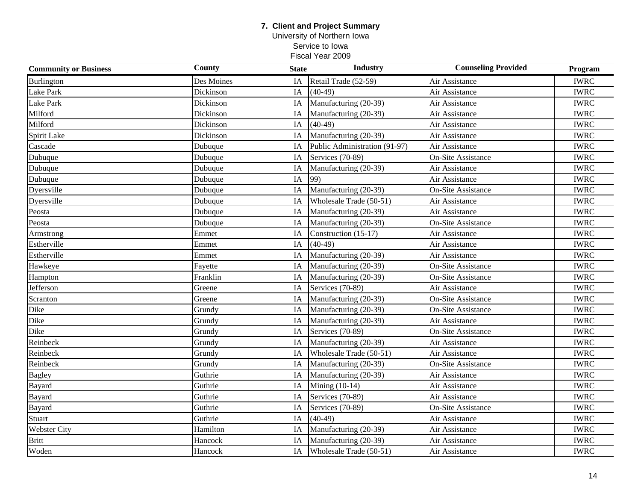University of Northern Iowa Service to Iowa

| <b>Community or Business</b> | County     | <b>State</b> | <b>Industry</b>               | <b>Counseling Provided</b> | Program     |
|------------------------------|------------|--------------|-------------------------------|----------------------------|-------------|
| Burlington                   | Des Moines | IA           | Retail Trade (52-59)          | Air Assistance             | <b>IWRC</b> |
| Lake Park                    | Dickinson  | IA           | $(40-49)$                     | Air Assistance             | <b>IWRC</b> |
| Lake Park                    | Dickinson  | IA           | Manufacturing (20-39)         | Air Assistance             | <b>IWRC</b> |
| Milford                      | Dickinson  | IA           | Manufacturing (20-39)         | Air Assistance             | <b>IWRC</b> |
| Milford                      | Dickinson  | IA           | $(40-49)$                     | Air Assistance             | <b>IWRC</b> |
| Spirit Lake                  | Dickinson  | IA           | Manufacturing (20-39)         | Air Assistance             | <b>IWRC</b> |
| Cascade                      | Dubuque    | IA           | Public Administration (91-97) | Air Assistance             | <b>IWRC</b> |
| Dubuque                      | Dubuque    | IA           | Services (70-89)              | <b>On-Site Assistance</b>  | <b>IWRC</b> |
| Dubuque                      | Dubuque    | IA           | Manufacturing (20-39)         | Air Assistance             | <b>IWRC</b> |
| Dubuque                      | Dubuque    | IA           | 99)                           | Air Assistance             | <b>IWRC</b> |
| Dyersville                   | Dubuque    | IA           | Manufacturing (20-39)         | <b>On-Site Assistance</b>  | <b>IWRC</b> |
| Dyersville                   | Dubuque    | IA           | Wholesale Trade (50-51)       | Air Assistance             | <b>IWRC</b> |
| Peosta                       | Dubuque    | IA           | Manufacturing (20-39)         | Air Assistance             | <b>IWRC</b> |
| Peosta                       | Dubuque    | IA           | Manufacturing (20-39)         | <b>On-Site Assistance</b>  | <b>IWRC</b> |
| Armstrong                    | Emmet      | IA           | Construction (15-17)          | Air Assistance             | <b>IWRC</b> |
| Estherville                  | Emmet      | IA           | $(40-49)$                     | Air Assistance             | <b>IWRC</b> |
| Estherville                  | Emmet      | IA           | Manufacturing (20-39)         | Air Assistance             | <b>IWRC</b> |
| Hawkeye                      | Fayette    | IA           | Manufacturing (20-39)         | <b>On-Site Assistance</b>  | <b>IWRC</b> |
| Hampton                      | Franklin   | IA           | Manufacturing (20-39)         | <b>On-Site Assistance</b>  | <b>IWRC</b> |
| Jefferson                    | Greene     | IA           | Services (70-89)              | Air Assistance             | <b>IWRC</b> |
| Scranton                     | Greene     | IA           | Manufacturing (20-39)         | <b>On-Site Assistance</b>  | <b>IWRC</b> |
| Dike                         | Grundy     | IA           | Manufacturing (20-39)         | <b>On-Site Assistance</b>  | <b>IWRC</b> |
| Dike                         | Grundy     | IA           | Manufacturing (20-39)         | Air Assistance             | <b>IWRC</b> |
| Dike                         | Grundy     | IA           | Services (70-89)              | <b>On-Site Assistance</b>  | <b>IWRC</b> |
| Reinbeck                     | Grundy     | IA           | Manufacturing (20-39)         | Air Assistance             | <b>IWRC</b> |
| Reinbeck                     | Grundy     | IA           | Wholesale Trade (50-51)       | Air Assistance             | <b>IWRC</b> |
| Reinbeck                     | Grundy     | IA           | Manufacturing (20-39)         | <b>On-Site Assistance</b>  | <b>IWRC</b> |
| <b>Bagley</b>                | Guthrie    | IA           | Manufacturing (20-39)         | Air Assistance             | <b>IWRC</b> |
| Bayard                       | Guthrie    | IA           | Mining (10-14)                | Air Assistance             | <b>IWRC</b> |
| <b>Bayard</b>                | Guthrie    | IA           | Services (70-89)              | Air Assistance             | <b>IWRC</b> |
| <b>Bayard</b>                | Guthrie    | IA           | Services (70-89)              | <b>On-Site Assistance</b>  | <b>IWRC</b> |
| <b>Stuart</b>                | Guthrie    | IA           | $(40-49)$                     | Air Assistance             | <b>IWRC</b> |
| <b>Webster City</b>          | Hamilton   | IA           | Manufacturing (20-39)         | Air Assistance             | <b>IWRC</b> |
| <b>Britt</b>                 | Hancock    | IA           | Manufacturing (20-39)         | Air Assistance             | <b>IWRC</b> |
| Woden                        | Hancock    | IA           | Wholesale Trade (50-51)       | Air Assistance             | <b>IWRC</b> |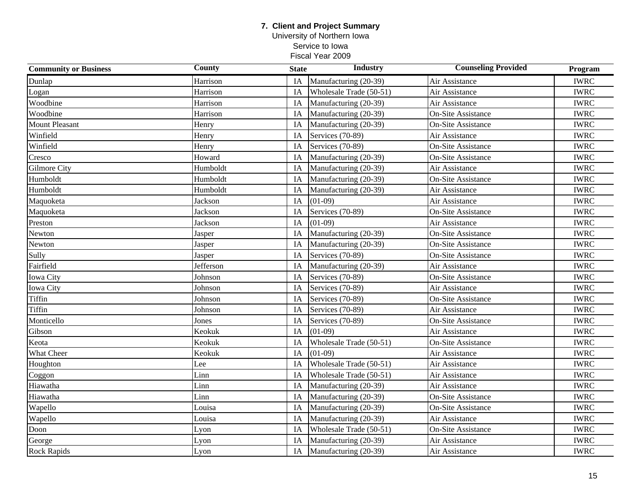University of Northern Iowa Service to Iowa

| <b>Community or Business</b> | <b>County</b> | <b>State</b> | <b>Industry</b>         | <b>Counseling Provided</b> | Program     |
|------------------------------|---------------|--------------|-------------------------|----------------------------|-------------|
| Dunlap                       | Harrison      | IA           | Manufacturing (20-39)   | Air Assistance             | <b>IWRC</b> |
| Logan                        | Harrison      | IA           | Wholesale Trade (50-51) | Air Assistance             | <b>IWRC</b> |
| Woodbine                     | Harrison      | IA           | Manufacturing (20-39)   | Air Assistance             | <b>IWRC</b> |
| Woodbine                     | Harrison      | IA           | Manufacturing (20-39)   | <b>On-Site Assistance</b>  | <b>IWRC</b> |
| <b>Mount Pleasant</b>        | Henry         | IA           | Manufacturing (20-39)   | <b>On-Site Assistance</b>  | <b>IWRC</b> |
| Winfield                     | Henry         | IA           | Services (70-89)        | Air Assistance             | <b>IWRC</b> |
| Winfield                     | Henry         | IA           | Services (70-89)        | <b>On-Site Assistance</b>  | <b>IWRC</b> |
| Cresco                       | Howard        | IA           | Manufacturing (20-39)   | <b>On-Site Assistance</b>  | <b>IWRC</b> |
| <b>Gilmore City</b>          | Humboldt      | IA           | Manufacturing (20-39)   | Air Assistance             | <b>IWRC</b> |
| Humboldt                     | Humboldt      | IA           | Manufacturing (20-39)   | <b>On-Site Assistance</b>  | <b>IWRC</b> |
| Humboldt                     | Humboldt      | IA           | Manufacturing (20-39)   | Air Assistance             | <b>IWRC</b> |
| Maquoketa                    | Jackson       | IA           | $(01-09)$               | Air Assistance             | <b>IWRC</b> |
| Maquoketa                    | Jackson       | IA           | Services (70-89)        | <b>On-Site Assistance</b>  | <b>IWRC</b> |
| Preston                      | Jackson       | IA           | $(01-09)$               | Air Assistance             | <b>IWRC</b> |
| Newton                       | Jasper        | IA           | Manufacturing (20-39)   | <b>On-Site Assistance</b>  | <b>IWRC</b> |
| Newton                       | Jasper        | IA           | Manufacturing (20-39)   | <b>On-Site Assistance</b>  | <b>IWRC</b> |
| Sully                        | Jasper        | IA           | Services (70-89)        | <b>On-Site Assistance</b>  | <b>IWRC</b> |
| Fairfield                    | Jefferson     | IA           | Manufacturing (20-39)   | Air Assistance             | <b>IWRC</b> |
| <b>Iowa City</b>             | Johnson       | IA           | Services (70-89)        | <b>On-Site Assistance</b>  | <b>IWRC</b> |
| <b>Iowa City</b>             | Johnson       | IA           | Services (70-89)        | Air Assistance             | <b>IWRC</b> |
| <b>Tiffin</b>                | Johnson       | IA           | Services (70-89)        | <b>On-Site Assistance</b>  | <b>IWRC</b> |
| Tiffin                       | Johnson       | IA           | Services (70-89)        | Air Assistance             | <b>IWRC</b> |
| Monticello                   | Jones         | IA           | Services (70-89)        | <b>On-Site Assistance</b>  | <b>IWRC</b> |
| Gibson                       | Keokuk        | IA           | $(01-09)$               | Air Assistance             | <b>IWRC</b> |
| Keota                        | Keokuk        | IA           | Wholesale Trade (50-51) | <b>On-Site Assistance</b>  | <b>IWRC</b> |
| What Cheer                   | Keokuk        | IA           | $(01-09)$               | Air Assistance             | <b>IWRC</b> |
| Houghton                     | Lee           | IA           | Wholesale Trade (50-51) | Air Assistance             | <b>IWRC</b> |
| Coggon                       | Linn          | IA           | Wholesale Trade (50-51) | Air Assistance             | <b>IWRC</b> |
| Hiawatha                     | Linn          | IA           | Manufacturing (20-39)   | Air Assistance             | <b>IWRC</b> |
| Hiawatha                     | Linn          | IA           | Manufacturing (20-39)   | <b>On-Site Assistance</b>  | <b>IWRC</b> |
| Wapello                      | Louisa        | IA           | Manufacturing (20-39)   | <b>On-Site Assistance</b>  | <b>IWRC</b> |
| Wapello                      | Louisa        | IA           | Manufacturing (20-39)   | Air Assistance             | <b>IWRC</b> |
| Doon                         | Lyon          | IA           | Wholesale Trade (50-51) | <b>On-Site Assistance</b>  | <b>IWRC</b> |
| George                       | Lyon          | IA           | Manufacturing (20-39)   | Air Assistance             | <b>IWRC</b> |
| <b>Rock Rapids</b>           | Lyon          | IA           | Manufacturing (20-39)   | Air Assistance             | <b>IWRC</b> |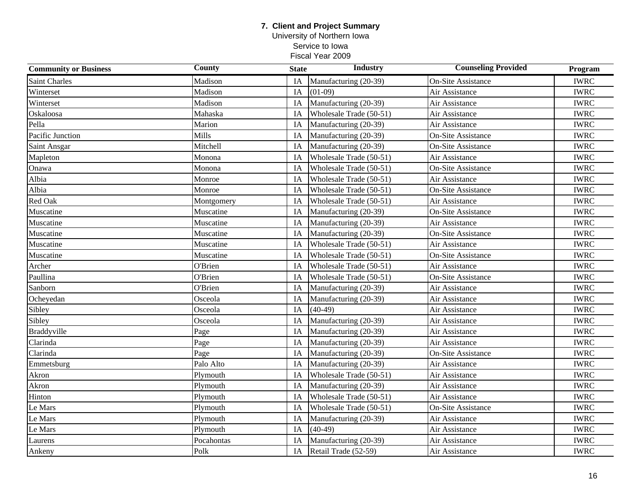University of Northern Iowa Service to Iowa

| <b>Community or Business</b> | <b>County</b> | <b>State</b> | <b>Industry</b>         | <b>Counseling Provided</b> | Program     |
|------------------------------|---------------|--------------|-------------------------|----------------------------|-------------|
| <b>Saint Charles</b>         | Madison       | IA           | Manufacturing (20-39)   | <b>On-Site Assistance</b>  | <b>IWRC</b> |
| Winterset                    | Madison       | IA           | $(01-09)$               | Air Assistance             | <b>IWRC</b> |
| Winterset                    | Madison       | IA           | Manufacturing (20-39)   | Air Assistance             | <b>IWRC</b> |
| Oskaloosa                    | Mahaska       | IA           | Wholesale Trade (50-51) | Air Assistance             | <b>IWRC</b> |
| Pella                        | Marion        | IA           | Manufacturing (20-39)   | Air Assistance             | <b>IWRC</b> |
| Pacific Junction             | Mills         | IA           | Manufacturing (20-39)   | <b>On-Site Assistance</b>  | <b>IWRC</b> |
| Saint Ansgar                 | Mitchell      | IA           | Manufacturing (20-39)   | <b>On-Site Assistance</b>  | <b>IWRC</b> |
| Mapleton                     | Monona        | IA           | Wholesale Trade (50-51) | Air Assistance             | <b>IWRC</b> |
| Onawa                        | Monona        | IA           | Wholesale Trade (50-51) | <b>On-Site Assistance</b>  | <b>IWRC</b> |
| Albia                        | Monroe        | IA           | Wholesale Trade (50-51) | Air Assistance             | <b>IWRC</b> |
| Albia                        | Monroe        | IA           | Wholesale Trade (50-51) | <b>On-Site Assistance</b>  | <b>IWRC</b> |
| Red Oak                      | Montgomery    | IA           | Wholesale Trade (50-51) | Air Assistance             | <b>IWRC</b> |
| Muscatine                    | Muscatine     | IA           | Manufacturing (20-39)   | <b>On-Site Assistance</b>  | <b>IWRC</b> |
| Muscatine                    | Muscatine     | IA           | Manufacturing (20-39)   | Air Assistance             | <b>IWRC</b> |
| Muscatine                    | Muscatine     | IA           | Manufacturing (20-39)   | <b>On-Site Assistance</b>  | <b>IWRC</b> |
| Muscatine                    | Muscatine     | IA           | Wholesale Trade (50-51) | Air Assistance             | <b>IWRC</b> |
| Muscatine                    | Muscatine     | IA           | Wholesale Trade (50-51) | <b>On-Site Assistance</b>  | <b>IWRC</b> |
| Archer                       | O'Brien       | IA           | Wholesale Trade (50-51) | Air Assistance             | <b>IWRC</b> |
| Paullina                     | O'Brien       | IA           | Wholesale Trade (50-51) | <b>On-Site Assistance</b>  | <b>IWRC</b> |
| Sanborn                      | O'Brien       | IA           | Manufacturing (20-39)   | Air Assistance             | <b>IWRC</b> |
| Ocheyedan                    | Osceola       | IA           | Manufacturing (20-39)   | Air Assistance             | <b>IWRC</b> |
| Sibley                       | Osceola       | IA           | $(40-49)$               | Air Assistance             | <b>IWRC</b> |
| Sibley                       | Osceola       | IA           | Manufacturing (20-39)   | Air Assistance             | <b>IWRC</b> |
| <b>Braddyville</b>           | Page          | IA           | Manufacturing (20-39)   | Air Assistance             | <b>IWRC</b> |
| Clarinda                     | Page          | IA           | Manufacturing (20-39)   | Air Assistance             | <b>IWRC</b> |
| Clarinda                     | Page          | IA           | Manufacturing (20-39)   | <b>On-Site Assistance</b>  | <b>IWRC</b> |
| Emmetsburg                   | Palo Alto     | IA           | Manufacturing (20-39)   | Air Assistance             | <b>IWRC</b> |
| Akron                        | Plymouth      | IA           | Wholesale Trade (50-51) | Air Assistance             | <b>IWRC</b> |
| Akron                        | Plymouth      | IA           | Manufacturing (20-39)   | Air Assistance             | <b>IWRC</b> |
| Hinton                       | Plymouth      | IA           | Wholesale Trade (50-51) | Air Assistance             | <b>IWRC</b> |
| Le Mars                      | Plymouth      | IA           | Wholesale Trade (50-51) | <b>On-Site Assistance</b>  | <b>IWRC</b> |
| Le Mars                      | Plymouth      | IA           | Manufacturing (20-39)   | Air Assistance             | <b>IWRC</b> |
| Le Mars                      | Plymouth      | IA           | $(40-49)$               | Air Assistance             | <b>IWRC</b> |
| Laurens                      | Pocahontas    | IA           | Manufacturing (20-39)   | Air Assistance             | <b>IWRC</b> |
| Ankeny                       | Polk          | IA           | Retail Trade (52-59)    | Air Assistance             | <b>IWRC</b> |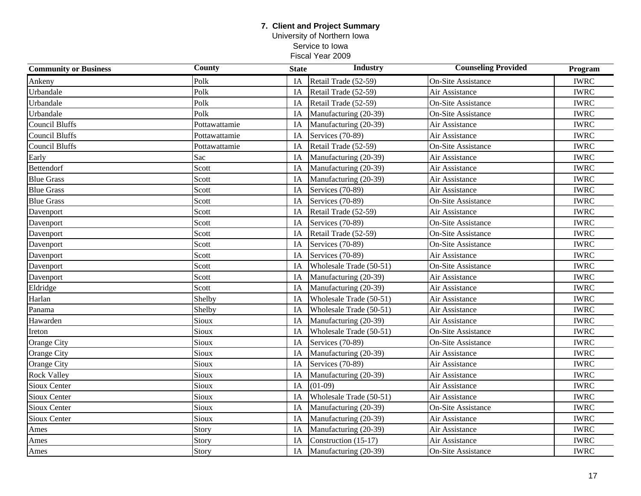University of Northern Iowa Service to Iowa Fiscal Year 2009

| <b>Community or Business</b> | <b>County</b> | <b>State</b> | <b>Industry</b>         | <b>Counseling Provided</b> | Program     |
|------------------------------|---------------|--------------|-------------------------|----------------------------|-------------|
| Ankeny                       | Polk          | IA           | Retail Trade (52-59)    | <b>On-Site Assistance</b>  | <b>IWRC</b> |
| Urbandale                    | Polk          | IA           | Retail Trade (52-59)    | Air Assistance             | <b>IWRC</b> |
| Urbandale                    | Polk          | IA           | Retail Trade (52-59)    | <b>On-Site Assistance</b>  | <b>IWRC</b> |
| Urbandale                    | Polk          | IA           | Manufacturing (20-39)   | <b>On-Site Assistance</b>  | <b>IWRC</b> |
| Council Bluffs               | Pottawattamie | IA           | Manufacturing (20-39)   | Air Assistance             | <b>IWRC</b> |
| <b>Council Bluffs</b>        | Pottawattamie | IA           | Services (70-89)        | Air Assistance             | <b>IWRC</b> |
| <b>Council Bluffs</b>        | Pottawattamie | IA           | Retail Trade (52-59)    | <b>On-Site Assistance</b>  | <b>IWRC</b> |
| Early                        | Sac           | IA           | Manufacturing (20-39)   | Air Assistance             | <b>IWRC</b> |
| Bettendorf                   | Scott         | IA           | Manufacturing (20-39)   | Air Assistance             | <b>IWRC</b> |
| <b>Blue Grass</b>            | Scott         | IA           | Manufacturing (20-39)   | Air Assistance             | <b>IWRC</b> |
| <b>Blue Grass</b>            | Scott         | IA           | Services (70-89)        | Air Assistance             | <b>IWRC</b> |
| <b>Blue Grass</b>            | Scott         | IA           | Services (70-89)        | <b>On-Site Assistance</b>  | <b>IWRC</b> |
| Davenport                    | Scott         | IA           | Retail Trade (52-59)    | Air Assistance             | <b>IWRC</b> |
| Davenport                    | Scott         | IA           | Services (70-89)        | <b>On-Site Assistance</b>  | <b>IWRC</b> |
| Davenport                    | Scott         | IA           | Retail Trade (52-59)    | <b>On-Site Assistance</b>  | <b>IWRC</b> |
| Davenport                    | Scott         | IA           | Services (70-89)        | <b>On-Site Assistance</b>  | <b>IWRC</b> |
| Davenport                    | Scott         | IA           | Services (70-89)        | Air Assistance             | <b>IWRC</b> |
| Davenport                    | Scott         | IA           | Wholesale Trade (50-51) | <b>On-Site Assistance</b>  | <b>IWRC</b> |
| Davenport                    | Scott         | IA           | Manufacturing (20-39)   | Air Assistance             | <b>IWRC</b> |
| Eldridge                     | Scott         | IA           | Manufacturing (20-39)   | Air Assistance             | <b>IWRC</b> |
| Harlan                       | Shelby        | IA           | Wholesale Trade (50-51) | Air Assistance             | <b>IWRC</b> |
| Panama                       | Shelby        | IA           | Wholesale Trade (50-51) | Air Assistance             | <b>IWRC</b> |
| Hawarden                     | Sioux         | IA           | Manufacturing (20-39)   | Air Assistance             | <b>IWRC</b> |
| Ireton                       | Sioux         | IA           | Wholesale Trade (50-51) | <b>On-Site Assistance</b>  | <b>IWRC</b> |
| Orange City                  | Sioux         | IA           | Services (70-89)        | <b>On-Site Assistance</b>  | <b>IWRC</b> |
| Orange City                  | Sioux         | IA           | Manufacturing (20-39)   | Air Assistance             | <b>IWRC</b> |
| Orange City                  | Sioux         | IA           | Services (70-89)        | Air Assistance             | <b>IWRC</b> |
| <b>Rock Valley</b>           | Sioux         | IA           | Manufacturing (20-39)   | Air Assistance             | <b>IWRC</b> |
| Sioux Center                 | Sioux         | IA           | $(01-09)$               | Air Assistance             | <b>IWRC</b> |
| Sioux Center                 | Sioux         | IA           | Wholesale Trade (50-51) | Air Assistance             | <b>IWRC</b> |
| Sioux Center                 | Sioux         | IA           | Manufacturing (20-39)   | <b>On-Site Assistance</b>  | <b>IWRC</b> |
| Sioux Center                 | Sioux         | IA           | Manufacturing (20-39)   | Air Assistance             | <b>IWRC</b> |
| Ames                         | Story         | IA           | Manufacturing (20-39)   | Air Assistance             | <b>IWRC</b> |
| Ames                         | Story         | IA           | Construction (15-17)    | Air Assistance             | <b>IWRC</b> |
| Ames                         | Story         | IA           | Manufacturing (20-39)   | <b>On-Site Assistance</b>  | <b>IWRC</b> |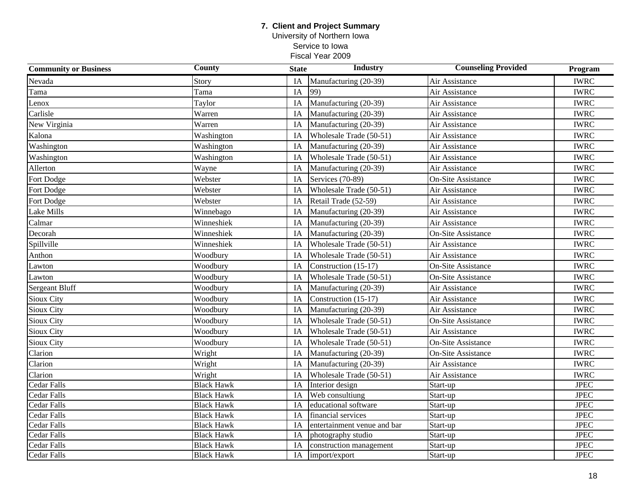University of Northern Iowa Service to Iowa

| <b>Community or Business</b> | <b>County</b>     | <b>State</b> | <b>Industry</b>             | <b>Counseling Provided</b> | Program     |
|------------------------------|-------------------|--------------|-----------------------------|----------------------------|-------------|
| Nevada                       | Story             | IA           | Manufacturing (20-39)       | Air Assistance             | <b>IWRC</b> |
| Tama                         | Tama              | IA           | 99)                         | Air Assistance             | <b>IWRC</b> |
| Lenox                        | Taylor            | IA           | Manufacturing (20-39)       | Air Assistance             | <b>IWRC</b> |
| Carlisle                     | Warren            | IA           | Manufacturing (20-39)       | Air Assistance             | <b>IWRC</b> |
| New Virginia                 | Warren            | IA           | Manufacturing (20-39)       | Air Assistance             | <b>IWRC</b> |
| Kalona                       | Washington        | IA           | Wholesale Trade (50-51)     | Air Assistance             | <b>IWRC</b> |
| Washington                   | Washington        | IA           | Manufacturing (20-39)       | Air Assistance             | <b>IWRC</b> |
| Washington                   | Washington        | IA           | Wholesale Trade (50-51)     | Air Assistance             | <b>IWRC</b> |
| Allerton                     | Wayne             | IA           | Manufacturing (20-39)       | Air Assistance             | <b>IWRC</b> |
| Fort Dodge                   | Webster           | IA           | Services (70-89)            | <b>On-Site Assistance</b>  | <b>IWRC</b> |
| Fort Dodge                   | Webster           | IA           | Wholesale Trade (50-51)     | Air Assistance             | <b>IWRC</b> |
| Fort Dodge                   | Webster           | IA           | Retail Trade (52-59)        | Air Assistance             | <b>IWRC</b> |
| Lake Mills                   | Winnebago         | IA           | Manufacturing (20-39)       | Air Assistance             | <b>IWRC</b> |
| Calmar                       | Winneshiek        | IA           | Manufacturing (20-39)       | Air Assistance             | <b>IWRC</b> |
| Decorah                      | Winneshiek        | IA           | Manufacturing (20-39)       | <b>On-Site Assistance</b>  | <b>IWRC</b> |
| Spillville                   | Winneshiek        | IA           | Wholesale Trade (50-51)     | Air Assistance             | <b>IWRC</b> |
| Anthon                       | Woodbury          | IA           | Wholesale Trade (50-51)     | Air Assistance             | <b>IWRC</b> |
| Lawton                       | Woodbury          | IA           | Construction (15-17)        | <b>On-Site Assistance</b>  | <b>IWRC</b> |
| Lawton                       | Woodbury          | IA           | Wholesale Trade (50-51)     | <b>On-Site Assistance</b>  | <b>IWRC</b> |
| Sergeant Bluff               | Woodbury          | IA           | Manufacturing (20-39)       | Air Assistance             | <b>IWRC</b> |
| Sioux City                   | Woodbury          | IA           | Construction (15-17)        | Air Assistance             | <b>IWRC</b> |
| Sioux City                   | Woodbury          | IA           | Manufacturing (20-39)       | Air Assistance             | <b>IWRC</b> |
| Sioux City                   | Woodbury          | IA           | Wholesale Trade (50-51)     | <b>On-Site Assistance</b>  | <b>IWRC</b> |
| Sioux City                   | Woodbury          | IA           | Wholesale Trade (50-51)     | Air Assistance             | <b>IWRC</b> |
| Sioux City                   | Woodbury          | IA           | Wholesale Trade (50-51)     | <b>On-Site Assistance</b>  | <b>IWRC</b> |
| Clarion                      | Wright            | IA           | Manufacturing (20-39)       | <b>On-Site Assistance</b>  | <b>IWRC</b> |
| Clarion                      | Wright            | IA           | Manufacturing (20-39)       | Air Assistance             | <b>IWRC</b> |
| Clarion                      | Wright            | IA           | Wholesale Trade (50-51)     | Air Assistance             | <b>IWRC</b> |
| Cedar Falls                  | <b>Black Hawk</b> | IA           | Interior design             | Start-up                   | <b>JPEC</b> |
| Cedar Falls                  | <b>Black Hawk</b> | IA           | Web consultiung             | Start-up                   | <b>JPEC</b> |
| Cedar Falls                  | <b>Black Hawk</b> | IA           | educational software        | Start-up                   | <b>JPEC</b> |
| Cedar Falls                  | <b>Black Hawk</b> | IA           | financial services          | Start-up                   | JPEC        |
| Cedar Falls                  | <b>Black Hawk</b> | IA           | entertainment venue and bar | Start-up                   | <b>JPEC</b> |
| Cedar Falls                  | <b>Black Hawk</b> | IA           | photography studio          | Start-up                   | <b>JPEC</b> |
| Cedar Falls                  | <b>Black Hawk</b> | IA           | construction management     | Start-up                   | <b>JPEC</b> |
| <b>Cedar Falls</b>           | <b>Black Hawk</b> | IA           | import/export               | Start-up                   | <b>JPEC</b> |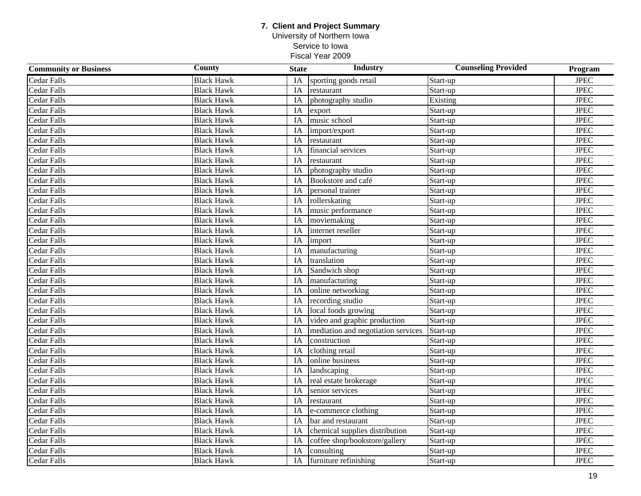### **7. Client and Project Summary** University of Northern Iowa Service to Iowa

| <b>Community or Business</b> | County            | <b>State</b> | Industry                           | <b>Counseling Provided</b> | Program     |
|------------------------------|-------------------|--------------|------------------------------------|----------------------------|-------------|
| <b>Cedar Falls</b>           | <b>Black Hawk</b> | IA           | sporting goods retail              | Start-up                   | <b>JPEC</b> |
| <b>Cedar Falls</b>           | <b>Black Hawk</b> | IA           | restaurant                         | Start-up                   | <b>JPEC</b> |
| <b>Cedar Falls</b>           | <b>Black Hawk</b> | IA           | photography studio                 | Existing                   | <b>JPEC</b> |
| <b>Cedar Falls</b>           | <b>Black Hawk</b> | IA           | export                             | Start-up                   | <b>JPEC</b> |
| <b>Cedar Falls</b>           | <b>Black Hawk</b> | IA           | music school                       | Start-up                   | <b>JPEC</b> |
| <b>Cedar Falls</b>           | <b>Black Hawk</b> | IA           | import/export                      | Start-up                   | <b>JPEC</b> |
| <b>Cedar Falls</b>           | <b>Black Hawk</b> | IA           | restaurant                         | Start-up                   | <b>JPEC</b> |
| <b>Cedar Falls</b>           | <b>Black Hawk</b> | IA           | financial services                 | Start-up                   | <b>JPEC</b> |
| <b>Cedar Falls</b>           | <b>Black Hawk</b> | IA           | restaurant                         | Start-up                   | <b>JPEC</b> |
| Cedar Falls                  | <b>Black Hawk</b> | IA           | photography studio                 | Start-up                   | <b>JPEC</b> |
| <b>Cedar Falls</b>           | <b>Black Hawk</b> | IA           | Bookstore and café                 | Start-up                   | <b>JPEC</b> |
| <b>Cedar Falls</b>           | <b>Black Hawk</b> | IA           | personal trainer                   | Start-up                   | <b>JPEC</b> |
| <b>Cedar Falls</b>           | <b>Black Hawk</b> | IA           | rollerskating                      | Start-up                   | <b>JPEC</b> |
| <b>Cedar Falls</b>           | <b>Black Hawk</b> | IA           | music performance                  | Start-up                   | <b>JPEC</b> |
| <b>Cedar Falls</b>           | <b>Black Hawk</b> | IA           | moviemaking                        | Start-up                   | <b>JPEC</b> |
| <b>Cedar Falls</b>           | <b>Black Hawk</b> | IA           | internet reseller                  | Start-up                   | <b>JPEC</b> |
| <b>Cedar Falls</b>           | <b>Black Hawk</b> | IA           | import                             | Start-up                   | <b>JPEC</b> |
| <b>Cedar Falls</b>           | <b>Black Hawk</b> | IA           | manufacturing                      | Start-up                   | <b>JPEC</b> |
| <b>Cedar Falls</b>           | <b>Black Hawk</b> | IA           | translation                        | Start-up                   | <b>JPEC</b> |
| <b>Cedar Falls</b>           | <b>Black Hawk</b> | IA           | Sandwich shop                      | Start-up                   | <b>JPEC</b> |
| <b>Cedar Falls</b>           | <b>Black Hawk</b> | IA           | manufacturing                      | Start-up                   | <b>JPEC</b> |
| <b>Cedar Falls</b>           | <b>Black Hawk</b> | IA           | online networking                  | Start-up                   | <b>JPEC</b> |
| <b>Cedar Falls</b>           | <b>Black Hawk</b> | <b>IA</b>    | recording studio                   | Start-up                   | <b>JPEC</b> |
| Cedar Falls                  | <b>Black Hawk</b> | IA           | local foods growing                | Start-up                   | <b>JPEC</b> |
| Cedar Falls                  | <b>Black Hawk</b> | IA           | video and graphic production       | Start-up                   | <b>JPEC</b> |
| <b>Cedar Falls</b>           | <b>Black Hawk</b> | IA           | mediation and negotiation services | Start-up                   | <b>JPEC</b> |
| <b>Cedar Falls</b>           | <b>Black Hawk</b> | IA           | construction                       | Start-up                   | <b>JPEC</b> |
| Cedar Falls                  | <b>Black Hawk</b> | IA           | clothing retail                    | Start-up                   | <b>JPEC</b> |
| <b>Cedar Falls</b>           | <b>Black Hawk</b> | IA           | online business                    | Start-up                   | <b>JPEC</b> |
| <b>Cedar Falls</b>           | <b>Black Hawk</b> | IA           | landscaping                        | Start-up                   | <b>JPEC</b> |
| <b>Cedar Falls</b>           | <b>Black Hawk</b> | IA           | real estate brokerage              | Start-up                   | <b>JPEC</b> |
| Cedar Falls                  | <b>Black Hawk</b> | IA           | senior services                    | Start-up                   | <b>JPEC</b> |
| <b>Cedar Falls</b>           | <b>Black Hawk</b> | IA           | restaurant                         | Start-up                   | <b>JPEC</b> |
| <b>Cedar Falls</b>           | <b>Black Hawk</b> | IA           | e-commerce clothing                | Start-up                   | <b>JPEC</b> |
| <b>Cedar Falls</b>           | <b>Black Hawk</b> | IA           | bar and restaurant                 | Start-up                   | <b>JPEC</b> |
| <b>Cedar Falls</b>           | <b>Black Hawk</b> | IA           | chemical supplies distribution     | Start-up                   | <b>JPEC</b> |
| <b>Cedar Falls</b>           | <b>Black Hawk</b> | IA           | coffee shop/bookstore/gallery      | Start-up                   | <b>JPEC</b> |
| <b>Cedar Falls</b>           | <b>Black Hawk</b> | IA           | consulting                         | Start-up                   | <b>JPEC</b> |
| Cedar Falls                  | <b>Black Hawk</b> | IA           | furniture refinishing              | Start-up                   | <b>JPEC</b> |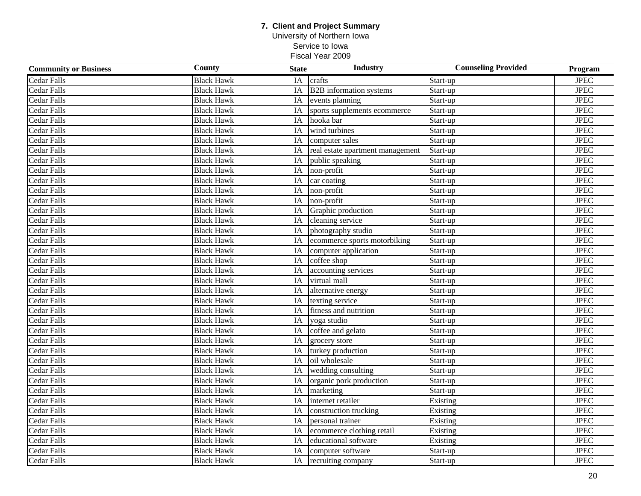### **7. Client and Project Summary** University of Northern Iowa

Service to Iowa

| <b>Community or Business</b> | County            | <b>State</b>    | Industry                         | <b>Counseling Provided</b> | Program       |
|------------------------------|-------------------|-----------------|----------------------------------|----------------------------|---------------|
| <b>Cedar Falls</b>           | <b>Black Hawk</b> | IA              | crafts                           | Start-up                   | <b>JPEC</b>   |
| <b>Cedar Falls</b>           | <b>Black Hawk</b> | IA              | <b>B2B</b> information systems   | Start-up                   | <b>JPEC</b>   |
| <b>Cedar Falls</b>           | <b>Black Hawk</b> | IA              | events planning                  | Start-up                   | <b>JPEC</b>   |
| <b>Cedar Falls</b>           | <b>Black Hawk</b> | IA              | sports supplements ecommerce     | Start-up                   | <b>JPEC</b>   |
| <b>Cedar Falls</b>           | <b>Black Hawk</b> | IA              | hooka bar                        | Start-up                   | <b>JPEC</b>   |
| <b>Cedar Falls</b>           | <b>Black Hawk</b> | IA              | wind turbines                    | Start-up                   | <b>JPEC</b>   |
| <b>Cedar Falls</b>           | <b>Black Hawk</b> | IA              | computer sales                   | Start-up                   | $_{\rm JPEG}$ |
| <b>Cedar Falls</b>           | <b>Black Hawk</b> | IA              | real estate apartment management | Start-up                   | <b>JPEC</b>   |
| Cedar Falls                  | <b>Black Hawk</b> | IA              | public speaking                  | Start-up                   | <b>JPEC</b>   |
| Cedar Falls                  | <b>Black Hawk</b> | IA              | non-profit                       | Start-up                   | <b>JPEC</b>   |
| <b>Cedar Falls</b>           | <b>Black Hawk</b> | IA              | car coating                      | Start-up                   | <b>JPEC</b>   |
| <b>Cedar Falls</b>           | <b>Black Hawk</b> | IA              | non-profit                       | Start-up                   | $_{\rm JPEG}$ |
| <b>Cedar Falls</b>           | <b>Black Hawk</b> | IA              | non-profit                       | Start-up                   | <b>JPEC</b>   |
| <b>Cedar Falls</b>           | <b>Black Hawk</b> | IA              | Graphic production               | Start-up                   | $_{\rm JPEG}$ |
| Cedar Falls                  | <b>Black Hawk</b> | IA              | cleaning service                 | Start-up                   | $_{\rm JPEG}$ |
| <b>Cedar Falls</b>           | <b>Black Hawk</b> | IA              | photography studio               | Start-up                   | $_{\rm JPEG}$ |
| Cedar Falls                  | <b>Black Hawk</b> | IA              | ecommerce sports motorbiking     | Start-up                   | $_{\rm JPEG}$ |
| Cedar Falls                  | <b>Black Hawk</b> | IA              | computer application             | Start-up                   | <b>JPEC</b>   |
| <b>Cedar Falls</b>           | <b>Black Hawk</b> | IA              | coffee shop                      | Start-up                   | $_{\rm JPEG}$ |
| <b>Cedar Falls</b>           | <b>Black Hawk</b> | IA              | accounting services              | Start-up                   | $_{\rm JPEG}$ |
| Cedar Falls                  | <b>Black Hawk</b> | $\overline{IA}$ | virtual mall                     | Start-up                   | <b>JPEC</b>   |
| <b>Cedar Falls</b>           | <b>Black Hawk</b> | IA              | alternative energy               | Start-up                   | <b>JPEC</b>   |
| <b>Cedar Falls</b>           | <b>Black Hawk</b> | IA              | texting service                  | Start-up                   | <b>JPEC</b>   |
| Cedar Falls                  | <b>Black Hawk</b> | IA              | fitness and nutrition            | Start-up                   | <b>JPEC</b>   |
| Cedar Falls                  | <b>Black Hawk</b> | IA              | yoga studio                      | Start-up                   | <b>JPEC</b>   |
| <b>Cedar Falls</b>           | <b>Black Hawk</b> | IA              | coffee and gelato                | Start-up                   | $_{\rm JPEG}$ |
| <b>Cedar Falls</b>           | <b>Black Hawk</b> | IA              | grocery store                    | Start-up                   | <b>JPEC</b>   |
| <b>Cedar Falls</b>           | <b>Black Hawk</b> | IA              | turkey production                | Start-up                   | $_{\rm JPEG}$ |
| <b>Cedar Falls</b>           | <b>Black Hawk</b> | IA              | oil wholesale                    | Start-up                   | $_{\rm JPEG}$ |
| <b>Cedar Falls</b>           | <b>Black Hawk</b> | IA              | wedding consulting               | Start-up                   | $_{\rm JPEG}$ |
| <b>Cedar Falls</b>           | <b>Black Hawk</b> | IA              | organic pork production          | Start-up                   | <b>JPEC</b>   |
| Cedar Falls                  | <b>Black Hawk</b> | IA              | marketing                        | Start-up                   | <b>JPEC</b>   |
| Cedar Falls                  | <b>Black Hawk</b> | IA              | internet retailer                | Existing                   | <b>JPEC</b>   |
| <b>Cedar Falls</b>           | <b>Black Hawk</b> | IA              | construction trucking            | Existing                   | <b>JPEC</b>   |
| <b>Cedar Falls</b>           | <b>Black Hawk</b> | IA              | personal trainer                 | Existing                   | <b>JPEC</b>   |
| <b>Cedar Falls</b>           | <b>Black Hawk</b> | IA              | ecommerce clothing retail        | Existing                   | $_{\rm JPEG}$ |
| <b>Cedar Falls</b>           | <b>Black Hawk</b> | IA              | educational software             | Existing                   | $_{\rm JPEG}$ |
| <b>Cedar Falls</b>           | <b>Black Hawk</b> | IA              | computer software                | Start-up                   | $_{\rm JPEG}$ |
| Cedar Falls                  | <b>Black Hawk</b> | IA              | recruiting company               | Start-up                   | $_{\rm JPEG}$ |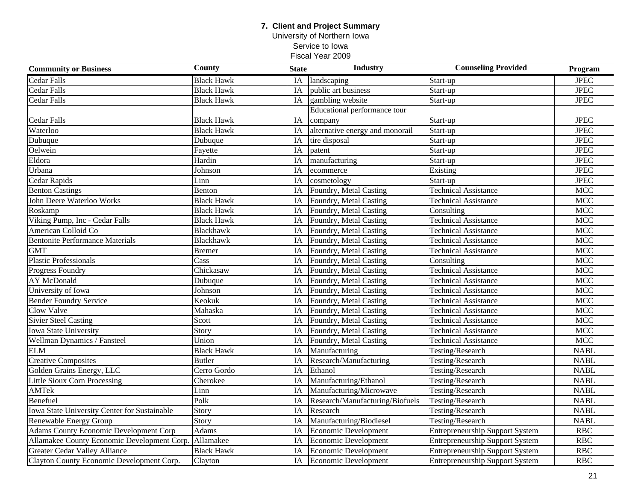University of Northern Iowa Service to Iowa

| <b>Community or Business</b>                  | County            | <b>State</b>    | Industry                        | <b>Counseling Provided</b>             | Program              |
|-----------------------------------------------|-------------------|-----------------|---------------------------------|----------------------------------------|----------------------|
| Cedar Falls                                   | <b>Black Hawk</b> | <b>IA</b>       | landscaping                     | Start-up                               | <b>JPEC</b>          |
| <b>Cedar Falls</b>                            | <b>Black Hawk</b> | IA              | public art business             | Start-up                               | <b>JPEC</b>          |
| Cedar Falls                                   | <b>Black Hawk</b> | IA              | gambling website                | Start-up                               | <b>JPEC</b>          |
|                                               |                   |                 | Educational performance tour    |                                        |                      |
| <b>Cedar Falls</b>                            | <b>Black Hawk</b> | IA              | company                         | Start-up                               | <b>JPEC</b>          |
| Waterloo                                      | <b>Black Hawk</b> | IA              | alternative energy and monorail | Start-up                               | $_{\rm JPEG}$        |
| Dubuque                                       | Dubuque           | IA              | tire disposal                   | Start-up                               | <b>JPEC</b>          |
| Oelwein                                       | Fayette           | IA              | patent                          | Start-up                               | $_{\rm JPEG}$        |
| Eldora                                        | Hardin            | IA              | manufacturing                   | Start-up                               | $_{\rm JPEG}$        |
| Urbana                                        | Johnson           | IA              | ecommerce                       | Existing                               | $_{\rm JPEG}$        |
| Cedar Rapids                                  | Linn              | IA              | cosmetology                     | Start-up                               | $_{\rm JPEG}$        |
| <b>Benton Castings</b>                        | Benton            | IA              | Foundry, Metal Casting          | <b>Technical Assistance</b>            | <b>MCC</b>           |
| John Deere Waterloo Works                     | <b>Black Hawk</b> | IA              | Foundry, Metal Casting          | Technical Assistance                   | <b>MCC</b>           |
| Roskamp                                       | <b>Black Hawk</b> | IA              | Foundry, Metal Casting          | Consulting                             | $\operatorname{MCC}$ |
| Viking Pump, Inc - Cedar Falls                | <b>Black Hawk</b> | IA              | Foundry, Metal Casting          | <b>Technical Assistance</b>            | <b>MCC</b>           |
| American Colloid Co                           | Blackhawk         | IA              | Foundry, Metal Casting          | <b>Technical Assistance</b>            | <b>MCC</b>           |
| <b>Bentonite Performance Materials</b>        | <b>Blackhawk</b>  | IA              | Foundry, Metal Casting          | <b>Technical Assistance</b>            | <b>MCC</b>           |
| <b>GMT</b>                                    | <b>Bremer</b>     | IA              | Foundry, Metal Casting          | <b>Technical Assistance</b>            | <b>MCC</b>           |
| <b>Plastic Professionals</b>                  | Cass              | IA              | Foundry, Metal Casting          | Consulting                             | <b>MCC</b>           |
| Progress Foundry                              | Chickasaw         | IA              | Foundry, Metal Casting          | <b>Technical Assistance</b>            | <b>MCC</b>           |
| <b>AY McDonald</b>                            | Dubuque           | $\overline{IA}$ | Foundry, Metal Casting          | <b>Technical Assistance</b>            | <b>MCC</b>           |
| University of Iowa                            | Johnson           | $\overline{IA}$ | Foundry, Metal Casting          | <b>Technical Assistance</b>            | <b>MCC</b>           |
| <b>Bender Foundry Service</b>                 | Keokuk            | IA              | Foundry, Metal Casting          | <b>Technical Assistance</b>            | <b>MCC</b>           |
| Clow Valve                                    | Mahaska           | IA              | Foundry, Metal Casting          | <b>Technical Assistance</b>            | <b>MCC</b>           |
| <b>Sivier Steel Casting</b>                   | Scott             | IA              | Foundry, Metal Casting          | <b>Technical Assistance</b>            | <b>MCC</b>           |
| <b>Iowa State University</b>                  | Story             | IA              | Foundry, Metal Casting          | <b>Technical Assistance</b>            | <b>MCC</b>           |
| Wellman Dynamics / Fansteel                   | Union             | IA              | Foundry, Metal Casting          | <b>Technical Assistance</b>            | <b>MCC</b>           |
| <b>ELM</b>                                    | <b>Black Hawk</b> | IA              | Manufacturing                   | Testing/Research                       | <b>NABL</b>          |
| <b>Creative Composites</b>                    | Butler            | IA              | Research/Manufacturing          | Testing/Research                       | <b>NABL</b>          |
| Golden Grains Energy, LLC                     | Cerro Gordo       | IA              | Ethanol                         | Testing/Research                       | <b>NABL</b>          |
| <b>Little Sioux Corn Processing</b>           | Cherokee          | IA              | Manufacturing/Ethanol           | Testing/Research                       | <b>NABL</b>          |
| AMTek                                         | Linn              | IA              | Manufacturing/Microwave         | Testing/Research                       | <b>NABL</b>          |
| Benefuel                                      | Polk              | IA              | Research/Manufacturing/Biofuels | Testing/Research                       | <b>NABL</b>          |
| Iowa State University Center for Sustainable  | Story             | IA              | Research                        | Testing/Research                       | <b>NABL</b>          |
| Renewable Energy Group                        | Story             | IA              | Manufacturing/Biodiesel         | Testing/Research                       | <b>NABL</b>          |
| <b>Adams County Economic Development Corp</b> | Adams             | IA              | Economic Development            | <b>Entrepreneurship Support System</b> | <b>RBC</b>           |
| Allamakee County Economic Development Corp.   | Allamakee         | IA              | <b>Economic Development</b>     | <b>Entrepreneurship Support System</b> | RBC                  |
| <b>Greater Cedar Valley Alliance</b>          | <b>Black Hawk</b> | IA              | Economic Development            | <b>Entrepreneurship Support System</b> | RBC                  |
| Clayton County Economic Development Corp.     | Clayton           | IA              | Economic Development            | <b>Entrepreneurship Support System</b> | RBC                  |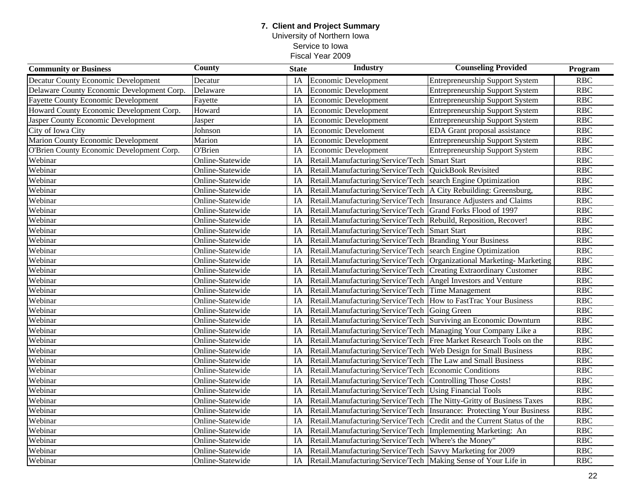### **7. Client and Project Summary** University of Northern Iowa Service to Iowa Fiscal Year 2009

| <b>Community or Business</b>               | <b>County</b>    | <b>State</b> | <b>Industry</b>                                                | <b>Counseling Provided</b>                 | Program    |
|--------------------------------------------|------------------|--------------|----------------------------------------------------------------|--------------------------------------------|------------|
| Decatur County Economic Development        | Decatur          | IA           | Economic Development                                           | <b>Entrepreneurship Support System</b>     | <b>RBC</b> |
| Delaware County Economic Development Corp. | Delaware         | IA           | Economic Development                                           | <b>Entrepreneurship Support System</b>     | RBC        |
| <b>Fayette County Economic Development</b> | Fayette          | IA           | Economic Development                                           | <b>Entrepreneurship Support System</b>     | <b>RBC</b> |
| Howard County Economic Development Corp.   | Howard           | IA           | <b>Economic Development</b>                                    | <b>Entrepreneurship Support System</b>     | <b>RBC</b> |
| Jasper County Economic Development         | Jasper           | IA           | Economic Development                                           | <b>Entrepreneurship Support System</b>     | <b>RBC</b> |
| City of Iowa City                          | Johnson          | IA           | <b>Economic Develoment</b>                                     | EDA Grant proposal assistance              | <b>RBC</b> |
| <b>Marion County Economic Development</b>  | Marion           | IA           | Economic Development                                           | <b>Entrepreneurship Support System</b>     | <b>RBC</b> |
| O'Brien County Economic Development Corp.  | O'Brien          | IA           | <b>Economic Development</b>                                    | <b>Entrepreneurship Support System</b>     | <b>RBC</b> |
| Webinar                                    | Online-Statewide | IA           | Retail.Manufacturing/Service/Tech                              | <b>Smart Start</b>                         | RBC        |
| Webinar                                    | Online-Statewide | IA           | Retail.Manufacturing/Service/Tech                              | QuickBook Revisited                        | <b>RBC</b> |
| Webinar                                    | Online-Statewide | IA           | Retail.Manufacturing/Service/Tech                              | search Engine Optimization                 | <b>RBC</b> |
| Webinar                                    | Online-Statewide | IA           | Retail.Manufacturing/Service/Tech                              | A City Rebuilding: Greensburg,             | <b>RBC</b> |
| Webinar                                    | Online-Statewide | IA           | Retail.Manufacturing/Service/Tech                              | Insurance Adjusters and Claims             | <b>RBC</b> |
| Webinar                                    | Online-Statewide | IA           | Retail.Manufacturing/Service/Tech                              | Grand Forks Flood of 1997                  | <b>RBC</b> |
| Webinar                                    | Online-Statewide | IA           | Retail.Manufacturing/Service/Tech                              | Rebuild, Reposition, Recover!              | RBC        |
| Webinar                                    | Online-Statewide | IA           | Retail.Manufacturing/Service/Tech                              | <b>Smart Start</b>                         | <b>RBC</b> |
| Webinar                                    | Online-Statewide | IA           | Retail.Manufacturing/Service/Tech                              | <b>Branding Your Business</b>              | <b>RBC</b> |
| Webinar                                    | Online-Statewide | IA           | Retail.Manufacturing/Service/Tech                              | search Engine Optimization                 | <b>RBC</b> |
| Webinar                                    | Online-Statewide | IA           | Retail.Manufacturing/Service/Tech                              | Organizational Marketing-Marketing         | <b>RBC</b> |
| Webinar                                    | Online-Statewide | IA           | Retail.Manufacturing/Service/Tech                              | <b>Creating Extraordinary Customer</b>     | <b>RBC</b> |
| Webinar                                    | Online-Statewide | IA           | Retail.Manufacturing/Service/Tech                              | Angel Investors and Venture                | RBC        |
| Webinar                                    | Online-Statewide | IA           | Retail.Manufacturing/Service/Tech                              | Time Management                            | <b>RBC</b> |
| Webinar                                    | Online-Statewide | IA           | Retail.Manufacturing/Service/Tech                              | <b>How to FastTrac Your Business</b>       | RBC        |
| Webinar                                    | Online-Statewide | IA           | Retail.Manufacturing/Service/Tech                              | Going Green                                | RBC        |
| Webinar                                    | Online-Statewide | IA           | Retail.Manufacturing/Service/Tech                              | Surviving an Economic Downturn             | RBC        |
| Webinar                                    | Online-Statewide | IA           | Retail.Manufacturing/Service/Tech                              | Managing Your Company Like a               | <b>RBC</b> |
| Webinar                                    | Online-Statewide | IA           | Retail.Manufacturing/Service/Tech                              | Free Market Research Tools on the          | <b>RBC</b> |
| Webinar                                    | Online-Statewide | IA           | Retail.Manufacturing/Service/Tech                              | <b>Web Design for Small Business</b>       | <b>RBC</b> |
| Webinar                                    | Online-Statewide | IA           | Retail.Manufacturing/Service/Tech                              | The Law and Small Business                 | <b>RBC</b> |
| Webinar                                    | Online-Statewide | IA           | Retail.Manufacturing/Service/Tech                              | <b>Economic Conditions</b>                 | RBC        |
| Webinar                                    | Online-Statewide | IA           | Retail.Manufacturing/Service/Tech                              | Controlling Those Costs!                   | <b>RBC</b> |
| Webinar                                    | Online-Statewide | IA           | Retail.Manufacturing/Service/Tech                              | <b>Using Financial Tools</b>               | <b>RBC</b> |
| Webinar                                    | Online-Statewide | IA           | Retail.Manufacturing/Service/Tech                              | The Nitty-Gritty of Business Taxes         | <b>RBC</b> |
| Webinar                                    | Online-Statewide | IA           | Retail.Manufacturing/Service/Tech                              | <b>Insurance: Protecting Your Business</b> | <b>RBC</b> |
| Webinar                                    | Online-Statewide | IA           | Retail.Manufacturing/Service/Tech                              | Credit and the Current Status of the       | <b>RBC</b> |
| Webinar                                    | Online-Statewide | IA           | Retail.Manufacturing/Service/Tech                              | Implementing Marketing: An                 | RBC        |
| Webinar                                    | Online-Statewide | <b>IA</b>    | Retail.Manufacturing/Service/Tech                              | Where's the Money"                         | <b>RBC</b> |
| Webinar                                    | Online-Statewide | IA           | Retail.Manufacturing/Service/Tech                              | Savvy Marketing for 2009                   | <b>RBC</b> |
| Webinar                                    | Online-Statewide | IA           | Retail.Manufacturing/Service/Tech Making Sense of Your Life in |                                            | <b>RBC</b> |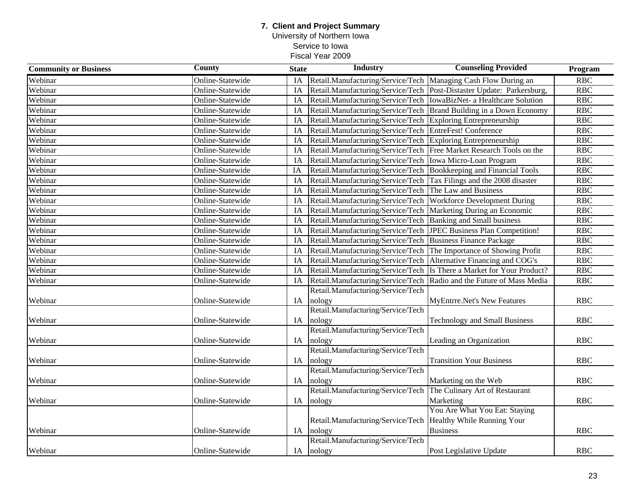### **7. Client and Project Summary** University of Northern Iowa Service to Iowa Fiscal Year 2009

| <b>Community or Business</b> | <b>County</b>    | <b>State</b> | <b>Industry</b>                                                      | <b>Counseling Provided</b>                                            | Program    |
|------------------------------|------------------|--------------|----------------------------------------------------------------------|-----------------------------------------------------------------------|------------|
| Webinar                      | Online-Statewide | IA           | Retail.Manufacturing/Service/Tech Managing Cash Flow During an       |                                                                       | RBC        |
| Webinar                      | Online-Statewide | IA           |                                                                      | Retail.Manufacturing/Service/Tech Post-Distaster Update: Parkersburg, | RBC        |
| Webinar                      | Online-Statewide | IA           | Retail.Manufacturing/Service/Tech  IowaBizNet- a Healthcare Solution |                                                                       | <b>RBC</b> |
| Webinar                      | Online-Statewide | IA           |                                                                      | Retail.Manufacturing/Service/Tech Brand Building in a Down Economy    | RBC        |
| Webinar                      | Online-Statewide | IA           | Retail.Manufacturing/Service/Tech Exploring Entrepreneurship         |                                                                       | RBC        |
| Webinar                      | Online-Statewide | IA           | Retail.Manufacturing/Service/Tech                                    | EntreFest! Conference                                                 | <b>RBC</b> |
| Webinar                      | Online-Statewide | IA           | Retail.Manufacturing/Service/Tech                                    | Exploring Entrepreneurship                                            | <b>RBC</b> |
| Webinar                      | Online-Statewide | IA           | Retail.Manufacturing/Service/Tech                                    | Free Market Research Tools on the                                     | <b>RBC</b> |
| Webinar                      | Online-Statewide | IA           | Retail.Manufacturing/Service/Tech                                    | Iowa Micro-Loan Program                                               | RBC        |
| Webinar                      | Online-Statewide | IA           | Retail.Manufacturing/Service/Tech                                    | Bookkeeping and Financial Tools                                       | <b>RBC</b> |
| Webinar                      | Online-Statewide | IA           | Retail.Manufacturing/Service/Tech                                    | Tax Filings and the 2008 disaster                                     | <b>RBC</b> |
| Webinar                      | Online-Statewide | IA           | Retail.Manufacturing/Service/Tech                                    | The Law and Business                                                  | <b>RBC</b> |
| Webinar                      | Online-Statewide | IA           | Retail.Manufacturing/Service/Tech                                    | <b>Workforce Development During</b>                                   | <b>RBC</b> |
| Webinar                      | Online-Statewide | IA           | Retail.Manufacturing/Service/Tech                                    | Marketing During an Economic                                          | RBC        |
| Webinar                      | Online-Statewide | IA           | Retail.Manufacturing/Service/Tech                                    | <b>Banking and Small business</b>                                     | <b>RBC</b> |
| Webinar                      | Online-Statewide | IA           | Retail.Manufacturing/Service/Tech                                    | JPEC Business Plan Competition!                                       | RBC        |
| Webinar                      | Online-Statewide | IA           | Retail.Manufacturing/Service/Tech                                    | <b>Business Finance Package</b>                                       | <b>RBC</b> |
| Webinar                      | Online-Statewide | IA           | Retail.Manufacturing/Service/Tech                                    | The Importance of Showing Profit                                      | <b>RBC</b> |
| Webinar                      | Online-Statewide | IA           | Retail.Manufacturing/Service/Tech                                    | Alternative Financing and COG's                                       | <b>RBC</b> |
| Webinar                      | Online-Statewide | IA           | Retail.Manufacturing/Service/Tech                                    | Is There a Market for Your Product?                                   | <b>RBC</b> |
| Webinar                      | Online-Statewide | IA           | Retail.Manufacturing/Service/Tech                                    | Radio and the Future of Mass Media                                    | RBC        |
|                              |                  |              | Retail.Manufacturing/Service/Tech                                    |                                                                       |            |
| Webinar                      | Online-Statewide | IA           | nology                                                               | <b>MyEntrre.Net's New Features</b>                                    | <b>RBC</b> |
|                              |                  |              | Retail.Manufacturing/Service/Tech                                    |                                                                       |            |
| Webinar                      | Online-Statewide | IA           | nology                                                               | <b>Technology and Small Business</b>                                  | <b>RBC</b> |
|                              |                  |              | Retail.Manufacturing/Service/Tech                                    |                                                                       |            |
| Webinar                      | Online-Statewide | IA           | nology                                                               | Leading an Organization                                               | <b>RBC</b> |
|                              |                  |              | Retail.Manufacturing/Service/Tech                                    |                                                                       |            |
| Webinar                      | Online-Statewide | IA           | nology                                                               | <b>Transition Your Business</b>                                       | <b>RBC</b> |
|                              |                  |              | Retail.Manufacturing/Service/Tech                                    |                                                                       |            |
| Webinar                      | Online-Statewide | IA           | nology                                                               | Marketing on the Web                                                  | <b>RBC</b> |
|                              |                  |              | Retail.Manufacturing/Service/Tech                                    | The Culinary Art of Restaurant                                        |            |
| Webinar                      | Online-Statewide | IA           | nology                                                               | Marketing                                                             | <b>RBC</b> |
|                              |                  |              |                                                                      | You Are What You Eat: Staying                                         |            |
|                              |                  |              | Retail.Manufacturing/Service/Tech                                    | Healthy While Running Your                                            |            |
| Webinar                      | Online-Statewide | IA           | nology                                                               | <b>Business</b>                                                       | <b>RBC</b> |
|                              |                  |              | Retail.Manufacturing/Service/Tech                                    |                                                                       |            |
| Webinar                      | Online-Statewide |              | IA nology                                                            | Post Legislative Update                                               | <b>RBC</b> |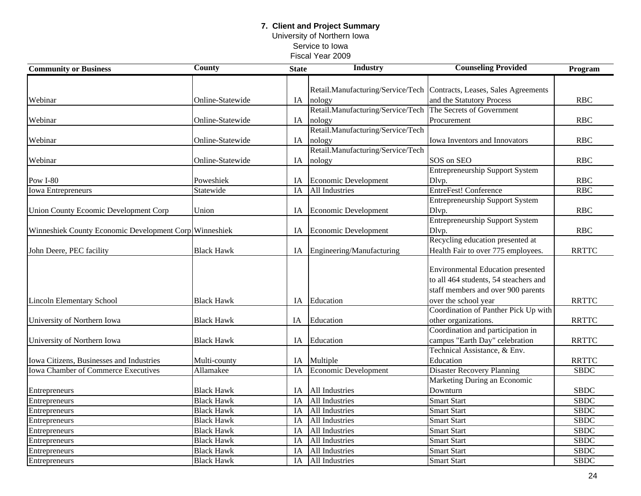University of Northern Iowa Service to Iowa

| <b>Community or Business</b>                           | <b>County</b>     | <b>State</b> | <b>Industry</b>                   | <b>Counseling Provided</b>                                            | Program      |
|--------------------------------------------------------|-------------------|--------------|-----------------------------------|-----------------------------------------------------------------------|--------------|
|                                                        |                   |              |                                   |                                                                       |              |
|                                                        |                   |              |                                   | Retail.Manufacturing/Service/Tech Contracts, Leases, Sales Agreements |              |
| Webinar                                                | Online-Statewide  | IA           | nology                            | and the Statutory Process                                             | <b>RBC</b>   |
|                                                        |                   |              | Retail.Manufacturing/Service/Tech | The Secrets of Government                                             |              |
| Webinar                                                | Online-Statewide  | IA           | nology                            | Procurement                                                           | <b>RBC</b>   |
|                                                        |                   |              | Retail.Manufacturing/Service/Tech |                                                                       |              |
| Webinar                                                | Online-Statewide  | IA           | nology                            | Iowa Inventors and Innovators                                         | <b>RBC</b>   |
|                                                        |                   |              | Retail.Manufacturing/Service/Tech |                                                                       |              |
| Webinar                                                | Online-Statewide  | IA           | nology                            | SOS on SEO                                                            | <b>RBC</b>   |
|                                                        |                   |              |                                   | <b>Entrepreneurship Support System</b>                                |              |
| <b>Pow I-80</b>                                        | Poweshiek         | IA           | Economic Development              | Dlvp.                                                                 | <b>RBC</b>   |
| <b>Iowa Entrepreneurs</b>                              | Statewide         | IA           | All Industries                    | EntreFest! Conference                                                 | RBC          |
|                                                        |                   |              |                                   | <b>Entrepreneurship Support System</b>                                |              |
| <b>Union County Ecoomic Development Corp</b>           | Union             | IA           | <b>Economic Development</b>       | Dlvp.                                                                 | <b>RBC</b>   |
|                                                        |                   |              |                                   | <b>Entrepreneurship Support System</b>                                |              |
| Winneshiek County Economic Development Corp Winneshiek |                   | IA           | <b>Economic Development</b>       | Dlvp.                                                                 | <b>RBC</b>   |
|                                                        |                   |              |                                   | Recycling education presented at                                      |              |
| John Deere, PEC facility                               | <b>Black Hawk</b> | IA           | Engineering/Manufacturing         | Health Fair to over 775 employees.                                    | <b>RRTTC</b> |
|                                                        |                   |              |                                   |                                                                       |              |
|                                                        |                   |              |                                   | <b>Environmental Education presented</b>                              |              |
|                                                        |                   |              |                                   | to all 464 students, 54 steachers and                                 |              |
|                                                        |                   |              |                                   | staff members and over 900 parents                                    |              |
| <b>Lincoln Elementary School</b>                       | <b>Black Hawk</b> | IA           | Education                         | over the school year                                                  | <b>RRTTC</b> |
|                                                        |                   |              |                                   | Coordination of Panther Pick Up with                                  |              |
| University of Northern Iowa                            | <b>Black Hawk</b> | IA           | Education                         | other organizations.                                                  | <b>RRTTC</b> |
|                                                        |                   |              |                                   | Coordination and participation in                                     |              |
| University of Northern Iowa                            | <b>Black Hawk</b> | IA           | Education                         | campus "Earth Day" celebration                                        | <b>RRTTC</b> |
|                                                        |                   |              |                                   | Technical Assistance, & Env.                                          |              |
| Iowa Citizens, Businesses and Industries               | Multi-county      | IA           | Multiple                          | Education                                                             | <b>RRTTC</b> |
| <b>Iowa Chamber of Commerce Executives</b>             | Allamakee         | IA           | <b>Economic Development</b>       | <b>Disaster Recovery Planning</b>                                     | <b>SBDC</b>  |
|                                                        |                   |              |                                   | Marketing During an Economic                                          |              |
| Entrepreneurs                                          | <b>Black Hawk</b> | IA           | All Industries                    | Downturn                                                              | <b>SBDC</b>  |
| Entrepreneurs                                          | <b>Black Hawk</b> | IA           | All Industries                    | <b>Smart Start</b>                                                    | <b>SBDC</b>  |
| Entrepreneurs                                          | <b>Black Hawk</b> | IA           | All Industries                    | <b>Smart Start</b>                                                    | <b>SBDC</b>  |
| Entrepreneurs                                          | <b>Black Hawk</b> | IA           | All Industries                    | <b>Smart Start</b>                                                    | <b>SBDC</b>  |
| Entrepreneurs                                          | <b>Black Hawk</b> | IA           | All Industries                    | <b>Smart Start</b>                                                    | <b>SBDC</b>  |
| Entrepreneurs                                          | <b>Black Hawk</b> | IA           | All Industries                    | <b>Smart Start</b>                                                    | <b>SBDC</b>  |
| Entrepreneurs                                          | <b>Black Hawk</b> | IA           | All Industries                    | <b>Smart Start</b>                                                    | SBDC         |
| Entrepreneurs                                          | <b>Black Hawk</b> | IA           | All Industries                    | <b>Smart Start</b>                                                    | <b>SBDC</b>  |
|                                                        |                   |              |                                   |                                                                       |              |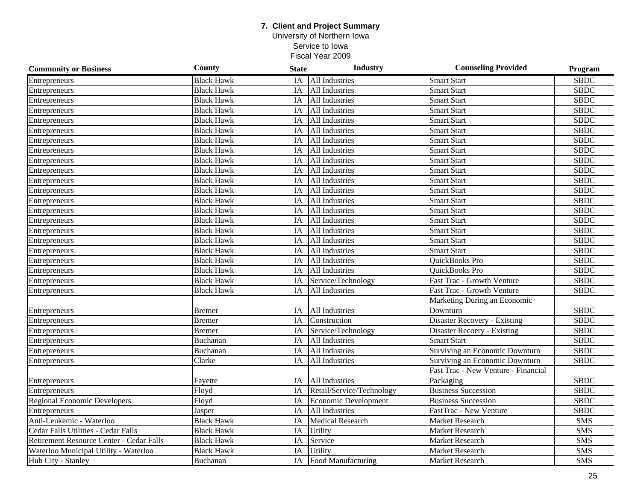University of Northern Iowa Service to Iowa

| <b>Community or Business</b>             | <b>County</b>     | <b>State</b> | <b>Industry</b>             | <b>Counseling Provided</b>            | Program                  |
|------------------------------------------|-------------------|--------------|-----------------------------|---------------------------------------|--------------------------|
| Entrepreneurs                            | <b>Black Hawk</b> | IA           | <b>All Industries</b>       | <b>Smart Start</b>                    | <b>SBDC</b>              |
| Entrepreneurs                            | <b>Black Hawk</b> | IA           | All Industries              | <b>Smart Start</b>                    | <b>SBDC</b>              |
| Entrepreneurs                            | <b>Black Hawk</b> | IA           | All Industries              | <b>Smart Start</b>                    | <b>SBDC</b>              |
| Entrepreneurs                            | <b>Black Hawk</b> | IA           | All Industries              | <b>Smart Start</b>                    | <b>SBDC</b>              |
| Entrepreneurs                            | <b>Black Hawk</b> | IA           | All Industries              | <b>Smart Start</b>                    | <b>SBDC</b>              |
| Entrepreneurs                            | <b>Black Hawk</b> | IA           | All Industries              | Smart Start                           | $\overline{\text{SBDC}}$ |
| Entrepreneurs                            | <b>Black Hawk</b> | IA           | All Industries              | <b>Smart Start</b>                    | <b>SBDC</b>              |
| Entrepreneurs                            | <b>Black Hawk</b> | IA           | All Industries              | <b>Smart Start</b>                    | <b>SBDC</b>              |
| Entrepreneurs                            | <b>Black Hawk</b> | IA           | All Industries              | <b>Smart Start</b>                    | <b>SBDC</b>              |
| Entrepreneurs                            | <b>Black Hawk</b> | IA           | All Industries              | <b>Smart Start</b>                    | <b>SBDC</b>              |
| Entrepreneurs                            | <b>Black Hawk</b> | IA           | All Industries              | <b>Smart Start</b>                    | <b>SBDC</b>              |
| Entrepreneurs                            | <b>Black Hawk</b> | IA           | All Industries              | <b>Smart Start</b>                    | <b>SBDC</b>              |
| Entrepreneurs                            | <b>Black Hawk</b> | IA           | All Industries              | <b>Smart Start</b>                    | <b>SBDC</b>              |
| Entrepreneurs                            | <b>Black Hawk</b> | IA           | All Industries              | <b>Smart Start</b>                    | <b>SBDC</b>              |
| Entrepreneurs                            | <b>Black Hawk</b> | IA           | All Industries              | <b>Smart Start</b>                    | <b>SBDC</b>              |
| Entrepreneurs                            | <b>Black Hawk</b> | IA           | All Industries              | <b>Smart Start</b>                    | <b>SBDC</b>              |
| Entrepreneurs                            | <b>Black Hawk</b> | IA           | All Industries              | Smart Start                           | $SB\overline{DC}$        |
| Entrepreneurs                            | <b>Black Hawk</b> | IA           | All Industries              | <b>Smart Start</b>                    | <b>SBDC</b>              |
| Entrepreneurs                            | <b>Black Hawk</b> | IA           | All Industries              | <b>OuickBooks Pro</b>                 | <b>SBDC</b>              |
| Entrepreneurs                            | <b>Black Hawk</b> | IA           | All Industries              | QuickBooks Pro                        | <b>SBDC</b>              |
| Entrepreneurs                            | <b>Black Hawk</b> | IA           | Service/Technology          | <b>Fast Trac - Growth Venture</b>     | <b>SBDC</b>              |
| Entrepreneurs                            | <b>Black Hawk</b> | IA           | All Industries              | Fast Trac - Growth Venture            | <b>SBDC</b>              |
|                                          |                   |              |                             | Marketing During an Economic          |                          |
| Entrepreneurs                            | Bremer            | IA           | All Industries              | Downturn                              | <b>SBDC</b>              |
| Entrepreneurs                            | <b>Bremer</b>     | IA           | Construction                | <b>Disaster Recovery - Existing</b>   | <b>SBDC</b>              |
| Entrepreneurs                            | <b>Bremer</b>     | IA           | Service/Technology          | Disaster Recoery - Existing           | <b>SBDC</b>              |
| Entrepreneurs                            | Buchanan          | IA           | All Industries              | <b>Smart Start</b>                    | <b>SBDC</b>              |
| Entrepreneurs                            | Buchanan          | IA           | All Industries              | <b>Surviving an Economic Downturn</b> | <b>SBDC</b>              |
| Entrepreneurs                            | Clarke            | IA           | All Industries              | Surviving an Economic Downturn        | <b>SBDC</b>              |
|                                          |                   |              |                             | Fast Trac - New Venture - Financial   |                          |
| Entrepreneurs                            | Fayette           | IA           | All Industries              | Packaging                             | <b>SBDC</b>              |
| Entrepreneurs                            | Floyd             | IA           | Retail/Service/Technology   | <b>Business Succession</b>            | <b>SBDC</b>              |
| <b>Regional Economic Developers</b>      | Floyd             | IA           | <b>Economic Development</b> | <b>Business Succession</b>            | <b>SBDC</b>              |
| <b>Entrepreneurs</b>                     | Jasper            | IA           | All Industries              | FastTrac - New Venture                | <b>SBDC</b>              |
| Anti-Leukemic - Waterloo                 | <b>Black Hawk</b> | IA           | <b>Medical Research</b>     | Market Research                       | <b>SMS</b>               |
| Cedar Falls Utilities - Cedar Falls      | <b>Black Hawk</b> | IA           | Utility                     | Market Research                       | $\overline{\text{SMS}}$  |
| Retirement Resource Center - Cedar Falls | <b>Black Hawk</b> | IA           | Service                     | Market Research                       | <b>SMS</b>               |
| Waterloo Municipal Utility - Waterloo    | <b>Black Hawk</b> | IA           | Utility                     | Market Research                       | <b>SMS</b>               |
| Hub City - Stanley                       | Buchanan          | IA           | <b>Food Manufacturing</b>   | <b>Market Research</b>                | $\overline{\text{SMS}}$  |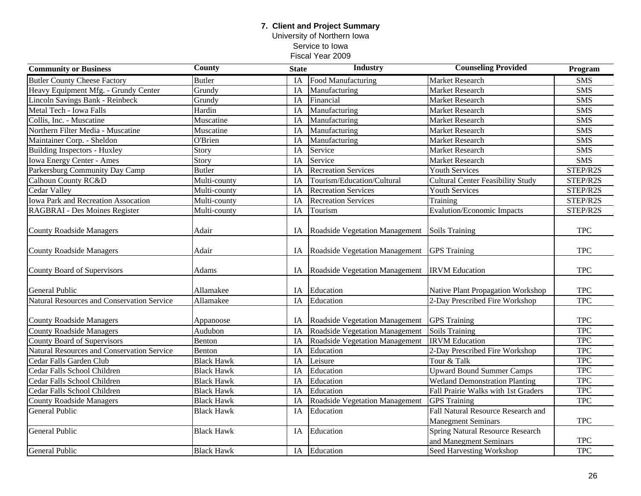### **7. Client and Project Summary** University of Northern Iowa

Service to Iowa

| <b>Community or Business</b>                      | <b>County</b>     | <b>State</b> | <b>Industry</b>                       | <b>Counseling Provided</b>               | Program                 |
|---------------------------------------------------|-------------------|--------------|---------------------------------------|------------------------------------------|-------------------------|
| <b>Butler County Cheese Factory</b>               | <b>Butler</b>     | IA           | Food Manufacturing                    | Market Research                          | <b>SMS</b>              |
| Heavy Equipment Mfg. - Grundy Center              | Grundy            | IA           | Manufacturing                         | <b>Market Research</b>                   | <b>SMS</b>              |
| <b>Lincoln Savings Bank - Reinbeck</b>            | Grundy            | IA           | Financial                             | Market Research                          | <b>SMS</b>              |
| Metal Tech - Iowa Falls                           | Hardin            | IA           | Manufacturing                         | <b>Market Research</b>                   | $\overline{\text{SMS}}$ |
| Collis, Inc. - Muscatine                          | Muscatine         | IA           | Manufacturing                         | Market Research                          | <b>SMS</b>              |
| Northern Filter Media - Muscatine                 | Muscatine         | IA           | Manufacturing                         | <b>Market Research</b>                   | <b>SMS</b>              |
| Maintainer Corp. - Sheldon                        | O'Brien           | IA           | Manufacturing                         | Market Research                          | <b>SMS</b>              |
| <b>Building Inspectors - Huxley</b>               | Story             | IA           | Service                               | Market Research                          | <b>SMS</b>              |
| <b>Iowa Energy Center - Ames</b>                  | Story             | IA           | Service                               | Market Research                          | <b>SMS</b>              |
| Parkersburg Community Day Camp                    | Butler            | IA           | <b>Recreation Services</b>            | <b>Youth Services</b>                    | STEP/R2S                |
| Calhoun County RC&D                               | Multi-county      | IA           | Tourism/Education/Cultural            | <b>Cultural Center Feasibility Study</b> | STEP/R2S                |
| Cedar Valley                                      | Multi-county      | IA           | <b>Recreation Services</b>            | Youth Services                           | STEP/R2S                |
| <b>Iowa Park and Recreation Assocation</b>        | Multi-county      | IA           | <b>Recreation Services</b>            | Training                                 | STEP/R2S                |
| RAGBRAI - Des Moines Register                     | Multi-county      | IA           | Tourism                               | <b>Evalution/Economic Impacts</b>        | STEP/R2S                |
|                                                   |                   |              |                                       |                                          |                         |
| <b>County Roadside Managers</b>                   | Adair             | IA           | Roadside Vegetation Management        | Soils Training                           | <b>TPC</b>              |
| <b>County Roadside Managers</b>                   | Adair             | IA           | Roadside Vegetation Management        | <b>GPS</b> Training                      | <b>TPC</b>              |
| County Board of Supervisors                       | Adams             | IA           | Roadside Vegetation Management        | <b>IRVM</b> Education                    | <b>TPC</b>              |
| <b>General Public</b>                             | Allamakee         | IA           | Education                             | Native Plant Propagation Workshop        | <b>TPC</b>              |
| <b>Natural Resources and Conservation Service</b> | Allamakee         | IA           | Education                             | 2-Day Prescribed Fire Workshop           | <b>TPC</b>              |
| <b>County Roadside Managers</b>                   | Appanoose         | IA           | Roadside Vegetation Management        | <b>GPS</b> Training                      | <b>TPC</b>              |
| <b>County Roadside Managers</b>                   | Audubon           | IA           | <b>Roadside Vegetation Management</b> | <b>Soils Training</b>                    | <b>TPC</b>              |
| County Board of Supervisors                       | Benton            | IA           | Roadside Vegetation Management        | <b>IRVM</b> Education                    | <b>TPC</b>              |
| Natural Resources and Conservation Service        | Benton            | IA           | Education                             | 2-Day Prescribed Fire Workshop           | <b>TPC</b>              |
| Cedar Falls Garden Club                           | <b>Black Hawk</b> | IA           | Leisure                               | Tour & Talk                              | <b>TPC</b>              |
| Cedar Falls School Children                       | <b>Black Hawk</b> | IA           | Education                             | <b>Upward Bound Summer Camps</b>         | <b>TPC</b>              |
| Cedar Falls School Children                       | <b>Black Hawk</b> | IA           | Education                             | <b>Wetland Demonstration Planting</b>    | <b>TPC</b>              |
| Cedar Falls School Children                       | <b>Black Hawk</b> | IA           | Education                             | Fall Prairie Walks with 1st Graders      | <b>TPC</b>              |
| <b>County Roadside Managers</b>                   | <b>Black Hawk</b> | IA           | Roadside Vegetation Management        | <b>GPS</b> Training                      | <b>TPC</b>              |
| General Public                                    | <b>Black Hawk</b> | IA           | Education                             | Fall Natural Resource Research and       |                         |
|                                                   |                   |              |                                       | <b>Manegment Seminars</b>                | <b>TPC</b>              |
| General Public                                    | <b>Black Hawk</b> | IA           | Education                             | <b>Spring Natural Resource Research</b>  |                         |
|                                                   |                   |              |                                       | and Manegment Seminars                   | <b>TPC</b>              |
| General Public                                    | <b>Black Hawk</b> |              | IA Education                          | Seed Harvesting Workshop                 | <b>TPC</b>              |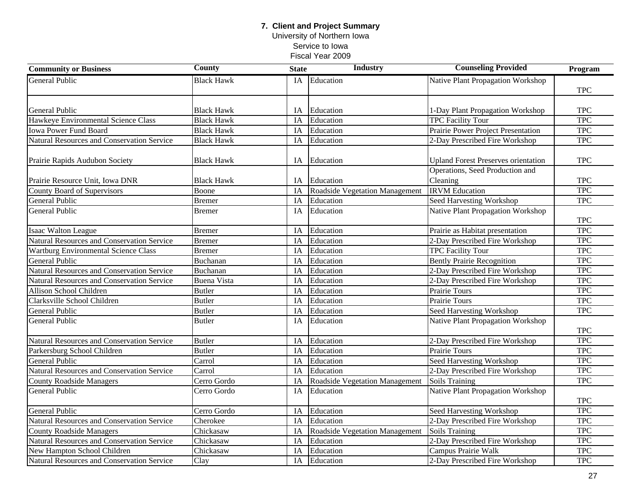University of Northern Iowa Service to Iowa

| <b>Community or Business</b>                | <b>County</b>      | <b>State</b> | <b>Industry</b>                | <b>Counseling Provided</b>                 | Program          |
|---------------------------------------------|--------------------|--------------|--------------------------------|--------------------------------------------|------------------|
| General Public                              | <b>Black Hawk</b>  | IA           | Education                      | Native Plant Propagation Workshop          |                  |
|                                             |                    |              |                                |                                            | <b>TPC</b>       |
|                                             |                    |              |                                |                                            |                  |
| <b>General Public</b>                       | <b>Black Hawk</b>  | IA           | Education                      | 1-Day Plant Propagation Workshop           | <b>TPC</b>       |
| Hawkeye Environmental Science Class         | <b>Black Hawk</b>  | IA           | Education                      | <b>TPC Facility Tour</b>                   | <b>TPC</b>       |
| <b>Iowa Power Fund Board</b>                | <b>Black Hawk</b>  | IA           | Education                      | Prairie Power Project Presentation         | <b>TPC</b>       |
| Natural Resources and Conservation Service  | <b>Black Hawk</b>  | IA           | Education                      | 2-Day Prescribed Fire Workshop             | <b>TPC</b>       |
| Prairie Rapids Audubon Society              | <b>Black Hawk</b>  | IA           | Education                      | <b>Upland Forest Preserves orientation</b> | <b>TPC</b>       |
|                                             |                    |              |                                | Operations, Seed Production and            |                  |
| Prairie Resource Unit, Iowa DNR             | <b>Black Hawk</b>  | IA           | Education                      | Cleaning                                   | <b>TPC</b>       |
| County Board of Supervisors                 | Boone              | IA           | Roadside Vegetation Management | <b>IRVM</b> Education                      | <b>TPC</b>       |
| General Public                              | <b>Bremer</b>      | IA           | Education                      | <b>Seed Harvesting Workshop</b>            | <b>TPC</b>       |
| General Public                              | <b>Bremer</b>      | IA           | Education                      | <b>Native Plant Propagation Workshop</b>   |                  |
|                                             |                    |              |                                |                                            | <b>TPC</b>       |
| <b>Isaac Walton League</b>                  | <b>Bremer</b>      | IA           | Education                      | Prairie as Habitat presentation            | <b>TPC</b>       |
| Natural Resources and Conservation Service  | <b>Bremer</b>      | IA           | Education                      | 2-Day Prescribed Fire Workshop             | <b>TPC</b>       |
| <b>Wartburg Environmental Science Class</b> | <b>Bremer</b>      | IA           | Education                      | <b>TPC Facility Tour</b>                   | <b>TPC</b>       |
| <b>General Public</b>                       | Buchanan           | IA           | Education                      | <b>Bently Prairie Recognition</b>          | <b>TPC</b>       |
| Natural Resources and Conservation Service  | Buchanan           | IA           | Education                      | 2-Day Prescribed Fire Workshop             | <b>TPC</b>       |
| Natural Resources and Conservation Service  | <b>Buena Vista</b> | IA           | Education                      | 2-Day Prescribed Fire Workshop             | <b>TPC</b>       |
| Allison School Children                     | <b>Butler</b>      | IA           | Education                      | Prairie Tours                              | <b>TPC</b>       |
| Clarksville School Children                 | <b>Butler</b>      | IA           | Education                      | Prairie Tours                              | <b>TPC</b>       |
| General Public                              | <b>Butler</b>      | IA           | Education                      | Seed Harvesting Workshop                   | <b>TPC</b>       |
| General Public                              | <b>Butler</b>      | IA           | Education                      | Native Plant Propagation Workshop          |                  |
|                                             |                    |              |                                |                                            | <b>TPC</b>       |
| Natural Resources and Conservation Service  | <b>Butler</b>      | IA           | Education                      | 2-Day Prescribed Fire Workshop             | <b>TPC</b>       |
| Parkersburg School Children                 | <b>Butler</b>      | IA           | Education                      | <b>Prairie Tours</b>                       | <b>TPC</b>       |
| General Public                              | Carrol             | IA           | Education                      | Seed Harvesting Workshop                   | <b>TPC</b>       |
| Natural Resources and Conservation Service  | Carrol             | IA           | Education                      | 2-Day Prescribed Fire Workshop             | <b>TPC</b>       |
| <b>County Roadside Managers</b>             | Cerro Gordo        | IA           | Roadside Vegetation Management | Soils Training                             | <b>TPC</b>       |
| <b>General Public</b>                       | Cerro Gordo        | IA           | Education                      | <b>Native Plant Propagation Workshop</b>   | <b>TPC</b>       |
| <b>General Public</b>                       | Cerro Gordo        | IA           | Education                      | <b>Seed Harvesting Workshop</b>            | <b>TPC</b>       |
| Natural Resources and Conservation Service  | Cherokee           | IA           | Education                      | 2-Day Prescribed Fire Workshop             | $TP\overline{C}$ |
| <b>County Roadside Managers</b>             | Chickasaw          | IA           | Roadside Vegetation Management | Soils Training                             | <b>TPC</b>       |
| Natural Resources and Conservation Service  | Chickasaw          | IA           | Education                      | 2-Day Prescribed Fire Workshop             | <b>TPC</b>       |
| New Hampton School Children                 | Chickasaw          | IA           | Education                      | Campus Prairie Walk                        | <b>TPC</b>       |
| Natural Resources and Conservation Service  | Clay               | IA           | Education                      | 2-Day Prescribed Fire Workshop             | <b>TPC</b>       |
|                                             |                    |              |                                |                                            |                  |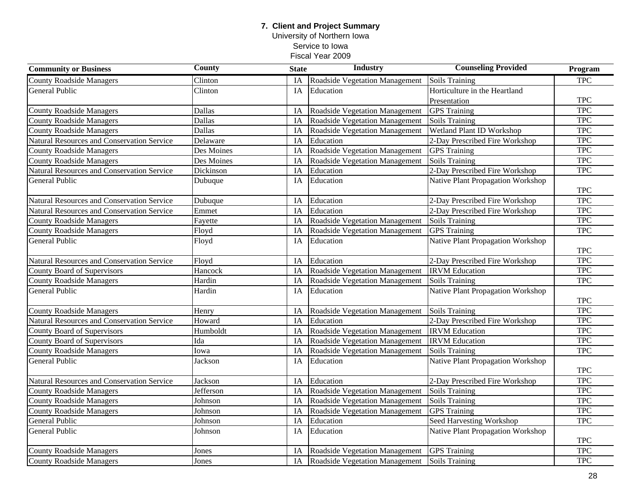University of Northern Iowa Service to Iowa

| <b>Community or Business</b>               | <b>County</b> | <b>State</b> | <b>Industry</b>                   | <b>Counseling Provided</b>               | Program    |
|--------------------------------------------|---------------|--------------|-----------------------------------|------------------------------------------|------------|
| <b>County Roadside Managers</b>            | Clinton       | IA           | Roadside Vegetation Management    | Soils Training                           | <b>TPC</b> |
| <b>General Public</b>                      | Clinton       | IA           | Education                         | Horticulture in the Heartland            |            |
|                                            |               |              |                                   | Presentation                             | <b>TPC</b> |
| <b>County Roadside Managers</b>            | Dallas        | IA           | Roadside Vegetation Management    | <b>GPS</b> Training                      | <b>TPC</b> |
| <b>County Roadside Managers</b>            | Dallas        | IA           | Roadside Vegetation Management    | Soils Training                           | <b>TPC</b> |
| <b>County Roadside Managers</b>            | Dallas        | IA           | Roadside Vegetation Management    | Wetland Plant ID Workshop                | <b>TPC</b> |
| Natural Resources and Conservation Service | Delaware      | IA           | Education                         | 2-Day Prescribed Fire Workshop           | <b>TPC</b> |
| <b>County Roadside Managers</b>            | Des Moines    | IA           | Roadside Vegetation Management    | <b>GPS</b> Training                      | <b>TPC</b> |
| <b>County Roadside Managers</b>            | Des Moines    | IA           | Roadside Vegetation Management    | <b>Soils Training</b>                    | <b>TPC</b> |
| Natural Resources and Conservation Service | Dickinson     | IA           | Education                         | 2-Day Prescribed Fire Workshop           | <b>TPC</b> |
| General Public                             | Dubuque       | IA           | Education                         | Native Plant Propagation Workshop        | <b>TPC</b> |
| Natural Resources and Conservation Service | Dubuque       | IA           | Education                         | 2-Day Prescribed Fire Workshop           | <b>TPC</b> |
| Natural Resources and Conservation Service | Emmet         | IA           | Education                         | 2-Day Prescribed Fire Workshop           | <b>TPC</b> |
| <b>County Roadside Managers</b>            | Fayette       | IA           | Roadside Vegetation Management    | Soils Training                           | <b>TPC</b> |
| <b>County Roadside Managers</b>            | Floyd         | IA           | Roadside Vegetation Management    | <b>GPS</b> Training                      | <b>TPC</b> |
| General Public                             | Floyd         | IA           | Education                         | Native Plant Propagation Workshop        | <b>TPC</b> |
| Natural Resources and Conservation Service | Floyd         | IA           | Education                         | 2-Day Prescribed Fire Workshop           | <b>TPC</b> |
| County Board of Supervisors                | Hancock       | IA           | Roadside Vegetation Management    | <b>IRVM</b> Education                    | <b>TPC</b> |
| <b>County Roadside Managers</b>            | Hardin        | IA           | Roadside Vegetation Management    | Soils Training                           | <b>TPC</b> |
| <b>General Public</b>                      | Hardin        | IA           | Education                         | <b>Native Plant Propagation Workshop</b> | <b>TPC</b> |
| <b>County Roadside Managers</b>            | Henry         | IA           | Roadside Vegetation Management    | Soils Training                           | <b>TPC</b> |
| Natural Resources and Conservation Service | Howard        | IA           | Education                         | 2-Day Prescribed Fire Workshop           | <b>TPC</b> |
| <b>County Board of Supervisors</b>         | Humboldt      | IA           | Roadside Vegetation Management    | <b>IRVM</b> Education                    | <b>TPC</b> |
| County Board of Supervisors                | Ida           | IA           | Roadside Vegetation Management    | <b>IRVM</b> Education                    | <b>TPC</b> |
| <b>County Roadside Managers</b>            | Iowa          | IA           | Roadside Vegetation Management    | Soils Training                           | <b>TPC</b> |
| <b>General Public</b>                      | Jackson       | IA           | Education                         | <b>Native Plant Propagation Workshop</b> |            |
|                                            |               |              |                                   |                                          | <b>TPC</b> |
| Natural Resources and Conservation Service | Jackson       | IA           | Education                         | 2-Day Prescribed Fire Workshop           | <b>TPC</b> |
| <b>County Roadside Managers</b>            | Jefferson     | IA           | Roadside Vegetation Management    | Soils Training                           | <b>TPC</b> |
| <b>County Roadside Managers</b>            | Johnson       | IA           | Roadside Vegetation Management    | <b>Soils Training</b>                    | <b>TPC</b> |
| <b>County Roadside Managers</b>            | Johnson       | IA           | Roadside Vegetation Management    | <b>GPS</b> Training                      | <b>TPC</b> |
| General Public                             | Johnson       | IA           | Education                         | <b>Seed Harvesting Workshop</b>          | <b>TPC</b> |
| General Public                             | Johnson       | IA           | Education                         | Native Plant Propagation Workshop        | <b>TPC</b> |
| <b>County Roadside Managers</b>            | Jones         | IA           | Roadside Vegetation Management    | <b>GPS</b> Training                      | <b>TPC</b> |
| <b>County Roadside Managers</b>            | Jones         |              | IA Roadside Vegetation Management | Soils Training                           | <b>TPC</b> |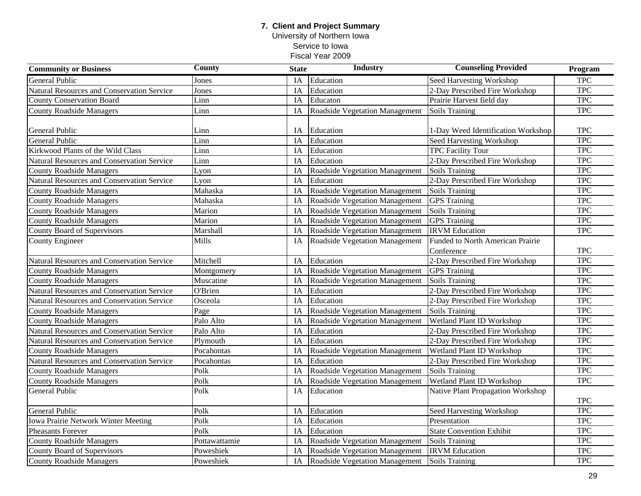University of Northern Iowa Service to Iowa

| <b>Community or Business</b>               | <b>County</b>         | <b>State</b> | <b>Industry</b>                       | <b>Counseling Provided</b>              | Program    |
|--------------------------------------------|-----------------------|--------------|---------------------------------------|-----------------------------------------|------------|
| <b>General Public</b>                      | Jones                 | IA           | Education                             | <b>Seed Harvesting Workshop</b>         | <b>TPC</b> |
| Natural Resources and Conservation Service | Jones                 | IA           | Education                             | 2-Day Prescribed Fire Workshop          | <b>TPC</b> |
| <b>County Conservation Board</b>           | Linn                  | IA           | Educaton                              | Prairie Harvest field day               | <b>TPC</b> |
| <b>County Roadside Managers</b>            | Linn                  | IA           | <b>Roadside Vegetation Management</b> | <b>Soils Training</b>                   | <b>TPC</b> |
|                                            |                       |              |                                       |                                         |            |
| General Public                             | Linn                  | IA           | Education                             | 1-Day Weed Identification Workshop      | <b>TPC</b> |
| General Public                             | Linn                  | IA           | Education                             | Seed Harvesting Workshop                | <b>TPC</b> |
| Kirkwood Plants of the Wild Class          | Linn                  | IA           | Education                             | <b>TPC Facility Tour</b>                | <b>TPC</b> |
| Natural Resources and Conservation Service | Linn                  | IA           | Education                             | 2-Day Prescribed Fire Workshop          | <b>TPC</b> |
| <b>County Roadside Managers</b>            | Lyon                  | IA           | Roadside Vegetation Management        | <b>Soils Training</b>                   | <b>TPC</b> |
| Natural Resources and Conservation Service | $L$ yon               | IA           | Education                             | 2-Day Prescribed Fire Workshop          | <b>TPC</b> |
| <b>County Roadside Managers</b>            | Mahaska               | IA           | Roadside Vegetation Management        | <b>Soils Training</b>                   | <b>TPC</b> |
| <b>County Roadside Managers</b>            | Mahaska               | IA           | <b>Roadside Vegetation Management</b> | <b>GPS</b> Training                     | <b>TPC</b> |
| <b>County Roadside Managers</b>            | Marion                | IA           | Roadside Vegetation Management        | Soils Training                          | <b>TPC</b> |
| <b>County Roadside Managers</b>            | Marion                | IA           | Roadside Vegetation Management        | <b>GPS</b> Training                     | <b>TPC</b> |
| County Board of Supervisors                | Marshall              | IA           | Roadside Vegetation Management        | <b>IRVM</b> Education                   | <b>TPC</b> |
| County Engineer                            | <b>Mills</b>          | IA           | Roadside Vegetation Management        | <b>Funded to North American Prairie</b> |            |
|                                            |                       |              |                                       | Conference                              | <b>TPC</b> |
| Natural Resources and Conservation Service | Mitchell              | IA           | Education                             | 2-Day Prescribed Fire Workshop          | <b>TPC</b> |
| <b>County Roadside Managers</b>            | Montgomery            | IA           | Roadside Vegetation Management        | <b>GPS</b> Training                     | <b>TPC</b> |
| <b>County Roadside Managers</b>            | Muscatine             | IA           | Roadside Vegetation Management        | Soils Training                          | <b>TPC</b> |
| Natural Resources and Conservation Service | $\overline{O}$ 'Brien | IA           | Education                             | 2-Day Prescribed Fire Workshop          | <b>TPC</b> |
| Natural Resources and Conservation Service | Osceola               | IA           | Education                             | 2-Day Prescribed Fire Workshop          | <b>TPC</b> |
| <b>County Roadside Managers</b>            | Page                  | IA           | Roadside Vegetation Management        | Soils Training                          | <b>TPC</b> |
| <b>County Roadside Managers</b>            | Palo Alto             | IA           | Roadside Vegetation Management        | <b>Wetland Plant ID Workshop</b>        | <b>TPC</b> |
| Natural Resources and Conservation Service | Palo Alto             | IA           | Education                             | 2-Day Prescribed Fire Workshop          | <b>TPC</b> |
| Natural Resources and Conservation Service | Plymouth              | IA           | Education                             | 2-Day Prescribed Fire Workshop          | <b>TPC</b> |
| <b>County Roadside Managers</b>            | Pocahontas            | IA           | Roadside Vegetation Management        | Wetland Plant ID Workshop               | <b>TPC</b> |
| Natural Resources and Conservation Service | Pocahontas            | IA           | Education                             | 2-Day Prescribed Fire Workshop          | <b>TPC</b> |
| <b>County Roadside Managers</b>            | Polk                  | IA           | Roadside Vegetation Management        | <b>Soils Training</b>                   | <b>TPC</b> |
| <b>County Roadside Managers</b>            | Polk                  | IA           | <b>Roadside Vegetation Management</b> | <b>Wetland Plant ID Workshop</b>        | <b>TPC</b> |
| General Public                             | Polk                  | IA           | Education                             | Native Plant Propagation Workshop       |            |
|                                            |                       |              |                                       |                                         | <b>TPC</b> |
| General Public                             | Polk                  | IA           | Education                             | Seed Harvesting Workshop                | <b>TPC</b> |
| <b>Iowa Prairie Network Winter Meeting</b> | Polk                  | IA           | Education                             | Presentation                            | <b>TPC</b> |
| Pheasants Forever                          | Polk                  | IA           | Education                             | <b>State Convention Exhibit</b>         | <b>TPC</b> |
| <b>County Roadside Managers</b>            | Pottawattamie         | IA           | Roadside Vegetation Management        | <b>Soils Training</b>                   | <b>TPC</b> |
| County Board of Supervisors                | Poweshiek             | IA           | Roadside Vegetation Management        | <b>IRVM</b> Education                   | <b>TPC</b> |
| <b>County Roadside Managers</b>            | Poweshiek             | IA           | Roadside Vegetation Management        | <b>Soils Training</b>                   | <b>TPC</b> |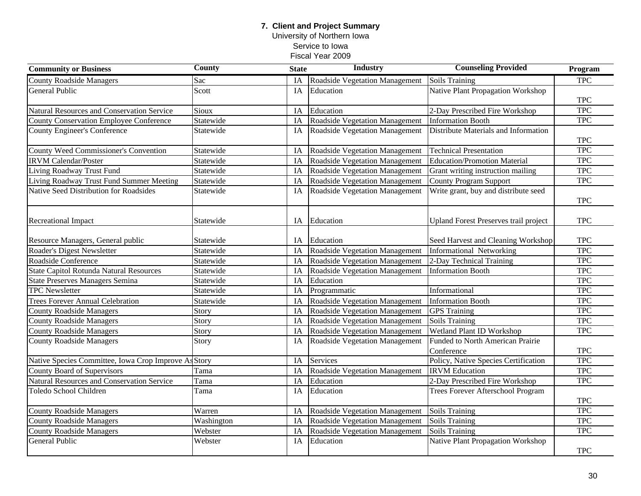### **7. Client and Project Summary** University of Northern Iowa Service to Iowa Fiscal Year 2009

| <b>Community or Business</b>                         | <b>County</b> | <b>State</b> | <b>Industry</b>                       | <b>Counseling Provided</b>                   |            |
|------------------------------------------------------|---------------|--------------|---------------------------------------|----------------------------------------------|------------|
| <b>County Roadside Managers</b>                      | Sac           | IA           | <b>Roadside Vegetation Management</b> | <b>Soils Training</b>                        | <b>TPC</b> |
| <b>General Public</b>                                | Scott         | IA           | Education                             | Native Plant Propagation Workshop            |            |
|                                                      |               |              |                                       |                                              | <b>TPC</b> |
| Natural Resources and Conservation Service           | Sioux         | IA           | Education                             | 2-Day Prescribed Fire Workshop               | <b>TPC</b> |
| <b>County Conservation Employee Conference</b>       | Statewide     | IA           | Roadside Vegetation Management        | <b>Information Booth</b>                     | <b>TPC</b> |
| <b>County Engineer's Conference</b>                  | Statewide     | IA           | Roadside Vegetation Management        | Distribute Materials and Information         |            |
|                                                      |               |              |                                       |                                              | <b>TPC</b> |
| County Weed Commissioner's Convention                | Statewide     | IA           | Roadside Vegetation Management        | <b>Technical Presentation</b>                | <b>TPC</b> |
| <b>IRVM Calendar/Poster</b>                          | Statewide     | IA           | Roadside Vegetation Management        | <b>Education/Promotion Material</b>          | <b>TPC</b> |
| Living Roadway Trust Fund                            | Statewide     | IA           | Roadside Vegetation Management        | Grant writing instruction mailing            | <b>TPC</b> |
| Living Roadway Trust Fund Summer Meeting             | Statewide     | IA           | Roadside Vegetation Management        | <b>County Program Support</b>                | <b>TPC</b> |
| Native Seed Distribution for Roadsides               | Statewide     | IA           | Roadside Vegetation Management        | Write grant, buy and distribute seed         |            |
|                                                      |               |              |                                       |                                              | <b>TPC</b> |
|                                                      |               |              |                                       |                                              |            |
| <b>Recreational Impact</b>                           | Statewide     | IA           | Education                             | <b>Upland Forest Preserves trail project</b> | <b>TPC</b> |
|                                                      |               |              |                                       |                                              |            |
| Resource Managers, General public                    | Statewide     | IA           | Education                             | Seed Harvest and Cleaning Workshop           | <b>TPC</b> |
| Roader's Digest Newsletter                           | Statewide     | IA           | <b>Roadside Vegetation Management</b> | Informational Networking                     | <b>TPC</b> |
| Roadside Conference                                  | Statewide     | IA           | Roadside Vegetation Management        | 2-Day Technical Training                     | <b>TPC</b> |
| <b>State Capitol Rotunda Natural Resources</b>       | Statewide     | IA           | Roadside Vegetation Management        | <b>Information Booth</b>                     | <b>TPC</b> |
| <b>State Preserves Managers Semina</b>               | Statewide     | IA           | Education                             |                                              | <b>TPC</b> |
| <b>TPC</b> Newsletter                                | Statewide     | IA           | Programmatic                          | Informational                                | <b>TPC</b> |
| <b>Trees Forever Annual Celebration</b>              | Statewide     | IA           | Roadside Vegetation Management        | <b>Information Booth</b>                     | <b>TPC</b> |
| <b>County Roadside Managers</b>                      | Story         | IA           | <b>Roadside Vegetation Management</b> | <b>GPS</b> Training                          | <b>TPC</b> |
| <b>County Roadside Managers</b>                      | Story         | IA           | Roadside Vegetation Management        | <b>Soils Training</b>                        | <b>TPC</b> |
| <b>County Roadside Managers</b>                      | Story         | IA           | Roadside Vegetation Management        | Wetland Plant ID Workshop                    | <b>TPC</b> |
| <b>County Roadside Managers</b>                      | Story         | IA           | Roadside Vegetation Management        | <b>Funded to North American Prairie</b>      |            |
|                                                      |               |              |                                       | Conference                                   | <b>TPC</b> |
| Native Species Committee, Iowa Crop Improve As Story |               | IA           | Services                              | Policy, Native Species Certification         | <b>TPC</b> |
| County Board of Supervisors                          | Tama          | IA           | Roadside Vegetation Management        | <b>IRVM</b> Education                        | <b>TPC</b> |
| Natural Resources and Conservation Service           | Tama          | IA           | Education                             | 2-Day Prescribed Fire Workshop               | <b>TPC</b> |
| Toledo School Children                               | Tama          | IA           | Education                             | Trees Forever Afterschool Program            |            |
|                                                      |               |              |                                       |                                              | <b>TPC</b> |
| <b>County Roadside Managers</b>                      | Warren        | IA           | Roadside Vegetation Management        | Soils Training                               | <b>TPC</b> |
| <b>County Roadside Managers</b>                      | Washington    | IA           | Roadside Vegetation Management        | <b>Soils Training</b>                        | <b>TPC</b> |
| <b>County Roadside Managers</b>                      | Webster       | IA           | Roadside Vegetation Management        | <b>Soils Training</b>                        | <b>TPC</b> |
| General Public                                       | Webster       | IA           | Education                             | Native Plant Propagation Workshop            |            |
|                                                      |               |              |                                       |                                              | <b>TPC</b> |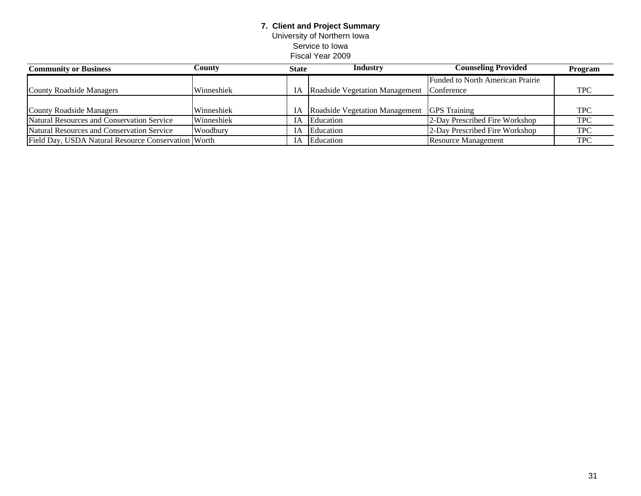University of Northern Iowa Service to Iowa

| <b>Community or Business</b>                        | Countv     | <b>State</b> | Industry                          | <b>Counseling Provided</b>              | Program    |
|-----------------------------------------------------|------------|--------------|-----------------------------------|-----------------------------------------|------------|
|                                                     |            |              |                                   | <b>Funded to North American Prairie</b> |            |
| County Roadside Managers                            | Winneshiek |              | IA Roadside Vegetation Management | Conference                              | <b>TPC</b> |
|                                                     |            |              |                                   |                                         |            |
| County Roadside Managers                            | Winneshiek |              | IA Roadside Vegetation Management | <b>GPS</b> Training                     | <b>TPC</b> |
| Natural Resources and Conservation Service          | Winneshiek | <b>IA</b>    | Education                         | 2-Day Prescribed Fire Workshop          | <b>TPC</b> |
| Natural Resources and Conservation Service          | Woodbury   | IA.          | Education                         | 2-Day Prescribed Fire Workshop          | <b>TPC</b> |
| Field Day, USDA Natural Resource Conservation Worth |            | IA           | Education                         | <b>Resource Management</b>              | <b>TPC</b> |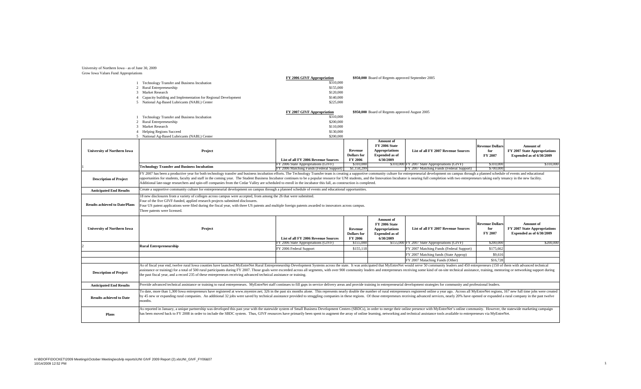#### Grow Iowa Values Fund Appropriations University of Northern Iowa - as of June 30, 2009

|                                       |                                                                                                                                                                                                                                | FY 2006 GIVF Appropriation                                                 |                             | \$950,000 Board of Regents approved September 2005 |                                               |                        |                              |  |  |
|---------------------------------------|--------------------------------------------------------------------------------------------------------------------------------------------------------------------------------------------------------------------------------|----------------------------------------------------------------------------|-----------------------------|----------------------------------------------------|-----------------------------------------------|------------------------|------------------------------|--|--|
|                                       | Technology Transfer and Business Incubation                                                                                                                                                                                    | \$310,000                                                                  |                             |                                                    |                                               |                        |                              |  |  |
|                                       | 2 Rural Entrepreneurship                                                                                                                                                                                                       | \$155,000                                                                  |                             |                                                    |                                               |                        |                              |  |  |
| 3                                     | Market Research                                                                                                                                                                                                                | \$120,000                                                                  |                             |                                                    |                                               |                        |                              |  |  |
|                                       | Capacity building and Implementation for Regional Development                                                                                                                                                                  | \$140,000                                                                  |                             |                                                    |                                               |                        |                              |  |  |
|                                       | 5 National Ag-Based Lubricants (NABL) Center                                                                                                                                                                                   | \$225,000                                                                  |                             |                                                    |                                               |                        |                              |  |  |
|                                       |                                                                                                                                                                                                                                | FY 2007 GIVF Appropriation                                                 |                             | \$950,000 Board of Regents approved August 2005    |                                               |                        |                              |  |  |
|                                       | Technology Transfer and Business Incubation                                                                                                                                                                                    | \$310,000                                                                  |                             |                                                    |                                               |                        |                              |  |  |
| $\overline{2}$                        | Rural Entrepreneurship                                                                                                                                                                                                         | \$200,000                                                                  |                             |                                                    |                                               |                        |                              |  |  |
| 3                                     | Market Research                                                                                                                                                                                                                | \$110,000                                                                  |                             |                                                    |                                               |                        |                              |  |  |
|                                       | <b>Helping Regions Succeed</b>                                                                                                                                                                                                 | \$130,000                                                                  |                             |                                                    |                                               |                        |                              |  |  |
|                                       | 5 National Ag-Based Lubricants (NABL) Center                                                                                                                                                                                   | \$200,000                                                                  |                             |                                                    |                                               |                        |                              |  |  |
|                                       |                                                                                                                                                                                                                                |                                                                            |                             | <b>Amount of</b>                                   |                                               |                        |                              |  |  |
|                                       |                                                                                                                                                                                                                                |                                                                            |                             | <b>FY 2006 State</b>                               |                                               | <b>Revenue Dollars</b> | Amount of                    |  |  |
| <b>University of Northern Iowa</b>    | Project                                                                                                                                                                                                                        |                                                                            | Revenue                     | <b>Appropriations</b>                              | List of all FY 2007 Revenue Sources           | for                    | FY 2007 State Appropriations |  |  |
|                                       |                                                                                                                                                                                                                                |                                                                            | <b>Dollars</b> for          | <b>Expended as of</b>                              |                                               | FY 2007                | Expended as of 6/30/2009     |  |  |
|                                       |                                                                                                                                                                                                                                | <b>List of all FY 2006 Revenue Sources</b>                                 | FY 2006                     | 6/30/2009                                          |                                               |                        |                              |  |  |
|                                       | <b>Technology Transfer and Business Incubation</b>                                                                                                                                                                             | FY 2006 State Appropriations (GIVF)                                        | \$310,000                   |                                                    | \$310,000 FY 2007 State Appropriations (GIVF) | \$310,000              | \$310,000                    |  |  |
|                                       |                                                                                                                                                                                                                                | FY 2006 Matching Funds (Federal Support)                                   | \$1,158,299                 |                                                    | FY 2007 Matching Funds (Federal Support)      | \$700,000              |                              |  |  |
|                                       | FY 2007 has been a productive year for both technology transfer and business incubation efforts. The Technology Transfer team is creating a supportive community culture for entrepreneurial development on campus through a p |                                                                            |                             |                                                    |                                               |                        |                              |  |  |
| <b>Description of Project</b>         | opportunities for students, faculty and staff in the coming year. The Student Business Incubator continues to be a popular resource for UNI students, and the Innovation Incubator is nearing full completion with two entrepr |                                                                            |                             |                                                    |                                               |                        |                              |  |  |
|                                       | Additional late-stage researchers and spin-off companies from the Cedar Valley are scheduled to enroll in the incubator this fall, as construction is completed.                                                               |                                                                            |                             |                                                    |                                               |                        |                              |  |  |
|                                       | Create a supportive community culture for entrepreneurial development on campus through a planned schedule of events and educational opportunities.                                                                            |                                                                            |                             |                                                    |                                               |                        |                              |  |  |
| <b>Anticipated End Results</b>        |                                                                                                                                                                                                                                |                                                                            |                             |                                                    |                                               |                        |                              |  |  |
|                                       | 18 new disclosures from a variety of colleges across campus were accepted, from among the 26 that were submitted.                                                                                                              |                                                                            |                             |                                                    |                                               |                        |                              |  |  |
|                                       | Four of the five GIVF-funded, applied research projects submitted disclosures.                                                                                                                                                 |                                                                            |                             |                                                    |                                               |                        |                              |  |  |
| <b>Results achieved to Date/Plans</b> | Four US patent applications were filed during the fiscal year, with three US patents and multiple foreign patents awarded to innovators across campus.                                                                         |                                                                            |                             |                                                    |                                               |                        |                              |  |  |
|                                       | Three patents were licensed.                                                                                                                                                                                                   |                                                                            |                             |                                                    |                                               |                        |                              |  |  |
|                                       |                                                                                                                                                                                                                                |                                                                            |                             |                                                    |                                               |                        |                              |  |  |
|                                       |                                                                                                                                                                                                                                |                                                                            |                             | Amount of                                          |                                               |                        |                              |  |  |
|                                       |                                                                                                                                                                                                                                |                                                                            |                             | <b>FY 2006 State</b>                               |                                               | <b>Revenue Dollars</b> | <b>Amount</b> of             |  |  |
| <b>University of Northern Iowa</b>    | Project                                                                                                                                                                                                                        |                                                                            | Revenue                     | <b>Appropriations</b>                              | List of all FY 2007 Revenue Sources           | for<br>FY 2007         | FY 2007 State Appropriations |  |  |
|                                       |                                                                                                                                                                                                                                |                                                                            | <b>Dollars</b> for          | <b>Expended as of</b>                              |                                               |                        | Expended as of 6/30/2009     |  |  |
|                                       |                                                                                                                                                                                                                                | List of all FY 2006 Revenue Sources<br>FY 2006 State Appropriations (GIVF) | <b>FY 2006</b><br>\$155,000 | 6/30/2009                                          | \$155,000 FY 2007 State Appropriations (GIVF) | \$200,000              | \$200,000                    |  |  |
|                                       | <b>Rural Entrepreneurship</b>                                                                                                                                                                                                  | FY 2006 Federal Support                                                    | \$155,118                   |                                                    | FY 2007 Matching Funds (Federal Support)      | \$175,662              |                              |  |  |
|                                       |                                                                                                                                                                                                                                |                                                                            |                             |                                                    | FY 2007 Matching funds (State Approp)         | \$9,616                |                              |  |  |
|                                       |                                                                                                                                                                                                                                |                                                                            |                             |                                                    | FY 2007 Mataching Funds (Other)               | \$16,728               |                              |  |  |
|                                       | As of fiscal year end, twelve rural Iowa counties have launched MyEntreNet Rural Entrepreneurship Development Systems across the state. It was anticipated that MyEntreNet would serve 50 community leaders and 450 entreprene |                                                                            |                             |                                                    |                                               |                        |                              |  |  |
|                                       | assistance or training) for a total of 500 rural participants during FY 2007. Those goals were exceeded across all segments, with over 900 community leaders and entrepreneurs receiving some kind of on-site technical assist |                                                                            |                             |                                                    |                                               |                        |                              |  |  |
| <b>Description of Project</b>         | the past fiscal year, and a record 235 of these entrepreneurs receiving advanced technical assistance or training.                                                                                                             |                                                                            |                             |                                                    |                                               |                        |                              |  |  |
|                                       |                                                                                                                                                                                                                                |                                                                            |                             |                                                    |                                               |                        |                              |  |  |
| <b>Anticipated End Results</b>        | Provide advanced technical assistance or training to rural entrepreneurs. MyEntreNet staff continues to fill gaps in service delivery areas and provide training in entrepreneurial development strategies for community and p |                                                                            |                             |                                                    |                                               |                        |                              |  |  |
|                                       | To date, more than 1,300 Iowa entrepreneurs have registered at www.myentre.net; 326 in the past six months alone. This represents nearly double the number of rural entrepreneurs registered online a year ago. Across all MyE |                                                                            |                             |                                                    |                                               |                        |                              |  |  |
|                                       | by 45 new or expanding rural companies. An additional 32 jobs were saved by technical assistance provided to struggling companies in these regions. Of those entrepreneurs receiving advanced services, nearly 20% have opened |                                                                            |                             |                                                    |                                               |                        |                              |  |  |
| <b>Results achieved to Date</b>       | months.                                                                                                                                                                                                                        |                                                                            |                             |                                                    |                                               |                        |                              |  |  |
|                                       |                                                                                                                                                                                                                                |                                                                            |                             |                                                    |                                               |                        |                              |  |  |
|                                       | As reported in January, a unique partnership was developed this past year with the statewide system of Small Business Development Centers (SBDCs), in order to merge their online presence with MyEntreNet's online community. |                                                                            |                             |                                                    |                                               |                        |                              |  |  |
| Plans                                 | has been moved back to FY 2008 in order to include the SBDC system. Thus, GIVF resources have primarily been spent to augment the array of online learning, networking and technical assistance tools available to entrepreneu |                                                                            |                             |                                                    |                                               |                        |                              |  |  |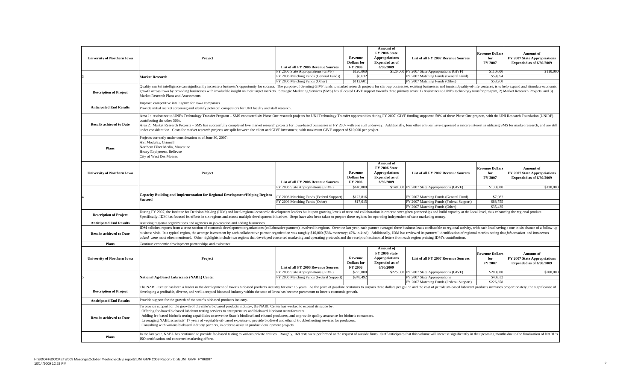| <b>University of Northern Iowa</b> | Project                                                                                                                                                                                                                                                                                                                                                                                                                                                                                                                                                                                                                                                                                     | List of all FY 2006 Revenue Sources<br>FY 2006 State Appropriations (GIVF) | Revenue<br><b>Dollars</b> for<br>FY 2006<br>\$120,000 | Amount of<br><b>FY 2006 State</b><br><b>Appropriations</b><br><b>Expended as of</b><br>6/30/2009        | List of all FY 2007 Revenue Sources<br>\$120,000 FY 2007 State Appropriations (GIVF) | <b>Revenue Dollars</b><br>for<br>FY 2007<br>\$110,000 | Amount of<br>FY 2007 State Appropriations<br>Expended as of 6/30/2009<br>\$110,000 |  |
|------------------------------------|---------------------------------------------------------------------------------------------------------------------------------------------------------------------------------------------------------------------------------------------------------------------------------------------------------------------------------------------------------------------------------------------------------------------------------------------------------------------------------------------------------------------------------------------------------------------------------------------------------------------------------------------------------------------------------------------|----------------------------------------------------------------------------|-------------------------------------------------------|---------------------------------------------------------------------------------------------------------|--------------------------------------------------------------------------------------|-------------------------------------------------------|------------------------------------------------------------------------------------|--|
|                                    | <b>Market Research</b>                                                                                                                                                                                                                                                                                                                                                                                                                                                                                                                                                                                                                                                                      | FY 2006 Matching Funds (General Funds)<br>FY 2006 Matching Funds (Other)   | \$8,632<br>\$112,601                                  |                                                                                                         | FY 2007 Matching Funds (General Fund)<br>FY 2007 Matching Funds (Other)              | \$59,094<br>\$53,260                                  |                                                                                    |  |
| <b>Description of Project</b>      | Quality market intelligence can significantly increase a business's opportunity for success. The purpose of devoting GIVF funds to market research projects for start-up businesses, existing businesses and tourism/quality-o<br>growth across Iowa by providing businesses with invaluable insight on their target markets. Strategic Marketing Services (SMS) has allocated GIVF support towards three primary areas: 1) Assistance to UNI's technology trans<br>Market Research Plans and Assessments.                                                                                                                                                                                  |                                                                            |                                                       |                                                                                                         |                                                                                      |                                                       |                                                                                    |  |
| <b>Anticipated End Results</b>     | Improve competitive intelligence for Iowa companies.<br>Provide initial market screening and identify potential competitors for UNI faculty and staff research.                                                                                                                                                                                                                                                                                                                                                                                                                                                                                                                             |                                                                            |                                                       |                                                                                                         |                                                                                      |                                                       |                                                                                    |  |
| <b>Results achieved to Date</b>    | Area 1: Assistance to UNI's Technology Transfer Program - SMS conducted six Phase One research projects for UNI Technology Transfer opportunities during FY 2007. GIVF funding supported 50% of these Phase One projects, with<br>contributing the other 50%.<br>Area 2: Market Research Projects - SMS has successfully completed five market research projects for Iowa-based businesses in FY 2007 with one still underway. Additionally, four other entities have expressed a sincere inter<br>under consideration. Costs for market research projects are split between the client and GIVF investment, with maximum GIVF support of \$10,000 per project.                             |                                                                            |                                                       |                                                                                                         |                                                                                      |                                                       |                                                                                    |  |
| Plans                              | Projects currently under consideration as of June 30, 2007:<br><b>ASI Modulex, Grinnell</b><br>Northern Filter Media, Muscatine<br>Heavy Equipment, Bellevue<br>City of West Des Moines                                                                                                                                                                                                                                                                                                                                                                                                                                                                                                     |                                                                            |                                                       |                                                                                                         |                                                                                      |                                                       |                                                                                    |  |
| <b>University of Northern Iowa</b> | Project                                                                                                                                                                                                                                                                                                                                                                                                                                                                                                                                                                                                                                                                                     | List of all FY 2006 Revenue Sources                                        | Revenue<br><b>Dollars</b> for<br>FY 2006              | Amount of<br><b>FY 2006 State</b><br><b>Appropriations</b><br><b>Expended as of</b><br>6/30/2009        | List of all FY 2007 Revenue Sources                                                  | <b>Revenue Dollars</b><br>for<br>FY 2007              | Amount of<br>FY 2007 State Appropriations<br>Expended as of 6/30/2009              |  |
|                                    |                                                                                                                                                                                                                                                                                                                                                                                                                                                                                                                                                                                                                                                                                             | FY 2006 State Appropriations (GIVF)                                        | \$140,000                                             |                                                                                                         | \$140,000 FY 2007 State Appropriations (GIVF)                                        | \$130,000                                             | \$130,000                                                                          |  |
|                                    | <b>Capacity Building and Implementation for Regional Development/Helping Regions</b>                                                                                                                                                                                                                                                                                                                                                                                                                                                                                                                                                                                                        | FY 2006 Matching Funds (Federal Support)                                   | \$122,816                                             |                                                                                                         | FY 2007 Matching Funds (General Fund)                                                | \$7,982                                               |                                                                                    |  |
|                                    | Succeed                                                                                                                                                                                                                                                                                                                                                                                                                                                                                                                                                                                                                                                                                     | FY 2006 Matching Funds (Other)                                             | \$17,61:                                              |                                                                                                         | FY 2007 Matching Funds (Federal Support)                                             | \$88,755                                              |                                                                                    |  |
|                                    |                                                                                                                                                                                                                                                                                                                                                                                                                                                                                                                                                                                                                                                                                             |                                                                            |                                                       |                                                                                                         | FY 2007 Matching Funds (Other)                                                       | \$35,435                                              |                                                                                    |  |
| <b>Description of Project</b>      | During FY 2007, the Institute for Decision Making (IDM) and local/regional economic development leaders built upon growing levels of trust and collaboration in order to strengthen partnerships and build capacity at the loc<br>Specifically, IDM has focused its efforts in six regions and across multiple development initiatives. Steps have also been taken to prepare these regions for operating independent of state marketing money.                                                                                                                                                                                                                                             |                                                                            |                                                       |                                                                                                         |                                                                                      |                                                       |                                                                                    |  |
| <b>Anticipated End Results</b>     | Assisting regional organizations and agencies in job creation and adding businesses.                                                                                                                                                                                                                                                                                                                                                                                                                                                                                                                                                                                                        |                                                                            |                                                       |                                                                                                         |                                                                                      |                                                       |                                                                                    |  |
| <b>Results achieved to Date</b>    | IDM solicited reports from a cross section of economic development organizations (collaborative partners) involved in regions. Over the last year, each partner averaged three business leads attributable to regional activit<br>ousiness visit. In a typical region, the average investment by each collaborative partner organization was roughly \$16,000 (53% monetary; 47% in-kind). Additionally, IDM has reviewed its partners' identification of regiona<br>added were most often mentioned. Other highlights include two regions that developed concerted marketing and operating protocols and the receipt of testimonial letters from each region praising IDM's contributions. |                                                                            |                                                       |                                                                                                         |                                                                                      |                                                       |                                                                                    |  |
| Plans                              | Continue economic development partnerships and assistance                                                                                                                                                                                                                                                                                                                                                                                                                                                                                                                                                                                                                                   |                                                                            |                                                       |                                                                                                         |                                                                                      |                                                       |                                                                                    |  |
| <b>University of Northern Iowa</b> | Project                                                                                                                                                                                                                                                                                                                                                                                                                                                                                                                                                                                                                                                                                     | List of all FY 2006 Revenue Sources                                        | Revenue<br><b>Dollars</b> for<br>FY 2006              | <b>Amount</b> of<br><b>FY 2006 State</b><br><b>Appropriations</b><br><b>Expended as of</b><br>6/30/2009 | <b>List of all FY 2007 Revenue Sources</b>                                           | <b>Revenue Dollars</b><br>for<br>FY 2007              | <b>Amount</b> of<br>FY 2007 State Appropriations<br>Expended as of 6/30/2009       |  |
|                                    |                                                                                                                                                                                                                                                                                                                                                                                                                                                                                                                                                                                                                                                                                             | FY 2006 State Appropriations (GIVF)                                        | \$225,000                                             |                                                                                                         | \$225,000 FY 2007 State Appropriations (GIVF)                                        | \$200,000                                             | \$200,000                                                                          |  |
|                                    | National Ag-Based Lubricants (NABL) Center                                                                                                                                                                                                                                                                                                                                                                                                                                                                                                                                                                                                                                                  | FY 2006 Matching Funds (Federal Support)                                   | \$248,492                                             |                                                                                                         | FY 2007 State Appropriations<br>FY 2007 Matching Funds (Federal Support)             | \$40,032<br>\$226,358                                 |                                                                                    |  |
| <b>Description of Project</b>      | The NABL Center has been a leader in the development of Iowa's biobased products industry for over 15 years. As the price of gasoline continues to surpass three dollars per gallon and the cost of petroleum-based lubricant<br>developing a profitable, diverse, and well-accepted biobased industry within the state of Iowa has become paramount to Iowa's economic growth.                                                                                                                                                                                                                                                                                                             |                                                                            |                                                       |                                                                                                         |                                                                                      |                                                       |                                                                                    |  |
| <b>Anticipated End Results</b>     | Provide support for the growth of the state's biobased products industry.                                                                                                                                                                                                                                                                                                                                                                                                                                                                                                                                                                                                                   |                                                                            |                                                       |                                                                                                         |                                                                                      |                                                       |                                                                                    |  |
| <b>Results achieved to Date</b>    | To provide support for the growth of the state's biobased products industry, the NABL Center has worked to expand its scope by:<br>Offering fee-based biobased lubricant testing services to entrepreneurs and biobased lubricant manufacturers.<br>Adding fee-based biofuels testing capabilities to serve the State's biodiesel and ethanol producers, and to provide quality assurance for biofuels consumers.<br>Leveraging NABL scientists' 17 years of vegetable oil-based expertise to provide biodiesel and ethanol troubleshooting services for producers.<br>Consulting with various biobased industry partners, in order to assist in product development projects.              |                                                                            |                                                       |                                                                                                         |                                                                                      |                                                       |                                                                                    |  |
| Plans                              | In the last year, NABL has continued to provide fee-based testing to various private entities. Roughly, 169 tests were performed at the request of outside firms. Staff anticipates that this volume will increase significant<br>ISO certification and concerted marketing efforts.                                                                                                                                                                                                                                                                                                                                                                                                        |                                                                            |                                                       |                                                                                                         |                                                                                      |                                                       |                                                                                    |  |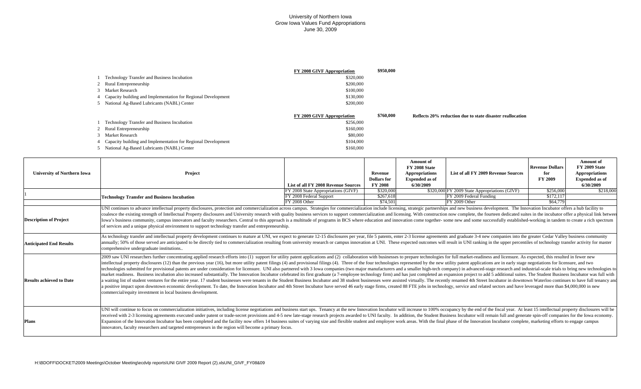|   |                                                               | <b>FY 2008 GIVF Appropriation</b> | \$950,000                                                              |  |
|---|---------------------------------------------------------------|-----------------------------------|------------------------------------------------------------------------|--|
|   | <b>Technology Transfer and Business Incubation</b>            | \$320,000                         |                                                                        |  |
|   | 2 Rural Entrepreneurship                                      | \$200,000                         |                                                                        |  |
|   | 3 Market Research                                             | \$100,000                         |                                                                        |  |
| 4 | Capacity building and Implementation for Regional Development | \$130,000                         |                                                                        |  |
|   | 5 National Ag-Based Lubricants (NABL) Center                  | \$200,000                         |                                                                        |  |
|   |                                                               |                                   |                                                                        |  |
|   |                                                               | FY 2009 GIVF Appropriation        | \$760,000<br>Reflects 20% reduction due to state disaster reallocation |  |
|   | <b>Technology Transfer and Business Incubation</b>            | \$256,000                         |                                                                        |  |
|   | 2 Rural Entrepreneurship                                      | \$160,000                         |                                                                        |  |
|   | 3 Market Research                                             | \$80,000                          |                                                                        |  |
|   |                                                               |                                   |                                                                        |  |
|   | Capacity building and Implementation for Regional Development | \$104,000                         |                                                                        |  |

| <b>University of Northern Iowa</b> | Project                                                                                                                                                                                                                                                                                                                                                                                                                                                                                                                                                                                                                                                                                                                                                                                                                                                                                                                                                                                                                                                                                                                                                                                                                                                                                                                                                                                                                                                                | List of all FY 2008 Revenue Sources                            | Revenue<br><b>Dollars</b> for<br><b>FY 2008</b> | Amount of<br>FY 2008 State<br>Appropriations<br><b>Expended as of</b><br>6/30/2009 | List of all FY 2009 Revenue Sources                                      | <b>Revenue Dollars</b><br>for<br>FY 2009 | Amount of<br>FY 2009 State<br><b>Appropriations</b><br><b>Expended as of</b><br>6/30/2009 |
|------------------------------------|------------------------------------------------------------------------------------------------------------------------------------------------------------------------------------------------------------------------------------------------------------------------------------------------------------------------------------------------------------------------------------------------------------------------------------------------------------------------------------------------------------------------------------------------------------------------------------------------------------------------------------------------------------------------------------------------------------------------------------------------------------------------------------------------------------------------------------------------------------------------------------------------------------------------------------------------------------------------------------------------------------------------------------------------------------------------------------------------------------------------------------------------------------------------------------------------------------------------------------------------------------------------------------------------------------------------------------------------------------------------------------------------------------------------------------------------------------------------|----------------------------------------------------------------|-------------------------------------------------|------------------------------------------------------------------------------------|--------------------------------------------------------------------------|------------------------------------------|-------------------------------------------------------------------------------------------|
|                                    |                                                                                                                                                                                                                                                                                                                                                                                                                                                                                                                                                                                                                                                                                                                                                                                                                                                                                                                                                                                                                                                                                                                                                                                                                                                                                                                                                                                                                                                                        | FY 2008 State Appropriations (GIVF)<br>FY 2008 Federal Support | \$320,000<br>\$267,618                          |                                                                                    | \$320,000 FY 2009 State Appropriations (GIVF)<br>FY 2009 Federal Funding | \$256,000<br>\$172,117                   | \$218,000                                                                                 |
|                                    | <b>Technology Transfer and Business Incubation</b>                                                                                                                                                                                                                                                                                                                                                                                                                                                                                                                                                                                                                                                                                                                                                                                                                                                                                                                                                                                                                                                                                                                                                                                                                                                                                                                                                                                                                     | FY 2008 Other                                                  | \$74,501                                        |                                                                                    | FY 2009 Other                                                            | \$64,779                                 |                                                                                           |
| <b>Description of Project</b>      | UNI continues to advance intellectual property disclosures, protection and commercialization across campus. Strategies for commercialization include licensing, strategic partnerships and new business development. The Innov<br>coalesce the existing strength of Intellectual Property disclosures and University research with quality business services to support commercialization and licensing. With construction now complete, the fourteen dedicated<br>Iowa's business community, campus innovators and faculty researchers. Central to this approach is a multitude of programs in BCS where education and innovation come together- some new and some successfully established-work<br>of services and a unique physical environment to support technology transfer and entrepreneurship.                                                                                                                                                                                                                                                                                                                                                                                                                                                                                                                                                                                                                                                                |                                                                |                                                 |                                                                                    |                                                                          |                                          |                                                                                           |
| <b>Anticipated End Results</b>     | As technology transfer and intellectual property development continues to mature at UNI, we expect to generate 12-15 disclosures per year, file 5 patents, enter 2-3 license agreements and graduate 3-4 new companies into th<br>annually; 50% of those served are anticipated to be directly tied to commercialization resulting from university research or campus innovation at UNI. These expected outcomes will result in UNI ranking in the upper percent<br>comprehensive undergraduate institutions                                                                                                                                                                                                                                                                                                                                                                                                                                                                                                                                                                                                                                                                                                                                                                                                                                                                                                                                                           |                                                                |                                                 |                                                                                    |                                                                          |                                          |                                                                                           |
| <b>Results achieved to Date</b>    | 2009 saw UNI researchers further concentrating applied research efforts into (1) support for utility patent applications and (2) collaboration with businesses to prepare technologies for full market-readiness and licensure<br>intellectual property disclosures (12) than the previous year (16), but more utility patent filings (4) and provisional filings (4). Three of the four technologies represented by the new utility patent applications are in<br>technologies submitted for provisional patents are under consideration for licensure. UNI also partnered with 3 Iowa companies (two major manufacturers and a smaller high-tech company) in advanced-stage research and indust<br>market readiness. Business incubation also increased substantially. The Innovation Incubator celebrated its first graduate (a 7-employee technology firm) and has just completed an expansion project to add 5 additional suit<br>a waiting list of student ventures for the entire year. 17 student businesses were tenants in the Student Business Incubator and 38 student businesses were assisted virtually. The recently renamed 4th Street Incubator in d<br>a positive impact upon downtown economic development. To date, the Innovation Incubator and 4th Street Incubator have served 46 early stage firms, created 88 FTE jobs in technology, service and related sectors and have lev<br>commercial/equity investment in local business development. |                                                                |                                                 |                                                                                    |                                                                          |                                          |                                                                                           |
| <b>Plans</b>                       | UNI will continue to focus on commercialization initiatives, including license negotiations and business start ups. Tenancy at the new Innovation Incubator will increase to 100% occupancy by the end of the fiscal year. At<br>received with 2-3 licensing agreements executed under patent or trade-secret provisions and 4-5 new late-stage research projects awarded to UNI faculty. In addition, the Student Business Incubator will remain full and gene<br>Expansion of the Innovation Incubator has been completed and the facility now offers 14 business suites of varying size and flexible student and employee work areas. With the final phase of the Innovation Incubator complet<br>innovators, faculty researchers and targeted entrepreneurs in the region will become a primary focus.                                                                                                                                                                                                                                                                                                                                                                                                                                                                                                                                                                                                                                                             |                                                                |                                                 |                                                                                    |                                                                          |                                          |                                                                                           |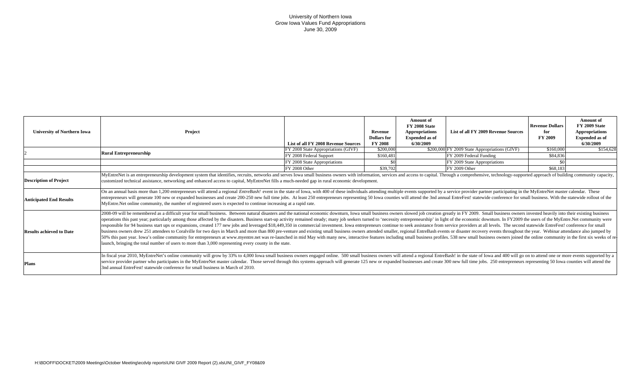| <b>University of Northern Iowa</b> | Project                                                                                                                                                                                                                                                                                                                                                                                                                                                                                                                                                                                                                                                                                                                                                                                                                                                                                                                                                                                                                                       | <b>List of all FY 2008 Revenue Sources</b> | Revenue<br><b>Dollars</b> for<br><b>FY 2008</b> | <b>Amount</b> of<br>FY 2008 State<br><b>Appropriations</b><br><b>Expended</b> as of<br>6/30/2009 | List of all FY 2009 Revenue Sources           | <b>Revenue Dollars</b><br>for<br><b>FY 2009</b> | <b>Amount</b> of<br><b>FY 2009 State</b><br><b>Appropriations</b><br><b>Expended as of</b><br>6/30/2009 |  |
|------------------------------------|-----------------------------------------------------------------------------------------------------------------------------------------------------------------------------------------------------------------------------------------------------------------------------------------------------------------------------------------------------------------------------------------------------------------------------------------------------------------------------------------------------------------------------------------------------------------------------------------------------------------------------------------------------------------------------------------------------------------------------------------------------------------------------------------------------------------------------------------------------------------------------------------------------------------------------------------------------------------------------------------------------------------------------------------------|--------------------------------------------|-------------------------------------------------|--------------------------------------------------------------------------------------------------|-----------------------------------------------|-------------------------------------------------|---------------------------------------------------------------------------------------------------------|--|
|                                    | <b>Rural Entrepreneurship</b>                                                                                                                                                                                                                                                                                                                                                                                                                                                                                                                                                                                                                                                                                                                                                                                                                                                                                                                                                                                                                 | FY 2008 State Appropriations (GIVF)        | \$200,000                                       |                                                                                                  | \$200,000 FY 2009 State Appropriations (GIVF) | \$160,000                                       | \$154,628                                                                                               |  |
|                                    |                                                                                                                                                                                                                                                                                                                                                                                                                                                                                                                                                                                                                                                                                                                                                                                                                                                                                                                                                                                                                                               | FY 2008 Federal Support                    | \$160,481                                       |                                                                                                  | FY 2009 Federal Funding                       | \$84,836                                        |                                                                                                         |  |
|                                    |                                                                                                                                                                                                                                                                                                                                                                                                                                                                                                                                                                                                                                                                                                                                                                                                                                                                                                                                                                                                                                               | FY 2008 State Appropriations               | \$0                                             |                                                                                                  | FY 2009 State Appropriations                  |                                                 |                                                                                                         |  |
|                                    |                                                                                                                                                                                                                                                                                                                                                                                                                                                                                                                                                                                                                                                                                                                                                                                                                                                                                                                                                                                                                                               | FY 2008 Other                              | \$39,702                                        |                                                                                                  | FY 2009 Other                                 | \$68,183                                        |                                                                                                         |  |
| <b>Description of Project</b>      | MyEntreNet is an entrepreneurship development system that identifies, recruits, networks and serves Iowa small business owners with information, services and access to capital. Through a comprehensive, technology-supported<br>customized technical assistance, networking and enhanced access to capital, MyEntreNet fills a much-needed gap in rural economic development.<br>On an annual basis more than 1,200 entrepreneurs will attend a regional <i>EntreBash!</i> event in the state of Iowa, with 400 of these individuals attending multiple events supported by a service provider partner participating                                                                                                                                                                                                                                                                                                                                                                                                                        |                                            |                                                 |                                                                                                  |                                               |                                                 |                                                                                                         |  |
| <b>Anticipated End Results</b>     | entrepreneurs will generate 100 new or expanded businesses and create 200-250 new full time jobs. At least 250 entrepreneurs representing 50 Iowa counties will attend the 3nd annual EntreFest! statewide conference for smal<br>MyEntre.Net online community, the number of registered users is expected to continue increasing at a rapid rate.<br>2008-09 will be remembered as a difficult year for small business. Between natural disasters and the national economic downturn, Iowa small business owners slowed job creation greatly in FY 2009. Small business owners inve                                                                                                                                                                                                                                                                                                                                                                                                                                                          |                                            |                                                 |                                                                                                  |                                               |                                                 |                                                                                                         |  |
| <b>Results achieved to Date</b>    | operations this past year; particularly among those affected by the disasters. Business start-up activity remained steady; many job seekers turned to 'necessity entrepreneurship' in light of the economic downturn. In FY200<br>responsible for 94 business start ups or expansions, created 177 new jobs and leveraged \$18,449,350 in commercial investment. Iowa entrepreneurs continue to seek assistance from service providers at all levels. The second<br>business owners drew 251 attendees to Coralville for two days in March and more than 800 pre-venture and existing small business owners attended smaller, regional EntreBash events or disaster recovery events throughout the<br>50% this past year. Iowa's online community for entrepreneurs at www.myentre.net was re-launched in mid May with many new, interactive features including small business profiles. 538 new small business owners joined the on<br>launch, bringing the total number of users to more than 3,000 representing every county in the state. |                                            |                                                 |                                                                                                  |                                               |                                                 |                                                                                                         |  |
| <b>Plans</b>                       | In fiscal year 2010, MyEntreNet's online community will grow by 33% to 4,000 Iowa small business owners engaged online. 500 small business owners will attend a regional EntreBash! in the state of Iowa and 400 will go on to<br>service provider partner who participates in the MyEntreNet master calendar. Those served through this systems approach will generate 125 new or expanded businesses and create 300 new full time jobs. 250 entrepreneurs repr<br>3nd annual EntreFest! statewide conference for small business in March of 2010.                                                                                                                                                                                                                                                                                                                                                                                                                                                                                           |                                            |                                                 |                                                                                                  |                                               |                                                 |                                                                                                         |  |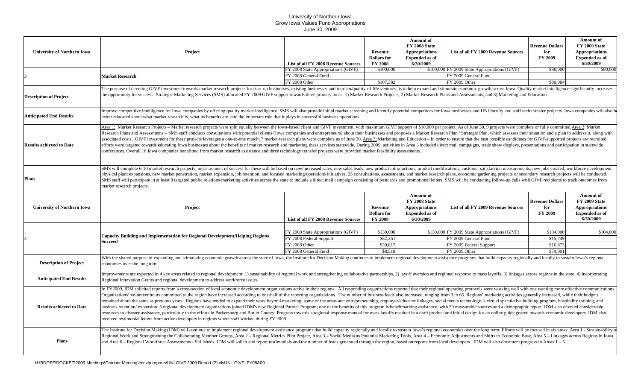| <b>University of Northern Iowa</b> | Project                                                                                                                                                                                                                                                                                                                                                                                                                                                                                                                                                                                                                                                                                                                                                                                                                                                                                                                                                                                                                                                                                                                                                                                                                                                                     | List of all FY 2008 Revenue Sources | Revenue<br><b>Dollars</b> for<br><b>FY 2008</b> | <b>Amount</b> of<br>FY 2008 State<br><b>Appropriations</b><br><b>Expended as of</b><br>6/30/2009 | List of all FY 2009 Revenue Sources           | <b>Revenue Dollars</b><br>for<br>FY 2009 | <b>Amount of</b><br>FY 2009 State<br><b>Appropriations</b><br><b>Expended</b> as of<br>6/30/2009 |  |  |
|------------------------------------|-----------------------------------------------------------------------------------------------------------------------------------------------------------------------------------------------------------------------------------------------------------------------------------------------------------------------------------------------------------------------------------------------------------------------------------------------------------------------------------------------------------------------------------------------------------------------------------------------------------------------------------------------------------------------------------------------------------------------------------------------------------------------------------------------------------------------------------------------------------------------------------------------------------------------------------------------------------------------------------------------------------------------------------------------------------------------------------------------------------------------------------------------------------------------------------------------------------------------------------------------------------------------------|-------------------------------------|-------------------------------------------------|--------------------------------------------------------------------------------------------------|-----------------------------------------------|------------------------------------------|--------------------------------------------------------------------------------------------------|--|--|
|                                    |                                                                                                                                                                                                                                                                                                                                                                                                                                                                                                                                                                                                                                                                                                                                                                                                                                                                                                                                                                                                                                                                                                                                                                                                                                                                             | FY 2008 State Appropriations (GIVF) | \$100,000                                       |                                                                                                  | \$100,000 FY 2009 State Appropriations (GIVF) | \$80,000                                 | \$80,000                                                                                         |  |  |
|                                    | <b>Market Research</b>                                                                                                                                                                                                                                                                                                                                                                                                                                                                                                                                                                                                                                                                                                                                                                                                                                                                                                                                                                                                                                                                                                                                                                                                                                                      | FY 2008 General Fund                |                                                 |                                                                                                  | FY 2009 General Fund                          |                                          |                                                                                                  |  |  |
|                                    |                                                                                                                                                                                                                                                                                                                                                                                                                                                                                                                                                                                                                                                                                                                                                                                                                                                                                                                                                                                                                                                                                                                                                                                                                                                                             | FY 2008 Other                       | \$107,382                                       |                                                                                                  | FY 2009 Other                                 | \$80,084                                 |                                                                                                  |  |  |
| <b>Description of Project</b>      | The purpose of devoting GIVF investment towards market research projects for start-up businesses, existing businesses and tourism/quality-of-life ventures, is to help expand and stimulate economic growth across Iowa. Quali<br>the opportunity for success. Strategic Marketing Services (SMS) allocated FY 2009 GIVF support towards three primary areas: 1) Market Research Projects, 2) Market Research Plans and Assessments, and 3) Marketing and Educat                                                                                                                                                                                                                                                                                                                                                                                                                                                                                                                                                                                                                                                                                                                                                                                                            |                                     |                                                 |                                                                                                  |                                               |                                          |                                                                                                  |  |  |
| <b>Anticipated End Results</b>     | Improve competitive intelligence for Iowa companies by offering quality market intelligence. SMS will also provide initial market screening and identify potential competitors for Iowa businesses and UNI faculty and staff t<br>better educated about what market research is, what its benefits are, and the important role that it plays in successful business operations.                                                                                                                                                                                                                                                                                                                                                                                                                                                                                                                                                                                                                                                                                                                                                                                                                                                                                             |                                     |                                                 |                                                                                                  |                                               |                                          |                                                                                                  |  |  |
| <b>Results achieved to Date</b>    | Area 1: Market Research Projects – Market research projects were split equally between the Iowa-based client and GIVF investment, with maximum GIVF support of \$10,000 per project. As of June 30, 9 projects were complete or<br>Research Plans and Assessments - SMS staff conducts consultations with potential clients (Iowa companies and entrepreneurs) about their businesses and proposes a Market Research Plan / Strategic Plan, which assesses their<br>associated costs. GIVF investment for these projects leverages a one-to-one match; 7 market research plans were complete as of June 30. Area 3: Marketing and Education - In order to ensure that the best possible candidates<br>efforts were targeted towards educating Iowa businesses about the benefits of market research and marketing these services statewide. During 2009, activities in Area 3 included direct mail campaigns, trade show displays, p<br>conferences. Overall 16 Iowa companies benefitted from market research assistance and three technology transfer projects were provided market feasibility assessments.                                                                                                                                                              |                                     |                                                 |                                                                                                  |                                               |                                          |                                                                                                  |  |  |
| <b>Plans</b>                       | SMS will complete 6-10 market research projects; measurement of success for these will be based on new/increased sales, new sales leads, new product introductions, product modifications, customer satisfaction measurements,<br>physical plant expansions, new market penetration, market expansion, job retention, and focused marketing/operations initiatives. 25 consultations, assessments, and market research plans, economic gardening projects or sec<br>SMS staff will participate in at least 8 targeted public relations/marketing activities across the state to include a direct mail campaign consisting of postcards and promotional letters. SMS will be conducting follow-up c<br>market research projects.                                                                                                                                                                                                                                                                                                                                                                                                                                                                                                                                             |                                     |                                                 |                                                                                                  |                                               |                                          |                                                                                                  |  |  |
| <b>University of Northern Iowa</b> | Project                                                                                                                                                                                                                                                                                                                                                                                                                                                                                                                                                                                                                                                                                                                                                                                                                                                                                                                                                                                                                                                                                                                                                                                                                                                                     | List of all FY 2008 Revenue Sources | Revenue<br><b>Dollars</b> for<br><b>FY 2008</b> | <b>Amount of</b><br>FY 2008 State<br><b>Appropriations</b><br><b>Expended as of</b><br>6/30/2009 | List of all FY 2009 Revenue Sources           | <b>Revenue Dollars</b><br>for<br>FY 2009 | <b>Amount of</b><br>FY 2009 State<br><b>Appropriations</b><br><b>Expended</b> as of<br>6/30/2009 |  |  |
|                                    | <b>Capacity Building and Implementation for Regional Development/Helping Regions</b><br><b>Succeed</b>                                                                                                                                                                                                                                                                                                                                                                                                                                                                                                                                                                                                                                                                                                                                                                                                                                                                                                                                                                                                                                                                                                                                                                      |                                     |                                                 |                                                                                                  |                                               |                                          |                                                                                                  |  |  |
|                                    |                                                                                                                                                                                                                                                                                                                                                                                                                                                                                                                                                                                                                                                                                                                                                                                                                                                                                                                                                                                                                                                                                                                                                                                                                                                                             | FY 2008 State Appropriations (GIVF) | \$130,000                                       |                                                                                                  | \$130,000 FY 2009 State Appropriations (GIVF) | \$104,000                                | \$104,000                                                                                        |  |  |
|                                    |                                                                                                                                                                                                                                                                                                                                                                                                                                                                                                                                                                                                                                                                                                                                                                                                                                                                                                                                                                                                                                                                                                                                                                                                                                                                             | FY 2008 Federal Support             | \$82,251                                        |                                                                                                  | FY 2009 General Fund                          | \$15,749                                 |                                                                                                  |  |  |
|                                    |                                                                                                                                                                                                                                                                                                                                                                                                                                                                                                                                                                                                                                                                                                                                                                                                                                                                                                                                                                                                                                                                                                                                                                                                                                                                             | FY 2008 Other                       | \$39,817                                        |                                                                                                  | FY 2009 Federal Support                       | \$16,873                                 |                                                                                                  |  |  |
|                                    |                                                                                                                                                                                                                                                                                                                                                                                                                                                                                                                                                                                                                                                                                                                                                                                                                                                                                                                                                                                                                                                                                                                                                                                                                                                                             | FY 2008 General Fund                | \$8,518                                         |                                                                                                  | FY 2009 Other                                 | \$79,901                                 |                                                                                                  |  |  |
| <b>Description of Project</b>      | With the shared purpose of expanding and stimulating economic growth across the state of Iowa, the Institute for Decision Making continues to implement regional development assistance programs that build capacity regionall<br>economies over the long term.                                                                                                                                                                                                                                                                                                                                                                                                                                                                                                                                                                                                                                                                                                                                                                                                                                                                                                                                                                                                             |                                     |                                                 |                                                                                                  |                                               |                                          |                                                                                                  |  |  |
| <b>Anticipated End Results</b>     | mprovements are expected in 4 key areas related to regional development: 1) sustainability of regional work and strengthening collaborative partnerships, 2) layoff aversion and regional response to mass layoffs, 3) linkage<br>Regional Innovation Grants and regional development to address workforce issues.                                                                                                                                                                                                                                                                                                                                                                                                                                                                                                                                                                                                                                                                                                                                                                                                                                                                                                                                                          |                                     |                                                 |                                                                                                  |                                               |                                          |                                                                                                  |  |  |
| <b>Results achieved to Date</b>    | In FY2009, IDM solicited reports from a cross-section of local economic development organizations active in their regions. All responding organizations reported that their regional operating protocols were working well wit<br>Organizations' volunteer hours committed to the region have increased according to one-half of the reporting organizations. The number of business leads also increased, ranging from 3 to 65. Regions' marketing activities g<br>remained about the same as previous years. Regions have tended to expand their work beyond marketing; some of the areas are: entrepreneurship, employer/educator linkages, social media technology, a virtual speculative buil<br>business retention/expansion. 5 regional development organizations joined IDM's new Regional Partner Program; one of the benefits of this program is benchmarking assistance, with 30 measurable sources and a demographic rep<br>resources to disaster assistance, particularly to the efforts in Parkersburg and Butler County. Progress towards a regional response manual for mass layoffs resulted in a draft product and initial design for an online guid<br>received testimonial letters from active developers in regions where staff worked during FY 2009. |                                     |                                                 |                                                                                                  |                                               |                                          |                                                                                                  |  |  |
| Plans                              | The Institute for Decision Making (IDM) will continue to implement regional development assistance programs that build capacity regionally and locally to sustain Iowa's regional economies over the long term. Efforts will b<br>Regional Work and Strengthening the Collaborating Member Groups, Area 2 – Regional Metrics Pilot Project, Area 3 – Social Media as Potential Marketing Tools, Area 4 – Economic Adjustments and Shifts to Economic Base, Area<br>and Area 6 – Regional Workforce Assessments - Skillsheds. IDM will solicit and report testimonials and the number of leads generated through the region, based on reports from local developers. IDM will also document progre                                                                                                                                                                                                                                                                                                                                                                                                                                                                                                                                                                           |                                     |                                                 |                                                                                                  |                                               |                                          |                                                                                                  |  |  |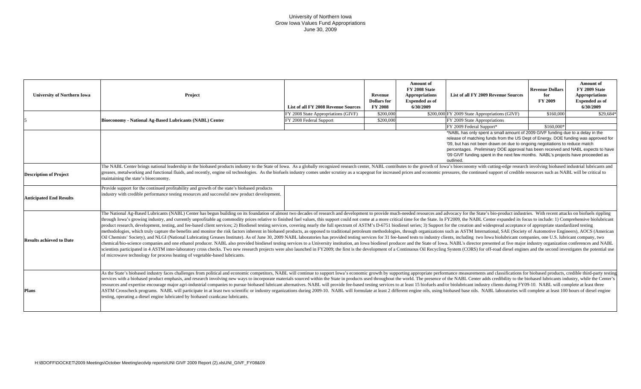| <b>University of Northern Iowa</b> | Project                                                                                                                                                                                                                                                                                                                                                                                                                                                                                                                                                                                                                                                                                                                                                                                                                                                                                                                                                                                                                                                                                                                                                                                                                                                                                                                                                                                                                                                                                                                                                                                                                                                                                                               | List of all FY 2008 Revenue Sources | Revenue<br><b>Dollars</b> for<br><b>FY 2008</b> | <b>Amount of</b><br><b>FY 2008 State</b><br>Appropriations<br><b>Expended</b> as of<br>6/30/2009 | List of all FY 2009 Revenue Sources           | <b>Revenue Dollars</b><br>for<br><b>FY 2009</b> | <b>Amount</b> of<br>FY 2009 State<br><b>Appropriations</b><br><b>Expended as of</b><br>6/30/2009 |  |
|------------------------------------|-----------------------------------------------------------------------------------------------------------------------------------------------------------------------------------------------------------------------------------------------------------------------------------------------------------------------------------------------------------------------------------------------------------------------------------------------------------------------------------------------------------------------------------------------------------------------------------------------------------------------------------------------------------------------------------------------------------------------------------------------------------------------------------------------------------------------------------------------------------------------------------------------------------------------------------------------------------------------------------------------------------------------------------------------------------------------------------------------------------------------------------------------------------------------------------------------------------------------------------------------------------------------------------------------------------------------------------------------------------------------------------------------------------------------------------------------------------------------------------------------------------------------------------------------------------------------------------------------------------------------------------------------------------------------------------------------------------------------|-------------------------------------|-------------------------------------------------|--------------------------------------------------------------------------------------------------|-----------------------------------------------|-------------------------------------------------|--------------------------------------------------------------------------------------------------|--|
|                                    |                                                                                                                                                                                                                                                                                                                                                                                                                                                                                                                                                                                                                                                                                                                                                                                                                                                                                                                                                                                                                                                                                                                                                                                                                                                                                                                                                                                                                                                                                                                                                                                                                                                                                                                       | FY 2008 State Appropriations (GIVF) | \$200,000                                       |                                                                                                  | \$200,000 FY 2009 State Appropriations (GIVF) | \$160,000                                       | \$29,684*                                                                                        |  |
|                                    | <b>Bioeconomy - National Ag-Based Lubricants (NABL) Center</b>                                                                                                                                                                                                                                                                                                                                                                                                                                                                                                                                                                                                                                                                                                                                                                                                                                                                                                                                                                                                                                                                                                                                                                                                                                                                                                                                                                                                                                                                                                                                                                                                                                                        | FY 2008 Federal Support             | \$200,000                                       |                                                                                                  | FY 2009 State Appropriations                  |                                                 |                                                                                                  |  |
|                                    |                                                                                                                                                                                                                                                                                                                                                                                                                                                                                                                                                                                                                                                                                                                                                                                                                                                                                                                                                                                                                                                                                                                                                                                                                                                                                                                                                                                                                                                                                                                                                                                                                                                                                                                       |                                     |                                                 |                                                                                                  | FY 2009 Federal Support*                      | \$160,000                                       |                                                                                                  |  |
|                                    | *NABL has only spent a small amount of 2009 GIVF funding due to a delay in the<br>release of matching funds from the US Dept of Energy. DOE funding was approved for<br>'09, but has not been drawn on due to ongoing negotiations to reduce match<br>percentages. Preliminary DOE approval has been received and NABL expects to have<br>'09 GIVF funding spent in the next few months. NABL's projects have proceeded as<br>outlined.                                                                                                                                                                                                                                                                                                                                                                                                                                                                                                                                                                                                                                                                                                                                                                                                                                                                                                                                                                                                                                                                                                                                                                                                                                                                               |                                     |                                                 |                                                                                                  |                                               |                                                 |                                                                                                  |  |
| <b>Description of Project</b>      | The NABL Center brings national leadership in the biobased products industry to the State of Iowa. As a globally recognized research center, NABL contributes to the growth of Iowa's bioeconomy with cutting-edge research in<br>greases, metalworking and functional fluids, and recently, engine oil technologies. As the biofuels industry comes under scrutiny as a scapegoat for increased prices and economic pressures, the continued support of credibl<br>maintaining the state's bioeconomy.                                                                                                                                                                                                                                                                                                                                                                                                                                                                                                                                                                                                                                                                                                                                                                                                                                                                                                                                                                                                                                                                                                                                                                                                               |                                     |                                                 |                                                                                                  |                                               |                                                 |                                                                                                  |  |
| <b>Anticipated End Results</b>     | Provide support for the continued profitability and growth of the state's biobased products<br>industry with credible performance testing resources and successful new product development.                                                                                                                                                                                                                                                                                                                                                                                                                                                                                                                                                                                                                                                                                                                                                                                                                                                                                                                                                                                                                                                                                                                                                                                                                                                                                                                                                                                                                                                                                                                           |                                     |                                                 |                                                                                                  |                                               |                                                 |                                                                                                  |  |
| <b>Results achieved to Date</b>    | The National Ag-Based Lubricants (NABL) Center has begun building on its foundation of almost two decades of research and development to provide much-needed resources and advocacy for the State's bio-product industries. Wi<br>through Iowa's growing industry, and currently unprofitable ag commodity prices relative to finished fuel values, this support could not come at a more critical time for the State. In FY2009, the NABL Center expanded its f<br>product research, development, testing, and fee-based client services; 2) Biodiesel testing services, covering nearly the full spectrum of ASTM's D-6751 biodiesel series; 3) Support for the creation and widespread acceptan<br>methodologies, which truly capture the benefits and monitor the risk factors inherent in biobased products, as opposed to traditional petroleum methodologies, through organizations such as ASTM International, SAE (Society<br>Oil Chemists' Society), and NLGI (National Lubricating Greases Institute). As of June 30, 2009 NABL laboratories has provided testing services for 31 fee-based tests to industry clients, including two Iowa biolubricant com<br>chemical/bio-science companies and one ethanol producer. NABL also provided biodiesel testing services to a University institution, an Iowa biodiesel producer and the State of Iowa. NABL's director presented at five major<br>scientists participated in 4 ASTM inter-laboratory cross checks. Two new research projects were also launched in FY2009; the first is the development of a Continuous Oil Recycling System (CORS) for off-road diesel engines<br>of microwave technology for process heating of vegetable-based lubricants. |                                     |                                                 |                                                                                                  |                                               |                                                 |                                                                                                  |  |
| <b>Plans</b>                       | As the State's biobased industry faces challenges from political and economic competitors, NABL will continue to support Iowa's economic growth by supporting appropriate performance measurements and classifications for bio<br>services with a biobased product emphasis, and research involving new ways to incorporate materials sourced within the State in products used throughout the world. The presence of the NABL Center adds credibility to the bi<br>resources and expertise encourage major agri-industrial companies to pursue biobased lubricant alternatives. NABL will provide fee-based testing services to at least 15 biofuels and/or biolubricant industry clients during<br>ASTM Crosscheck programs. NABL will participate in at least two scientific or industry organizations during 2009-10. NABL will formulate at least 2 different engine oils, using biobased base oils. NABL laboratories will co<br>testing, operating a diesel engine lubricated by biobased crankcase lubricants.                                                                                                                                                                                                                                                                                                                                                                                                                                                                                                                                                                                                                                                                                                |                                     |                                                 |                                                                                                  |                                               |                                                 |                                                                                                  |  |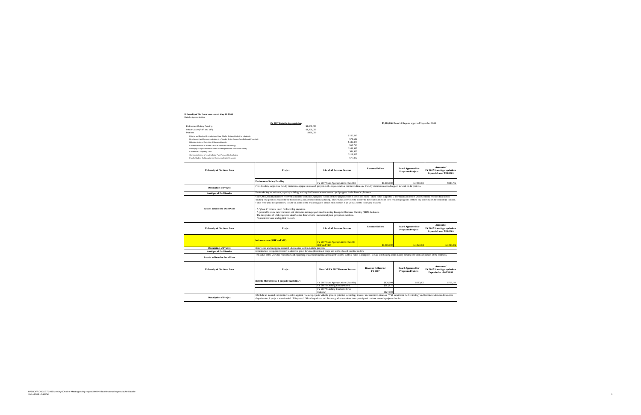#### **University of Northern Iowa - as of May 31, 2009**<br>Battelle Appropriation

|                                                                                      | FY 2007 Battelle Appropriation                                                                                                                                                                                                                                                                                                                                                                                                                                                                                                                                                                                                                                                                   | \$3,180,000 Board of Regents approved September 2006.          |                                       |                                                |                                                                       |  |  |  |
|--------------------------------------------------------------------------------------|--------------------------------------------------------------------------------------------------------------------------------------------------------------------------------------------------------------------------------------------------------------------------------------------------------------------------------------------------------------------------------------------------------------------------------------------------------------------------------------------------------------------------------------------------------------------------------------------------------------------------------------------------------------------------------------------------|----------------------------------------------------------------|---------------------------------------|------------------------------------------------|-----------------------------------------------------------------------|--|--|--|
| Endowment/Salary Funding                                                             | \$1,000,000                                                                                                                                                                                                                                                                                                                                                                                                                                                                                                                                                                                                                                                                                      |                                                                |                                       |                                                |                                                                       |  |  |  |
| Infrastructure (RIIF and VIF)                                                        | \$1,360,000                                                                                                                                                                                                                                                                                                                                                                                                                                                                                                                                                                                                                                                                                      |                                                                |                                       |                                                |                                                                       |  |  |  |
| Platform                                                                             | \$820,000                                                                                                                                                                                                                                                                                                                                                                                                                                                                                                                                                                                                                                                                                        |                                                                |                                       |                                                |                                                                       |  |  |  |
| Ethanol and Biodiesel Byproducts as Base Oils for Biobased Industrial Lubricants     |                                                                                                                                                                                                                                                                                                                                                                                                                                                                                                                                                                                                                                                                                                  | \$120,247                                                      |                                       |                                                |                                                                       |  |  |  |
| Development and Commercialization of a Foundry Binder System from Biobased Feedstock |                                                                                                                                                                                                                                                                                                                                                                                                                                                                                                                                                                                                                                                                                                  | \$71.512                                                       |                                       |                                                |                                                                       |  |  |  |
| Robotics-deployed Detection of Biological Agents                                     |                                                                                                                                                                                                                                                                                                                                                                                                                                                                                                                                                                                                                                                                                                  | \$136,875                                                      |                                       |                                                |                                                                       |  |  |  |
| Commercialization of Protein Structure Prediction Technology                         |                                                                                                                                                                                                                                                                                                                                                                                                                                                                                                                                                                                                                                                                                                  | \$58,767                                                       |                                       |                                                |                                                                       |  |  |  |
| Identifying Drought Tolerance Genes in the Reproductive Structure of Barley          |                                                                                                                                                                                                                                                                                                                                                                                                                                                                                                                                                                                                                                                                                                  | \$169,997<br>\$64,933                                          |                                       |                                                |                                                                       |  |  |  |
| Commercial Computing Grids                                                           |                                                                                                                                                                                                                                                                                                                                                                                                                                                                                                                                                                                                                                                                                                  | \$119,837                                                      |                                       |                                                |                                                                       |  |  |  |
| Commercialization of Leading Edge Paint Removal technologies                         |                                                                                                                                                                                                                                                                                                                                                                                                                                                                                                                                                                                                                                                                                                  | \$77,832                                                       |                                       |                                                |                                                                       |  |  |  |
| Faculty/Student Collaboration on Commercializable Research                           |                                                                                                                                                                                                                                                                                                                                                                                                                                                                                                                                                                                                                                                                                                  |                                                                |                                       |                                                |                                                                       |  |  |  |
| <b>University of Northern Iowa</b>                                                   | Project                                                                                                                                                                                                                                                                                                                                                                                                                                                                                                                                                                                                                                                                                          | <b>List of all Revenue Sources</b>                             | <b>Revenue Dollars</b>                | <b>Board Approved for</b><br>Programs/Projects | Amount of<br>FY 2007 State Appropriations<br>Expended as of 5/31/2009 |  |  |  |
|                                                                                      | <b>Endowment/Salary Funding</b>                                                                                                                                                                                                                                                                                                                                                                                                                                                                                                                                                                                                                                                                  | FY 2007 State Appropriations (Battelle)                        | \$1,000,000<br>\$1,000,000            |                                                | \$983,732                                                             |  |  |  |
| <b>Description of Project</b>                                                        | Provide salary support for faculty members engaged in research projects with the potential for commercialization. Faculty members received support to work on 12 projects.                                                                                                                                                                                                                                                                                                                                                                                                                                                                                                                       |                                                                |                                       |                                                |                                                                       |  |  |  |
| <b>Anticipated End Results</b>                                                       | Undertake key recruitment, capacity building, and required investments to ensure rapid progress in the Battelle platforms.                                                                                                                                                                                                                                                                                                                                                                                                                                                                                                                                                                       |                                                                |                                       |                                                |                                                                       |  |  |  |
| <b>Results achieved to Date/Plans</b>                                                | creating new products related to the bioeconomy and advanced manufacturing. These funds were used to accelerate the establishment of their research programs of these key contributors to technology transfer.<br>Funds were used to support new faculty on some of the research grants identified in Section 3, as well as for the following research:<br>A "phase 2" orthotic insert for lower leg amputees.<br>A patentable neural network-based and other data-mining algorithms for mining Enterprise Resource Planning (ERP) databases.<br>The integration of UNI grapevine identification data with the international plant germplasm database.<br>Nanoscience basic and applied research |                                                                |                                       |                                                |                                                                       |  |  |  |
| <b>University of Northern Iowa</b>                                                   | Project                                                                                                                                                                                                                                                                                                                                                                                                                                                                                                                                                                                                                                                                                          | <b>List of all Revenue Sources</b>                             | <b>Revenue Dollars</b>                | <b>Board Approved for</b><br>Programs/Projects | Amount of<br>FY 2007 State Appropriations<br>Expended as of 5/31/2009 |  |  |  |
|                                                                                      | <b>Infrastructure (RIIF and VIF)</b>                                                                                                                                                                                                                                                                                                                                                                                                                                                                                                                                                                                                                                                             | FY 2007 State Appropriations (Battelle<br><b>RIIF</b> and VIF) | \$1,360,000                           | \$1,360,00                                     | \$1,246,352                                                           |  |  |  |
| <b>Description of Project</b>                                                        | Renovation and equipping research laboratories used in Battelle projects.                                                                                                                                                                                                                                                                                                                                                                                                                                                                                                                                                                                                                        |                                                                |                                       |                                                |                                                                       |  |  |  |
| <b>Anticipated End Results</b>                                                       | Infrastructure to support research to discover genes for drought resistant crops and test bio-based foundry binders.                                                                                                                                                                                                                                                                                                                                                                                                                                                                                                                                                                             |                                                                |                                       |                                                |                                                                       |  |  |  |
| <b>Results achieved to Date/Plans</b>                                                | The status of the work for renovation and equipping research laboratories associated with the Battelle funds is complete. We are still holding some money pending the total completion of the contracts.                                                                                                                                                                                                                                                                                                                                                                                                                                                                                         |                                                                |                                       |                                                |                                                                       |  |  |  |
| <b>University of Northern Iowa</b>                                                   | Project                                                                                                                                                                                                                                                                                                                                                                                                                                                                                                                                                                                                                                                                                          | List of all FY 2007 Revenue Sources                            | <b>Revenue Dollars for</b><br>FY 2007 | <b>Board Approved for</b><br>Programs/Projects | Amount of<br>FY 2007 State Appropriations<br>Expended as of 05/31/09  |  |  |  |
|                                                                                      | Battelle Platform (see 8 projects that follow)                                                                                                                                                                                                                                                                                                                                                                                                                                                                                                                                                                                                                                                   | FY 2007 State Appropriations (Battelle)                        | \$820,000                             | \$820,000                                      | \$718,144                                                             |  |  |  |
|                                                                                      |                                                                                                                                                                                                                                                                                                                                                                                                                                                                                                                                                                                                                                                                                                  | FY 2007 Matching Funds (Other)                                 | \$283.637                             |                                                |                                                                       |  |  |  |
|                                                                                      |                                                                                                                                                                                                                                                                                                                                                                                                                                                                                                                                                                                                                                                                                                  | FY 2007 Matching Funds (Federal,                               |                                       |                                                |                                                                       |  |  |  |
|                                                                                      |                                                                                                                                                                                                                                                                                                                                                                                                                                                                                                                                                                                                                                                                                                  | Industry)                                                      | \$427,000                             |                                                |                                                                       |  |  |  |
| <b>Description of Project</b>                                                        | UNI held an internal competition to select applied research projects with the greatest potential technology transfer and commercialization. With input from the Technology and Commercialization Resources<br>Organization, 8 projects were funded. Thirty-two UNI undergraduate and thirteen graduate students have participated in these research projects thus far.                                                                                                                                                                                                                                                                                                                           |                                                                |                                       |                                                |                                                                       |  |  |  |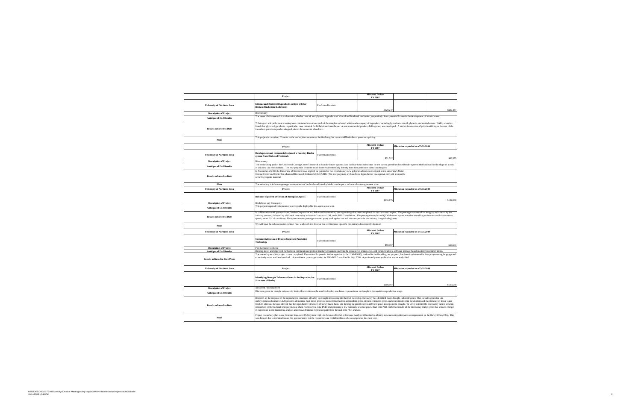|                                                                 | Project                                                                                                                                                                                                                                                                                                                                                                                                                                                                                                                                                                                                                                                                                                                                                                                                                                                                                                                                                                     |                     | <b>Allocated Dollars</b><br>FY 2007                                        |                                     |           |  |  |  |
|-----------------------------------------------------------------|-----------------------------------------------------------------------------------------------------------------------------------------------------------------------------------------------------------------------------------------------------------------------------------------------------------------------------------------------------------------------------------------------------------------------------------------------------------------------------------------------------------------------------------------------------------------------------------------------------------------------------------------------------------------------------------------------------------------------------------------------------------------------------------------------------------------------------------------------------------------------------------------------------------------------------------------------------------------------------|---------------------|----------------------------------------------------------------------------|-------------------------------------|-----------|--|--|--|
| <b>University of Northern Iowa</b>                              | Ethanol and Biodiesel Byproducts as Base Oils for<br><b>Biobased Industrial Lubricants</b>                                                                                                                                                                                                                                                                                                                                                                                                                                                                                                                                                                                                                                                                                                                                                                                                                                                                                  | Platform allocation | \$120,247                                                                  |                                     | \$120,247 |  |  |  |
| <b>Description of Project</b>                                   | Bioeconomy                                                                                                                                                                                                                                                                                                                                                                                                                                                                                                                                                                                                                                                                                                                                                                                                                                                                                                                                                                  |                     |                                                                            |                                     |           |  |  |  |
| <b>Anticipated End Results</b>                                  | The intent of this research is to determine whether corn oil and glycerin, byproducts of ethanol and biodiesel production, respectively, have potential for use in the development of biolubricants.                                                                                                                                                                                                                                                                                                                                                                                                                                                                                                                                                                                                                                                                                                                                                                        |                     |                                                                            |                                     |           |  |  |  |
| <b>Results achieved to Date</b>                                 | Tribological and performance testing were conducted to evaluate each of the samples collected within each category of byproduct, including byproduct corn oil, glycerin, and methyl esters. NABL scientists<br>found that glycerin byproducts, in particular, have potential for biolubricant formulation. A new commercial product, drilling mud, was developed. A market issue exists of price feasibility, as the cost of the<br>incumbent petroleum product dropped, due to the economic slowdown.                                                                                                                                                                                                                                                                                                                                                                                                                                                                      |                     |                                                                            |                                     |           |  |  |  |
| Plans                                                           | This project is complete. Transfer to the marketplace remains as the final step, but remains difficult due to petroleum pricing.                                                                                                                                                                                                                                                                                                                                                                                                                                                                                                                                                                                                                                                                                                                                                                                                                                            |                     |                                                                            |                                     |           |  |  |  |
|                                                                 | Project                                                                                                                                                                                                                                                                                                                                                                                                                                                                                                                                                                                                                                                                                                                                                                                                                                                                                                                                                                     |                     | <b>Allocated Dollars</b><br>FY 2007                                        | Allocation expended as of 5/31/2009 |           |  |  |  |
| <b>University of Northern Iowa</b>                              | Development and commercialization of a Foundry Binder<br>system from Biobased Feedstock<br>Bioeconomy                                                                                                                                                                                                                                                                                                                                                                                                                                                                                                                                                                                                                                                                                                                                                                                                                                                                       | Platform allocation | \$71,512                                                                   | \$66,375                            |           |  |  |  |
| <b>Description of Project</b>                                   | The overarching goal of the UNI Metal Casting Center's research in foundry binder systems is to find bio-based substitutes for the current petroleum based binder systems that hold sand in the shape of a mold                                                                                                                                                                                                                                                                                                                                                                                                                                                                                                                                                                                                                                                                                                                                                             |                     |                                                                            |                                     |           |  |  |  |
| <b>Anticipated End Results</b>                                  |                                                                                                                                                                                                                                                                                                                                                                                                                                                                                                                                                                                                                                                                                                                                                                                                                                                                                                                                                                             |                     |                                                                            |                                     |           |  |  |  |
| <b>Results achieved to Date</b>                                 | in which to cast molten metal. The new polymers would be much more environmentally friendly than their petroleum based counterparts.<br>In November of 2008 the University of Northern Iowa applied for patents for two revolutionary new polymer adhesives developed at the university's Metal<br>Casting Center and Center for advanced Bio-based Binders (MCC/CABB). The new polymers are based on a byproduct of Iowa grown corn and a naturally<br>occurring organic material.                                                                                                                                                                                                                                                                                                                                                                                                                                                                                         |                     |                                                                            |                                     |           |  |  |  |
| Plans                                                           | The university is in late-stage negotiation on both of the bio-based foundry binders and expects to have a license agreement soon.                                                                                                                                                                                                                                                                                                                                                                                                                                                                                                                                                                                                                                                                                                                                                                                                                                          |                     |                                                                            |                                     |           |  |  |  |
| <b>University of Northern Iowa</b>                              | Project                                                                                                                                                                                                                                                                                                                                                                                                                                                                                                                                                                                                                                                                                                                                                                                                                                                                                                                                                                     |                     | <b>Allocated Dollars</b><br>FY 2007                                        | Allocation expended as of 5/31/2009 |           |  |  |  |
|                                                                 | Robotics-deployed Detection of Biological Agents                                                                                                                                                                                                                                                                                                                                                                                                                                                                                                                                                                                                                                                                                                                                                                                                                                                                                                                            | Platform allocation | \$136,875                                                                  |                                     | \$102,088 |  |  |  |
| <b>Description of Project</b>                                   | <b>Biodefense and Biosecurity</b>                                                                                                                                                                                                                                                                                                                                                                                                                                                                                                                                                                                                                                                                                                                                                                                                                                                                                                                                           |                     |                                                                            |                                     |           |  |  |  |
| <b>Anticipated End Results</b>                                  | This project targets development of a universally deployable bio-agent sensor unit.                                                                                                                                                                                                                                                                                                                                                                                                                                                                                                                                                                                                                                                                                                                                                                                                                                                                                         |                     |                                                                            |                                     |           |  |  |  |
| <b>Results achieved to Date</b>                                 | In collaboration with partners from Doerfer Corporation and Advanced Automation, prototype design has been completed for the air-spore sampler. The prototype was tested for integrity and control by the<br>industry partners, followed by additional tests using 'safe-strain' spores at UNI, under BSL-2 conditions. The prototype-sampler and QCM-detector system was then tested for performance with Ames strain<br>spores, under BSL-3 conditions. The spore-detector prototype worked pretty well against the real anthrax spores in preliminary, 'range-finding' tests.<br>We will have the sub-contractor conduct final work with the detector that will improve upon the preliminary data recently obtained.                                                                                                                                                                                                                                                     |                     |                                                                            |                                     |           |  |  |  |
| Plans                                                           |                                                                                                                                                                                                                                                                                                                                                                                                                                                                                                                                                                                                                                                                                                                                                                                                                                                                                                                                                                             |                     |                                                                            |                                     |           |  |  |  |
| <b>University of Northern Iowa</b>                              | Project                                                                                                                                                                                                                                                                                                                                                                                                                                                                                                                                                                                                                                                                                                                                                                                                                                                                                                                                                                     |                     | <b>Allocated Dollars</b><br>Allocation expended as of 5/31/2009<br>FY 2007 |                                     |           |  |  |  |
|                                                                 | <b>Commercialization of Protein Structure Prediction</b><br><b>Technology</b>                                                                                                                                                                                                                                                                                                                                                                                                                                                                                                                                                                                                                                                                                                                                                                                                                                                                                               | Platform allocation | \$58,767                                                                   |                                     | \$57,634  |  |  |  |
| <b>Description of Project</b><br><b>Anticipated End Results</b> | Post Genomic Medicine                                                                                                                                                                                                                                                                                                                                                                                                                                                                                                                                                                                                                                                                                                                                                                                                                                                                                                                                                       |                     |                                                                            |                                     |           |  |  |  |
| <b>Results achieved to Date/Plans</b>                           | Develop novel and improved methods for computational protein structure determination from the sequence of amino acids, and commercialize a software package based on discovered innovations<br>The research part of the project is now completed. The method for protein fold recognition (called UNI-FOLD), outlined in the Battelle grant proposal, has been implemented in Java programming language and<br>extensively tested and benchmarked. A provisional patent application for UNI-FOLD was filed in July, 2008. A perfected patent application was recently filed.                                                                                                                                                                                                                                                                                                                                                                                                |                     |                                                                            |                                     |           |  |  |  |
| <b>University of Northern Iowa</b>                              | Project                                                                                                                                                                                                                                                                                                                                                                                                                                                                                                                                                                                                                                                                                                                                                                                                                                                                                                                                                                     |                     | <b>Allocated Dollars</b><br>FY 2007                                        | Allocation expended as of 5/31/2009 |           |  |  |  |
|                                                                 | <b>Identifying Drought Tolerance Genes in the Reproductive</b><br><b>Structure of Barley</b>                                                                                                                                                                                                                                                                                                                                                                                                                                                                                                                                                                                                                                                                                                                                                                                                                                                                                | Platform allocation | \$169,997                                                                  |                                     | \$125,688 |  |  |  |
| <b>Description of Project</b>                                   | Advanced Food and Feed                                                                                                                                                                                                                                                                                                                                                                                                                                                                                                                                                                                                                                                                                                                                                                                                                                                                                                                                                      |                     |                                                                            |                                     |           |  |  |  |
| <b>Anticipated End Results</b>                                  | Discover genes for drought tolerance in barley flowers that can be used to develop new Iowa crops resistant to drought in the sensitive reproductive stage.                                                                                                                                                                                                                                                                                                                                                                                                                                                                                                                                                                                                                                                                                                                                                                                                                 |                     |                                                                            |                                     |           |  |  |  |
| <b>Results achieved to Date</b>                                 | Research on the response of the reproductive structures of barley to drought stress using the Barley I GeneChip microarray has identified many drought-inducible genes. This includes genes for late<br>embryogenesis abundant (LEA) proteins, dehydrins, heat-shock proteins, transcription factors, antioxidant genes, disease resistance genes, and genes involved in metabolism and maintenance of tissue water<br>level. In addition, the data showed that the reproductive structures of barley (awn, husk, and developing grain) express different genes in response to drought. To verify whether the microarray data is accurate,<br>researchers performed real-time polymerase chain reaction (real-time PCR) analysis using a few randomly selected genes. Real-time PCR confirmed results of the microarray study: genes that showed changes<br>in expression in the microarray analysis also showed similar expression patterns in the real-time PCR analysis. |                     |                                                                            |                                     |           |  |  |  |
| Plans                                                           | Project researchers plan to use Genome Sequencer FLX system (454 Life Sciences/Roche) or Genome Analyzer (Illumina) to identify new transcripts that were not represented on the Barley1 GeneChip. This<br>was delayed due to technical issues this past semester, but the researchers are confident this can be accomplished this next year.                                                                                                                                                                                                                                                                                                                                                                                                                                                                                                                                                                                                                               |                     |                                                                            |                                     |           |  |  |  |